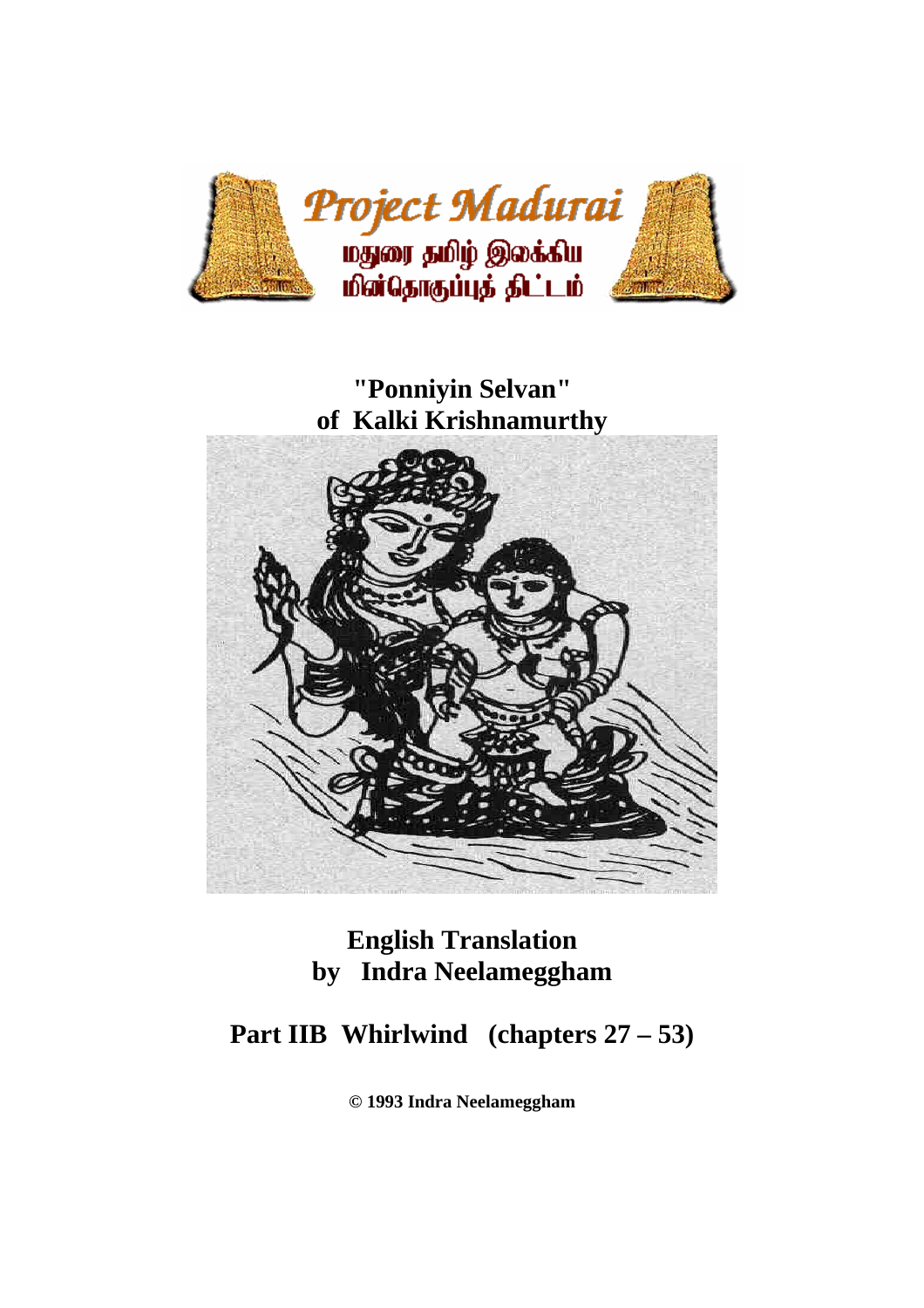

**"Ponniyin Selvan" of Kalki Krishnamurthy** 



**English Translation by Indra Neelameggham** 

**Part IIB Whirlwind (chapters 27 – 53)** 

**© 1993 Indra Neelameggham**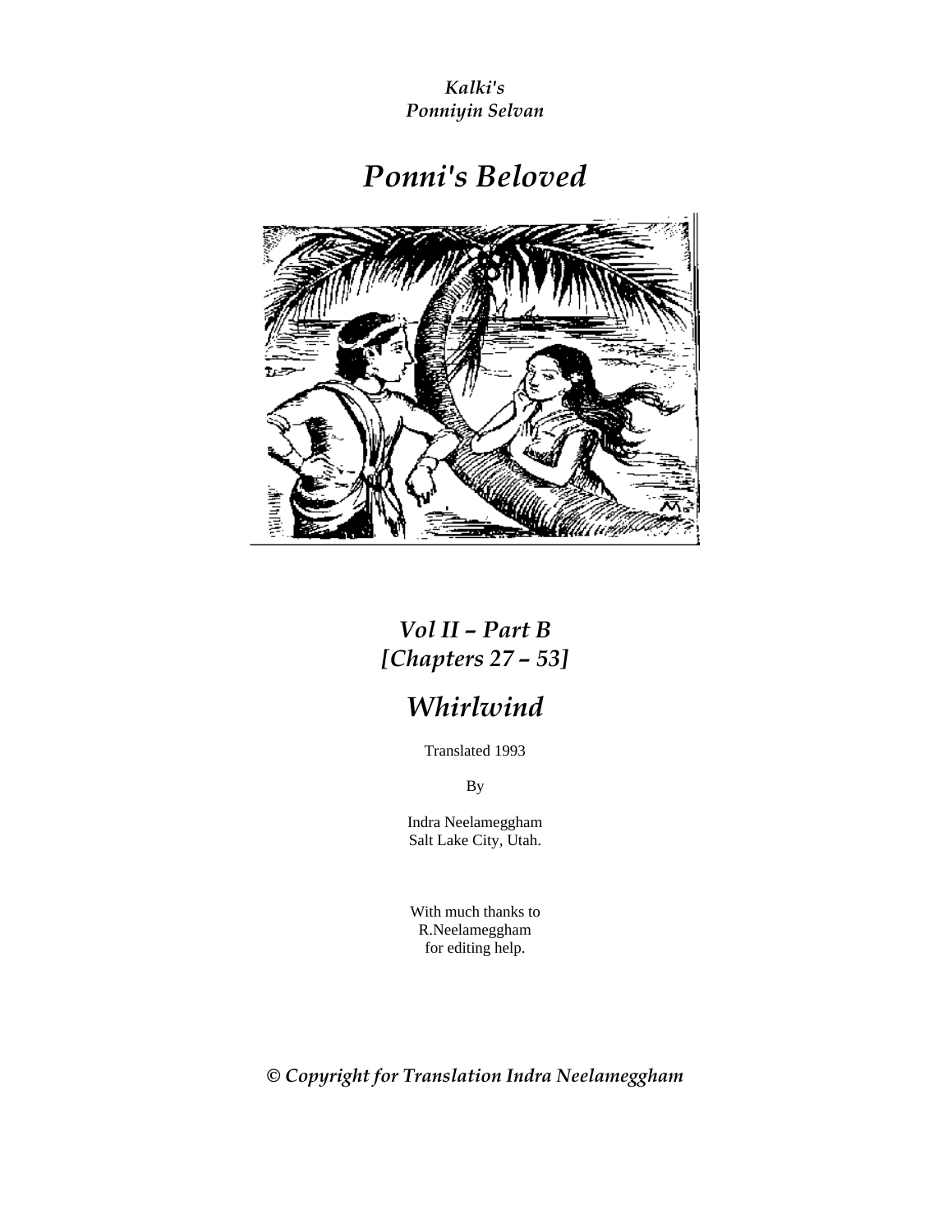*Kalki's Ponniyin Selvan*

# *Ponni's Beloved*



### *Vol II – Part B [Chapters 27 – 53]*

## *Whirlwind*

Translated 1993

By

Indra Neelameggham Salt Lake City, Utah.

With much thanks to R.Neelameggham for editing help.

*© Copyright for Translation Indra Neelameggham*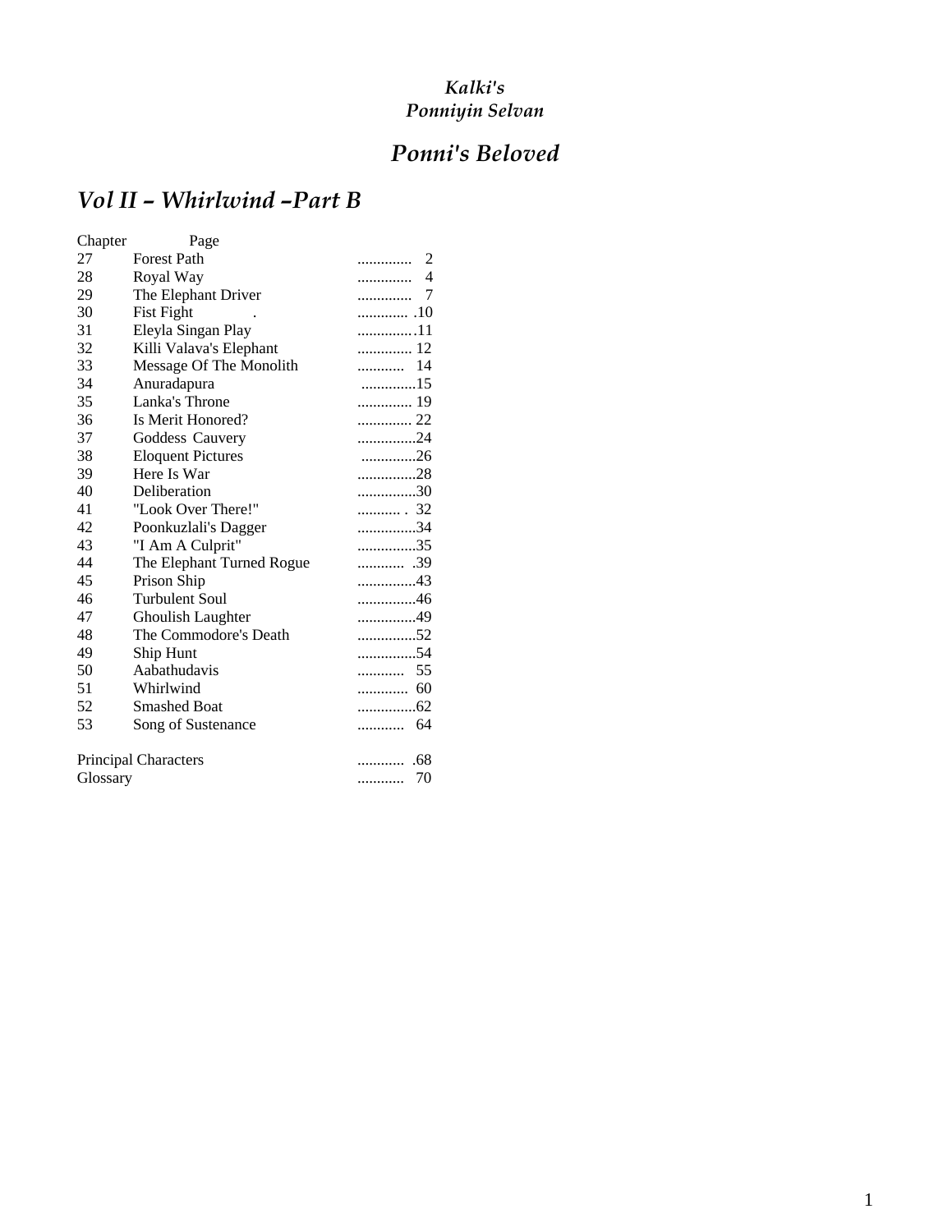### *Kalki's Ponniyin Selvan*

### *Ponni's Beloved*

### *Vol II – Whirlwind –Part B*

| Chapter                     | Page                      |         |
|-----------------------------|---------------------------|---------|
| 27                          | <b>Forest Path</b>        | 2<br>.  |
| 28                          | Royal Way                 | 4<br>.  |
| 29                          | The Elephant Driver       | 7<br>.  |
| 30                          | <b>Fist Fight</b>         | .10     |
| 31                          | Eleyla Singan Play        | 11      |
| 32                          | Killi Valava's Elephant   | 12      |
| 33                          | Message Of The Monolith   | 14      |
| 34                          | Anuradapura               | 15      |
| 35                          | Lanka's Throne            | 19      |
| 36                          | Is Merit Honored?         | 22      |
| 37                          | Goddess Cauvery           | 24      |
| 38                          | <b>Eloquent Pictures</b>  | 26      |
| 39                          | Here Is War               | 28      |
| 40                          | Deliberation              | 30      |
| 41                          | "Look Over There!"        |         |
| 42                          | Poonkuzlali's Dagger      | 34      |
| 43                          | "I Am A Culprit"          | 35      |
| 44                          | The Elephant Turned Rogue | 39      |
| 45                          | Prison Ship               | . 43    |
| 46                          | <b>Turbulent Soul</b>     | 46      |
| 47                          | Ghoulish Laughter         | 49      |
| 48                          | The Commodore's Death     | 52      |
| 49                          | Ship Hunt                 | 54      |
| 50                          | Aabathudavis              | 55      |
| 51                          | Whirlwind                 |         |
| 52                          | <b>Smashed Boat</b>       |         |
| 53                          | Song of Sustenance        | 64      |
| <b>Principal Characters</b> |                           | .68     |
| Glossary                    |                           | 70<br>. |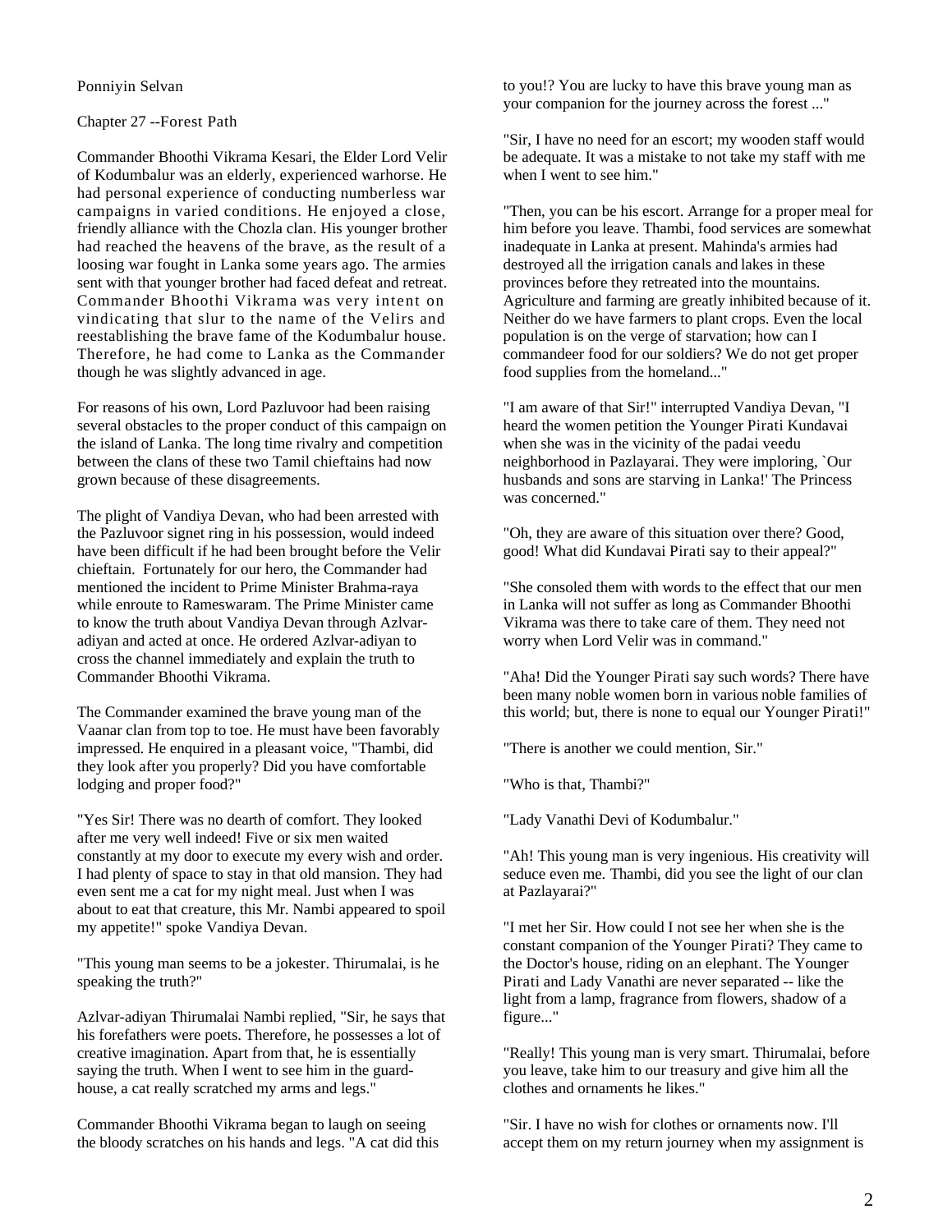#### Ponniyin Selvan

#### Chapter 27 --Forest Path

Commander Bhoothi Vikrama Kesari, the Elder Lord Velir of Kodumbalur was an elderly, experienced warhorse. He had personal experience of conducting numberless war campaigns in varied conditions. He enjoyed a close, friendly alliance with the Chozla clan. His younger brother had reached the heavens of the brave, as the result of a loosing war fought in Lanka some years ago. The armies sent with that younger brother had faced defeat and retreat. Commander Bhoothi Vikrama was very intent on vindicating that slur to the name of the Velirs and reestablishing the brave fame of the Kodumbalur house. Therefore, he had come to Lanka as the Commander though he was slightly advanced in age.

For reasons of his own, Lord Pazluvoor had been raising several obstacles to the proper conduct of this campaign on the island of Lanka. The long time rivalry and competition between the clans of these two Tamil chieftains had now grown because of these disagreements.

The plight of Vandiya Devan, who had been arrested with the Pazluvoor signet ring in his possession, would indeed have been difficult if he had been brought before the Velir chieftain. Fortunately for our hero, the Commander had mentioned the incident to Prime Minister Brahma-raya while enroute to Rameswaram. The Prime Minister came to know the truth about Vandiya Devan through Azlvaradiyan and acted at once. He ordered Azlvar-adiyan to cross the channel immediately and explain the truth to Commander Bhoothi Vikrama.

The Commander examined the brave young man of the Vaanar clan from top to toe. He must have been favorably impressed. He enquired in a pleasant voice, "Thambi, did they look after you properly? Did you have comfortable lodging and proper food?"

"Yes Sir! There was no dearth of comfort. They looked after me very well indeed! Five or six men waited constantly at my door to execute my every wish and order. I had plenty of space to stay in that old mansion. They had even sent me a cat for my night meal. Just when I was about to eat that creature, this Mr. Nambi appeared to spoil my appetite!" spoke Vandiya Devan.

"This young man seems to be a jokester. Thirumalai, is he speaking the truth?"

Azlvar-adiyan Thirumalai Nambi replied, "Sir, he says that his forefathers were poets. Therefore, he possesses a lot of creative imagination. Apart from that, he is essentially saying the truth. When I went to see him in the guardhouse, a cat really scratched my arms and legs."

Commander Bhoothi Vikrama began to laugh on seeing the bloody scratches on his hands and legs. "A cat did this

to you!? You are lucky to have this brave young man as your companion for the journey across the forest ..."

"Sir, I have no need for an escort; my wooden staff would be adequate. It was a mistake to not take my staff with me when I went to see him."

"Then, you can be his escort. Arrange for a proper meal for him before you leave. Thambi, food services are somewhat inadequate in Lanka at present. Mahinda's armies had destroyed all the irrigation canals and lakes in these provinces before they retreated into the mountains. Agriculture and farming are greatly inhibited because of it. Neither do we have farmers to plant crops. Even the local population is on the verge of starvation; how can I commandeer food for our soldiers? We do not get proper food supplies from the homeland..."

"I am aware of that Sir!" interrupted Vandiya Devan, "I heard the women petition the Younger Pirati Kundavai when she was in the vicinity of the padai veedu neighborhood in Pazlayarai. They were imploring, `Our husbands and sons are starving in Lanka!' The Princess was concerned."

"Oh, they are aware of this situation over there? Good, good! What did Kundavai Pirati say to their appeal?"

"She consoled them with words to the effect that our men in Lanka will not suffer as long as Commander Bhoothi Vikrama was there to take care of them. They need not worry when Lord Velir was in command."

"Aha! Did the Younger Pirati say such words? There have been many noble women born in various noble families of this world; but, there is none to equal our Younger Pirati!"

"There is another we could mention, Sir."

"Who is that, Thambi?"

"Lady Vanathi Devi of Kodumbalur."

"Ah! This young man is very ingenious. His creativity will seduce even me. Thambi, did you see the light of our clan at Pazlayarai?"

"I met her Sir. How could I not see her when she is the constant companion of the Younger Pirati? They came to the Doctor's house, riding on an elephant. The Younger Pirati and Lady Vanathi are never separated -- like the light from a lamp, fragrance from flowers, shadow of a figure..."

"Really! This young man is very smart. Thirumalai, before you leave, take him to our treasury and give him all the clothes and ornaments he likes."

"Sir. I have no wish for clothes or ornaments now. I'll accept them on my return journey when my assignment is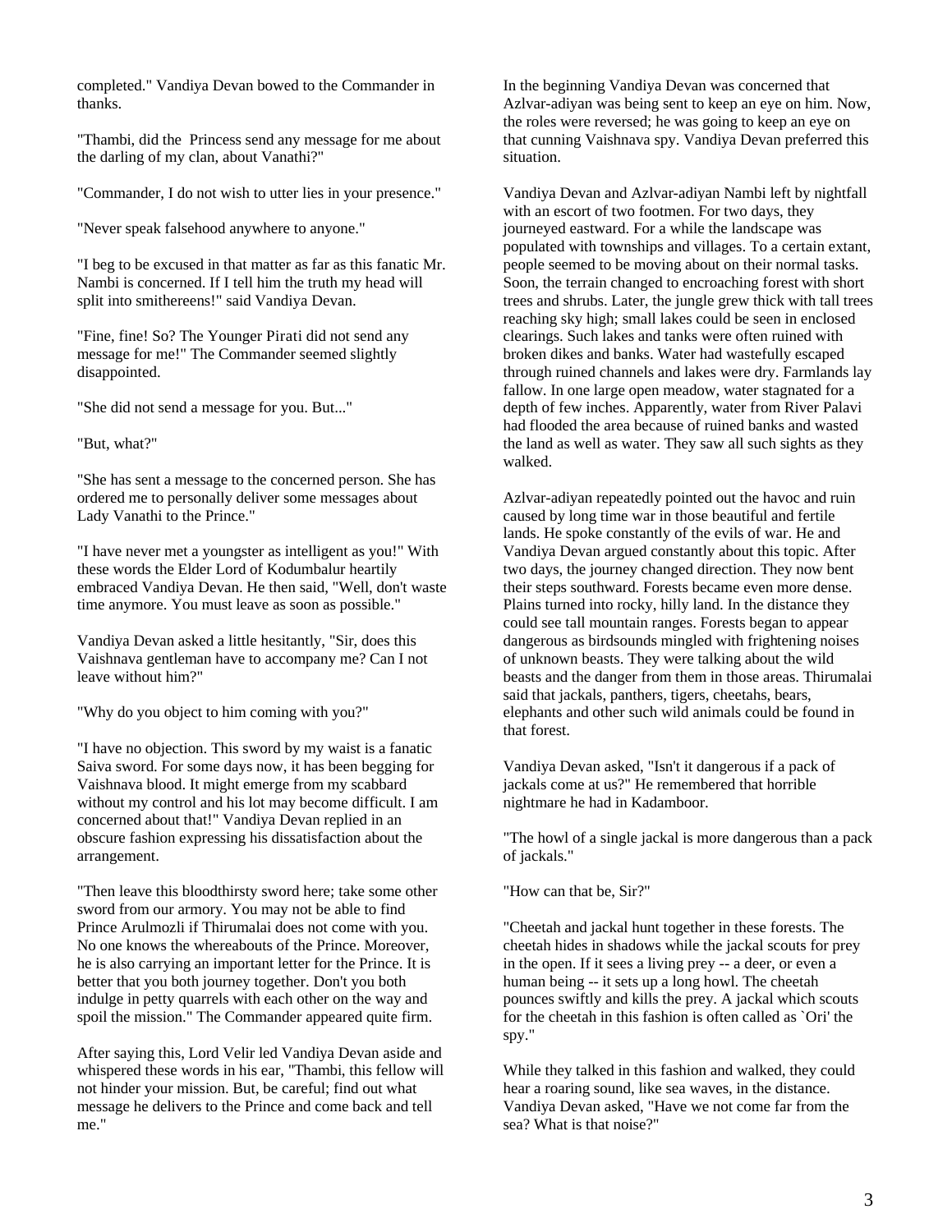completed." Vandiya Devan bowed to the Commander in thanks.

"Thambi, did the Princess send any message for me about the darling of my clan, about Vanathi?"

"Commander, I do not wish to utter lies in your presence."

"Never speak falsehood anywhere to anyone."

"I beg to be excused in that matter as far as this fanatic Mr. Nambi is concerned. If I tell him the truth my head will split into smithereens!" said Vandiya Devan.

"Fine, fine! So? The Younger Pirati did not send any message for me!" The Commander seemed slightly disappointed.

"She did not send a message for you. But..."

"But, what?"

"She has sent a message to the concerned person. She has ordered me to personally deliver some messages about Lady Vanathi to the Prince."

"I have never met a youngster as intelligent as you!" With these words the Elder Lord of Kodumbalur heartily embraced Vandiya Devan. He then said, "Well, don't waste time anymore. You must leave as soon as possible."

Vandiya Devan asked a little hesitantly, "Sir, does this Vaishnava gentleman have to accompany me? Can I not leave without him?"

"Why do you object to him coming with you?"

"I have no objection. This sword by my waist is a fanatic Saiva sword. For some days now, it has been begging for Vaishnava blood. It might emerge from my scabbard without my control and his lot may become difficult. I am concerned about that!" Vandiya Devan replied in an obscure fashion expressing his dissatisfaction about the arrangement.

"Then leave this bloodthirsty sword here; take some other sword from our armory. You may not be able to find Prince Arulmozli if Thirumalai does not come with you. No one knows the whereabouts of the Prince. Moreover, he is also carrying an important letter for the Prince. It is better that you both journey together. Don't you both indulge in petty quarrels with each other on the way and spoil the mission." The Commander appeared quite firm.

After saying this, Lord Velir led Vandiya Devan aside and whispered these words in his ear, "Thambi, this fellow will not hinder your mission. But, be careful; find out what message he delivers to the Prince and come back and tell me."

In the beginning Vandiya Devan was concerned that Azlvar-adiyan was being sent to keep an eye on him. Now, the roles were reversed; he was going to keep an eye on that cunning Vaishnava spy. Vandiya Devan preferred this situation.

Vandiya Devan and Azlvar-adiyan Nambi left by nightfall with an escort of two footmen. For two days, they journeyed eastward. For a while the landscape was populated with townships and villages. To a certain extant, people seemed to be moving about on their normal tasks. Soon, the terrain changed to encroaching forest with short trees and shrubs. Later, the jungle grew thick with tall trees reaching sky high; small lakes could be seen in enclosed clearings. Such lakes and tanks were often ruined with broken dikes and banks. Water had wastefully escaped through ruined channels and lakes were dry. Farmlands lay fallow. In one large open meadow, water stagnated for a depth of few inches. Apparently, water from River Palavi had flooded the area because of ruined banks and wasted the land as well as water. They saw all such sights as they walked.

Azlvar-adiyan repeatedly pointed out the havoc and ruin caused by long time war in those beautiful and fertile lands. He spoke constantly of the evils of war. He and Vandiya Devan argued constantly about this topic. After two days, the journey changed direction. They now bent their steps southward. Forests became even more dense. Plains turned into rocky, hilly land. In the distance they could see tall mountain ranges. Forests began to appear dangerous as birdsounds mingled with frightening noises of unknown beasts. They were talking about the wild beasts and the danger from them in those areas. Thirumalai said that jackals, panthers, tigers, cheetahs, bears, elephants and other such wild animals could be found in that forest.

Vandiya Devan asked, "Isn't it dangerous if a pack of jackals come at us?" He remembered that horrible nightmare he had in Kadamboor.

"The howl of a single jackal is more dangerous than a pack of jackals."

"How can that be, Sir?"

"Cheetah and jackal hunt together in these forests. The cheetah hides in shadows while the jackal scouts for prey in the open. If it sees a living prey -- a deer, or even a human being -- it sets up a long howl. The cheetah pounces swiftly and kills the prey. A jackal which scouts for the cheetah in this fashion is often called as `Ori' the spy."

While they talked in this fashion and walked, they could hear a roaring sound, like sea waves, in the distance. Vandiya Devan asked, "Have we not come far from the sea? What is that noise?"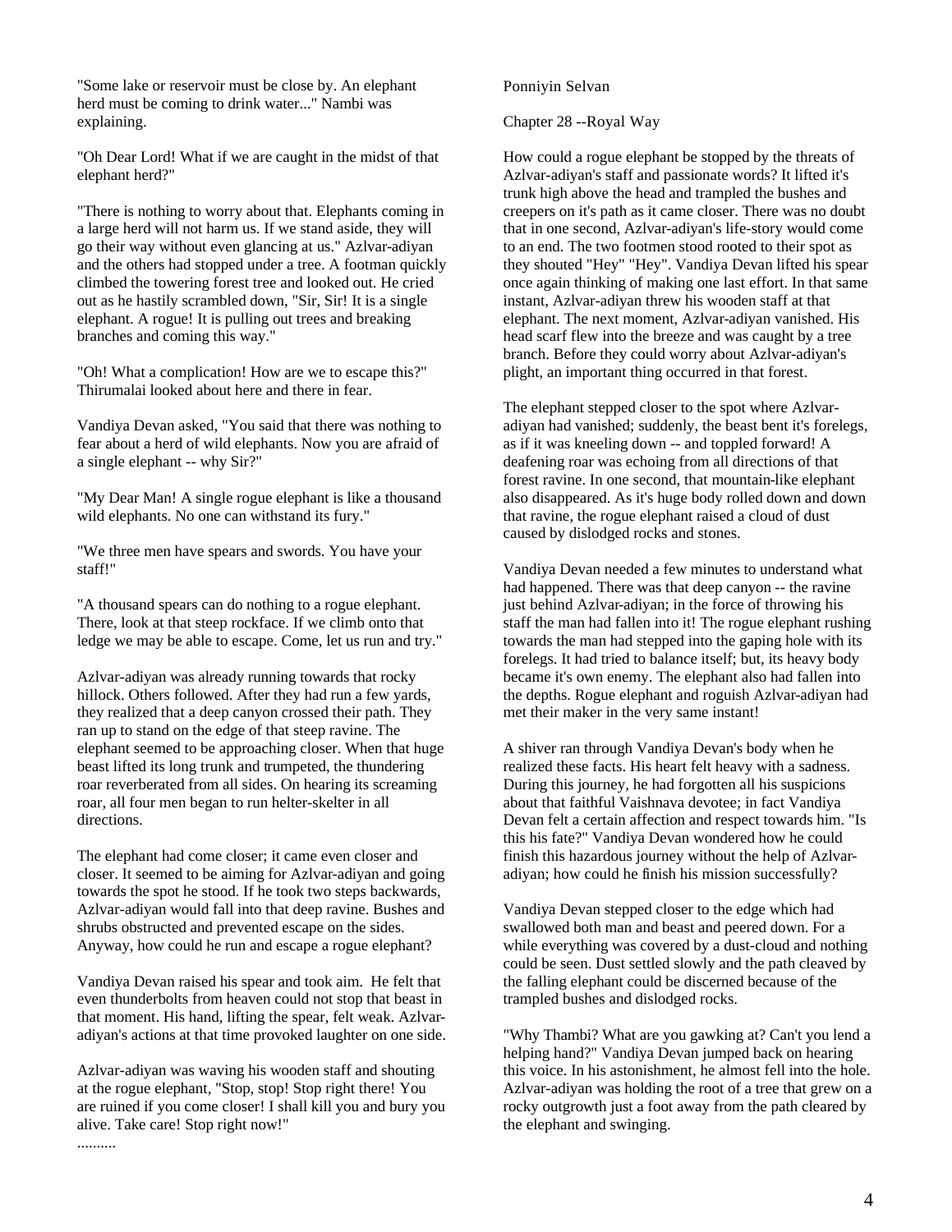"Some lake or reservoir must be close by. An elephant herd must be coming to drink water..." Nambi was explaining.

"Oh Dear Lord! What if we are caught in the midst of that elephant herd?"

"There is nothing to worry about that. Elephants coming in a large herd will not harm us. If we stand aside, they will go their way without even glancing at us." Azlvar-adiyan and the others had stopped under a tree. A footman quickly climbed the towering forest tree and looked out. He cried out as he hastily scrambled down, "Sir, Sir! It is a single elephant. A rogue! It is pulling out trees and breaking branches and coming this way."

"Oh! What a complication! How are we to escape this?" Thirumalai looked about here and there in fear.

Vandiya Devan asked, "You said that there was nothing to fear about a herd of wild elephants. Now you are afraid of a single elephant -- why Sir?"

"My Dear Man! A single rogue elephant is like a thousand wild elephants. No one can withstand its fury."

"We three men have spears and swords. You have your staff!"

"A thousand spears can do nothing to a rogue elephant. There, look at that steep rockface. If we climb onto that ledge we may be able to escape. Come, let us run and try."

Azlvar-adiyan was already running towards that rocky hillock. Others followed. After they had run a few yards, they realized that a deep canyon crossed their path. They ran up to stand on the edge of that steep ravine. The elephant seemed to be approaching closer. When that huge beast lifted its long trunk and trumpeted, the thundering roar reverberated from all sides. On hearing its screaming roar, all four men began to run helter-skelter in all directions.

The elephant had come closer; it came even closer and closer. It seemed to be aiming for Azlvar-adiyan and going towards the spot he stood. If he took two steps backwards, Azlvar-adiyan would fall into that deep ravine. Bushes and shrubs obstructed and prevented escape on the sides. Anyway, how could he run and escape a rogue elephant?

Vandiya Devan raised his spear and took aim. He felt that even thunderbolts from heaven could not stop that beast in that moment. His hand, lifting the spear, felt weak. Azlvaradiyan's actions at that time provoked laughter on one side.

Azlvar-adiyan was waving his wooden staff and shouting at the rogue elephant, "Stop, stop! Stop right there! You are ruined if you come closer! I shall kill you and bury you alive. Take care! Stop right now!"

..........

#### Ponniyin Selvan

Chapter 28 --Royal Way

How could a rogue elephant be stopped by the threats of Azlvar-adiyan's staff and passionate words? It lifted it's trunk high above the head and trampled the bushes and creepers on it's path as it came closer. There was no doubt that in one second, Azlvar-adiyan's life-story would come to an end. The two footmen stood rooted to their spot as they shouted "Hey" "Hey". Vandiya Devan lifted his spear once again thinking of making one last effort. In that same instant, Azlvar-adiyan threw his wooden staff at that elephant. The next moment, Azlvar-adiyan vanished. His head scarf flew into the breeze and was caught by a tree branch. Before they could worry about Azlvar-adiyan's plight, an important thing occurred in that forest.

The elephant stepped closer to the spot where Azlvaradiyan had vanished; suddenly, the beast bent it's forelegs, as if it was kneeling down -- and toppled forward! A deafening roar was echoing from all directions of that forest ravine. In one second, that mountain-like elephant also disappeared. As it's huge body rolled down and down that ravine, the rogue elephant raised a cloud of dust caused by dislodged rocks and stones.

Vandiya Devan needed a few minutes to understand what had happened. There was that deep canyon -- the ravine just behind Azlvar-adiyan; in the force of throwing his staff the man had fallen into it! The rogue elephant rushing towards the man had stepped into the gaping hole with its forelegs. It had tried to balance itself; but, its heavy body became it's own enemy. The elephant also had fallen into the depths. Rogue elephant and roguish Azlvar-adiyan had met their maker in the very same instant!

A shiver ran through Vandiya Devan's body when he realized these facts. His heart felt heavy with a sadness. During this journey, he had forgotten all his suspicions about that faithful Vaishnava devotee; in fact Vandiya Devan felt a certain affection and respect towards him. "Is this his fate?" Vandiya Devan wondered how he could finish this hazardous journey without the help of Azlvaradiyan; how could he finish his mission successfully?

Vandiya Devan stepped closer to the edge which had swallowed both man and beast and peered down. For a while everything was covered by a dust-cloud and nothing could be seen. Dust settled slowly and the path cleaved by the falling elephant could be discerned because of the trampled bushes and dislodged rocks.

"Why Thambi? What are you gawking at? Can't you lend a helping hand?" Vandiya Devan jumped back on hearing this voice. In his astonishment, he almost fell into the hole. Azlvar-adiyan was holding the root of a tree that grew on a rocky outgrowth just a foot away from the path cleared by the elephant and swinging.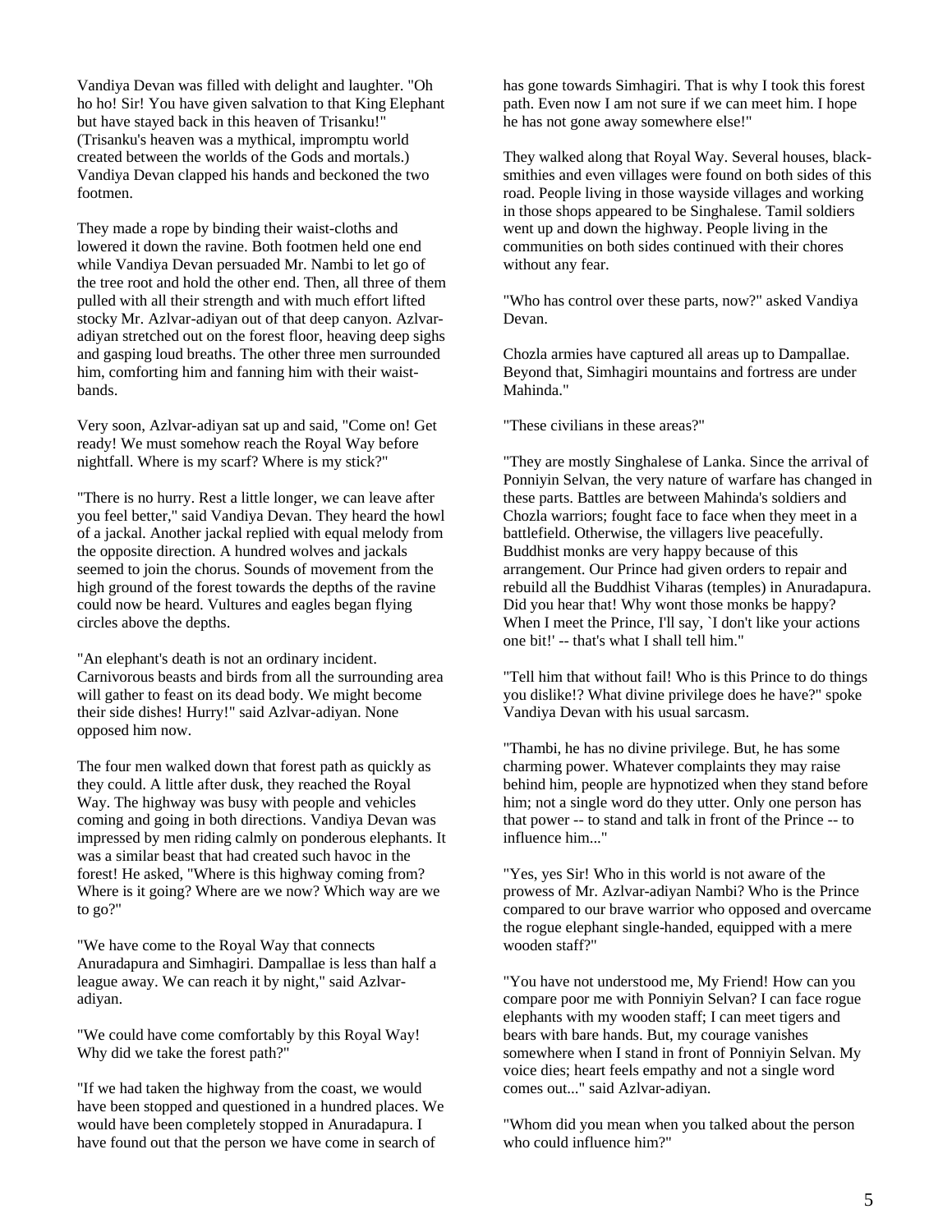Vandiya Devan was filled with delight and laughter. "Oh ho ho! Sir! You have given salvation to that King Elephant but have stayed back in this heaven of Trisanku!" (Trisanku's heaven was a mythical, impromptu world created between the worlds of the Gods and mortals.) Vandiya Devan clapped his hands and beckoned the two footmen.

They made a rope by binding their waist-cloths and lowered it down the ravine. Both footmen held one end while Vandiya Devan persuaded Mr. Nambi to let go of the tree root and hold the other end. Then, all three of them pulled with all their strength and with much effort lifted stocky Mr. Azlvar-adiyan out of that deep canyon. Azlvaradiyan stretched out on the forest floor, heaving deep sighs and gasping loud breaths. The other three men surrounded him, comforting him and fanning him with their waistbands.

Very soon, Azlvar-adiyan sat up and said, "Come on! Get ready! We must somehow reach the Royal Way before nightfall. Where is my scarf? Where is my stick?"

"There is no hurry. Rest a little longer, we can leave after you feel better," said Vandiya Devan. They heard the howl of a jackal. Another jackal replied with equal melody from the opposite direction. A hundred wolves and jackals seemed to join the chorus. Sounds of movement from the high ground of the forest towards the depths of the ravine could now be heard. Vultures and eagles began flying circles above the depths.

"An elephant's death is not an ordinary incident. Carnivorous beasts and birds from all the surrounding area will gather to feast on its dead body. We might become their side dishes! Hurry!" said Azlvar-adiyan. None opposed him now.

The four men walked down that forest path as quickly as they could. A little after dusk, they reached the Royal Way. The highway was busy with people and vehicles coming and going in both directions. Vandiya Devan was impressed by men riding calmly on ponderous elephants. It was a similar beast that had created such havoc in the forest! He asked, "Where is this highway coming from? Where is it going? Where are we now? Which way are we to go?"

"We have come to the Royal Way that connects Anuradapura and Simhagiri. Dampallae is less than half a league away. We can reach it by night," said Azlvaradiyan.

"We could have come comfortably by this Royal Way! Why did we take the forest path?"

"If we had taken the highway from the coast, we would have been stopped and questioned in a hundred places. We would have been completely stopped in Anuradapura. I have found out that the person we have come in search of

has gone towards Simhagiri. That is why I took this forest path. Even now I am not sure if we can meet him. I hope he has not gone away somewhere else!"

They walked along that Royal Way. Several houses, blacksmithies and even villages were found on both sides of this road. People living in those wayside villages and working in those shops appeared to be Singhalese. Tamil soldiers went up and down the highway. People living in the communities on both sides continued with their chores without any fear.

"Who has control over these parts, now?" asked Vandiya Devan.

Chozla armies have captured all areas up to Dampallae. Beyond that, Simhagiri mountains and fortress are under Mahinda."

"These civilians in these areas?"

"They are mostly Singhalese of Lanka. Since the arrival of Ponniyin Selvan, the very nature of warfare has changed in these parts. Battles are between Mahinda's soldiers and Chozla warriors; fought face to face when they meet in a battlefield. Otherwise, the villagers live peacefully. Buddhist monks are very happy because of this arrangement. Our Prince had given orders to repair and rebuild all the Buddhist Viharas (temples) in Anuradapura. Did you hear that! Why wont those monks be happy? When I meet the Prince, I'll say, *I* don't like your actions one bit!' -- that's what I shall tell him."

"Tell him that without fail! Who is this Prince to do things you dislike!? What divine privilege does he have?" spoke Vandiya Devan with his usual sarcasm.

"Thambi, he has no divine privilege. But, he has some charming power. Whatever complaints they may raise behind him, people are hypnotized when they stand before him; not a single word do they utter. Only one person has that power -- to stand and talk in front of the Prince -- to influence him..."

"Yes, yes Sir! Who in this world is not aware of the prowess of Mr. Azlvar-adiyan Nambi? Who is the Prince compared to our brave warrior who opposed and overcame the rogue elephant single-handed, equipped with a mere wooden staff?"

"You have not understood me, My Friend! How can you compare poor me with Ponniyin Selvan? I can face rogue elephants with my wooden staff; I can meet tigers and bears with bare hands. But, my courage vanishes somewhere when I stand in front of Ponniyin Selvan. My voice dies; heart feels empathy and not a single word comes out..." said Azlvar-adiyan.

"Whom did you mean when you talked about the person who could influence him?"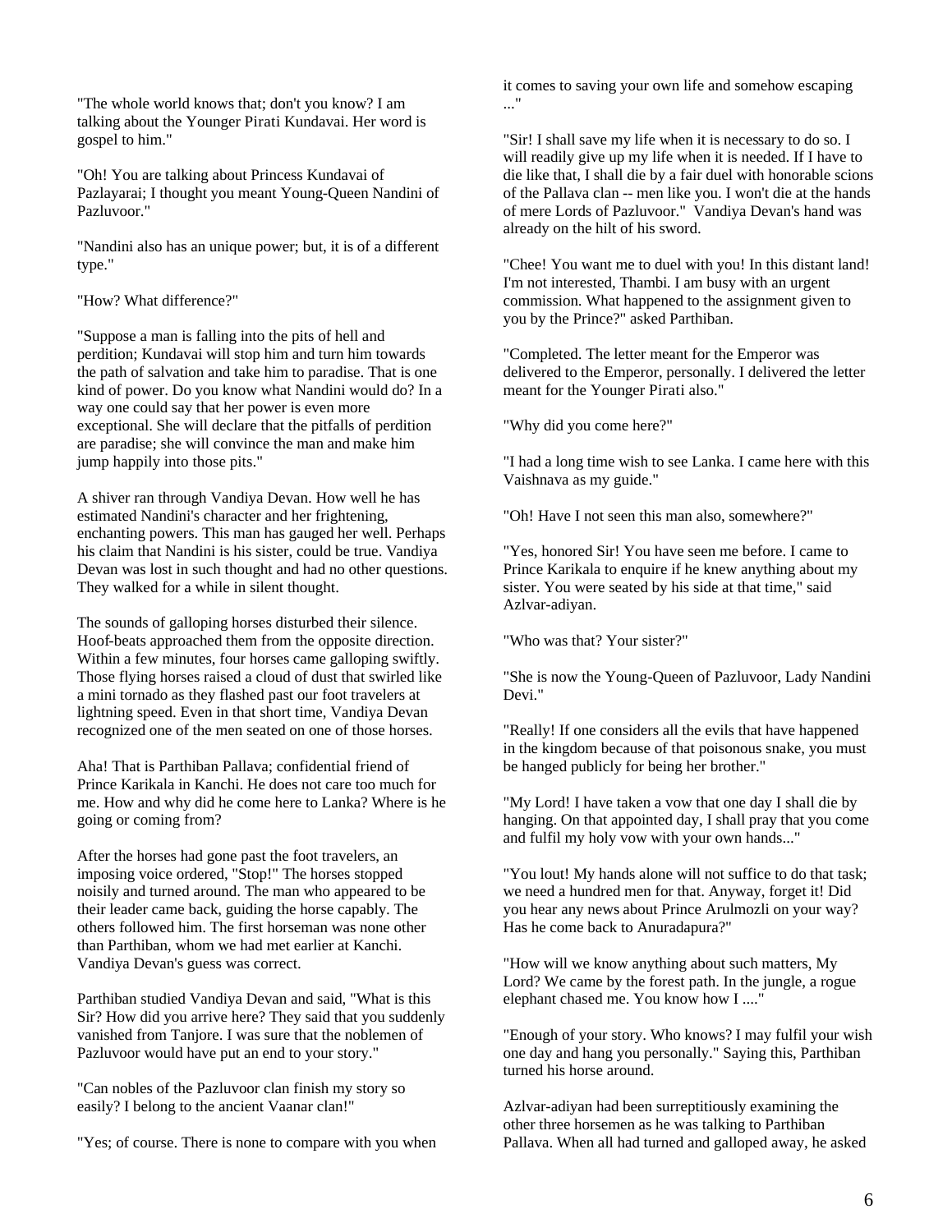"The whole world knows that; don't you know? I am talking about the Younger Pirati Kundavai. Her word is gospel to him."

"Oh! You are talking about Princess Kundavai of Pazlayarai; I thought you meant Young-Queen Nandini of Pazluvoor."

"Nandini also has an unique power; but, it is of a different type."

"How? What difference?"

"Suppose a man is falling into the pits of hell and perdition; Kundavai will stop him and turn him towards the path of salvation and take him to paradise. That is one kind of power. Do you know what Nandini would do? In a way one could say that her power is even more exceptional. She will declare that the pitfalls of perdition are paradise; she will convince the man and make him jump happily into those pits."

A shiver ran through Vandiya Devan. How well he has estimated Nandini's character and her frightening, enchanting powers. This man has gauged her well. Perhaps his claim that Nandini is his sister, could be true. Vandiya Devan was lost in such thought and had no other questions. They walked for a while in silent thought.

The sounds of galloping horses disturbed their silence. Hoof-beats approached them from the opposite direction. Within a few minutes, four horses came galloping swiftly. Those flying horses raised a cloud of dust that swirled like a mini tornado as they flashed past our foot travelers at lightning speed. Even in that short time, Vandiya Devan recognized one of the men seated on one of those horses.

Aha! That is Parthiban Pallava; confidential friend of Prince Karikala in Kanchi. He does not care too much for me. How and why did he come here to Lanka? Where is he going or coming from?

After the horses had gone past the foot travelers, an imposing voice ordered, "Stop!" The horses stopped noisily and turned around. The man who appeared to be their leader came back, guiding the horse capably. The others followed him. The first horseman was none other than Parthiban, whom we had met earlier at Kanchi. Vandiya Devan's guess was correct.

Parthiban studied Vandiya Devan and said, "What is this Sir? How did you arrive here? They said that you suddenly vanished from Tanjore. I was sure that the noblemen of Pazluvoor would have put an end to your story."

"Can nobles of the Pazluvoor clan finish my story so easily? I belong to the ancient Vaanar clan!"

"Yes; of course. There is none to compare with you when

it comes to saving your own life and somehow escaping ..."

"Sir! I shall save my life when it is necessary to do so. I will readily give up my life when it is needed. If I have to die like that, I shall die by a fair duel with honorable scions of the Pallava clan -- men like you. I won't die at the hands of mere Lords of Pazluvoor." Vandiya Devan's hand was already on the hilt of his sword.

"Chee! You want me to duel with you! In this distant land! I'm not interested, Thambi. I am busy with an urgent commission. What happened to the assignment given to you by the Prince?" asked Parthiban.

"Completed. The letter meant for the Emperor was delivered to the Emperor, personally. I delivered the letter meant for the Younger Pirati also."

"Why did you come here?"

"I had a long time wish to see Lanka. I came here with this Vaishnava as my guide."

"Oh! Have I not seen this man also, somewhere?"

"Yes, honored Sir! You have seen me before. I came to Prince Karikala to enquire if he knew anything about my sister. You were seated by his side at that time," said Azlvar-adiyan.

"Who was that? Your sister?"

"She is now the Young-Queen of Pazluvoor, Lady Nandini Devi."

"Really! If one considers all the evils that have happened in the kingdom because of that poisonous snake, you must be hanged publicly for being her brother."

"My Lord! I have taken a vow that one day I shall die by hanging. On that appointed day, I shall pray that you come and fulfil my holy vow with your own hands..."

"You lout! My hands alone will not suffice to do that task; we need a hundred men for that. Anyway, forget it! Did you hear any news about Prince Arulmozli on your way? Has he come back to Anuradapura?"

"How will we know anything about such matters, My Lord? We came by the forest path. In the jungle, a rogue elephant chased me. You know how I ...."

"Enough of your story. Who knows? I may fulfil your wish one day and hang you personally." Saying this, Parthiban turned his horse around.

Azlvar-adiyan had been surreptitiously examining the other three horsemen as he was talking to Parthiban Pallava. When all had turned and galloped away, he asked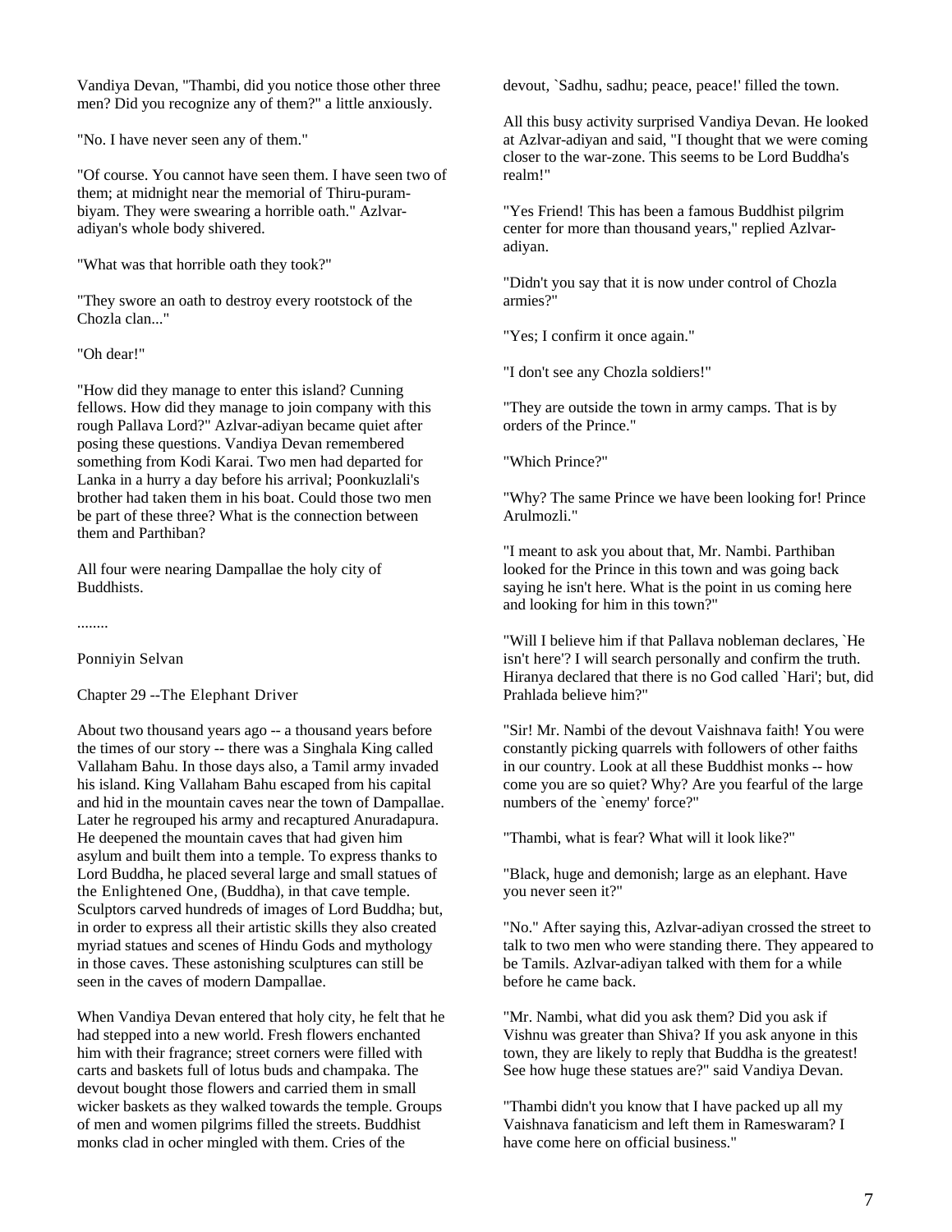Vandiya Devan, "Thambi, did you notice those other three men? Did you recognize any of them?" a little anxiously.

"No. I have never seen any of them."

"Of course. You cannot have seen them. I have seen two of them; at midnight near the memorial of Thiru-purambiyam. They were swearing a horrible oath." Azlvaradiyan's whole body shivered.

"What was that horrible oath they took?"

"They swore an oath to destroy every rootstock of the Chozla clan..."

#### "Oh dear!"

"How did they manage to enter this island? Cunning fellows. How did they manage to join company with this rough Pallava Lord?" Azlvar-adiyan became quiet after posing these questions. Vandiya Devan remembered something from Kodi Karai. Two men had departed for Lanka in a hurry a day before his arrival; Poonkuzlali's brother had taken them in his boat. Could those two men be part of these three? What is the connection between them and Parthiban?

All four were nearing Dampallae the holy city of Buddhists.

........

Ponniyin Selvan

Chapter 29 --The Elephant Driver

About two thousand years ago -- a thousand years before the times of our story -- there was a Singhala King called Vallaham Bahu. In those days also, a Tamil army invaded his island. King Vallaham Bahu escaped from his capital and hid in the mountain caves near the town of Dampallae. Later he regrouped his army and recaptured Anuradapura. He deepened the mountain caves that had given him asylum and built them into a temple. To express thanks to Lord Buddha, he placed several large and small statues of the Enlightened One, (Buddha), in that cave temple. Sculptors carved hundreds of images of Lord Buddha; but, in order to express all their artistic skills they also created myriad statues and scenes of Hindu Gods and mythology in those caves. These astonishing sculptures can still be seen in the caves of modern Dampallae.

When Vandiya Devan entered that holy city, he felt that he had stepped into a new world. Fresh flowers enchanted him with their fragrance; street corners were filled with carts and baskets full of lotus buds and champaka. The devout bought those flowers and carried them in small wicker baskets as they walked towards the temple. Groups of men and women pilgrims filled the streets. Buddhist monks clad in ocher mingled with them. Cries of the

devout, `Sadhu, sadhu; peace, peace!' filled the town.

All this busy activity surprised Vandiya Devan. He looked at Azlvar-adiyan and said, "I thought that we were coming closer to the war-zone. This seems to be Lord Buddha's realm!"

"Yes Friend! This has been a famous Buddhist pilgrim center for more than thousand years," replied Azlvaradiyan.

"Didn't you say that it is now under control of Chozla armies?"

"Yes; I confirm it once again."

"I don't see any Chozla soldiers!"

"They are outside the town in army camps. That is by orders of the Prince."

"Which Prince?"

"Why? The same Prince we have been looking for! Prince Arulmozli."

"I meant to ask you about that, Mr. Nambi. Parthiban looked for the Prince in this town and was going back saying he isn't here. What is the point in us coming here and looking for him in this town?"

"Will I believe him if that Pallava nobleman declares, `He isn't here'? I will search personally and confirm the truth. Hiranya declared that there is no God called `Hari'; but, did Prahlada believe him?"

"Sir! Mr. Nambi of the devout Vaishnava faith! You were constantly picking quarrels with followers of other faiths in our country. Look at all these Buddhist monks -- how come you are so quiet? Why? Are you fearful of the large numbers of the `enemy' force?"

"Thambi, what is fear? What will it look like?"

"Black, huge and demonish; large as an elephant. Have you never seen it?"

"No." After saying this, Azlvar-adiyan crossed the street to talk to two men who were standing there. They appeared to be Tamils. Azlvar-adiyan talked with them for a while before he came back.

"Mr. Nambi, what did you ask them? Did you ask if Vishnu was greater than Shiva? If you ask anyone in this town, they are likely to reply that Buddha is the greatest! See how huge these statues are?" said Vandiya Devan.

"Thambi didn't you know that I have packed up all my Vaishnava fanaticism and left them in Rameswaram? I have come here on official business."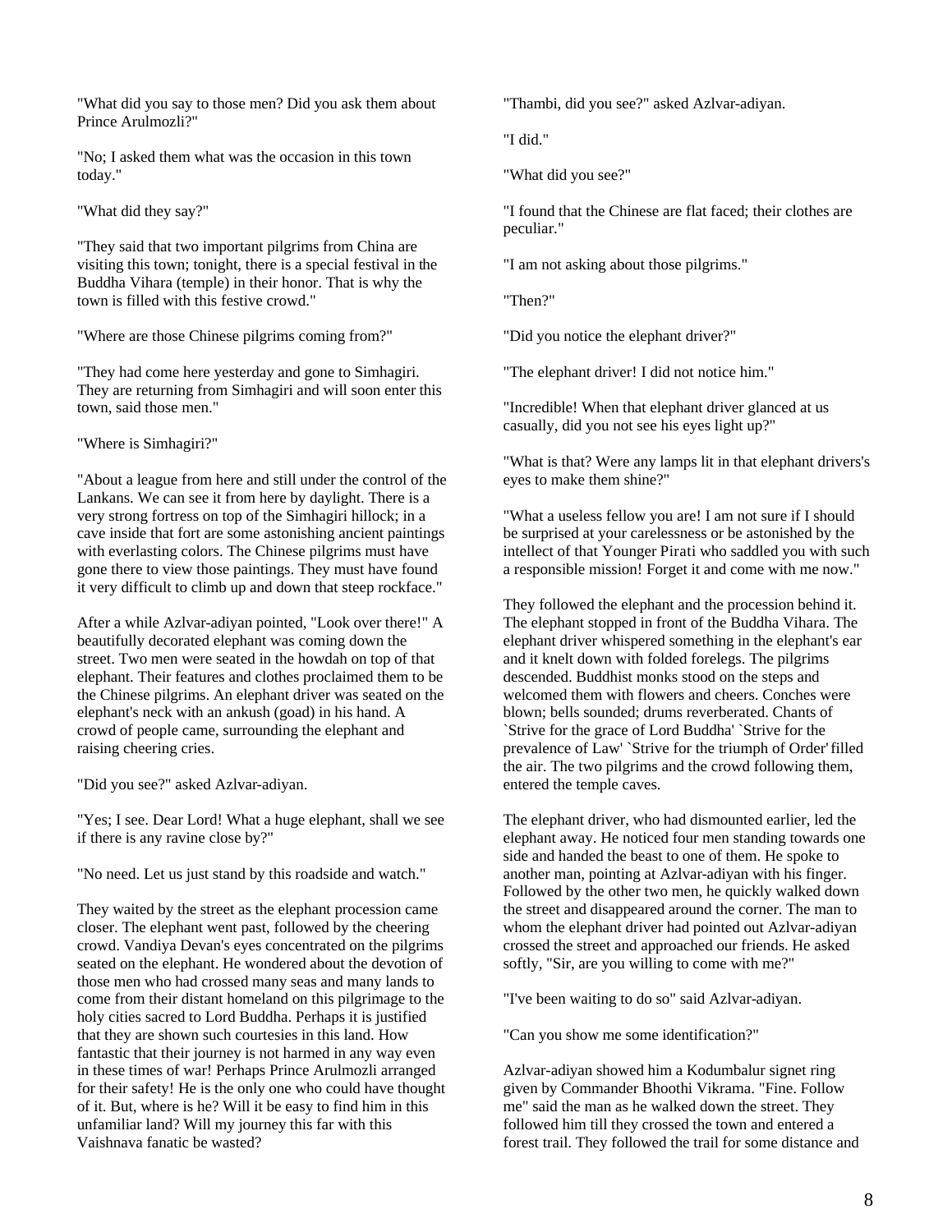"What did you say to those men? Did you ask them about Prince Arulmozli?"

"No; I asked them what was the occasion in this town today."

"What did they say?"

"They said that two important pilgrims from China are visiting this town; tonight, there is a special festival in the Buddha Vihara (temple) in their honor. That is why the town is filled with this festive crowd."

"Where are those Chinese pilgrims coming from?"

"They had come here yesterday and gone to Simhagiri. They are returning from Simhagiri and will soon enter this town, said those men."

"Where is Simhagiri?"

"About a league from here and still under the control of the Lankans. We can see it from here by daylight. There is a very strong fortress on top of the Simhagiri hillock; in a cave inside that fort are some astonishing ancient paintings with everlasting colors. The Chinese pilgrims must have gone there to view those paintings. They must have found it very difficult to climb up and down that steep rockface."

After a while Azlvar-adiyan pointed, "Look over there!" A beautifully decorated elephant was coming down the street. Two men were seated in the howdah on top of that elephant. Their features and clothes proclaimed them to be the Chinese pilgrims. An elephant driver was seated on the elephant's neck with an ankush (goad) in his hand. A crowd of people came, surrounding the elephant and raising cheering cries.

"Did you see?" asked Azlvar-adiyan.

"Yes; I see. Dear Lord! What a huge elephant, shall we see if there is any ravine close by?"

"No need. Let us just stand by this roadside and watch."

They waited by the street as the elephant procession came closer. The elephant went past, followed by the cheering crowd. Vandiya Devan's eyes concentrated on the pilgrims seated on the elephant. He wondered about the devotion of those men who had crossed many seas and many lands to come from their distant homeland on this pilgrimage to the holy cities sacred to Lord Buddha. Perhaps it is justified that they are shown such courtesies in this land. How fantastic that their journey is not harmed in any way even in these times of war! Perhaps Prince Arulmozli arranged for their safety! He is the only one who could have thought of it. But, where is he? Will it be easy to find him in this unfamiliar land? Will my journey this far with this Vaishnava fanatic be wasted?

"Thambi, did you see?" asked Azlvar-adiyan.

"I did."

"What did you see?"

"I found that the Chinese are flat faced; their clothes are peculiar."

"I am not asking about those pilgrims."

"Then?"

"Did you notice the elephant driver?"

"The elephant driver! I did not notice him."

"Incredible! When that elephant driver glanced at us casually, did you not see his eyes light up?"

"What is that? Were any lamps lit in that elephant drivers's eyes to make them shine?"

"What a useless fellow you are! I am not sure if I should be surprised at your carelessness or be astonished by the intellect of that Younger Pirati who saddled you with such a responsible mission! Forget it and come with me now."

They followed the elephant and the procession behind it. The elephant stopped in front of the Buddha Vihara. The elephant driver whispered something in the elephant's ear and it knelt down with folded forelegs. The pilgrims descended. Buddhist monks stood on the steps and welcomed them with flowers and cheers. Conches were blown; bells sounded; drums reverberated. Chants of `Strive for the grace of Lord Buddha' `Strive for the prevalence of Law' `Strive for the triumph of Order' filled the air. The two pilgrims and the crowd following them, entered the temple caves.

The elephant driver, who had dismounted earlier, led the elephant away. He noticed four men standing towards one side and handed the beast to one of them. He spoke to another man, pointing at Azlvar-adiyan with his finger. Followed by the other two men, he quickly walked down the street and disappeared around the corner. The man to whom the elephant driver had pointed out Azlvar-adiyan crossed the street and approached our friends. He asked softly, "Sir, are you willing to come with me?"

"I've been waiting to do so" said Azlvar-adiyan.

"Can you show me some identification?"

Azlvar-adiyan showed him a Kodumbalur signet ring given by Commander Bhoothi Vikrama. "Fine. Follow me" said the man as he walked down the street. They followed him till they crossed the town and entered a forest trail. They followed the trail for some distance and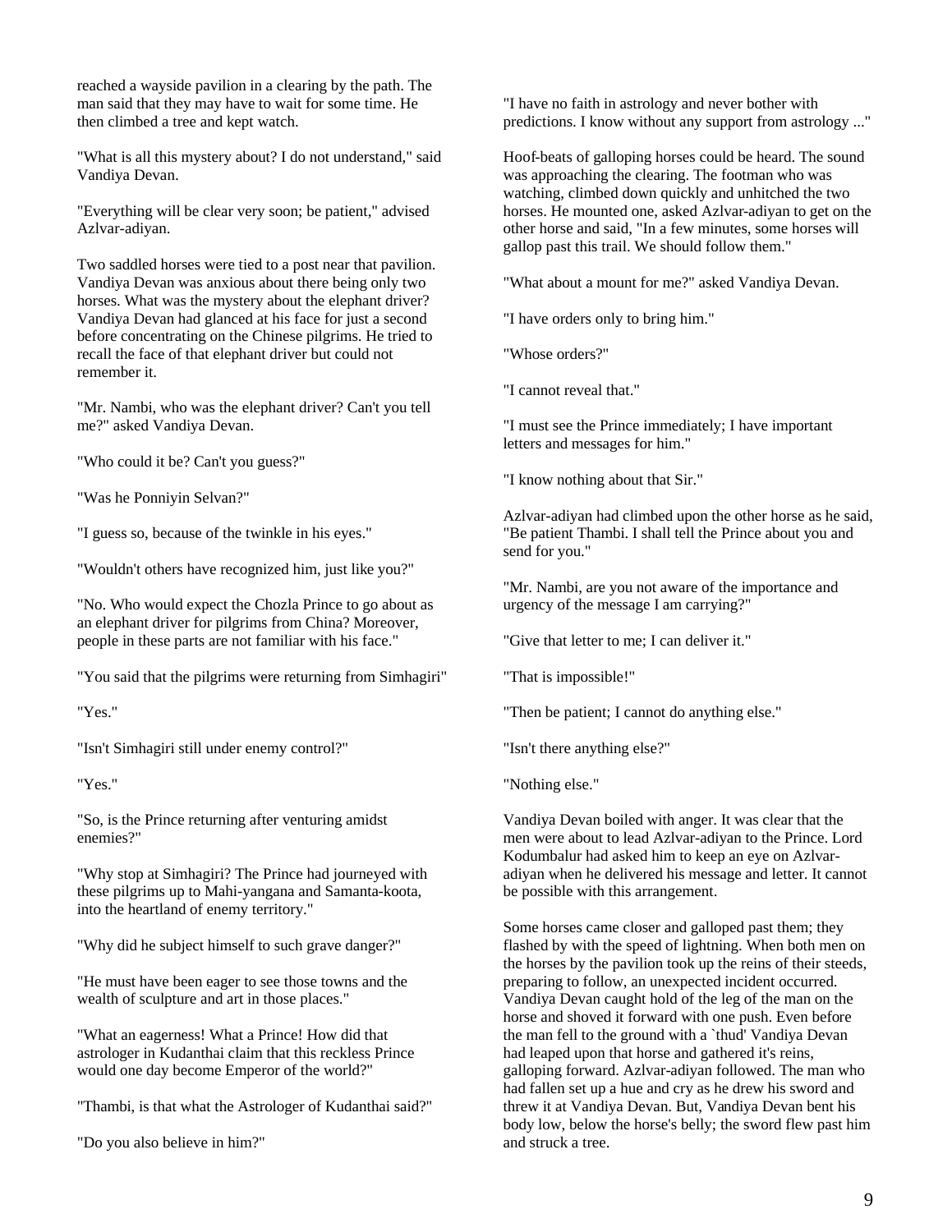reached a wayside pavilion in a clearing by the path. The man said that they may have to wait for some time. He then climbed a tree and kept watch.

"What is all this mystery about? I do not understand," said Vandiya Devan.

"Everything will be clear very soon; be patient," advised Azlvar-adiyan.

Two saddled horses were tied to a post near that pavilion. Vandiya Devan was anxious about there being only two horses. What was the mystery about the elephant driver? Vandiya Devan had glanced at his face for just a second before concentrating on the Chinese pilgrims. He tried to recall the face of that elephant driver but could not remember it.

"Mr. Nambi, who was the elephant driver? Can't you tell me?" asked Vandiya Devan.

"Who could it be? Can't you guess?"

"Was he Ponniyin Selvan?"

"I guess so, because of the twinkle in his eyes."

"Wouldn't others have recognized him, just like you?"

"No. Who would expect the Chozla Prince to go about as an elephant driver for pilgrims from China? Moreover, people in these parts are not familiar with his face."

"You said that the pilgrims were returning from Simhagiri"

"Yes."

"Isn't Simhagiri still under enemy control?"

"Yes."

"So, is the Prince returning after venturing amidst enemies?"

"Why stop at Simhagiri? The Prince had journeyed with these pilgrims up to Mahi-yangana and Samanta-koota, into the heartland of enemy territory."

"Why did he subject himself to such grave danger?"

"He must have been eager to see those towns and the wealth of sculpture and art in those places."

"What an eagerness! What a Prince! How did that astrologer in Kudanthai claim that this reckless Prince would one day become Emperor of the world?"

"Thambi, is that what the Astrologer of Kudanthai said?"

"Do you also believe in him?"

"I have no faith in astrology and never bother with predictions. I know without any support from astrology ..."

Hoof-beats of galloping horses could be heard. The sound was approaching the clearing. The footman who was watching, climbed down quickly and unhitched the two horses. He mounted one, asked Azlvar-adiyan to get on the other horse and said, "In a few minutes, some horses will gallop past this trail. We should follow them."

"What about a mount for me?" asked Vandiya Devan.

"I have orders only to bring him."

"Whose orders?"

"I cannot reveal that."

"I must see the Prince immediately; I have important letters and messages for him."

"I know nothing about that Sir."

Azlvar-adiyan had climbed upon the other horse as he said, "Be patient Thambi. I shall tell the Prince about you and send for you."

"Mr. Nambi, are you not aware of the importance and urgency of the message I am carrying?"

"Give that letter to me; I can deliver it."

"That is impossible!"

"Then be patient; I cannot do anything else."

"Isn't there anything else?"

"Nothing else."

Vandiya Devan boiled with anger. It was clear that the men were about to lead Azlvar-adiyan to the Prince. Lord Kodumbalur had asked him to keep an eye on Azlvaradiyan when he delivered his message and letter. It cannot be possible with this arrangement.

Some horses came closer and galloped past them; they flashed by with the speed of lightning. When both men on the horses by the pavilion took up the reins of their steeds, preparing to follow, an unexpected incident occurred. Vandiya Devan caught hold of the leg of the man on the horse and shoved it forward with one push. Even before the man fell to the ground with a `thud' Vandiya Devan had leaped upon that horse and gathered it's reins, galloping forward. Azlvar-adiyan followed. The man who had fallen set up a hue and cry as he drew his sword and threw it at Vandiya Devan. But, Vandiya Devan bent his body low, below the horse's belly; the sword flew past him and struck a tree.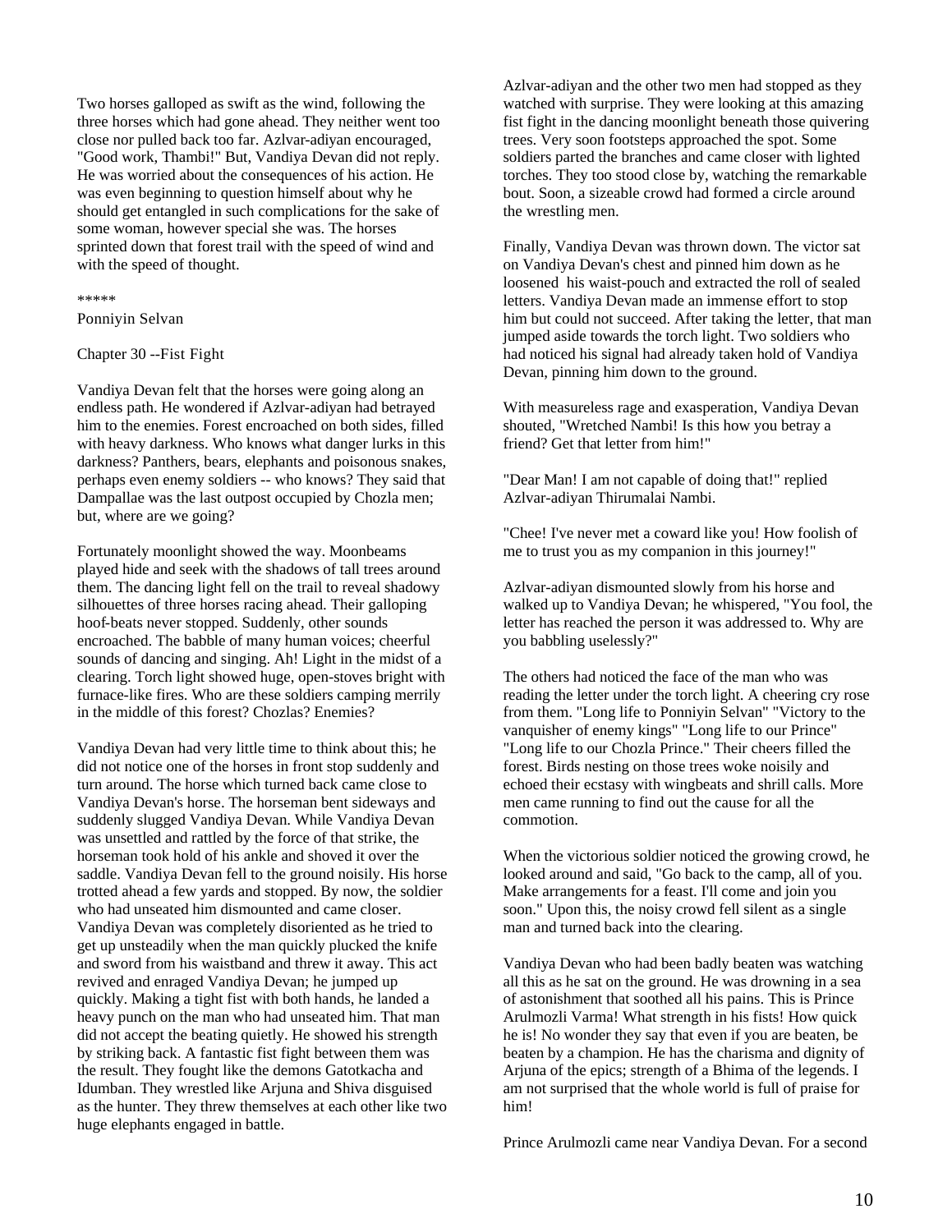Two horses galloped as swift as the wind, following the three horses which had gone ahead. They neither went too close nor pulled back too far. Azlvar-adiyan encouraged, "Good work, Thambi!" But, Vandiya Devan did not reply. He was worried about the consequences of his action. He was even beginning to question himself about why he should get entangled in such complications for the sake of some woman, however special she was. The horses sprinted down that forest trail with the speed of wind and with the speed of thought.

#### \*\*\*\*\*

Ponniyin Selvan

#### Chapter 30 --Fist Fight

Vandiya Devan felt that the horses were going along an endless path. He wondered if Azlvar-adiyan had betrayed him to the enemies. Forest encroached on both sides, filled with heavy darkness. Who knows what danger lurks in this darkness? Panthers, bears, elephants and poisonous snakes, perhaps even enemy soldiers -- who knows? They said that Dampallae was the last outpost occupied by Chozla men; but, where are we going?

Fortunately moonlight showed the way. Moonbeams played hide and seek with the shadows of tall trees around them. The dancing light fell on the trail to reveal shadowy silhouettes of three horses racing ahead. Their galloping hoof-beats never stopped. Suddenly, other sounds encroached. The babble of many human voices; cheerful sounds of dancing and singing. Ah! Light in the midst of a clearing. Torch light showed huge, open-stoves bright with furnace-like fires. Who are these soldiers camping merrily in the middle of this forest? Chozlas? Enemies?

Vandiya Devan had very little time to think about this; he did not notice one of the horses in front stop suddenly and turn around. The horse which turned back came close to Vandiya Devan's horse. The horseman bent sideways and suddenly slugged Vandiya Devan. While Vandiya Devan was unsettled and rattled by the force of that strike, the horseman took hold of his ankle and shoved it over the saddle. Vandiya Devan fell to the ground noisily. His horse trotted ahead a few yards and stopped. By now, the soldier who had unseated him dismounted and came closer. Vandiya Devan was completely disoriented as he tried to get up unsteadily when the man quickly plucked the knife and sword from his waistband and threw it away. This act revived and enraged Vandiya Devan; he jumped up quickly. Making a tight fist with both hands, he landed a heavy punch on the man who had unseated him. That man did not accept the beating quietly. He showed his strength by striking back. A fantastic fist fight between them was the result. They fought like the demons Gatotkacha and Idumban. They wrestled like Arjuna and Shiva disguised as the hunter. They threw themselves at each other like two huge elephants engaged in battle.

Azlvar-adiyan and the other two men had stopped as they watched with surprise. They were looking at this amazing fist fight in the dancing moonlight beneath those quivering trees. Very soon footsteps approached the spot. Some soldiers parted the branches and came closer with lighted torches. They too stood close by, watching the remarkable bout. Soon, a sizeable crowd had formed a circle around the wrestling men.

Finally, Vandiya Devan was thrown down. The victor sat on Vandiya Devan's chest and pinned him down as he loosened his waist-pouch and extracted the roll of sealed letters. Vandiya Devan made an immense effort to stop him but could not succeed. After taking the letter, that man jumped aside towards the torch light. Two soldiers who had noticed his signal had already taken hold of Vandiya Devan, pinning him down to the ground.

With measureless rage and exasperation, Vandiya Devan shouted, "Wretched Nambi! Is this how you betray a friend? Get that letter from him!"

"Dear Man! I am not capable of doing that!" replied Azlvar-adiyan Thirumalai Nambi.

"Chee! I've never met a coward like you! How foolish of me to trust you as my companion in this journey!"

Azlvar-adiyan dismounted slowly from his horse and walked up to Vandiya Devan; he whispered, "You fool, the letter has reached the person it was addressed to. Why are you babbling uselessly?"

The others had noticed the face of the man who was reading the letter under the torch light. A cheering cry rose from them. "Long life to Ponniyin Selvan" "Victory to the vanquisher of enemy kings" "Long life to our Prince" "Long life to our Chozla Prince." Their cheers filled the forest. Birds nesting on those trees woke noisily and echoed their ecstasy with wingbeats and shrill calls. More men came running to find out the cause for all the commotion.

When the victorious soldier noticed the growing crowd, he looked around and said, "Go back to the camp, all of you. Make arrangements for a feast. I'll come and join you soon." Upon this, the noisy crowd fell silent as a single man and turned back into the clearing.

Vandiya Devan who had been badly beaten was watching all this as he sat on the ground. He was drowning in a sea of astonishment that soothed all his pains. This is Prince Arulmozli Varma! What strength in his fists! How quick he is! No wonder they say that even if you are beaten, be beaten by a champion. He has the charisma and dignity of Arjuna of the epics; strength of a Bhima of the legends. I am not surprised that the whole world is full of praise for him!

Prince Arulmozli came near Vandiya Devan. For a second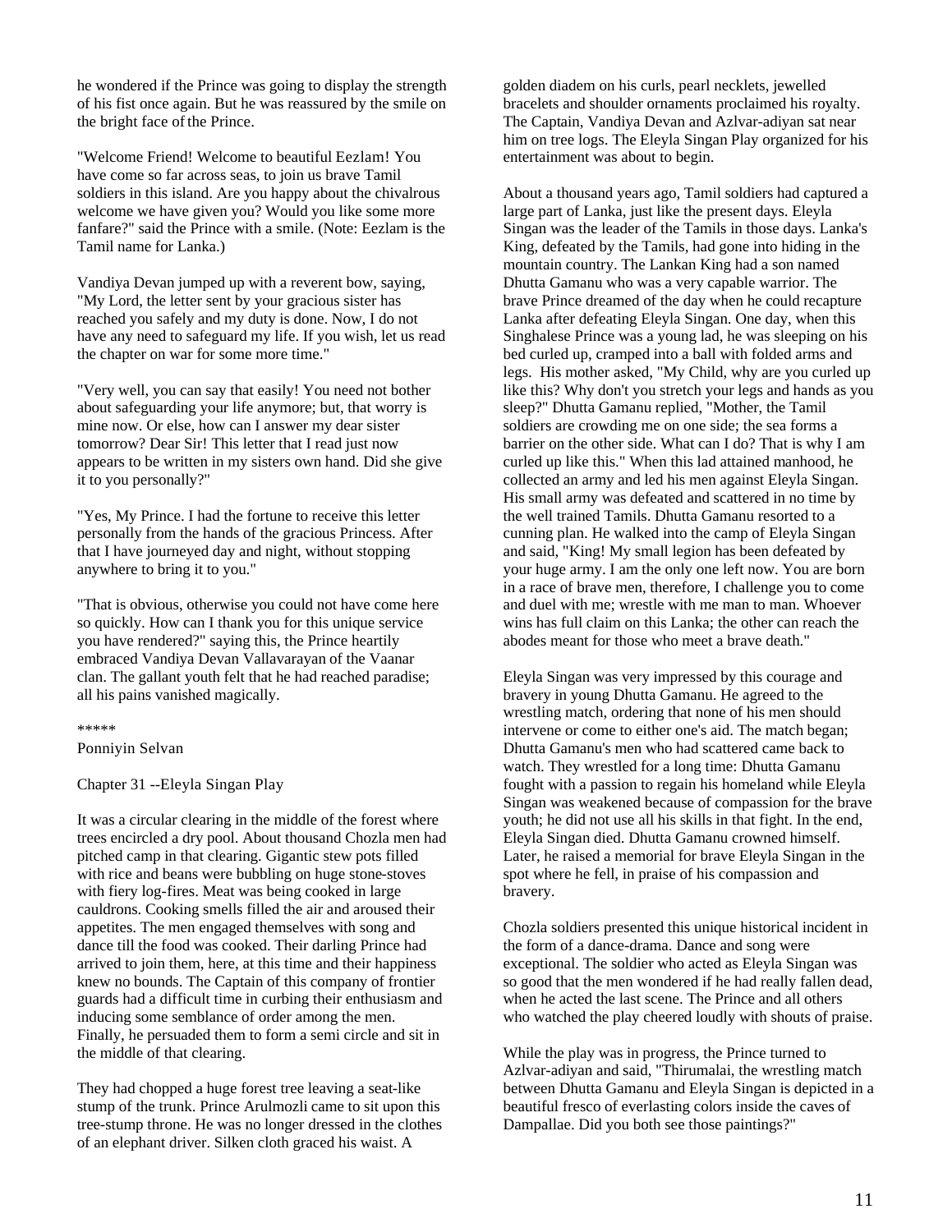he wondered if the Prince was going to display the strength of his fist once again. But he was reassured by the smile on the bright face of the Prince.

"Welcome Friend! Welcome to beautiful Eezlam! You have come so far across seas, to join us brave Tamil soldiers in this island. Are you happy about the chivalrous welcome we have given you? Would you like some more fanfare?" said the Prince with a smile. (Note: Eezlam is the Tamil name for Lanka.)

Vandiya Devan jumped up with a reverent bow, saying, "My Lord, the letter sent by your gracious sister has reached you safely and my duty is done. Now, I do not have any need to safeguard my life. If you wish, let us read the chapter on war for some more time."

"Very well, you can say that easily! You need not bother about safeguarding your life anymore; but, that worry is mine now. Or else, how can I answer my dear sister tomorrow? Dear Sir! This letter that I read just now appears to be written in my sisters own hand. Did she give it to you personally?"

"Yes, My Prince. I had the fortune to receive this letter personally from the hands of the gracious Princess. After that I have journeyed day and night, without stopping anywhere to bring it to you."

"That is obvious, otherwise you could not have come here so quickly. How can I thank you for this unique service you have rendered?" saying this, the Prince heartily embraced Vandiya Devan Vallavarayan of the Vaanar clan. The gallant youth felt that he had reached paradise; all his pains vanished magically.

#### \*\*\*\*\*

Ponniyin Selvan

Chapter 31 --Eleyla Singan Play

It was a circular clearing in the middle of the forest where trees encircled a dry pool. About thousand Chozla men had pitched camp in that clearing. Gigantic stew pots filled with rice and beans were bubbling on huge stone-stoves with fiery log-fires. Meat was being cooked in large cauldrons. Cooking smells filled the air and aroused their appetites. The men engaged themselves with song and dance till the food was cooked. Their darling Prince had arrived to join them, here, at this time and their happiness knew no bounds. The Captain of this company of frontier guards had a difficult time in curbing their enthusiasm and inducing some semblance of order among the men. Finally, he persuaded them to form a semi circle and sit in the middle of that clearing.

They had chopped a huge forest tree leaving a seat-like stump of the trunk. Prince Arulmozli came to sit upon this tree-stump throne. He was no longer dressed in the clothes of an elephant driver. Silken cloth graced his waist. A

golden diadem on his curls, pearl necklets, jewelled bracelets and shoulder ornaments proclaimed his royalty. The Captain, Vandiya Devan and Azlvar-adiyan sat near him on tree logs. The Eleyla Singan Play organized for his entertainment was about to begin.

About a thousand years ago, Tamil soldiers had captured a large part of Lanka, just like the present days. Eleyla Singan was the leader of the Tamils in those days. Lanka's King, defeated by the Tamils, had gone into hiding in the mountain country. The Lankan King had a son named Dhutta Gamanu who was a very capable warrior. The brave Prince dreamed of the day when he could recapture Lanka after defeating Eleyla Singan. One day, when this Singhalese Prince was a young lad, he was sleeping on his bed curled up, cramped into a ball with folded arms and legs. His mother asked, "My Child, why are you curled up like this? Why don't you stretch your legs and hands as you sleep?" Dhutta Gamanu replied, "Mother, the Tamil soldiers are crowding me on one side; the sea forms a barrier on the other side. What can I do? That is why I am curled up like this." When this lad attained manhood, he collected an army and led his men against Eleyla Singan. His small army was defeated and scattered in no time by the well trained Tamils. Dhutta Gamanu resorted to a cunning plan. He walked into the camp of Eleyla Singan and said, "King! My small legion has been defeated by your huge army. I am the only one left now. You are born in a race of brave men, therefore, I challenge you to come and duel with me; wrestle with me man to man. Whoever wins has full claim on this Lanka; the other can reach the abodes meant for those who meet a brave death."

Eleyla Singan was very impressed by this courage and bravery in young Dhutta Gamanu. He agreed to the wrestling match, ordering that none of his men should intervene or come to either one's aid. The match began; Dhutta Gamanu's men who had scattered came back to watch. They wrestled for a long time: Dhutta Gamanu fought with a passion to regain his homeland while Eleyla Singan was weakened because of compassion for the brave youth; he did not use all his skills in that fight. In the end, Eleyla Singan died. Dhutta Gamanu crowned himself. Later, he raised a memorial for brave Eleyla Singan in the spot where he fell, in praise of his compassion and bravery.

Chozla soldiers presented this unique historical incident in the form of a dance-drama. Dance and song were exceptional. The soldier who acted as Eleyla Singan was so good that the men wondered if he had really fallen dead, when he acted the last scene. The Prince and all others who watched the play cheered loudly with shouts of praise.

While the play was in progress, the Prince turned to Azlvar-adiyan and said, "Thirumalai, the wrestling match between Dhutta Gamanu and Eleyla Singan is depicted in a beautiful fresco of everlasting colors inside the caves of Dampallae. Did you both see those paintings?"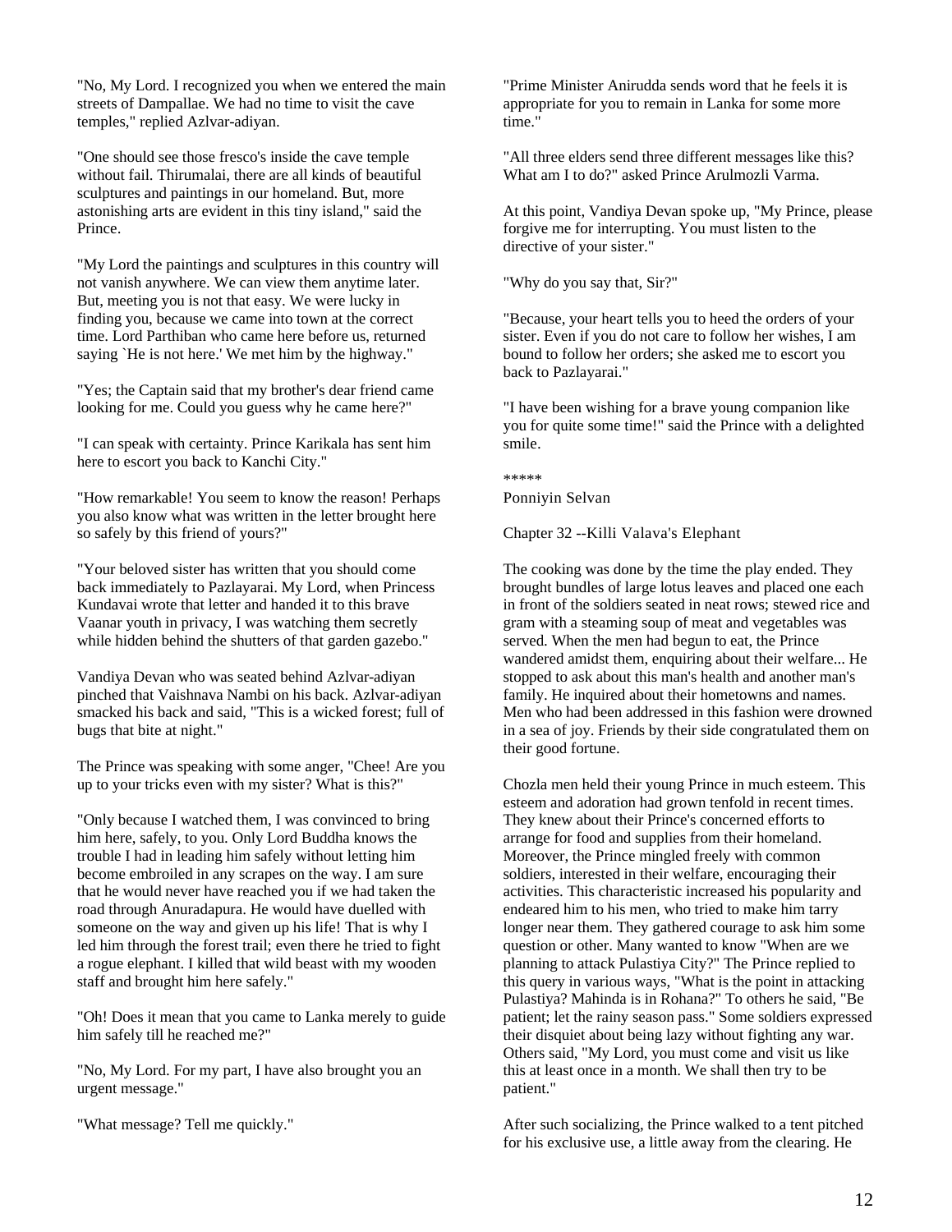"No, My Lord. I recognized you when we entered the main streets of Dampallae. We had no time to visit the cave temples," replied Azlvar-adiyan.

"One should see those fresco's inside the cave temple without fail. Thirumalai, there are all kinds of beautiful sculptures and paintings in our homeland. But, more astonishing arts are evident in this tiny island," said the Prince.

"My Lord the paintings and sculptures in this country will not vanish anywhere. We can view them anytime later. But, meeting you is not that easy. We were lucky in finding you, because we came into town at the correct time. Lord Parthiban who came here before us, returned saying `He is not here.' We met him by the highway."

"Yes; the Captain said that my brother's dear friend came looking for me. Could you guess why he came here?"

"I can speak with certainty. Prince Karikala has sent him here to escort you back to Kanchi City."

"How remarkable! You seem to know the reason! Perhaps you also know what was written in the letter brought here so safely by this friend of yours?"

"Your beloved sister has written that you should come back immediately to Pazlayarai. My Lord, when Princess Kundavai wrote that letter and handed it to this brave Vaanar youth in privacy, I was watching them secretly while hidden behind the shutters of that garden gazebo."

Vandiya Devan who was seated behind Azlvar-adiyan pinched that Vaishnava Nambi on his back. Azlvar-adiyan smacked his back and said, "This is a wicked forest; full of bugs that bite at night."

The Prince was speaking with some anger, "Chee! Are you up to your tricks even with my sister? What is this?"

"Only because I watched them, I was convinced to bring him here, safely, to you. Only Lord Buddha knows the trouble I had in leading him safely without letting him become embroiled in any scrapes on the way. I am sure that he would never have reached you if we had taken the road through Anuradapura. He would have duelled with someone on the way and given up his life! That is why I led him through the forest trail; even there he tried to fight a rogue elephant. I killed that wild beast with my wooden staff and brought him here safely."

"Oh! Does it mean that you came to Lanka merely to guide him safely till he reached me?"

"No, My Lord. For my part, I have also brought you an urgent message."

"What message? Tell me quickly."

"Prime Minister Anirudda sends word that he feels it is appropriate for you to remain in Lanka for some more time."

"All three elders send three different messages like this? What am I to do?" asked Prince Arulmozli Varma.

At this point, Vandiya Devan spoke up, "My Prince, please forgive me for interrupting. You must listen to the directive of your sister."

"Why do you say that, Sir?"

"Because, your heart tells you to heed the orders of your sister. Even if you do not care to follow her wishes, I am bound to follow her orders; she asked me to escort you back to Pazlayarai."

"I have been wishing for a brave young companion like you for quite some time!" said the Prince with a delighted smile.

\*\*\*\*\*

Ponniyin Selvan

Chapter 32 --Killi Valava's Elephant

The cooking was done by the time the play ended. They brought bundles of large lotus leaves and placed one each in front of the soldiers seated in neat rows; stewed rice and gram with a steaming soup of meat and vegetables was served. When the men had begun to eat, the Prince wandered amidst them, enquiring about their welfare... He stopped to ask about this man's health and another man's family. He inquired about their hometowns and names. Men who had been addressed in this fashion were drowned in a sea of joy. Friends by their side congratulated them on their good fortune.

Chozla men held their young Prince in much esteem. This esteem and adoration had grown tenfold in recent times. They knew about their Prince's concerned efforts to arrange for food and supplies from their homeland. Moreover, the Prince mingled freely with common soldiers, interested in their welfare, encouraging their activities. This characteristic increased his popularity and endeared him to his men, who tried to make him tarry longer near them. They gathered courage to ask him some question or other. Many wanted to know "When are we planning to attack Pulastiya City?" The Prince replied to this query in various ways, "What is the point in attacking Pulastiya? Mahinda is in Rohana?" To others he said, "Be patient; let the rainy season pass." Some soldiers expressed their disquiet about being lazy without fighting any war. Others said, "My Lord, you must come and visit us like this at least once in a month. We shall then try to be patient."

After such socializing, the Prince walked to a tent pitched for his exclusive use, a little away from the clearing. He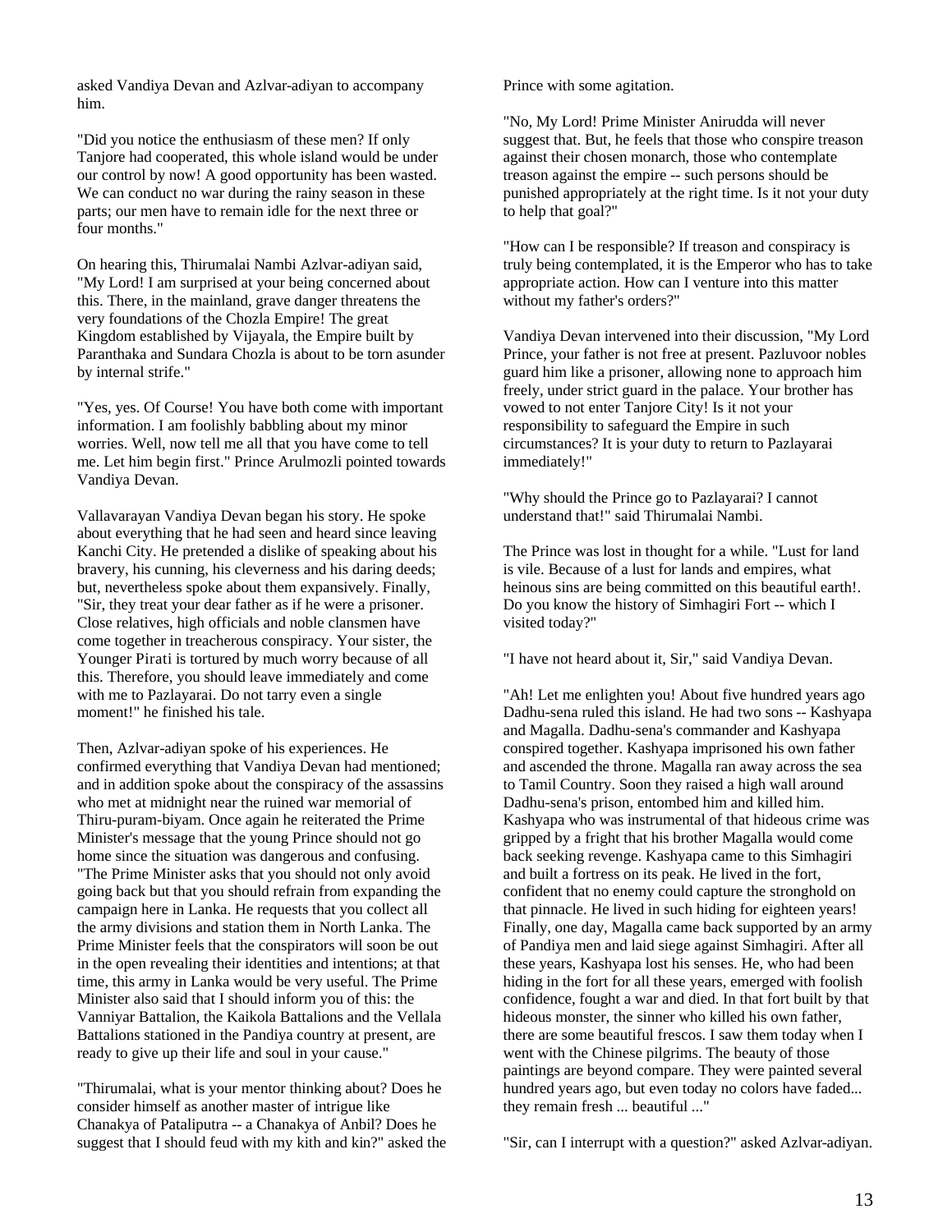asked Vandiya Devan and Azlvar-adiyan to accompany him.

"Did you notice the enthusiasm of these men? If only Tanjore had cooperated, this whole island would be under our control by now! A good opportunity has been wasted. We can conduct no war during the rainy season in these parts; our men have to remain idle for the next three or four months."

On hearing this, Thirumalai Nambi Azlvar-adiyan said, "My Lord! I am surprised at your being concerned about this. There, in the mainland, grave danger threatens the very foundations of the Chozla Empire! The great Kingdom established by Vijayala, the Empire built by Paranthaka and Sundara Chozla is about to be torn asunder by internal strife."

"Yes, yes. Of Course! You have both come with important information. I am foolishly babbling about my minor worries. Well, now tell me all that you have come to tell me. Let him begin first." Prince Arulmozli pointed towards Vandiya Devan.

Vallavarayan Vandiya Devan began his story. He spoke about everything that he had seen and heard since leaving Kanchi City. He pretended a dislike of speaking about his bravery, his cunning, his cleverness and his daring deeds; but, nevertheless spoke about them expansively. Finally, "Sir, they treat your dear father as if he were a prisoner. Close relatives, high officials and noble clansmen have come together in treacherous conspiracy. Your sister, the Younger Pirati is tortured by much worry because of all this. Therefore, you should leave immediately and come with me to Pazlayarai. Do not tarry even a single moment!" he finished his tale.

Then, Azlvar-adiyan spoke of his experiences. He confirmed everything that Vandiya Devan had mentioned; and in addition spoke about the conspiracy of the assassins who met at midnight near the ruined war memorial of Thiru-puram-biyam. Once again he reiterated the Prime Minister's message that the young Prince should not go home since the situation was dangerous and confusing. "The Prime Minister asks that you should not only avoid going back but that you should refrain from expanding the campaign here in Lanka. He requests that you collect all the army divisions and station them in North Lanka. The Prime Minister feels that the conspirators will soon be out in the open revealing their identities and intentions; at that time, this army in Lanka would be very useful. The Prime Minister also said that I should inform you of this: the Vanniyar Battalion, the Kaikola Battalions and the Vellala Battalions stationed in the Pandiya country at present, are ready to give up their life and soul in your cause."

"Thirumalai, what is your mentor thinking about? Does he consider himself as another master of intrigue like Chanakya of Pataliputra -- a Chanakya of Anbil? Does he suggest that I should feud with my kith and kin?" asked the Prince with some agitation.

"No, My Lord! Prime Minister Anirudda will never suggest that. But, he feels that those who conspire treason against their chosen monarch, those who contemplate treason against the empire -- such persons should be punished appropriately at the right time. Is it not your duty to help that goal?"

"How can I be responsible? If treason and conspiracy is truly being contemplated, it is the Emperor who has to take appropriate action. How can I venture into this matter without my father's orders?"

Vandiya Devan intervened into their discussion, "My Lord Prince, your father is not free at present. Pazluvoor nobles guard him like a prisoner, allowing none to approach him freely, under strict guard in the palace. Your brother has vowed to not enter Tanjore City! Is it not your responsibility to safeguard the Empire in such circumstances? It is your duty to return to Pazlayarai immediately!"

"Why should the Prince go to Pazlayarai? I cannot understand that!" said Thirumalai Nambi.

The Prince was lost in thought for a while. "Lust for land is vile. Because of a lust for lands and empires, what heinous sins are being committed on this beautiful earth!. Do you know the history of Simhagiri Fort -- which I visited today?"

"I have not heard about it, Sir," said Vandiya Devan.

"Ah! Let me enlighten you! About five hundred years ago Dadhu-sena ruled this island. He had two sons -- Kashyapa and Magalla. Dadhu-sena's commander and Kashyapa conspired together. Kashyapa imprisoned his own father and ascended the throne. Magalla ran away across the sea to Tamil Country. Soon they raised a high wall around Dadhu-sena's prison, entombed him and killed him. Kashyapa who was instrumental of that hideous crime was gripped by a fright that his brother Magalla would come back seeking revenge. Kashyapa came to this Simhagiri and built a fortress on its peak. He lived in the fort, confident that no enemy could capture the stronghold on that pinnacle. He lived in such hiding for eighteen years! Finally, one day, Magalla came back supported by an army of Pandiya men and laid siege against Simhagiri. After all these years, Kashyapa lost his senses. He, who had been hiding in the fort for all these years, emerged with foolish confidence, fought a war and died. In that fort built by that hideous monster, the sinner who killed his own father, there are some beautiful frescos. I saw them today when I went with the Chinese pilgrims. The beauty of those paintings are beyond compare. They were painted several hundred years ago, but even today no colors have faded... they remain fresh ... beautiful ..."

"Sir, can I interrupt with a question?" asked Azlvar-adiyan.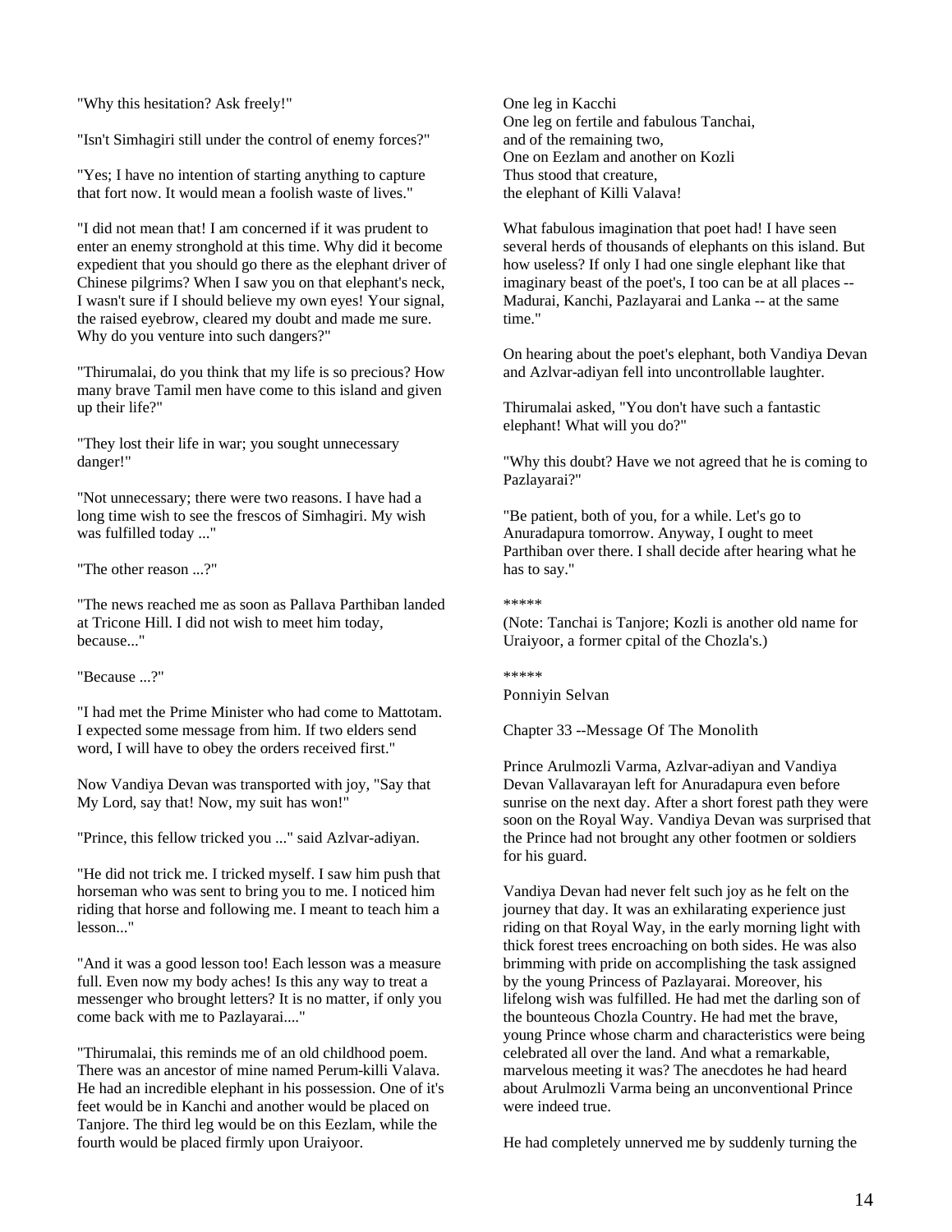"Why this hesitation? Ask freely!"

"Isn't Simhagiri still under the control of enemy forces?"

"Yes; I have no intention of starting anything to capture that fort now. It would mean a foolish waste of lives."

"I did not mean that! I am concerned if it was prudent to enter an enemy stronghold at this time. Why did it become expedient that you should go there as the elephant driver of Chinese pilgrims? When I saw you on that elephant's neck, I wasn't sure if I should believe my own eyes! Your signal, the raised eyebrow, cleared my doubt and made me sure. Why do you venture into such dangers?"

"Thirumalai, do you think that my life is so precious? How many brave Tamil men have come to this island and given up their life?"

"They lost their life in war; you sought unnecessary danger!"

"Not unnecessary; there were two reasons. I have had a long time wish to see the frescos of Simhagiri. My wish was fulfilled today ..."

"The other reason ...?"

"The news reached me as soon as Pallava Parthiban landed at Tricone Hill. I did not wish to meet him today, because..."

"Because ?"

"I had met the Prime Minister who had come to Mattotam. I expected some message from him. If two elders send word, I will have to obey the orders received first."

Now Vandiya Devan was transported with joy, "Say that My Lord, say that! Now, my suit has won!"

"Prince, this fellow tricked you ..." said Azlvar-adiyan.

"He did not trick me. I tricked myself. I saw him push that horseman who was sent to bring you to me. I noticed him riding that horse and following me. I meant to teach him a lesson..."

"And it was a good lesson too! Each lesson was a measure full. Even now my body aches! Is this any way to treat a messenger who brought letters? It is no matter, if only you come back with me to Pazlayarai...."

"Thirumalai, this reminds me of an old childhood poem. There was an ancestor of mine named Perum-killi Valava. He had an incredible elephant in his possession. One of it's feet would be in Kanchi and another would be placed on Tanjore. The third leg would be on this Eezlam, while the fourth would be placed firmly upon Uraiyoor.

One leg in Kacchi One leg on fertile and fabulous Tanchai, and of the remaining two, One on Eezlam and another on Kozli Thus stood that creature, the elephant of Killi Valava!

What fabulous imagination that poet had! I have seen several herds of thousands of elephants on this island. But how useless? If only I had one single elephant like that imaginary beast of the poet's, I too can be at all places -- Madurai, Kanchi, Pazlayarai and Lanka -- at the same time."

On hearing about the poet's elephant, both Vandiya Devan and Azlvar-adiyan fell into uncontrollable laughter.

Thirumalai asked, "You don't have such a fantastic elephant! What will you do?"

"Why this doubt? Have we not agreed that he is coming to Pazlayarai?"

"Be patient, both of you, for a while. Let's go to Anuradapura tomorrow. Anyway, I ought to meet Parthiban over there. I shall decide after hearing what he has to say."

\*\*\*\*\*

(Note: Tanchai is Tanjore; Kozli is another old name for Uraiyoor, a former cpital of the Chozla's.)

\*\*\*\*\*

Ponniyin Selvan

Chapter 33 --Message Of The Monolith

Prince Arulmozli Varma, Azlvar-adiyan and Vandiya Devan Vallavarayan left for Anuradapura even before sunrise on the next day. After a short forest path they were soon on the Royal Way. Vandiya Devan was surprised that the Prince had not brought any other footmen or soldiers for his guard.

Vandiya Devan had never felt such joy as he felt on the journey that day. It was an exhilarating experience just riding on that Royal Way, in the early morning light with thick forest trees encroaching on both sides. He was also brimming with pride on accomplishing the task assigned by the young Princess of Pazlayarai. Moreover, his lifelong wish was fulfilled. He had met the darling son of the bounteous Chozla Country. He had met the brave, young Prince whose charm and characteristics were being celebrated all over the land. And what a remarkable, marvelous meeting it was? The anecdotes he had heard about Arulmozli Varma being an unconventional Prince were indeed true.

He had completely unnerved me by suddenly turning the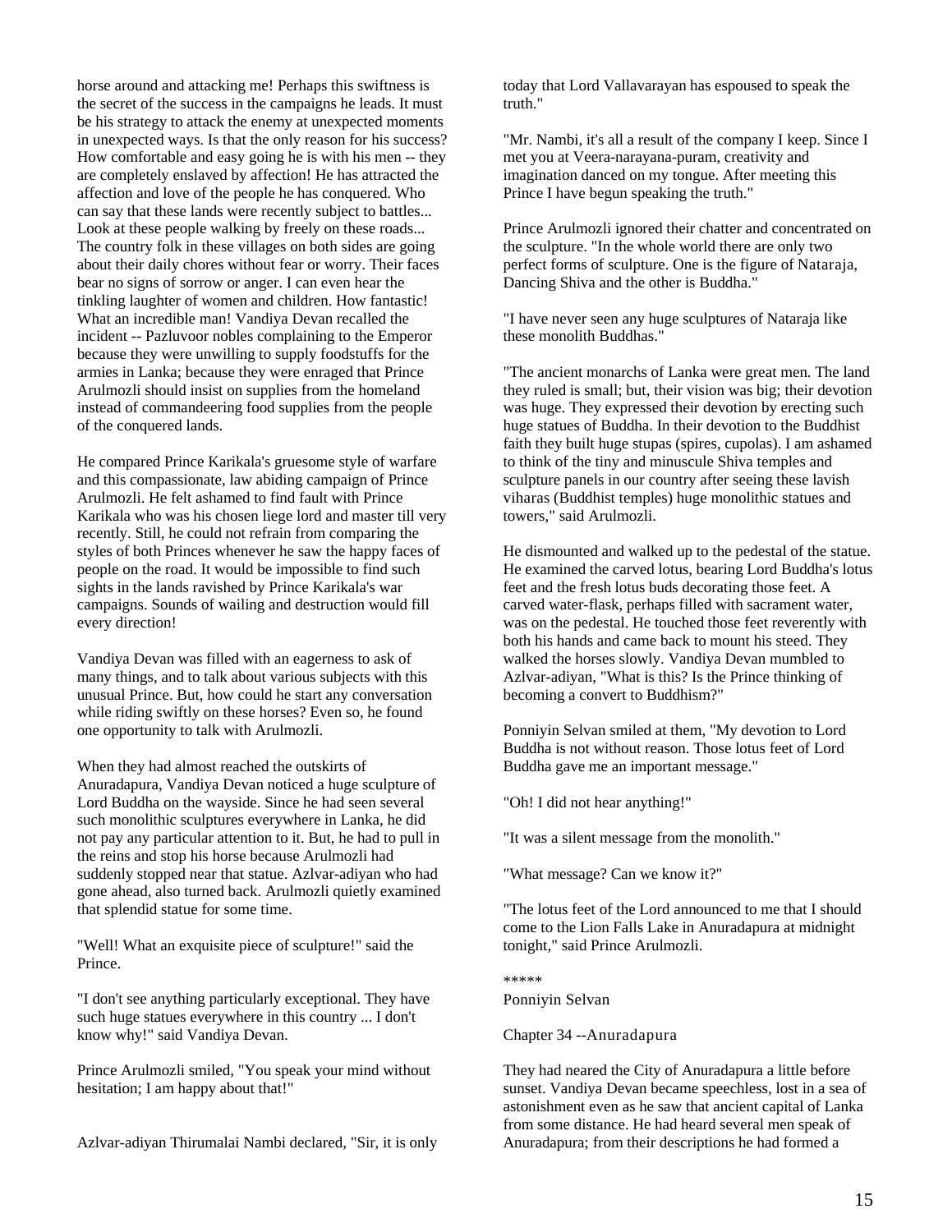horse around and attacking me! Perhaps this swiftness is the secret of the success in the campaigns he leads. It must be his strategy to attack the enemy at unexpected moments in unexpected ways. Is that the only reason for his success? How comfortable and easy going he is with his men -- they are completely enslaved by affection! He has attracted the affection and love of the people he has conquered. Who can say that these lands were recently subject to battles... Look at these people walking by freely on these roads... The country folk in these villages on both sides are going about their daily chores without fear or worry. Their faces bear no signs of sorrow or anger. I can even hear the tinkling laughter of women and children. How fantastic! What an incredible man! Vandiya Devan recalled the incident -- Pazluvoor nobles complaining to the Emperor because they were unwilling to supply foodstuffs for the armies in Lanka; because they were enraged that Prince Arulmozli should insist on supplies from the homeland instead of commandeering food supplies from the people of the conquered lands.

He compared Prince Karikala's gruesome style of warfare and this compassionate, law abiding campaign of Prince Arulmozli. He felt ashamed to find fault with Prince Karikala who was his chosen liege lord and master till very recently. Still, he could not refrain from comparing the styles of both Princes whenever he saw the happy faces of people on the road. It would be impossible to find such sights in the lands ravished by Prince Karikala's war campaigns. Sounds of wailing and destruction would fill every direction!

Vandiya Devan was filled with an eagerness to ask of many things, and to talk about various subjects with this unusual Prince. But, how could he start any conversation while riding swiftly on these horses? Even so, he found one opportunity to talk with Arulmozli.

When they had almost reached the outskirts of Anuradapura, Vandiya Devan noticed a huge sculpture of Lord Buddha on the wayside. Since he had seen several such monolithic sculptures everywhere in Lanka, he did not pay any particular attention to it. But, he had to pull in the reins and stop his horse because Arulmozli had suddenly stopped near that statue. Azlvar-adiyan who had gone ahead, also turned back. Arulmozli quietly examined that splendid statue for some time.

"Well! What an exquisite piece of sculpture!" said the Prince.

"I don't see anything particularly exceptional. They have such huge statues everywhere in this country ... I don't know why!" said Vandiya Devan.

Prince Arulmozli smiled, "You speak your mind without hesitation; I am happy about that!"

Azlvar-adiyan Thirumalai Nambi declared, "Sir, it is only

today that Lord Vallavarayan has espoused to speak the truth."

"Mr. Nambi, it's all a result of the company I keep. Since I met you at Veera-narayana-puram, creativity and imagination danced on my tongue. After meeting this Prince I have begun speaking the truth."

Prince Arulmozli ignored their chatter and concentrated on the sculpture. "In the whole world there are only two perfect forms of sculpture. One is the figure of Nataraja, Dancing Shiva and the other is Buddha."

"I have never seen any huge sculptures of Nataraja like these monolith Buddhas."

"The ancient monarchs of Lanka were great men. The land they ruled is small; but, their vision was big; their devotion was huge. They expressed their devotion by erecting such huge statues of Buddha. In their devotion to the Buddhist faith they built huge stupas (spires, cupolas). I am ashamed to think of the tiny and minuscule Shiva temples and sculpture panels in our country after seeing these lavish viharas (Buddhist temples) huge monolithic statues and towers," said Arulmozli.

He dismounted and walked up to the pedestal of the statue. He examined the carved lotus, bearing Lord Buddha's lotus feet and the fresh lotus buds decorating those feet. A carved water-flask, perhaps filled with sacrament water, was on the pedestal. He touched those feet reverently with both his hands and came back to mount his steed. They walked the horses slowly. Vandiya Devan mumbled to Azlvar-adiyan, "What is this? Is the Prince thinking of becoming a convert to Buddhism?"

Ponniyin Selvan smiled at them, "My devotion to Lord Buddha is not without reason. Those lotus feet of Lord Buddha gave me an important message."

"Oh! I did not hear anything!"

"It was a silent message from the monolith."

"What message? Can we know it?"

"The lotus feet of the Lord announced to me that I should come to the Lion Falls Lake in Anuradapura at midnight tonight," said Prince Arulmozli.

\*\*\*\*\*

Ponniyin Selvan

Chapter 34 --Anuradapura

They had neared the City of Anuradapura a little before sunset. Vandiya Devan became speechless, lost in a sea of astonishment even as he saw that ancient capital of Lanka from some distance. He had heard several men speak of Anuradapura; from their descriptions he had formed a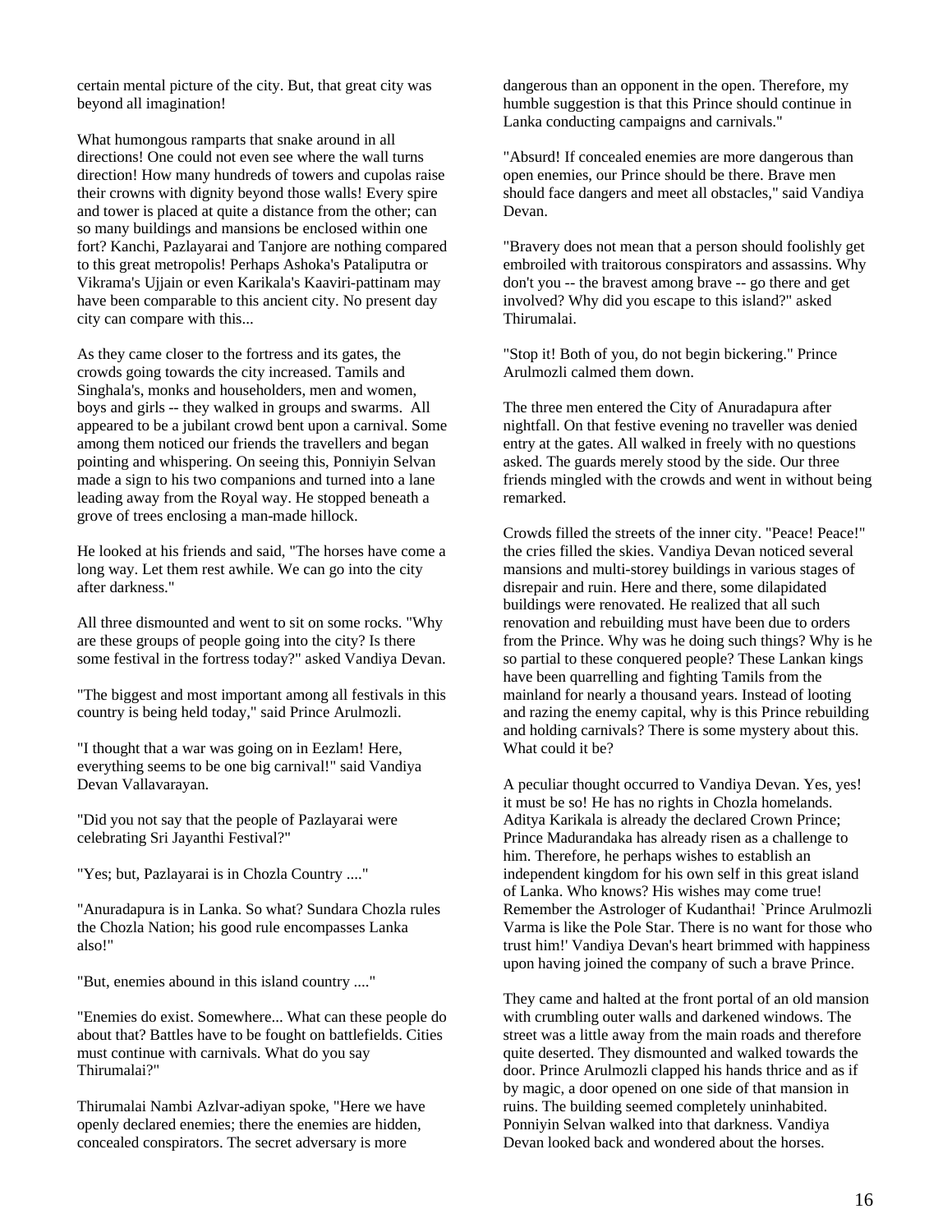certain mental picture of the city. But, that great city was beyond all imagination!

What humongous ramparts that snake around in all directions! One could not even see where the wall turns direction! How many hundreds of towers and cupolas raise their crowns with dignity beyond those walls! Every spire and tower is placed at quite a distance from the other; can so many buildings and mansions be enclosed within one fort? Kanchi, Pazlayarai and Tanjore are nothing compared to this great metropolis! Perhaps Ashoka's Pataliputra or Vikrama's Ujjain or even Karikala's Kaaviri-pattinam may have been comparable to this ancient city. No present day city can compare with this...

As they came closer to the fortress and its gates, the crowds going towards the city increased. Tamils and Singhala's, monks and householders, men and women, boys and girls -- they walked in groups and swarms. All appeared to be a jubilant crowd bent upon a carnival. Some among them noticed our friends the travellers and began pointing and whispering. On seeing this, Ponniyin Selvan made a sign to his two companions and turned into a lane leading away from the Royal way. He stopped beneath a grove of trees enclosing a man-made hillock.

He looked at his friends and said, "The horses have come a long way. Let them rest awhile. We can go into the city after darkness."

All three dismounted and went to sit on some rocks. "Why are these groups of people going into the city? Is there some festival in the fortress today?" asked Vandiya Devan.

"The biggest and most important among all festivals in this country is being held today," said Prince Arulmozli.

"I thought that a war was going on in Eezlam! Here, everything seems to be one big carnival!" said Vandiya Devan Vallavarayan.

"Did you not say that the people of Pazlayarai were celebrating Sri Jayanthi Festival?"

"Yes; but, Pazlayarai is in Chozla Country ...."

"Anuradapura is in Lanka. So what? Sundara Chozla rules the Chozla Nation; his good rule encompasses Lanka also!"

"But, enemies abound in this island country ...."

"Enemies do exist. Somewhere... What can these people do about that? Battles have to be fought on battlefields. Cities must continue with carnivals. What do you say Thirumalai?"

Thirumalai Nambi Azlvar-adiyan spoke, "Here we have openly declared enemies; there the enemies are hidden, concealed conspirators. The secret adversary is more

dangerous than an opponent in the open. Therefore, my humble suggestion is that this Prince should continue in Lanka conducting campaigns and carnivals."

"Absurd! If concealed enemies are more dangerous than open enemies, our Prince should be there. Brave men should face dangers and meet all obstacles," said Vandiya Devan.

"Bravery does not mean that a person should foolishly get embroiled with traitorous conspirators and assassins. Why don't you -- the bravest among brave -- go there and get involved? Why did you escape to this island?" asked Thirumalai.

"Stop it! Both of you, do not begin bickering." Prince Arulmozli calmed them down.

The three men entered the City of Anuradapura after nightfall. On that festive evening no traveller was denied entry at the gates. All walked in freely with no questions asked. The guards merely stood by the side. Our three friends mingled with the crowds and went in without being remarked.

Crowds filled the streets of the inner city. "Peace! Peace!" the cries filled the skies. Vandiya Devan noticed several mansions and multi-storey buildings in various stages of disrepair and ruin. Here and there, some dilapidated buildings were renovated. He realized that all such renovation and rebuilding must have been due to orders from the Prince. Why was he doing such things? Why is he so partial to these conquered people? These Lankan kings have been quarrelling and fighting Tamils from the mainland for nearly a thousand years. Instead of looting and razing the enemy capital, why is this Prince rebuilding and holding carnivals? There is some mystery about this. What could it be?

A peculiar thought occurred to Vandiya Devan. Yes, yes! it must be so! He has no rights in Chozla homelands. Aditya Karikala is already the declared Crown Prince; Prince Madurandaka has already risen as a challenge to him. Therefore, he perhaps wishes to establish an independent kingdom for his own self in this great island of Lanka. Who knows? His wishes may come true! Remember the Astrologer of Kudanthai! `Prince Arulmozli Varma is like the Pole Star. There is no want for those who trust him!' Vandiya Devan's heart brimmed with happiness upon having joined the company of such a brave Prince.

They came and halted at the front portal of an old mansion with crumbling outer walls and darkened windows. The street was a little away from the main roads and therefore quite deserted. They dismounted and walked towards the door. Prince Arulmozli clapped his hands thrice and as if by magic, a door opened on one side of that mansion in ruins. The building seemed completely uninhabited. Ponniyin Selvan walked into that darkness. Vandiya Devan looked back and wondered about the horses.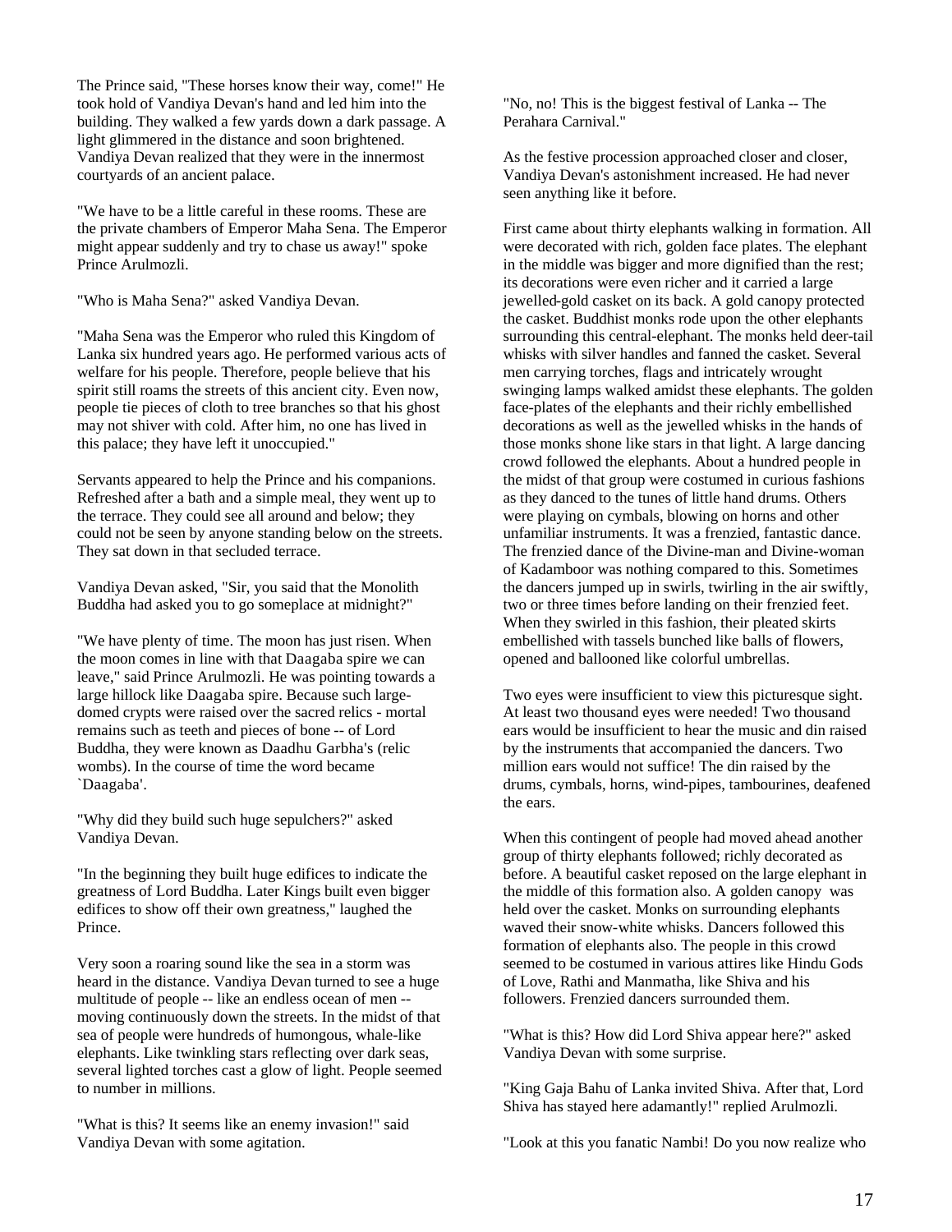The Prince said, "These horses know their way, come!" He took hold of Vandiya Devan's hand and led him into the building. They walked a few yards down a dark passage. A light glimmered in the distance and soon brightened. Vandiya Devan realized that they were in the innermost courtyards of an ancient palace.

"We have to be a little careful in these rooms. These are the private chambers of Emperor Maha Sena. The Emperor might appear suddenly and try to chase us away!" spoke Prince Arulmozli.

"Who is Maha Sena?" asked Vandiya Devan.

"Maha Sena was the Emperor who ruled this Kingdom of Lanka six hundred years ago. He performed various acts of welfare for his people. Therefore, people believe that his spirit still roams the streets of this ancient city. Even now, people tie pieces of cloth to tree branches so that his ghost may not shiver with cold. After him, no one has lived in this palace; they have left it unoccupied."

Servants appeared to help the Prince and his companions. Refreshed after a bath and a simple meal, they went up to the terrace. They could see all around and below; they could not be seen by anyone standing below on the streets. They sat down in that secluded terrace.

Vandiya Devan asked, "Sir, you said that the Monolith Buddha had asked you to go someplace at midnight?"

"We have plenty of time. The moon has just risen. When the moon comes in line with that Daagaba spire we can leave," said Prince Arulmozli. He was pointing towards a large hillock like Daagaba spire. Because such largedomed crypts were raised over the sacred relics - mortal remains such as teeth and pieces of bone -- of Lord Buddha, they were known as Daadhu Garbha's (relic wombs). In the course of time the word became `Daagaba'.

"Why did they build such huge sepulchers?" asked Vandiya Devan.

"In the beginning they built huge edifices to indicate the greatness of Lord Buddha. Later Kings built even bigger edifices to show off their own greatness," laughed the Prince.

Very soon a roaring sound like the sea in a storm was heard in the distance. Vandiya Devan turned to see a huge multitude of people -- like an endless ocean of men - moving continuously down the streets. In the midst of that sea of people were hundreds of humongous, whale-like elephants. Like twinkling stars reflecting over dark seas, several lighted torches cast a glow of light. People seemed to number in millions.

"What is this? It seems like an enemy invasion!" said Vandiya Devan with some agitation.

"No, no! This is the biggest festival of Lanka -- The Perahara Carnival."

As the festive procession approached closer and closer, Vandiya Devan's astonishment increased. He had never seen anything like it before.

First came about thirty elephants walking in formation. All were decorated with rich, golden face plates. The elephant in the middle was bigger and more dignified than the rest; its decorations were even richer and it carried a large jewelled-gold casket on its back. A gold canopy protected the casket. Buddhist monks rode upon the other elephants surrounding this central-elephant. The monks held deer-tail whisks with silver handles and fanned the casket. Several men carrying torches, flags and intricately wrought swinging lamps walked amidst these elephants. The golden face-plates of the elephants and their richly embellished decorations as well as the jewelled whisks in the hands of those monks shone like stars in that light. A large dancing crowd followed the elephants. About a hundred people in the midst of that group were costumed in curious fashions as they danced to the tunes of little hand drums. Others were playing on cymbals, blowing on horns and other unfamiliar instruments. It was a frenzied, fantastic dance. The frenzied dance of the Divine-man and Divine-woman of Kadamboor was nothing compared to this. Sometimes the dancers jumped up in swirls, twirling in the air swiftly, two or three times before landing on their frenzied feet. When they swirled in this fashion, their pleated skirts embellished with tassels bunched like balls of flowers, opened and ballooned like colorful umbrellas.

Two eyes were insufficient to view this picturesque sight. At least two thousand eyes were needed! Two thousand ears would be insufficient to hear the music and din raised by the instruments that accompanied the dancers. Two million ears would not suffice! The din raised by the drums, cymbals, horns, wind-pipes, tambourines, deafened the ears.

When this contingent of people had moved ahead another group of thirty elephants followed; richly decorated as before. A beautiful casket reposed on the large elephant in the middle of this formation also. A golden canopy was held over the casket. Monks on surrounding elephants waved their snow-white whisks. Dancers followed this formation of elephants also. The people in this crowd seemed to be costumed in various attires like Hindu Gods of Love, Rathi and Manmatha, like Shiva and his followers. Frenzied dancers surrounded them.

"What is this? How did Lord Shiva appear here?" asked Vandiya Devan with some surprise.

"King Gaja Bahu of Lanka invited Shiva. After that, Lord Shiva has stayed here adamantly!" replied Arulmozli.

"Look at this you fanatic Nambi! Do you now realize who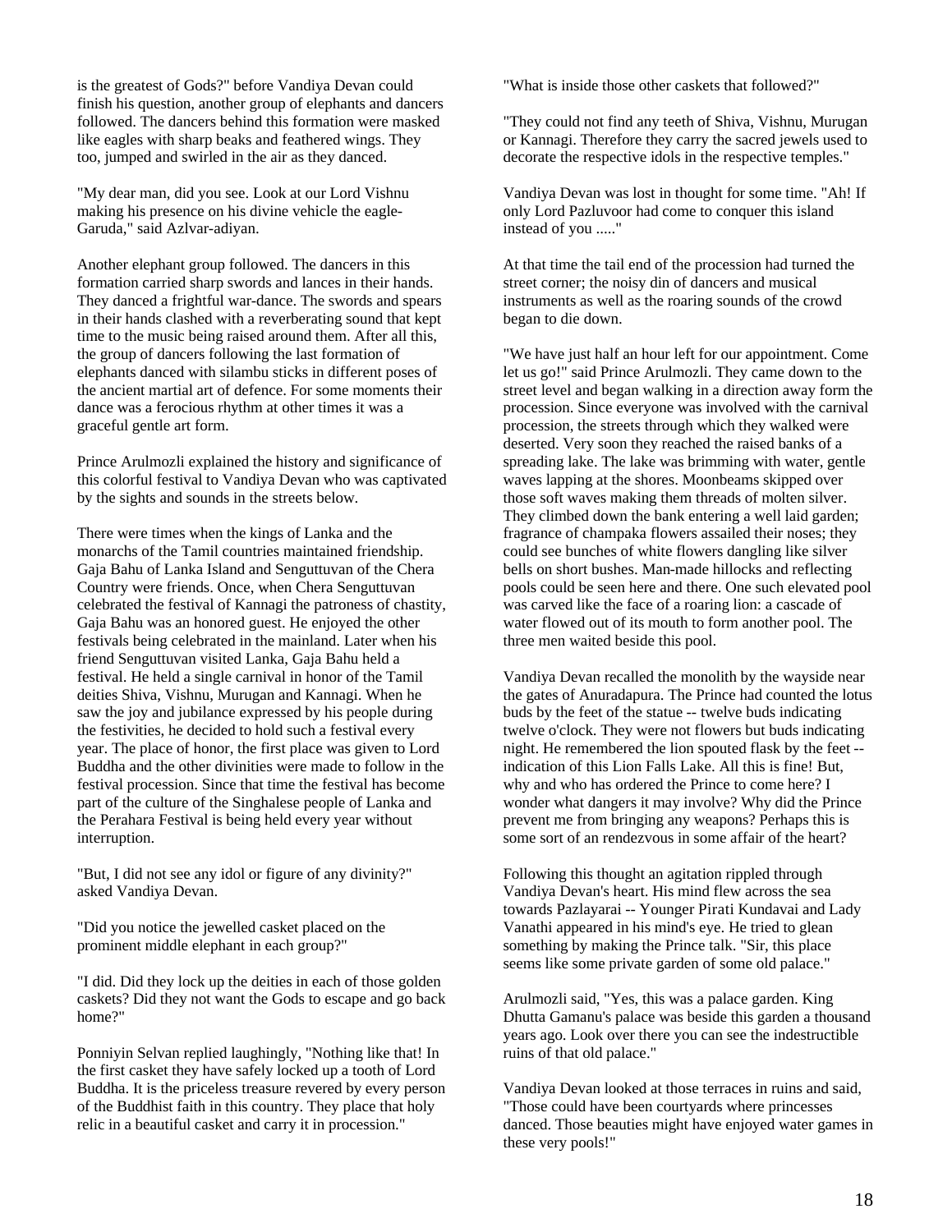is the greatest of Gods?" before Vandiya Devan could finish his question, another group of elephants and dancers followed. The dancers behind this formation were masked like eagles with sharp beaks and feathered wings. They too, jumped and swirled in the air as they danced.

"My dear man, did you see. Look at our Lord Vishnu making his presence on his divine vehicle the eagle-Garuda," said Azlvar-adiyan.

Another elephant group followed. The dancers in this formation carried sharp swords and lances in their hands. They danced a frightful war-dance. The swords and spears in their hands clashed with a reverberating sound that kept time to the music being raised around them. After all this, the group of dancers following the last formation of elephants danced with silambu sticks in different poses of the ancient martial art of defence. For some moments their dance was a ferocious rhythm at other times it was a graceful gentle art form.

Prince Arulmozli explained the history and significance of this colorful festival to Vandiya Devan who was captivated by the sights and sounds in the streets below.

There were times when the kings of Lanka and the monarchs of the Tamil countries maintained friendship. Gaja Bahu of Lanka Island and Senguttuvan of the Chera Country were friends. Once, when Chera Senguttuvan celebrated the festival of Kannagi the patroness of chastity, Gaja Bahu was an honored guest. He enjoyed the other festivals being celebrated in the mainland. Later when his friend Senguttuvan visited Lanka, Gaja Bahu held a festival. He held a single carnival in honor of the Tamil deities Shiva, Vishnu, Murugan and Kannagi. When he saw the joy and jubilance expressed by his people during the festivities, he decided to hold such a festival every year. The place of honor, the first place was given to Lord Buddha and the other divinities were made to follow in the festival procession. Since that time the festival has become part of the culture of the Singhalese people of Lanka and the Perahara Festival is being held every year without interruption.

"But, I did not see any idol or figure of any divinity?" asked Vandiya Devan.

"Did you notice the jewelled casket placed on the prominent middle elephant in each group?"

"I did. Did they lock up the deities in each of those golden caskets? Did they not want the Gods to escape and go back home?"

Ponniyin Selvan replied laughingly, "Nothing like that! In the first casket they have safely locked up a tooth of Lord Buddha. It is the priceless treasure revered by every person of the Buddhist faith in this country. They place that holy relic in a beautiful casket and carry it in procession."

"What is inside those other caskets that followed?"

"They could not find any teeth of Shiva, Vishnu, Murugan or Kannagi. Therefore they carry the sacred jewels used to decorate the respective idols in the respective temples."

Vandiya Devan was lost in thought for some time. "Ah! If only Lord Pazluvoor had come to conquer this island instead of you ....."

At that time the tail end of the procession had turned the street corner; the noisy din of dancers and musical instruments as well as the roaring sounds of the crowd began to die down.

"We have just half an hour left for our appointment. Come let us go!" said Prince Arulmozli. They came down to the street level and began walking in a direction away form the procession. Since everyone was involved with the carnival procession, the streets through which they walked were deserted. Very soon they reached the raised banks of a spreading lake. The lake was brimming with water, gentle waves lapping at the shores. Moonbeams skipped over those soft waves making them threads of molten silver. They climbed down the bank entering a well laid garden; fragrance of champaka flowers assailed their noses; they could see bunches of white flowers dangling like silver bells on short bushes. Man-made hillocks and reflecting pools could be seen here and there. One such elevated pool was carved like the face of a roaring lion: a cascade of water flowed out of its mouth to form another pool. The three men waited beside this pool.

Vandiya Devan recalled the monolith by the wayside near the gates of Anuradapura. The Prince had counted the lotus buds by the feet of the statue -- twelve buds indicating twelve o'clock. They were not flowers but buds indicating night. He remembered the lion spouted flask by the feet - indication of this Lion Falls Lake. All this is fine! But, why and who has ordered the Prince to come here? I wonder what dangers it may involve? Why did the Prince prevent me from bringing any weapons? Perhaps this is some sort of an rendezvous in some affair of the heart?

Following this thought an agitation rippled through Vandiya Devan's heart. His mind flew across the sea towards Pazlayarai -- Younger Pirati Kundavai and Lady Vanathi appeared in his mind's eye. He tried to glean something by making the Prince talk. "Sir, this place seems like some private garden of some old palace."

Arulmozli said, "Yes, this was a palace garden. King Dhutta Gamanu's palace was beside this garden a thousand years ago. Look over there you can see the indestructible ruins of that old palace."

Vandiya Devan looked at those terraces in ruins and said, "Those could have been courtyards where princesses danced. Those beauties might have enjoyed water games in these very pools!"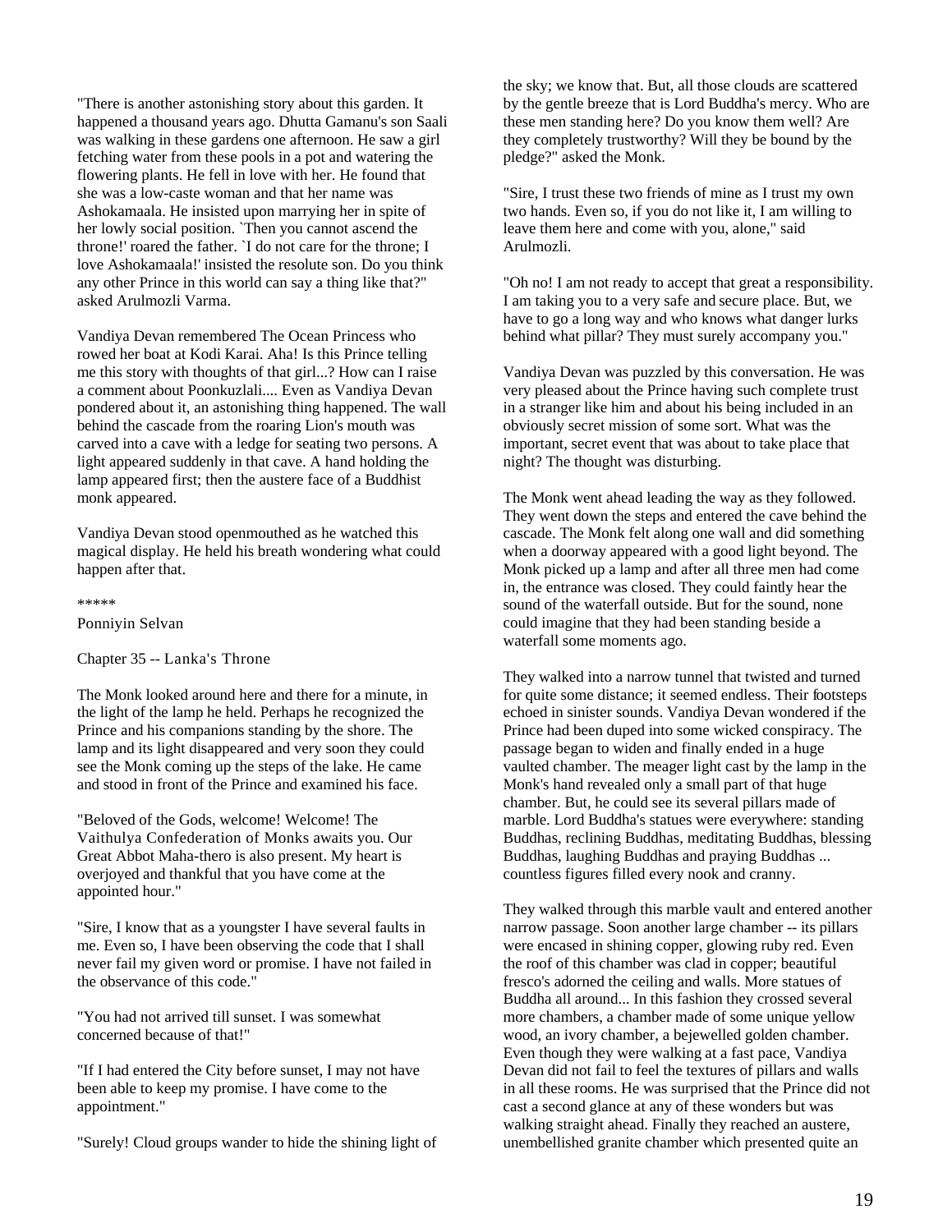"There is another astonishing story about this garden. It happened a thousand years ago. Dhutta Gamanu's son Saali was walking in these gardens one afternoon. He saw a girl fetching water from these pools in a pot and watering the flowering plants. He fell in love with her. He found that she was a low-caste woman and that her name was Ashokamaala. He insisted upon marrying her in spite of her lowly social position. `Then you cannot ascend the throne!' roared the father. `I do not care for the throne; I love Ashokamaala!' insisted the resolute son. Do you think any other Prince in this world can say a thing like that?" asked Arulmozli Varma.

Vandiya Devan remembered The Ocean Princess who rowed her boat at Kodi Karai. Aha! Is this Prince telling me this story with thoughts of that girl...? How can I raise a comment about Poonkuzlali.... Even as Vandiya Devan pondered about it, an astonishing thing happened. The wall behind the cascade from the roaring Lion's mouth was carved into a cave with a ledge for seating two persons. A light appeared suddenly in that cave. A hand holding the lamp appeared first; then the austere face of a Buddhist monk appeared.

Vandiya Devan stood openmouthed as he watched this magical display. He held his breath wondering what could happen after that.

\*\*\*\*\*

Ponniyin Selvan

#### Chapter 35 -- Lanka's Throne

The Monk looked around here and there for a minute, in the light of the lamp he held. Perhaps he recognized the Prince and his companions standing by the shore. The lamp and its light disappeared and very soon they could see the Monk coming up the steps of the lake. He came and stood in front of the Prince and examined his face.

"Beloved of the Gods, welcome! Welcome! The Vaithulya Confederation of Monks awaits you. Our Great Abbot Maha-thero is also present. My heart is overjoyed and thankful that you have come at the appointed hour."

"Sire, I know that as a youngster I have several faults in me. Even so, I have been observing the code that I shall never fail my given word or promise. I have not failed in the observance of this code."

"You had not arrived till sunset. I was somewhat concerned because of that!"

"If I had entered the City before sunset, I may not have been able to keep my promise. I have come to the appointment."

"Surely! Cloud groups wander to hide the shining light of

the sky; we know that. But, all those clouds are scattered by the gentle breeze that is Lord Buddha's mercy. Who are these men standing here? Do you know them well? Are they completely trustworthy? Will they be bound by the pledge?" asked the Monk.

"Sire, I trust these two friends of mine as I trust my own two hands. Even so, if you do not like it, I am willing to leave them here and come with you, alone," said Arulmozli.

"Oh no! I am not ready to accept that great a responsibility. I am taking you to a very safe and secure place. But, we have to go a long way and who knows what danger lurks behind what pillar? They must surely accompany you."

Vandiya Devan was puzzled by this conversation. He was very pleased about the Prince having such complete trust in a stranger like him and about his being included in an obviously secret mission of some sort. What was the important, secret event that was about to take place that night? The thought was disturbing.

The Monk went ahead leading the way as they followed. They went down the steps and entered the cave behind the cascade. The Monk felt along one wall and did something when a doorway appeared with a good light beyond. The Monk picked up a lamp and after all three men had come in, the entrance was closed. They could faintly hear the sound of the waterfall outside. But for the sound, none could imagine that they had been standing beside a waterfall some moments ago.

They walked into a narrow tunnel that twisted and turned for quite some distance; it seemed endless. Their footsteps echoed in sinister sounds. Vandiya Devan wondered if the Prince had been duped into some wicked conspiracy. The passage began to widen and finally ended in a huge vaulted chamber. The meager light cast by the lamp in the Monk's hand revealed only a small part of that huge chamber. But, he could see its several pillars made of marble. Lord Buddha's statues were everywhere: standing Buddhas, reclining Buddhas, meditating Buddhas, blessing Buddhas, laughing Buddhas and praying Buddhas ... countless figures filled every nook and cranny.

They walked through this marble vault and entered another narrow passage. Soon another large chamber -- its pillars were encased in shining copper, glowing ruby red. Even the roof of this chamber was clad in copper; beautiful fresco's adorned the ceiling and walls. More statues of Buddha all around... In this fashion they crossed several more chambers, a chamber made of some unique yellow wood, an ivory chamber, a bejewelled golden chamber. Even though they were walking at a fast pace, Vandiya Devan did not fail to feel the textures of pillars and walls in all these rooms. He was surprised that the Prince did not cast a second glance at any of these wonders but was walking straight ahead. Finally they reached an austere, unembellished granite chamber which presented quite an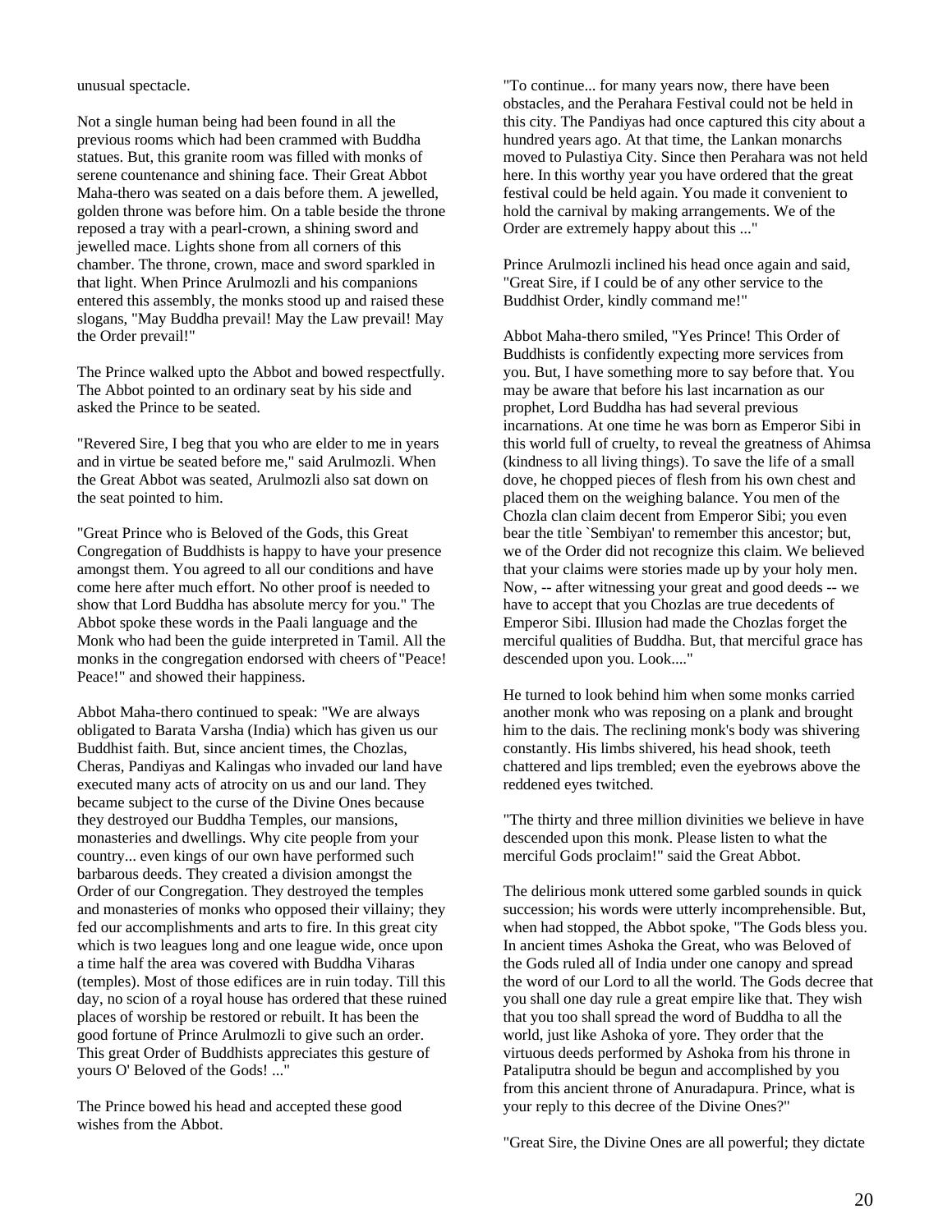unusual spectacle.

Not a single human being had been found in all the previous rooms which had been crammed with Buddha statues. But, this granite room was filled with monks of serene countenance and shining face. Their Great Abbot Maha-thero was seated on a dais before them. A jewelled, golden throne was before him. On a table beside the throne reposed a tray with a pearl-crown, a shining sword and jewelled mace. Lights shone from all corners of this chamber. The throne, crown, mace and sword sparkled in that light. When Prince Arulmozli and his companions entered this assembly, the monks stood up and raised these slogans, "May Buddha prevail! May the Law prevail! May the Order prevail!"

The Prince walked upto the Abbot and bowed respectfully. The Abbot pointed to an ordinary seat by his side and asked the Prince to be seated.

"Revered Sire, I beg that you who are elder to me in years and in virtue be seated before me," said Arulmozli. When the Great Abbot was seated, Arulmozli also sat down on the seat pointed to him.

"Great Prince who is Beloved of the Gods, this Great Congregation of Buddhists is happy to have your presence amongst them. You agreed to all our conditions and have come here after much effort. No other proof is needed to show that Lord Buddha has absolute mercy for you." The Abbot spoke these words in the Paali language and the Monk who had been the guide interpreted in Tamil. All the monks in the congregation endorsed with cheers of "Peace! Peace!" and showed their happiness.

Abbot Maha-thero continued to speak: "We are always obligated to Barata Varsha (India) which has given us our Buddhist faith. But, since ancient times, the Chozlas, Cheras, Pandiyas and Kalingas who invaded our land have executed many acts of atrocity on us and our land. They became subject to the curse of the Divine Ones because they destroyed our Buddha Temples, our mansions, monasteries and dwellings. Why cite people from your country... even kings of our own have performed such barbarous deeds. They created a division amongst the Order of our Congregation. They destroyed the temples and monasteries of monks who opposed their villainy; they fed our accomplishments and arts to fire. In this great city which is two leagues long and one league wide, once upon a time half the area was covered with Buddha Viharas (temples). Most of those edifices are in ruin today. Till this day, no scion of a royal house has ordered that these ruined places of worship be restored or rebuilt. It has been the good fortune of Prince Arulmozli to give such an order. This great Order of Buddhists appreciates this gesture of yours O' Beloved of the Gods! ..."

The Prince bowed his head and accepted these good wishes from the Abbot.

"To continue... for many years now, there have been obstacles, and the Perahara Festival could not be held in this city. The Pandiyas had once captured this city about a hundred years ago. At that time, the Lankan monarchs moved to Pulastiya City. Since then Perahara was not held here. In this worthy year you have ordered that the great festival could be held again. You made it convenient to hold the carnival by making arrangements. We of the Order are extremely happy about this ..."

Prince Arulmozli inclined his head once again and said, "Great Sire, if I could be of any other service to the Buddhist Order, kindly command me!"

Abbot Maha-thero smiled, "Yes Prince! This Order of Buddhists is confidently expecting more services from you. But, I have something more to say before that. You may be aware that before his last incarnation as our prophet, Lord Buddha has had several previous incarnations. At one time he was born as Emperor Sibi in this world full of cruelty, to reveal the greatness of Ahimsa (kindness to all living things). To save the life of a small dove, he chopped pieces of flesh from his own chest and placed them on the weighing balance. You men of the Chozla clan claim decent from Emperor Sibi; you even bear the title `Sembiyan' to remember this ancestor; but, we of the Order did not recognize this claim. We believed that your claims were stories made up by your holy men. Now, -- after witnessing your great and good deeds -- we have to accept that you Chozlas are true decedents of Emperor Sibi. Illusion had made the Chozlas forget the merciful qualities of Buddha. But, that merciful grace has descended upon you. Look...."

He turned to look behind him when some monks carried another monk who was reposing on a plank and brought him to the dais. The reclining monk's body was shivering constantly. His limbs shivered, his head shook, teeth chattered and lips trembled; even the eyebrows above the reddened eyes twitched.

"The thirty and three million divinities we believe in have descended upon this monk. Please listen to what the merciful Gods proclaim!" said the Great Abbot.

The delirious monk uttered some garbled sounds in quick succession; his words were utterly incomprehensible. But, when had stopped, the Abbot spoke, "The Gods bless you. In ancient times Ashoka the Great, who was Beloved of the Gods ruled all of India under one canopy and spread the word of our Lord to all the world. The Gods decree that you shall one day rule a great empire like that. They wish that you too shall spread the word of Buddha to all the world, just like Ashoka of yore. They order that the virtuous deeds performed by Ashoka from his throne in Pataliputra should be begun and accomplished by you from this ancient throne of Anuradapura. Prince, what is your reply to this decree of the Divine Ones?"

"Great Sire, the Divine Ones are all powerful; they dictate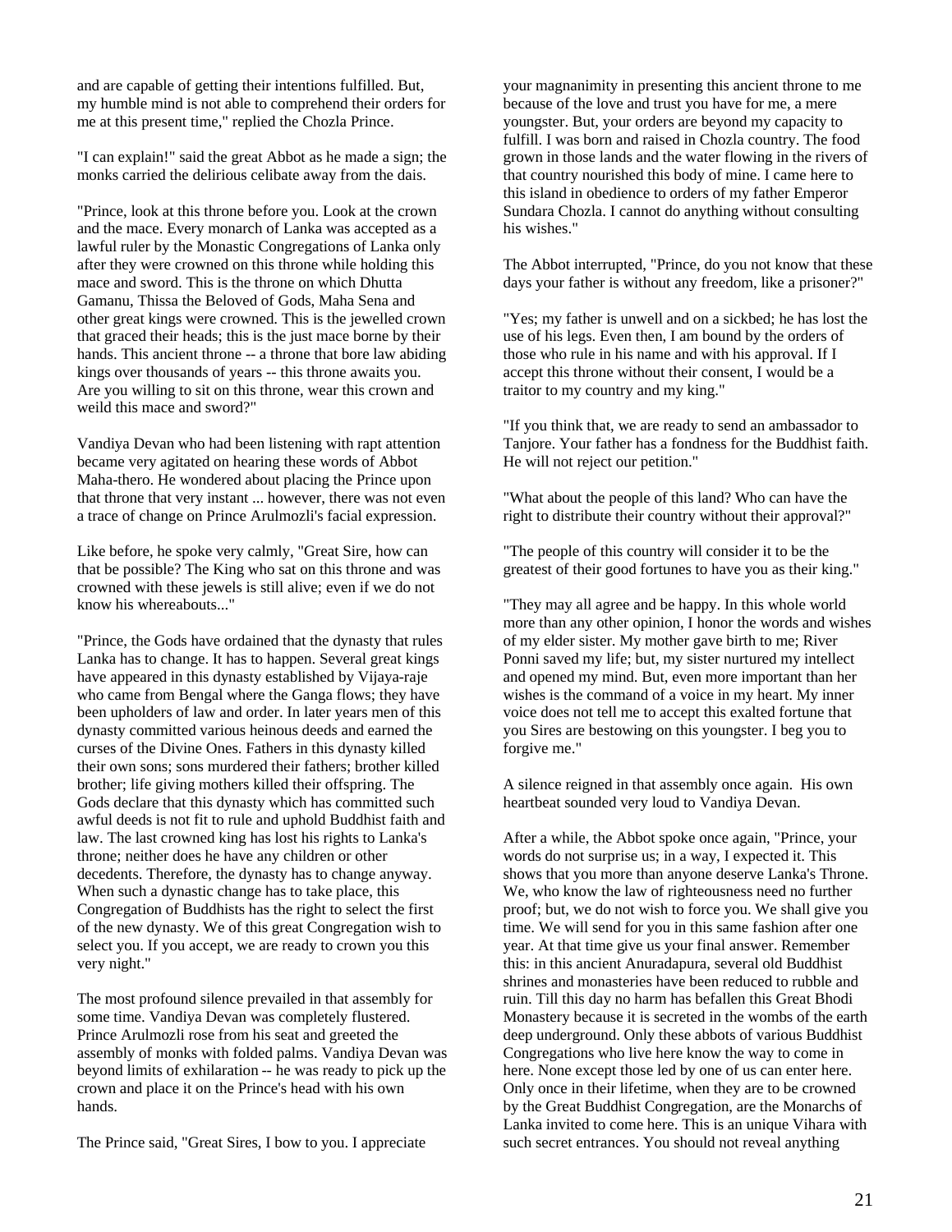and are capable of getting their intentions fulfilled. But, my humble mind is not able to comprehend their orders for me at this present time," replied the Chozla Prince.

"I can explain!" said the great Abbot as he made a sign; the monks carried the delirious celibate away from the dais.

"Prince, look at this throne before you. Look at the crown and the mace. Every monarch of Lanka was accepted as a lawful ruler by the Monastic Congregations of Lanka only after they were crowned on this throne while holding this mace and sword. This is the throne on which Dhutta Gamanu, Thissa the Beloved of Gods, Maha Sena and other great kings were crowned. This is the jewelled crown that graced their heads; this is the just mace borne by their hands. This ancient throne -- a throne that bore law abiding kings over thousands of years -- this throne awaits you. Are you willing to sit on this throne, wear this crown and weild this mace and sword?"

Vandiya Devan who had been listening with rapt attention became very agitated on hearing these words of Abbot Maha-thero. He wondered about placing the Prince upon that throne that very instant ... however, there was not even a trace of change on Prince Arulmozli's facial expression.

Like before, he spoke very calmly, "Great Sire, how can that be possible? The King who sat on this throne and was crowned with these jewels is still alive; even if we do not know his whereabouts..."

"Prince, the Gods have ordained that the dynasty that rules Lanka has to change. It has to happen. Several great kings have appeared in this dynasty established by Vijaya-raje who came from Bengal where the Ganga flows; they have been upholders of law and order. In later years men of this dynasty committed various heinous deeds and earned the curses of the Divine Ones. Fathers in this dynasty killed their own sons; sons murdered their fathers; brother killed brother; life giving mothers killed their offspring. The Gods declare that this dynasty which has committed such awful deeds is not fit to rule and uphold Buddhist faith and law. The last crowned king has lost his rights to Lanka's throne; neither does he have any children or other decedents. Therefore, the dynasty has to change anyway. When such a dynastic change has to take place, this Congregation of Buddhists has the right to select the first of the new dynasty. We of this great Congregation wish to select you. If you accept, we are ready to crown you this very night."

The most profound silence prevailed in that assembly for some time. Vandiya Devan was completely flustered. Prince Arulmozli rose from his seat and greeted the assembly of monks with folded palms. Vandiya Devan was beyond limits of exhilaration -- he was ready to pick up the crown and place it on the Prince's head with his own hands.

The Prince said, "Great Sires, I bow to you. I appreciate

your magnanimity in presenting this ancient throne to me because of the love and trust you have for me, a mere youngster. But, your orders are beyond my capacity to fulfill. I was born and raised in Chozla country. The food grown in those lands and the water flowing in the rivers of that country nourished this body of mine. I came here to this island in obedience to orders of my father Emperor Sundara Chozla. I cannot do anything without consulting his wishes."

The Abbot interrupted, "Prince, do you not know that these days your father is without any freedom, like a prisoner?"

"Yes; my father is unwell and on a sickbed; he has lost the use of his legs. Even then, I am bound by the orders of those who rule in his name and with his approval. If I accept this throne without their consent, I would be a traitor to my country and my king."

"If you think that, we are ready to send an ambassador to Tanjore. Your father has a fondness for the Buddhist faith. He will not reject our petition."

"What about the people of this land? Who can have the right to distribute their country without their approval?"

"The people of this country will consider it to be the greatest of their good fortunes to have you as their king."

"They may all agree and be happy. In this whole world more than any other opinion, I honor the words and wishes of my elder sister. My mother gave birth to me; River Ponni saved my life; but, my sister nurtured my intellect and opened my mind. But, even more important than her wishes is the command of a voice in my heart. My inner voice does not tell me to accept this exalted fortune that you Sires are bestowing on this youngster. I beg you to forgive me."

A silence reigned in that assembly once again. His own heartbeat sounded very loud to Vandiya Devan.

After a while, the Abbot spoke once again, "Prince, your words do not surprise us; in a way, I expected it. This shows that you more than anyone deserve Lanka's Throne. We, who know the law of righteousness need no further proof; but, we do not wish to force you. We shall give you time. We will send for you in this same fashion after one year. At that time give us your final answer. Remember this: in this ancient Anuradapura, several old Buddhist shrines and monasteries have been reduced to rubble and ruin. Till this day no harm has befallen this Great Bhodi Monastery because it is secreted in the wombs of the earth deep underground. Only these abbots of various Buddhist Congregations who live here know the way to come in here. None except those led by one of us can enter here. Only once in their lifetime, when they are to be crowned by the Great Buddhist Congregation, are the Monarchs of Lanka invited to come here. This is an unique Vihara with such secret entrances. You should not reveal anything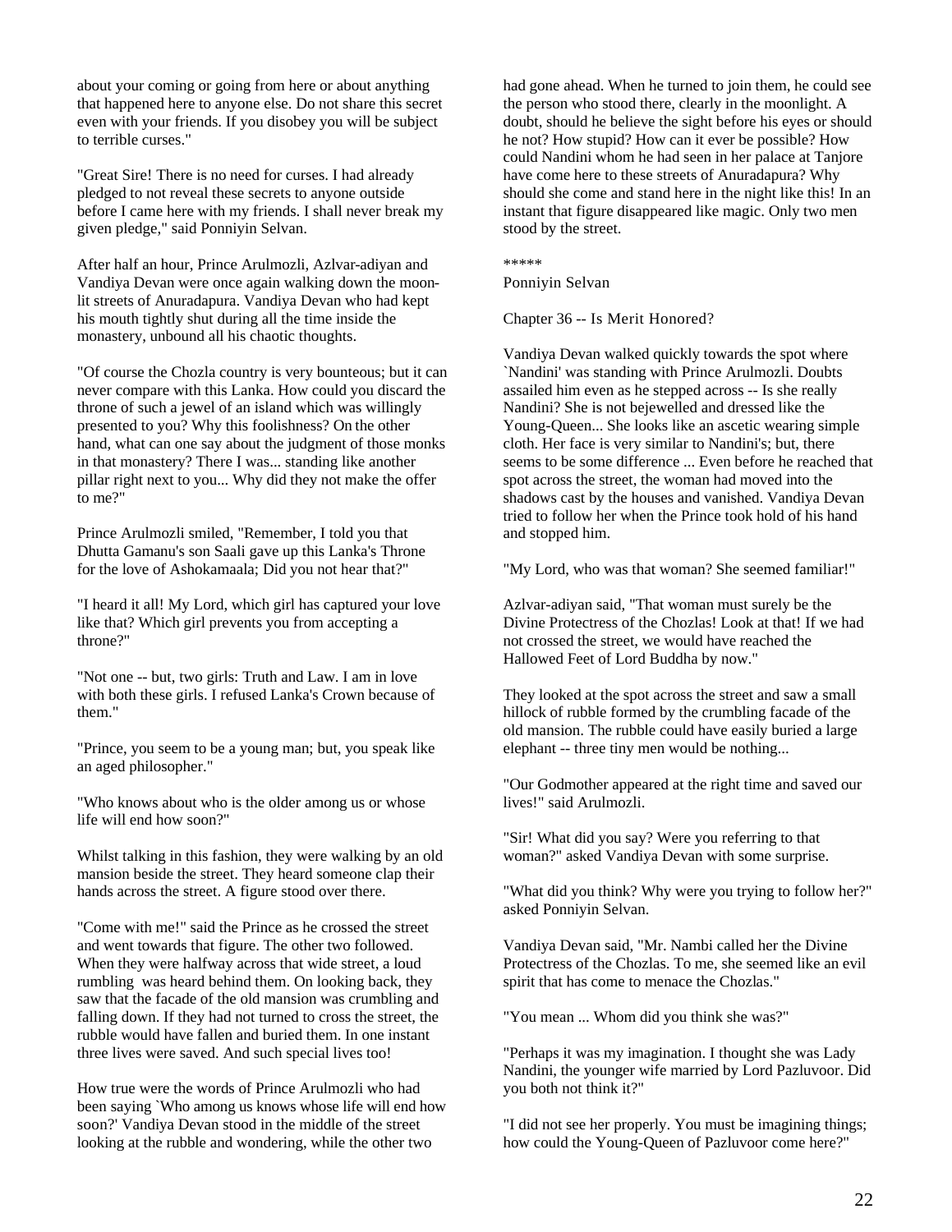about your coming or going from here or about anything that happened here to anyone else. Do not share this secret even with your friends. If you disobey you will be subject to terrible curses."

"Great Sire! There is no need for curses. I had already pledged to not reveal these secrets to anyone outside before I came here with my friends. I shall never break my given pledge," said Ponniyin Selvan.

After half an hour, Prince Arulmozli, Azlvar-adiyan and Vandiya Devan were once again walking down the moonlit streets of Anuradapura. Vandiya Devan who had kept his mouth tightly shut during all the time inside the monastery, unbound all his chaotic thoughts.

"Of course the Chozla country is very bounteous; but it can never compare with this Lanka. How could you discard the throne of such a jewel of an island which was willingly presented to you? Why this foolishness? On the other hand, what can one say about the judgment of those monks in that monastery? There I was... standing like another pillar right next to you... Why did they not make the offer to me?"

Prince Arulmozli smiled, "Remember, I told you that Dhutta Gamanu's son Saali gave up this Lanka's Throne for the love of Ashokamaala; Did you not hear that?"

"I heard it all! My Lord, which girl has captured your love like that? Which girl prevents you from accepting a throne?"

"Not one -- but, two girls: Truth and Law. I am in love with both these girls. I refused Lanka's Crown because of them."

"Prince, you seem to be a young man; but, you speak like an aged philosopher."

"Who knows about who is the older among us or whose life will end how soon?"

Whilst talking in this fashion, they were walking by an old mansion beside the street. They heard someone clap their hands across the street. A figure stood over there.

"Come with me!" said the Prince as he crossed the street and went towards that figure. The other two followed. When they were halfway across that wide street, a loud rumbling was heard behind them. On looking back, they saw that the facade of the old mansion was crumbling and falling down. If they had not turned to cross the street, the rubble would have fallen and buried them. In one instant three lives were saved. And such special lives too!

How true were the words of Prince Arulmozli who had been saying `Who among us knows whose life will end how soon?' Vandiya Devan stood in the middle of the street looking at the rubble and wondering, while the other two

had gone ahead. When he turned to join them, he could see the person who stood there, clearly in the moonlight. A doubt, should he believe the sight before his eyes or should he not? How stupid? How can it ever be possible? How could Nandini whom he had seen in her palace at Tanjore have come here to these streets of Anuradapura? Why should she come and stand here in the night like this! In an instant that figure disappeared like magic. Only two men stood by the street.

\*\*\*\*\*

Ponniyin Selvan

Chapter 36 -- Is Merit Honored?

Vandiya Devan walked quickly towards the spot where `Nandini' was standing with Prince Arulmozli. Doubts assailed him even as he stepped across -- Is she really Nandini? She is not bejewelled and dressed like the Young-Queen... She looks like an ascetic wearing simple cloth. Her face is very similar to Nandini's; but, there seems to be some difference ... Even before he reached that spot across the street, the woman had moved into the shadows cast by the houses and vanished. Vandiya Devan tried to follow her when the Prince took hold of his hand and stopped him.

"My Lord, who was that woman? She seemed familiar!"

Azlvar-adiyan said, "That woman must surely be the Divine Protectress of the Chozlas! Look at that! If we had not crossed the street, we would have reached the Hallowed Feet of Lord Buddha by now."

They looked at the spot across the street and saw a small hillock of rubble formed by the crumbling facade of the old mansion. The rubble could have easily buried a large elephant -- three tiny men would be nothing...

"Our Godmother appeared at the right time and saved our lives!" said Arulmozli.

"Sir! What did you say? Were you referring to that woman?" asked Vandiya Devan with some surprise.

"What did you think? Why were you trying to follow her?" asked Ponniyin Selvan.

Vandiya Devan said, "Mr. Nambi called her the Divine Protectress of the Chozlas. To me, she seemed like an evil spirit that has come to menace the Chozlas."

"You mean ... Whom did you think she was?"

"Perhaps it was my imagination. I thought she was Lady Nandini, the younger wife married by Lord Pazluvoor. Did you both not think it?"

"I did not see her properly. You must be imagining things; how could the Young-Queen of Pazluvoor come here?"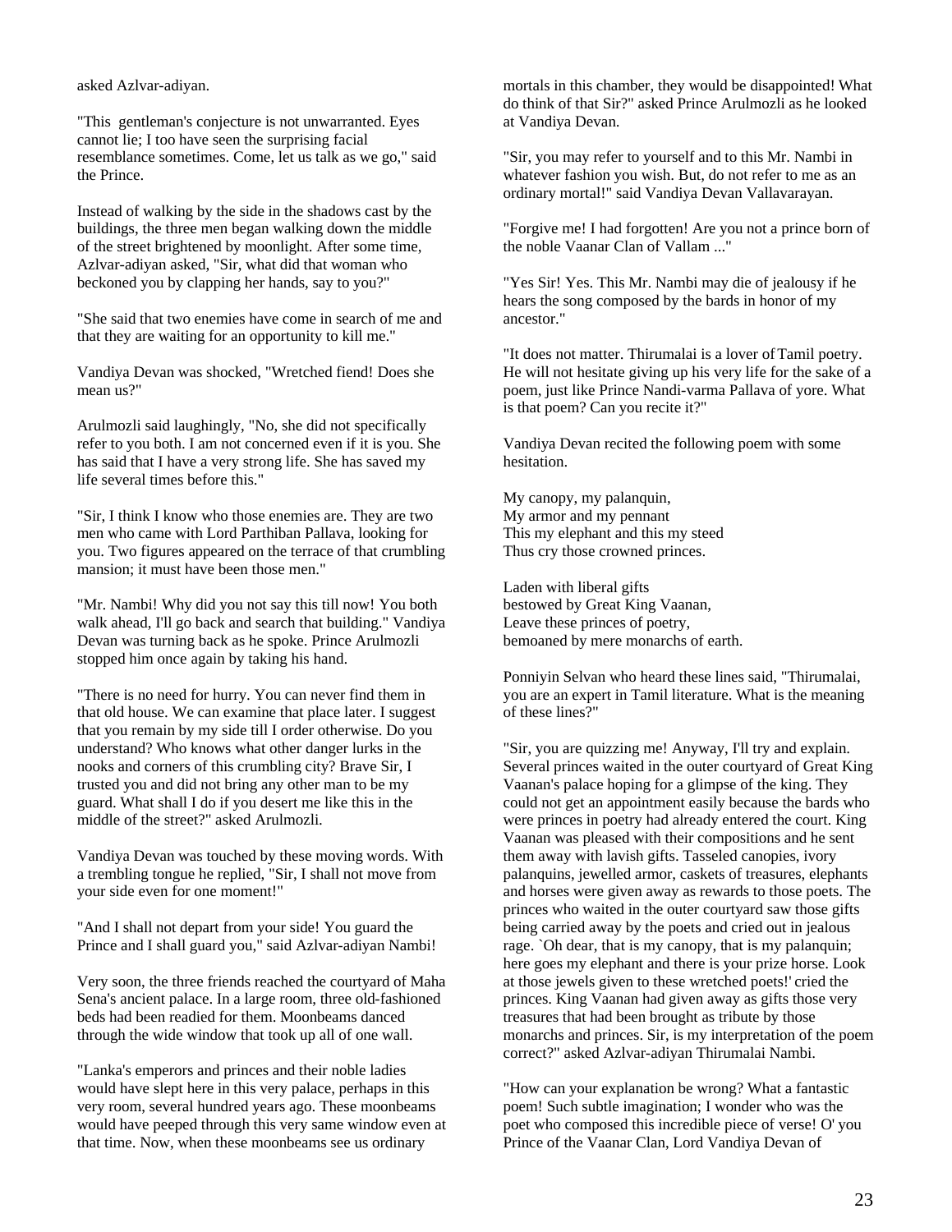asked Azlvar-adiyan.

"This gentleman's conjecture is not unwarranted. Eyes cannot lie; I too have seen the surprising facial resemblance sometimes. Come, let us talk as we go," said the Prince.

Instead of walking by the side in the shadows cast by the buildings, the three men began walking down the middle of the street brightened by moonlight. After some time, Azlvar-adiyan asked, "Sir, what did that woman who beckoned you by clapping her hands, say to you?"

"She said that two enemies have come in search of me and that they are waiting for an opportunity to kill me."

Vandiya Devan was shocked, "Wretched fiend! Does she mean us?"

Arulmozli said laughingly, "No, she did not specifically refer to you both. I am not concerned even if it is you. She has said that I have a very strong life. She has saved my life several times before this."

"Sir, I think I know who those enemies are. They are two men who came with Lord Parthiban Pallava, looking for you. Two figures appeared on the terrace of that crumbling mansion; it must have been those men."

"Mr. Nambi! Why did you not say this till now! You both walk ahead, I'll go back and search that building." Vandiya Devan was turning back as he spoke. Prince Arulmozli stopped him once again by taking his hand.

"There is no need for hurry. You can never find them in that old house. We can examine that place later. I suggest that you remain by my side till I order otherwise. Do you understand? Who knows what other danger lurks in the nooks and corners of this crumbling city? Brave Sir, I trusted you and did not bring any other man to be my guard. What shall I do if you desert me like this in the middle of the street?" asked Arulmozli.

Vandiya Devan was touched by these moving words. With a trembling tongue he replied, "Sir, I shall not move from your side even for one moment!"

"And I shall not depart from your side! You guard the Prince and I shall guard you," said Azlvar-adiyan Nambi!

Very soon, the three friends reached the courtyard of Maha Sena's ancient palace. In a large room, three old-fashioned beds had been readied for them. Moonbeams danced through the wide window that took up all of one wall.

"Lanka's emperors and princes and their noble ladies would have slept here in this very palace, perhaps in this very room, several hundred years ago. These moonbeams would have peeped through this very same window even at that time. Now, when these moonbeams see us ordinary

mortals in this chamber, they would be disappointed! What do think of that Sir?" asked Prince Arulmozli as he looked at Vandiya Devan.

"Sir, you may refer to yourself and to this Mr. Nambi in whatever fashion you wish. But, do not refer to me as an ordinary mortal!" said Vandiya Devan Vallavarayan.

"Forgive me! I had forgotten! Are you not a prince born of the noble Vaanar Clan of Vallam ..."

"Yes Sir! Yes. This Mr. Nambi may die of jealousy if he hears the song composed by the bards in honor of my ancestor."

"It does not matter. Thirumalai is a lover of Tamil poetry. He will not hesitate giving up his very life for the sake of a poem, just like Prince Nandi-varma Pallava of yore. What is that poem? Can you recite it?"

Vandiya Devan recited the following poem with some hesitation.

My canopy, my palanquin, My armor and my pennant This my elephant and this my steed Thus cry those crowned princes.

Laden with liberal gifts bestowed by Great King Vaanan, Leave these princes of poetry, bemoaned by mere monarchs of earth.

Ponniyin Selvan who heard these lines said, "Thirumalai, you are an expert in Tamil literature. What is the meaning of these lines?"

"Sir, you are quizzing me! Anyway, I'll try and explain. Several princes waited in the outer courtyard of Great King Vaanan's palace hoping for a glimpse of the king. They could not get an appointment easily because the bards who were princes in poetry had already entered the court. King Vaanan was pleased with their compositions and he sent them away with lavish gifts. Tasseled canopies, ivory palanquins, jewelled armor, caskets of treasures, elephants and horses were given away as rewards to those poets. The princes who waited in the outer courtyard saw those gifts being carried away by the poets and cried out in jealous rage. `Oh dear, that is my canopy, that is my palanquin; here goes my elephant and there is your prize horse. Look at those jewels given to these wretched poets!' cried the princes. King Vaanan had given away as gifts those very treasures that had been brought as tribute by those monarchs and princes. Sir, is my interpretation of the poem correct?" asked Azlvar-adiyan Thirumalai Nambi.

"How can your explanation be wrong? What a fantastic poem! Such subtle imagination; I wonder who was the poet who composed this incredible piece of verse! O' you Prince of the Vaanar Clan, Lord Vandiya Devan of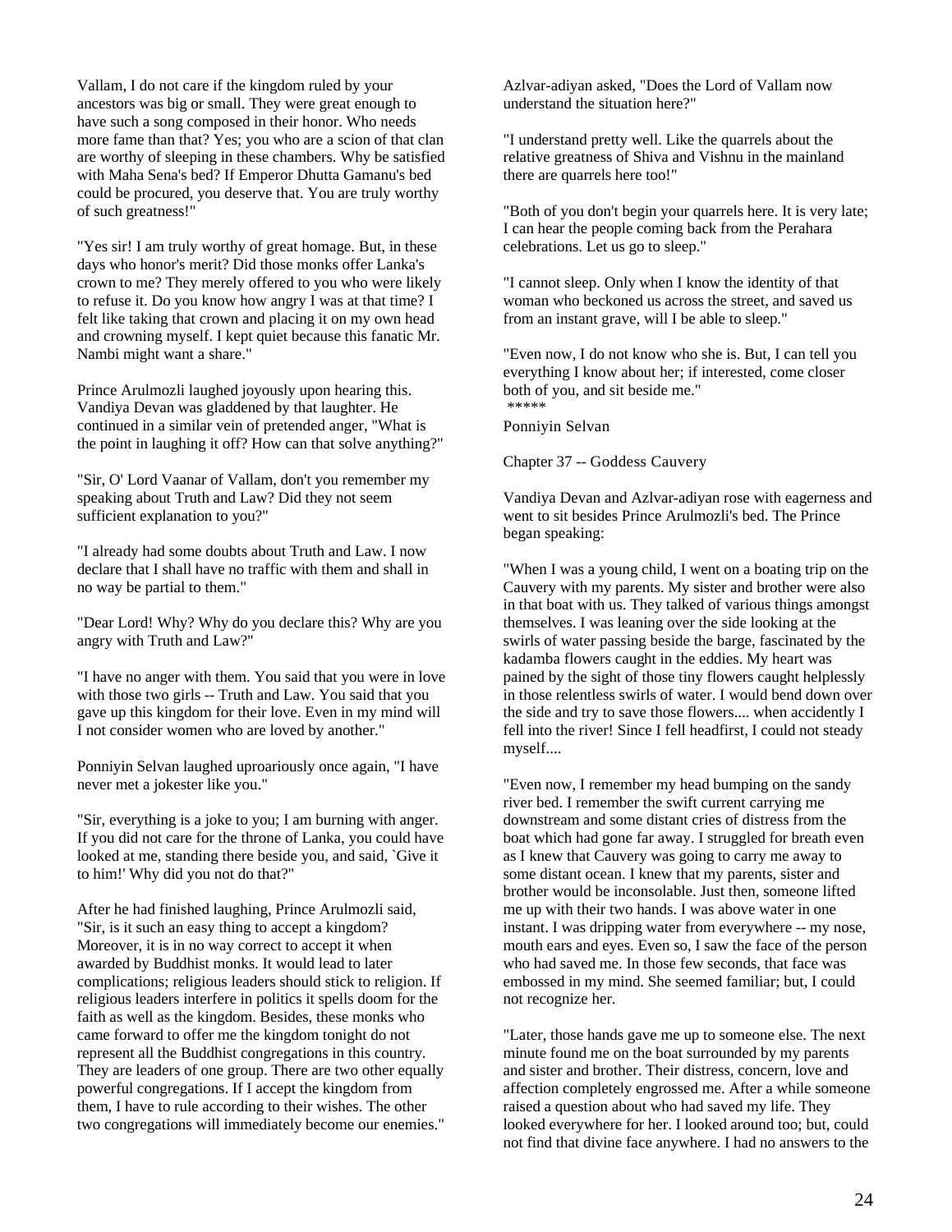Vallam, I do not care if the kingdom ruled by your ancestors was big or small. They were great enough to have such a song composed in their honor. Who needs more fame than that? Yes: you who are a scion of that clan are worthy of sleeping in these chambers. Why be satisfied with Maha Sena's bed? If Emperor Dhutta Gamanu's bed could be procured, you deserve that. You are truly worthy of such greatness!"

"Yes sir! I am truly worthy of great homage. But, in these days who honor's merit? Did those monks offer Lanka's crown to me? They merely offered to you who were likely to refuse it. Do you know how angry I was at that time? I felt like taking that crown and placing it on my own head and crowning myself. I kept quiet because this fanatic Mr. Nambi might want a share."

Prince Arulmozli laughed joyously upon hearing this. Vandiya Devan was gladdened by that laughter. He continued in a similar vein of pretended anger, "What is the point in laughing it off? How can that solve anything?"

"Sir, O' Lord Vaanar of Vallam, don't you remember my speaking about Truth and Law? Did they not seem sufficient explanation to you?"

"I already had some doubts about Truth and Law. I now declare that I shall have no traffic with them and shall in no way be partial to them."

"Dear Lord! Why? Why do you declare this? Why are you angry with Truth and Law?"

"I have no anger with them. You said that you were in love with those two girls -- Truth and Law. You said that you gave up this kingdom for their love. Even in my mind will I not consider women who are loved by another."

Ponniyin Selvan laughed uproariously once again, "I have never met a jokester like you."

"Sir, everything is a joke to you; I am burning with anger. If you did not care for the throne of Lanka, you could have looked at me, standing there beside you, and said, `Give it to him!' Why did you not do that?"

After he had finished laughing, Prince Arulmozli said, "Sir, is it such an easy thing to accept a kingdom? Moreover, it is in no way correct to accept it when awarded by Buddhist monks. It would lead to later complications; religious leaders should stick to religion. If religious leaders interfere in politics it spells doom for the faith as well as the kingdom. Besides, these monks who came forward to offer me the kingdom tonight do not represent all the Buddhist congregations in this country. They are leaders of one group. There are two other equally powerful congregations. If I accept the kingdom from them, I have to rule according to their wishes. The other two congregations will immediately become our enemies."

Azlvar-adiyan asked, "Does the Lord of Vallam now understand the situation here?"

"I understand pretty well. Like the quarrels about the relative greatness of Shiva and Vishnu in the mainland there are quarrels here too!"

"Both of you don't begin your quarrels here. It is very late; I can hear the people coming back from the Perahara celebrations. Let us go to sleep."

"I cannot sleep. Only when I know the identity of that woman who beckoned us across the street, and saved us from an instant grave, will I be able to sleep."

"Even now, I do not know who she is. But, I can tell you everything I know about her; if interested, come closer both of you, and sit beside me." \*\*\*\*\*

Ponniyin Selvan

Chapter 37 -- Goddess Cauvery

Vandiya Devan and Azlvar-adiyan rose with eagerness and went to sit besides Prince Arulmozli's bed. The Prince began speaking:

"When I was a young child, I went on a boating trip on the Cauvery with my parents. My sister and brother were also in that boat with us. They talked of various things amongst themselves. I was leaning over the side looking at the swirls of water passing beside the barge, fascinated by the kadamba flowers caught in the eddies. My heart was pained by the sight of those tiny flowers caught helplessly in those relentless swirls of water. I would bend down over the side and try to save those flowers.... when accidently I fell into the river! Since I fell headfirst, I could not steady myself....

"Even now, I remember my head bumping on the sandy river bed. I remember the swift current carrying me downstream and some distant cries of distress from the boat which had gone far away. I struggled for breath even as I knew that Cauvery was going to carry me away to some distant ocean. I knew that my parents, sister and brother would be inconsolable. Just then, someone lifted me up with their two hands. I was above water in one instant. I was dripping water from everywhere -- my nose, mouth ears and eyes. Even so, I saw the face of the person who had saved me. In those few seconds, that face was embossed in my mind. She seemed familiar; but, I could not recognize her.

"Later, those hands gave me up to someone else. The next minute found me on the boat surrounded by my parents and sister and brother. Their distress, concern, love and affection completely engrossed me. After a while someone raised a question about who had saved my life. They looked everywhere for her. I looked around too; but, could not find that divine face anywhere. I had no answers to the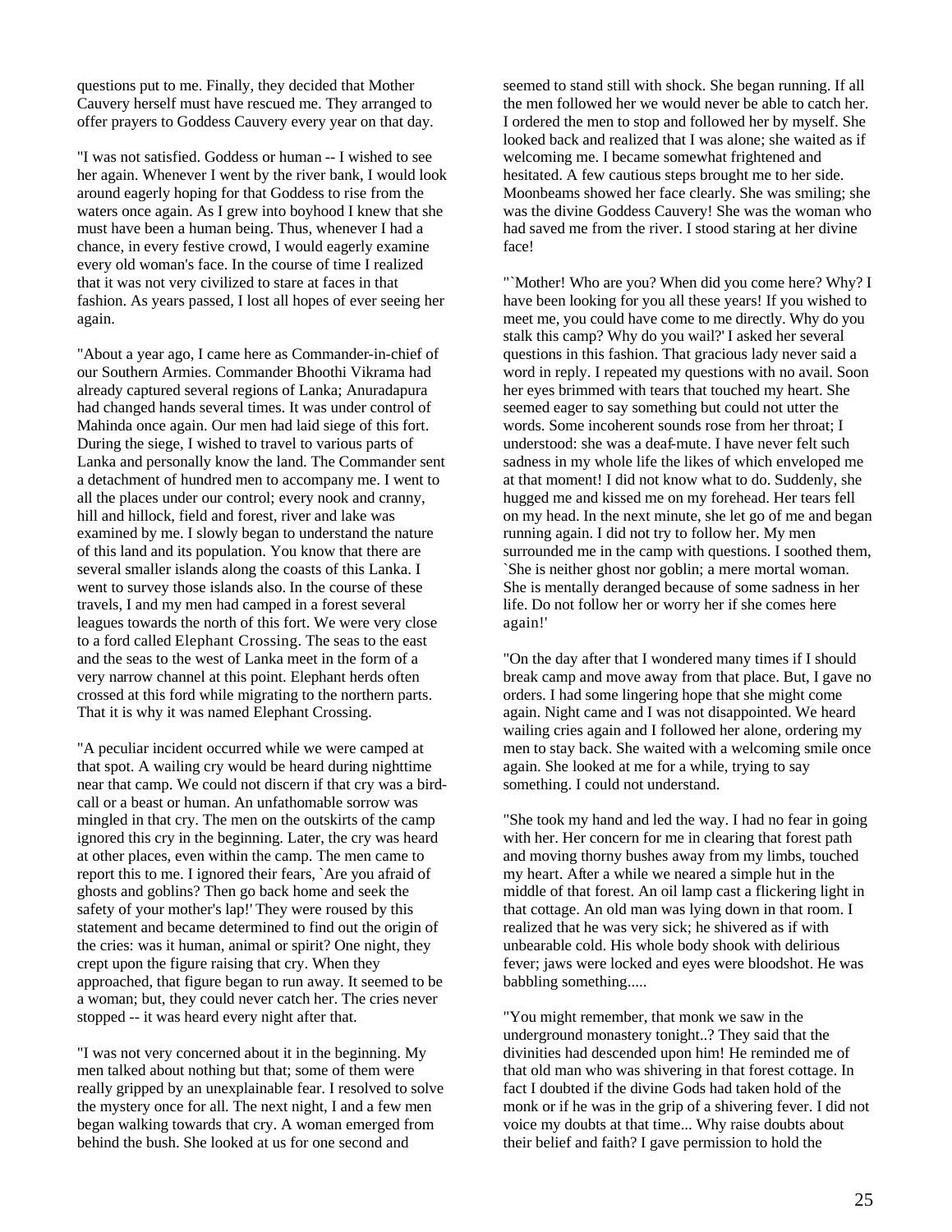questions put to me. Finally, they decided that Mother Cauvery herself must have rescued me. They arranged to offer prayers to Goddess Cauvery every year on that day.

"I was not satisfied. Goddess or human -- I wished to see her again. Whenever I went by the river bank, I would look around eagerly hoping for that Goddess to rise from the waters once again. As I grew into boyhood I knew that she must have been a human being. Thus, whenever I had a chance, in every festive crowd, I would eagerly examine every old woman's face. In the course of time I realized that it was not very civilized to stare at faces in that fashion. As years passed, I lost all hopes of ever seeing her again.

"About a year ago, I came here as Commander-in-chief of our Southern Armies. Commander Bhoothi Vikrama had already captured several regions of Lanka; Anuradapura had changed hands several times. It was under control of Mahinda once again. Our men had laid siege of this fort. During the siege, I wished to travel to various parts of Lanka and personally know the land. The Commander sent a detachment of hundred men to accompany me. I went to all the places under our control; every nook and cranny, hill and hillock, field and forest, river and lake was examined by me. I slowly began to understand the nature of this land and its population. You know that there are several smaller islands along the coasts of this Lanka. I went to survey those islands also. In the course of these travels, I and my men had camped in a forest several leagues towards the north of this fort. We were very close to a ford called Elephant Crossing. The seas to the east and the seas to the west of Lanka meet in the form of a very narrow channel at this point. Elephant herds often crossed at this ford while migrating to the northern parts. That it is why it was named Elephant Crossing.

"A peculiar incident occurred while we were camped at that spot. A wailing cry would be heard during nighttime near that camp. We could not discern if that cry was a birdcall or a beast or human. An unfathomable sorrow was mingled in that cry. The men on the outskirts of the camp ignored this cry in the beginning. Later, the cry was heard at other places, even within the camp. The men came to report this to me. I ignored their fears, `Are you afraid of ghosts and goblins? Then go back home and seek the safety of your mother's lap!' They were roused by this statement and became determined to find out the origin of the cries: was it human, animal or spirit? One night, they crept upon the figure raising that cry. When they approached, that figure began to run away. It seemed to be a woman; but, they could never catch her. The cries never stopped -- it was heard every night after that.

"I was not very concerned about it in the beginning. My men talked about nothing but that; some of them were really gripped by an unexplainable fear. I resolved to solve the mystery once for all. The next night, I and a few men began walking towards that cry. A woman emerged from behind the bush. She looked at us for one second and

seemed to stand still with shock. She began running. If all the men followed her we would never be able to catch her. I ordered the men to stop and followed her by myself. She looked back and realized that I was alone; she waited as if welcoming me. I became somewhat frightened and hesitated. A few cautious steps brought me to her side. Moonbeams showed her face clearly. She was smiling; she was the divine Goddess Cauvery! She was the woman who had saved me from the river. I stood staring at her divine face!

"`Mother! Who are you? When did you come here? Why? I have been looking for you all these years! If you wished to meet me, you could have come to me directly. Why do you stalk this camp? Why do you wail?' I asked her several questions in this fashion. That gracious lady never said a word in reply. I repeated my questions with no avail. Soon her eyes brimmed with tears that touched my heart. She seemed eager to say something but could not utter the words. Some incoherent sounds rose from her throat; I understood: she was a deaf-mute. I have never felt such sadness in my whole life the likes of which enveloped me at that moment! I did not know what to do. Suddenly, she hugged me and kissed me on my forehead. Her tears fell on my head. In the next minute, she let go of me and began running again. I did not try to follow her. My men surrounded me in the camp with questions. I soothed them, `She is neither ghost nor goblin; a mere mortal woman. She is mentally deranged because of some sadness in her life. Do not follow her or worry her if she comes here again!'

"On the day after that I wondered many times if I should break camp and move away from that place. But, I gave no orders. I had some lingering hope that she might come again. Night came and I was not disappointed. We heard wailing cries again and I followed her alone, ordering my men to stay back. She waited with a welcoming smile once again. She looked at me for a while, trying to say something. I could not understand.

"She took my hand and led the way. I had no fear in going with her. Her concern for me in clearing that forest path and moving thorny bushes away from my limbs, touched my heart. After a while we neared a simple hut in the middle of that forest. An oil lamp cast a flickering light in that cottage. An old man was lying down in that room. I realized that he was very sick; he shivered as if with unbearable cold. His whole body shook with delirious fever; jaws were locked and eyes were bloodshot. He was babbling something.....

"You might remember, that monk we saw in the underground monastery tonight..? They said that the divinities had descended upon him! He reminded me of that old man who was shivering in that forest cottage. In fact I doubted if the divine Gods had taken hold of the monk or if he was in the grip of a shivering fever. I did not voice my doubts at that time... Why raise doubts about their belief and faith? I gave permission to hold the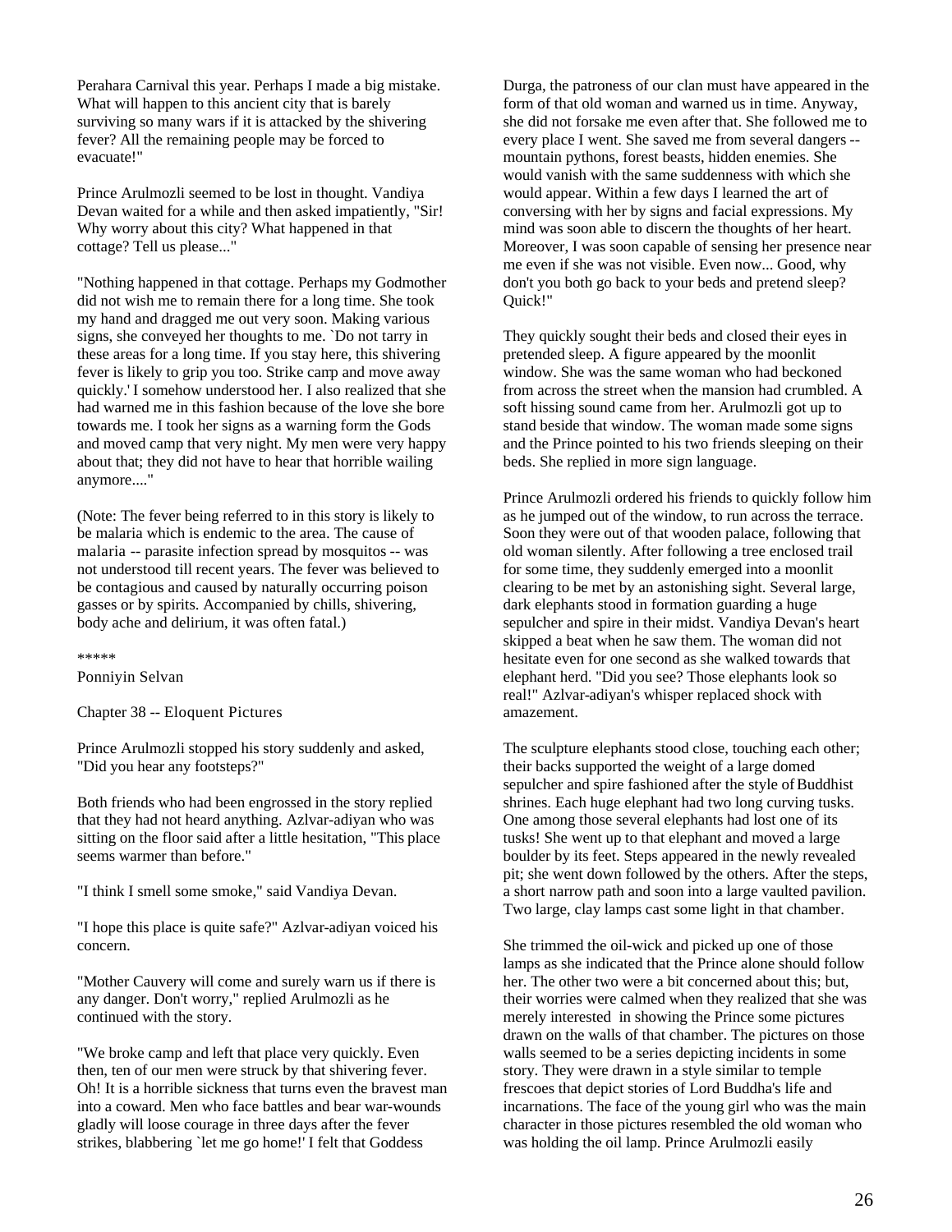Perahara Carnival this year. Perhaps I made a big mistake. What will happen to this ancient city that is barely surviving so many wars if it is attacked by the shivering fever? All the remaining people may be forced to evacuate!"

Prince Arulmozli seemed to be lost in thought. Vandiya Devan waited for a while and then asked impatiently, "Sir! Why worry about this city? What happened in that cottage? Tell us please..."

"Nothing happened in that cottage. Perhaps my Godmother did not wish me to remain there for a long time. She took my hand and dragged me out very soon. Making various signs, she conveyed her thoughts to me. `Do not tarry in these areas for a long time. If you stay here, this shivering fever is likely to grip you too. Strike camp and move away quickly.' I somehow understood her. I also realized that she had warned me in this fashion because of the love she bore towards me. I took her signs as a warning form the Gods and moved camp that very night. My men were very happy about that; they did not have to hear that horrible wailing anymore...."

(Note: The fever being referred to in this story is likely to be malaria which is endemic to the area. The cause of malaria -- parasite infection spread by mosquitos -- was not understood till recent years. The fever was believed to be contagious and caused by naturally occurring poison gasses or by spirits. Accompanied by chills, shivering, body ache and delirium, it was often fatal.)

\*\*\*\*\*

Ponniyin Selvan

Chapter 38 -- Eloquent Pictures

Prince Arulmozli stopped his story suddenly and asked, "Did you hear any footsteps?"

Both friends who had been engrossed in the story replied that they had not heard anything. Azlvar-adiyan who was sitting on the floor said after a little hesitation, "This place seems warmer than before."

"I think I smell some smoke," said Vandiya Devan.

"I hope this place is quite safe?" Azlvar-adiyan voiced his concern.

"Mother Cauvery will come and surely warn us if there is any danger. Don't worry," replied Arulmozli as he continued with the story.

"We broke camp and left that place very quickly. Even then, ten of our men were struck by that shivering fever. Oh! It is a horrible sickness that turns even the bravest man into a coward. Men who face battles and bear war-wounds gladly will loose courage in three days after the fever strikes, blabbering `let me go home!' I felt that Goddess

Durga, the patroness of our clan must have appeared in the form of that old woman and warned us in time. Anyway, she did not forsake me even after that. She followed me to every place I went. She saved me from several dangers - mountain pythons, forest beasts, hidden enemies. She would vanish with the same suddenness with which she would appear. Within a few days I learned the art of conversing with her by signs and facial expressions. My mind was soon able to discern the thoughts of her heart. Moreover, I was soon capable of sensing her presence near me even if she was not visible. Even now... Good, why don't you both go back to your beds and pretend sleep? Quick!"

They quickly sought their beds and closed their eyes in pretended sleep. A figure appeared by the moonlit window. She was the same woman who had beckoned from across the street when the mansion had crumbled. A soft hissing sound came from her. Arulmozli got up to stand beside that window. The woman made some signs and the Prince pointed to his two friends sleeping on their beds. She replied in more sign language.

Prince Arulmozli ordered his friends to quickly follow him as he jumped out of the window, to run across the terrace. Soon they were out of that wooden palace, following that old woman silently. After following a tree enclosed trail for some time, they suddenly emerged into a moonlit clearing to be met by an astonishing sight. Several large, dark elephants stood in formation guarding a huge sepulcher and spire in their midst. Vandiya Devan's heart skipped a beat when he saw them. The woman did not hesitate even for one second as she walked towards that elephant herd. "Did you see? Those elephants look so real!" Azlvar-adiyan's whisper replaced shock with amazement.

The sculpture elephants stood close, touching each other; their backs supported the weight of a large domed sepulcher and spire fashioned after the style of Buddhist shrines. Each huge elephant had two long curving tusks. One among those several elephants had lost one of its tusks! She went up to that elephant and moved a large boulder by its feet. Steps appeared in the newly revealed pit; she went down followed by the others. After the steps, a short narrow path and soon into a large vaulted pavilion. Two large, clay lamps cast some light in that chamber.

She trimmed the oil-wick and picked up one of those lamps as she indicated that the Prince alone should follow her. The other two were a bit concerned about this; but, their worries were calmed when they realized that she was merely interested in showing the Prince some pictures drawn on the walls of that chamber. The pictures on those walls seemed to be a series depicting incidents in some story. They were drawn in a style similar to temple frescoes that depict stories of Lord Buddha's life and incarnations. The face of the young girl who was the main character in those pictures resembled the old woman who was holding the oil lamp. Prince Arulmozli easily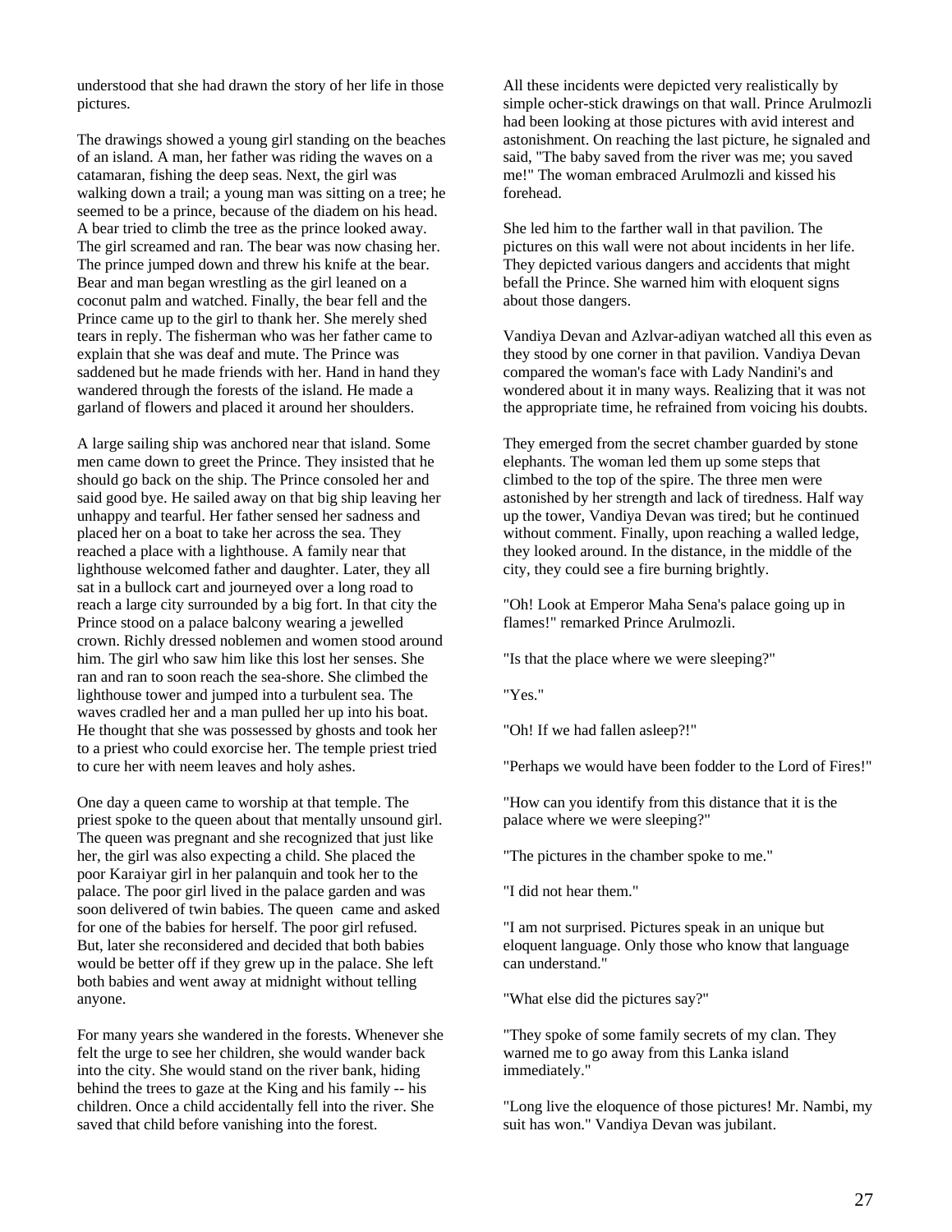understood that she had drawn the story of her life in those pictures.

The drawings showed a young girl standing on the beaches of an island. A man, her father was riding the waves on a catamaran, fishing the deep seas. Next, the girl was walking down a trail; a young man was sitting on a tree; he seemed to be a prince, because of the diadem on his head. A bear tried to climb the tree as the prince looked away. The girl screamed and ran. The bear was now chasing her. The prince jumped down and threw his knife at the bear. Bear and man began wrestling as the girl leaned on a coconut palm and watched. Finally, the bear fell and the Prince came up to the girl to thank her. She merely shed tears in reply. The fisherman who was her father came to explain that she was deaf and mute. The Prince was saddened but he made friends with her. Hand in hand they wandered through the forests of the island. He made a garland of flowers and placed it around her shoulders.

A large sailing ship was anchored near that island. Some men came down to greet the Prince. They insisted that he should go back on the ship. The Prince consoled her and said good bye. He sailed away on that big ship leaving her unhappy and tearful. Her father sensed her sadness and placed her on a boat to take her across the sea. They reached a place with a lighthouse. A family near that lighthouse welcomed father and daughter. Later, they all sat in a bullock cart and journeyed over a long road to reach a large city surrounded by a big fort. In that city the Prince stood on a palace balcony wearing a jewelled crown. Richly dressed noblemen and women stood around him. The girl who saw him like this lost her senses. She ran and ran to soon reach the sea-shore. She climbed the lighthouse tower and jumped into a turbulent sea. The waves cradled her and a man pulled her up into his boat. He thought that she was possessed by ghosts and took her to a priest who could exorcise her. The temple priest tried to cure her with neem leaves and holy ashes.

One day a queen came to worship at that temple. The priest spoke to the queen about that mentally unsound girl. The queen was pregnant and she recognized that just like her, the girl was also expecting a child. She placed the poor Karaiyar girl in her palanquin and took her to the palace. The poor girl lived in the palace garden and was soon delivered of twin babies. The queen came and asked for one of the babies for herself. The poor girl refused. But, later she reconsidered and decided that both babies would be better off if they grew up in the palace. She left both babies and went away at midnight without telling anyone.

For many years she wandered in the forests. Whenever she felt the urge to see her children, she would wander back into the city. She would stand on the river bank, hiding behind the trees to gaze at the King and his family -- his children. Once a child accidentally fell into the river. She saved that child before vanishing into the forest.

All these incidents were depicted very realistically by simple ocher-stick drawings on that wall. Prince Arulmozli had been looking at those pictures with avid interest and astonishment. On reaching the last picture, he signaled and said, "The baby saved from the river was me; you saved me!" The woman embraced Arulmozli and kissed his forehead.

She led him to the farther wall in that pavilion. The pictures on this wall were not about incidents in her life. They depicted various dangers and accidents that might befall the Prince. She warned him with eloquent signs about those dangers.

Vandiya Devan and Azlvar-adiyan watched all this even as they stood by one corner in that pavilion. Vandiya Devan compared the woman's face with Lady Nandini's and wondered about it in many ways. Realizing that it was not the appropriate time, he refrained from voicing his doubts.

They emerged from the secret chamber guarded by stone elephants. The woman led them up some steps that climbed to the top of the spire. The three men were astonished by her strength and lack of tiredness. Half way up the tower, Vandiya Devan was tired; but he continued without comment. Finally, upon reaching a walled ledge, they looked around. In the distance, in the middle of the city, they could see a fire burning brightly.

"Oh! Look at Emperor Maha Sena's palace going up in flames!" remarked Prince Arulmozli.

"Is that the place where we were sleeping?"

"Yes."

"Oh! If we had fallen asleep?!"

"Perhaps we would have been fodder to the Lord of Fires!"

"How can you identify from this distance that it is the palace where we were sleeping?"

"The pictures in the chamber spoke to me."

"I did not hear them."

"I am not surprised. Pictures speak in an unique but eloquent language. Only those who know that language can understand."

"What else did the pictures say?"

"They spoke of some family secrets of my clan. They warned me to go away from this Lanka island immediately."

"Long live the eloquence of those pictures! Mr. Nambi, my suit has won." Vandiya Devan was jubilant.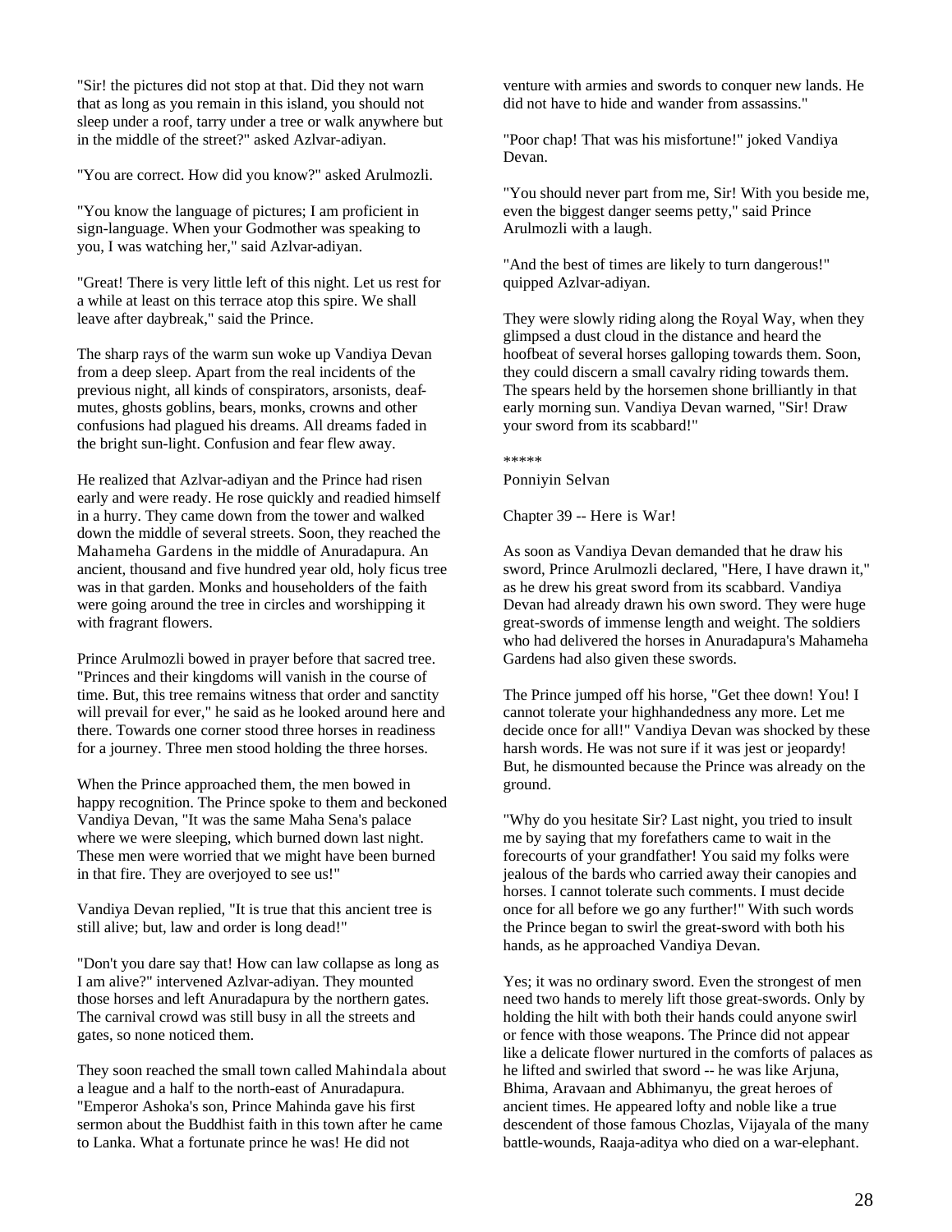"Sir! the pictures did not stop at that. Did they not warn that as long as you remain in this island, you should not sleep under a roof, tarry under a tree or walk anywhere but in the middle of the street?" asked Azlvar-adiyan.

"You are correct. How did you know?" asked Arulmozli.

"You know the language of pictures; I am proficient in sign-language. When your Godmother was speaking to you, I was watching her," said Azlvar-adiyan.

"Great! There is very little left of this night. Let us rest for a while at least on this terrace atop this spire. We shall leave after daybreak," said the Prince.

The sharp rays of the warm sun woke up Vandiya Devan from a deep sleep. Apart from the real incidents of the previous night, all kinds of conspirators, arsonists, deafmutes, ghosts goblins, bears, monks, crowns and other confusions had plagued his dreams. All dreams faded in the bright sun-light. Confusion and fear flew away.

He realized that Azlvar-adiyan and the Prince had risen early and were ready. He rose quickly and readied himself in a hurry. They came down from the tower and walked down the middle of several streets. Soon, they reached the Mahameha Gardens in the middle of Anuradapura. An ancient, thousand and five hundred year old, holy ficus tree was in that garden. Monks and householders of the faith were going around the tree in circles and worshipping it with fragrant flowers.

Prince Arulmozli bowed in prayer before that sacred tree. "Princes and their kingdoms will vanish in the course of time. But, this tree remains witness that order and sanctity will prevail for ever," he said as he looked around here and there. Towards one corner stood three horses in readiness for a journey. Three men stood holding the three horses.

When the Prince approached them, the men bowed in happy recognition. The Prince spoke to them and beckoned Vandiya Devan, "It was the same Maha Sena's palace where we were sleeping, which burned down last night. These men were worried that we might have been burned in that fire. They are overjoyed to see us!"

Vandiya Devan replied, "It is true that this ancient tree is still alive; but, law and order is long dead!"

"Don't you dare say that! How can law collapse as long as I am alive?" intervened Azlvar-adiyan. They mounted those horses and left Anuradapura by the northern gates. The carnival crowd was still busy in all the streets and gates, so none noticed them.

They soon reached the small town called Mahindala about a league and a half to the north-east of Anuradapura. "Emperor Ashoka's son, Prince Mahinda gave his first sermon about the Buddhist faith in this town after he came to Lanka. What a fortunate prince he was! He did not

venture with armies and swords to conquer new lands. He did not have to hide and wander from assassins."

"Poor chap! That was his misfortune!" joked Vandiya Devan.

"You should never part from me, Sir! With you beside me, even the biggest danger seems petty," said Prince Arulmozli with a laugh.

"And the best of times are likely to turn dangerous!" quipped Azlvar-adiyan.

They were slowly riding along the Royal Way, when they glimpsed a dust cloud in the distance and heard the hoofbeat of several horses galloping towards them. Soon, they could discern a small cavalry riding towards them. The spears held by the horsemen shone brilliantly in that early morning sun. Vandiya Devan warned, "Sir! Draw your sword from its scabbard!"

\*\*\*\*\*

Ponniyin Selvan

Chapter 39 -- Here is War!

As soon as Vandiya Devan demanded that he draw his sword, Prince Arulmozli declared, "Here, I have drawn it," as he drew his great sword from its scabbard. Vandiya Devan had already drawn his own sword. They were huge great-swords of immense length and weight. The soldiers who had delivered the horses in Anuradapura's Mahameha Gardens had also given these swords.

The Prince jumped off his horse, "Get thee down! You! I cannot tolerate your highhandedness any more. Let me decide once for all!" Vandiya Devan was shocked by these harsh words. He was not sure if it was jest or jeopardy! But, he dismounted because the Prince was already on the ground.

"Why do you hesitate Sir? Last night, you tried to insult me by saying that my forefathers came to wait in the forecourts of your grandfather! You said my folks were jealous of the bards who carried away their canopies and horses. I cannot tolerate such comments. I must decide once for all before we go any further!" With such words the Prince began to swirl the great-sword with both his hands, as he approached Vandiya Devan.

Yes; it was no ordinary sword. Even the strongest of men need two hands to merely lift those great-swords. Only by holding the hilt with both their hands could anyone swirl or fence with those weapons. The Prince did not appear like a delicate flower nurtured in the comforts of palaces as he lifted and swirled that sword -- he was like Arjuna, Bhima, Aravaan and Abhimanyu, the great heroes of ancient times. He appeared lofty and noble like a true descendent of those famous Chozlas, Vijayala of the many battle-wounds, Raaja-aditya who died on a war-elephant.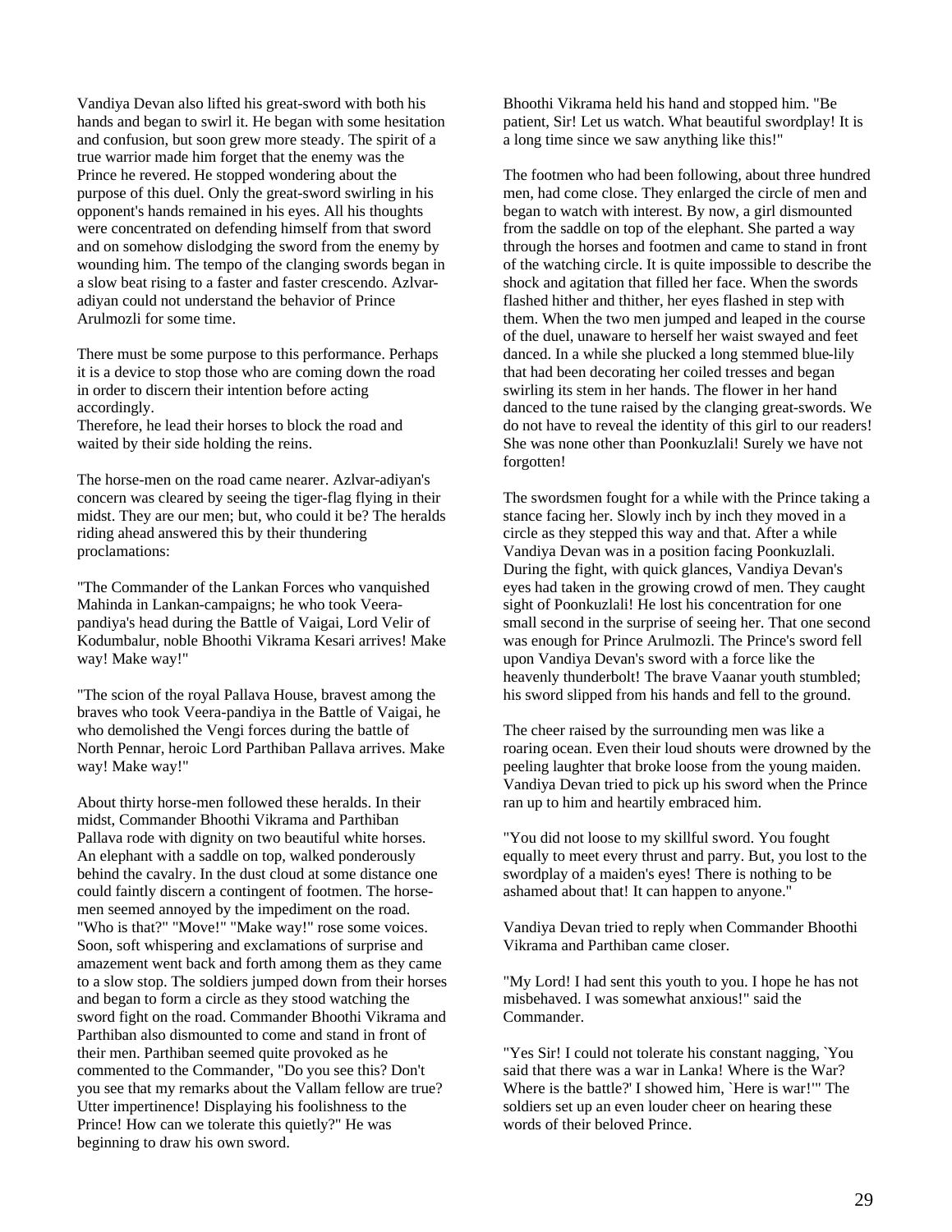Vandiya Devan also lifted his great-sword with both his hands and began to swirl it. He began with some hesitation and confusion, but soon grew more steady. The spirit of a true warrior made him forget that the enemy was the Prince he revered. He stopped wondering about the purpose of this duel. Only the great-sword swirling in his opponent's hands remained in his eyes. All his thoughts were concentrated on defending himself from that sword and on somehow dislodging the sword from the enemy by wounding him. The tempo of the clanging swords began in a slow beat rising to a faster and faster crescendo. Azlvaradiyan could not understand the behavior of Prince Arulmozli for some time.

There must be some purpose to this performance. Perhaps it is a device to stop those who are coming down the road in order to discern their intention before acting accordingly.

Therefore, he lead their horses to block the road and waited by their side holding the reins.

The horse-men on the road came nearer. Azlvar-adiyan's concern was cleared by seeing the tiger-flag flying in their midst. They are our men; but, who could it be? The heralds riding ahead answered this by their thundering proclamations:

"The Commander of the Lankan Forces who vanquished Mahinda in Lankan-campaigns; he who took Veerapandiya's head during the Battle of Vaigai, Lord Velir of Kodumbalur, noble Bhoothi Vikrama Kesari arrives! Make way! Make way!"

"The scion of the royal Pallava House, bravest among the braves who took Veera-pandiya in the Battle of Vaigai, he who demolished the Vengi forces during the battle of North Pennar, heroic Lord Parthiban Pallava arrives. Make way! Make way!"

About thirty horse-men followed these heralds. In their midst, Commander Bhoothi Vikrama and Parthiban Pallava rode with dignity on two beautiful white horses. An elephant with a saddle on top, walked ponderously behind the cavalry. In the dust cloud at some distance one could faintly discern a contingent of footmen. The horsemen seemed annoyed by the impediment on the road. "Who is that?" "Move!" "Make way!" rose some voices. Soon, soft whispering and exclamations of surprise and amazement went back and forth among them as they came to a slow stop. The soldiers jumped down from their horses and began to form a circle as they stood watching the sword fight on the road. Commander Bhoothi Vikrama and Parthiban also dismounted to come and stand in front of their men. Parthiban seemed quite provoked as he commented to the Commander, "Do you see this? Don't you see that my remarks about the Vallam fellow are true? Utter impertinence! Displaying his foolishness to the Prince! How can we tolerate this quietly?" He was beginning to draw his own sword.

Bhoothi Vikrama held his hand and stopped him. "Be patient, Sir! Let us watch. What beautiful swordplay! It is a long time since we saw anything like this!"

The footmen who had been following, about three hundred men, had come close. They enlarged the circle of men and began to watch with interest. By now, a girl dismounted from the saddle on top of the elephant. She parted a way through the horses and footmen and came to stand in front of the watching circle. It is quite impossible to describe the shock and agitation that filled her face. When the swords flashed hither and thither, her eyes flashed in step with them. When the two men jumped and leaped in the course of the duel, unaware to herself her waist swayed and feet danced. In a while she plucked a long stemmed blue-lily that had been decorating her coiled tresses and began swirling its stem in her hands. The flower in her hand danced to the tune raised by the clanging great-swords. We do not have to reveal the identity of this girl to our readers! She was none other than Poonkuzlali! Surely we have not forgotten!

The swordsmen fought for a while with the Prince taking a stance facing her. Slowly inch by inch they moved in a circle as they stepped this way and that. After a while Vandiya Devan was in a position facing Poonkuzlali. During the fight, with quick glances, Vandiya Devan's eyes had taken in the growing crowd of men. They caught sight of Poonkuzlali! He lost his concentration for one small second in the surprise of seeing her. That one second was enough for Prince Arulmozli. The Prince's sword fell upon Vandiya Devan's sword with a force like the heavenly thunderbolt! The brave Vaanar youth stumbled; his sword slipped from his hands and fell to the ground.

The cheer raised by the surrounding men was like a roaring ocean. Even their loud shouts were drowned by the peeling laughter that broke loose from the young maiden. Vandiya Devan tried to pick up his sword when the Prince ran up to him and heartily embraced him.

"You did not loose to my skillful sword. You fought equally to meet every thrust and parry. But, you lost to the swordplay of a maiden's eyes! There is nothing to be ashamed about that! It can happen to anyone."

Vandiya Devan tried to reply when Commander Bhoothi Vikrama and Parthiban came closer.

"My Lord! I had sent this youth to you. I hope he has not misbehaved. I was somewhat anxious!" said the Commander.

"Yes Sir! I could not tolerate his constant nagging, `You said that there was a war in Lanka! Where is the War? Where is the battle?' I showed him, `Here is war!'" The soldiers set up an even louder cheer on hearing these words of their beloved Prince.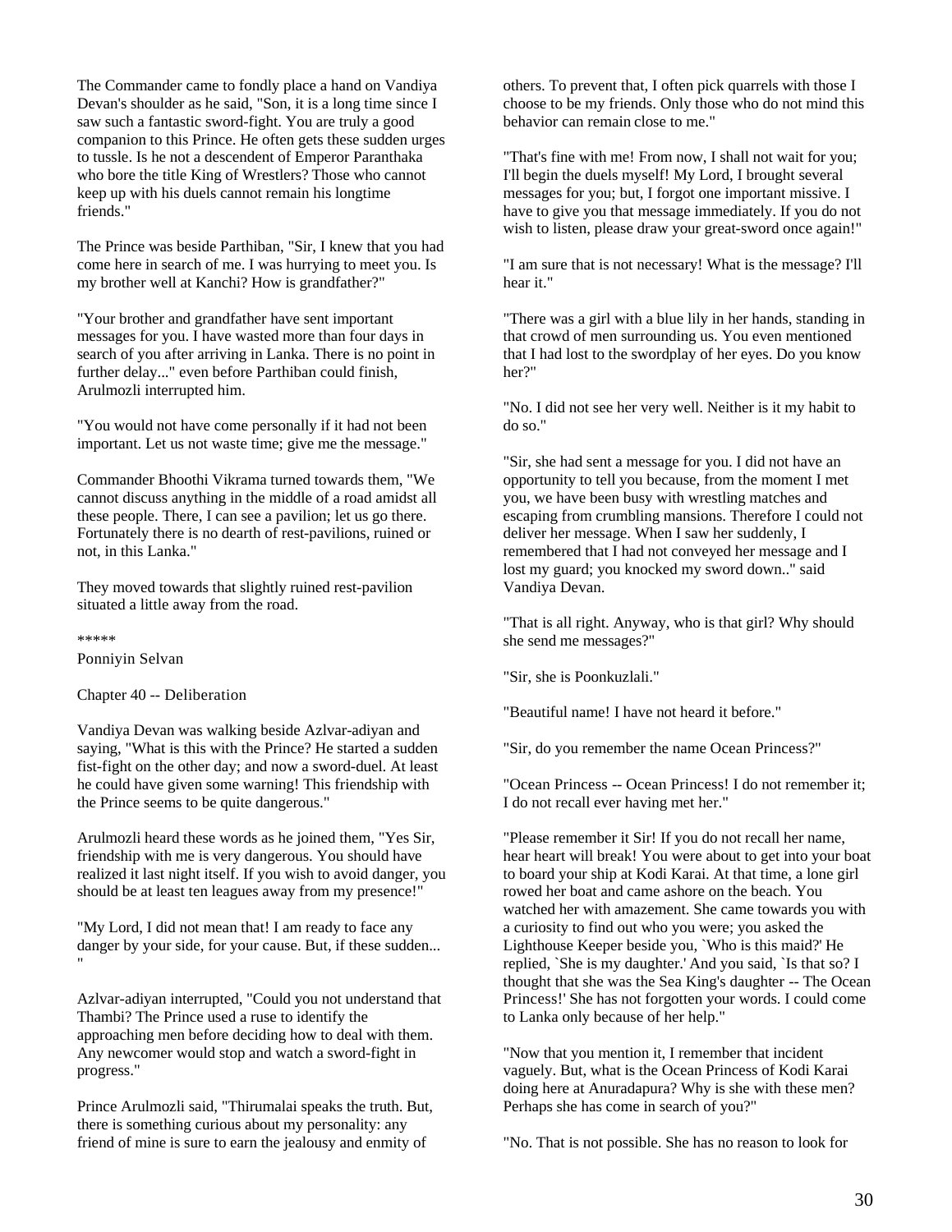The Commander came to fondly place a hand on Vandiya Devan's shoulder as he said, "Son, it is a long time since I saw such a fantastic sword-fight. You are truly a good companion to this Prince. He often gets these sudden urges to tussle. Is he not a descendent of Emperor Paranthaka who bore the title King of Wrestlers? Those who cannot keep up with his duels cannot remain his longtime friends."

The Prince was beside Parthiban, "Sir, I knew that you had come here in search of me. I was hurrying to meet you. Is my brother well at Kanchi? How is grandfather?"

"Your brother and grandfather have sent important messages for you. I have wasted more than four days in search of you after arriving in Lanka. There is no point in further delay..." even before Parthiban could finish, Arulmozli interrupted him.

"You would not have come personally if it had not been important. Let us not waste time; give me the message."

Commander Bhoothi Vikrama turned towards them, "We cannot discuss anything in the middle of a road amidst all these people. There, I can see a pavilion; let us go there. Fortunately there is no dearth of rest-pavilions, ruined or not, in this Lanka."

They moved towards that slightly ruined rest-pavilion situated a little away from the road.

\*\*\*\*\*

Ponniyin Selvan

Chapter 40 -- Deliberation

Vandiya Devan was walking beside Azlvar-adiyan and saying, "What is this with the Prince? He started a sudden fist-fight on the other day; and now a sword-duel. At least he could have given some warning! This friendship with the Prince seems to be quite dangerous."

Arulmozli heard these words as he joined them, "Yes Sir, friendship with me is very dangerous. You should have realized it last night itself. If you wish to avoid danger, you should be at least ten leagues away from my presence!"

"My Lord, I did not mean that! I am ready to face any danger by your side, for your cause. But, if these sudden... "

Azlvar-adiyan interrupted, "Could you not understand that Thambi? The Prince used a ruse to identify the approaching men before deciding how to deal with them. Any newcomer would stop and watch a sword-fight in progress."

Prince Arulmozli said, "Thirumalai speaks the truth. But, there is something curious about my personality: any friend of mine is sure to earn the jealousy and enmity of

others. To prevent that, I often pick quarrels with those I choose to be my friends. Only those who do not mind this behavior can remain close to me."

"That's fine with me! From now, I shall not wait for you; I'll begin the duels myself! My Lord, I brought several messages for you; but, I forgot one important missive. I have to give you that message immediately. If you do not wish to listen, please draw your great-sword once again!"

"I am sure that is not necessary! What is the message? I'll hear it."

"There was a girl with a blue lily in her hands, standing in that crowd of men surrounding us. You even mentioned that I had lost to the swordplay of her eyes. Do you know her?"

"No. I did not see her very well. Neither is it my habit to do so."

"Sir, she had sent a message for you. I did not have an opportunity to tell you because, from the moment I met you, we have been busy with wrestling matches and escaping from crumbling mansions. Therefore I could not deliver her message. When I saw her suddenly, I remembered that I had not conveyed her message and I lost my guard; you knocked my sword down.." said Vandiya Devan.

"That is all right. Anyway, who is that girl? Why should she send me messages?"

"Sir, she is Poonkuzlali."

"Beautiful name! I have not heard it before."

"Sir, do you remember the name Ocean Princess?"

"Ocean Princess -- Ocean Princess! I do not remember it; I do not recall ever having met her."

"Please remember it Sir! If you do not recall her name, hear heart will break! You were about to get into your boat to board your ship at Kodi Karai. At that time, a lone girl rowed her boat and came ashore on the beach. You watched her with amazement. She came towards you with a curiosity to find out who you were; you asked the Lighthouse Keeper beside you, `Who is this maid?' He replied, `She is my daughter.' And you said, `Is that so? I thought that she was the Sea King's daughter -- The Ocean Princess!' She has not forgotten your words. I could come to Lanka only because of her help."

"Now that you mention it, I remember that incident vaguely. But, what is the Ocean Princess of Kodi Karai doing here at Anuradapura? Why is she with these men? Perhaps she has come in search of you?"

"No. That is not possible. She has no reason to look for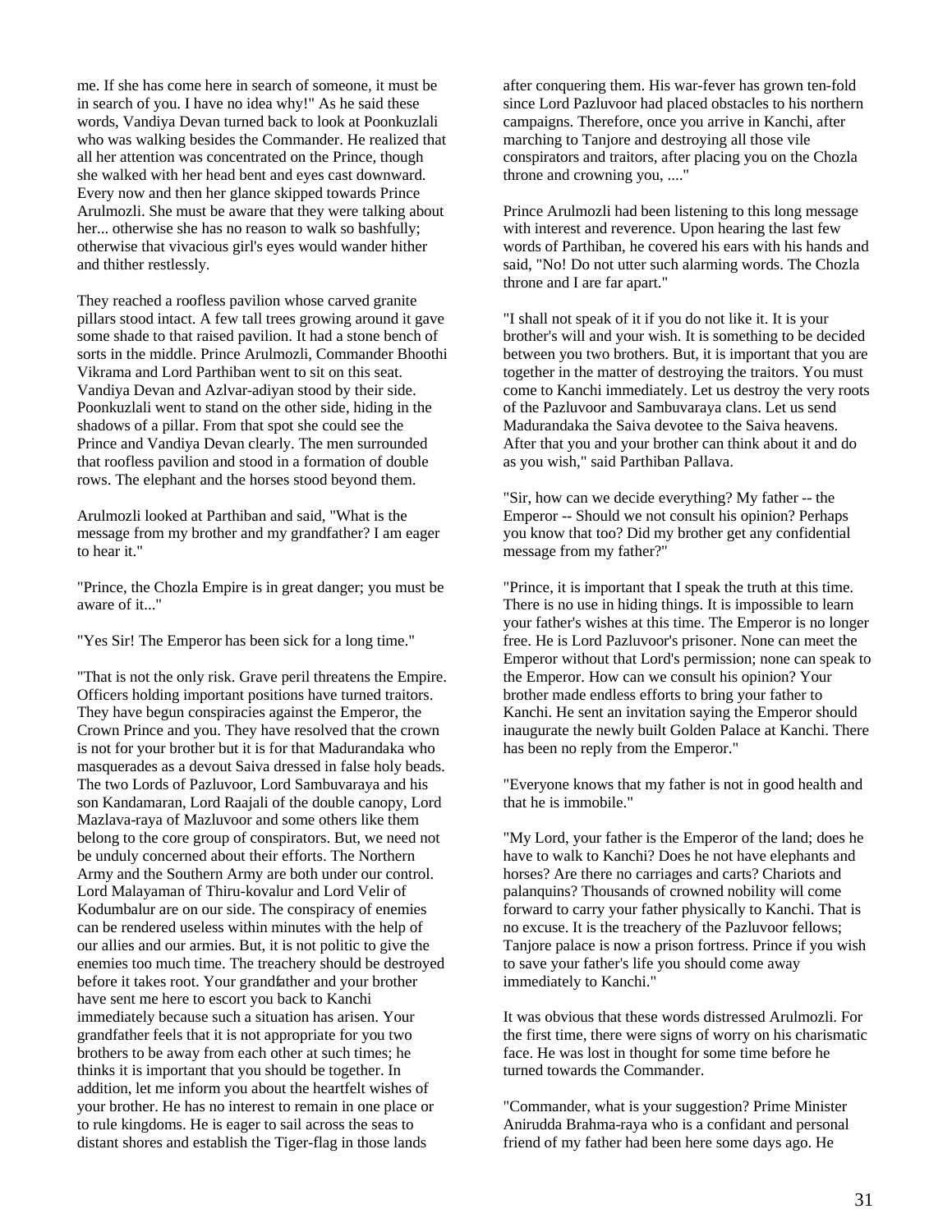me. If she has come here in search of someone, it must be in search of you. I have no idea why!" As he said these words, Vandiya Devan turned back to look at Poonkuzlali who was walking besides the Commander. He realized that all her attention was concentrated on the Prince, though she walked with her head bent and eyes cast downward. Every now and then her glance skipped towards Prince Arulmozli. She must be aware that they were talking about her... otherwise she has no reason to walk so bashfully; otherwise that vivacious girl's eyes would wander hither and thither restlessly.

They reached a roofless pavilion whose carved granite pillars stood intact. A few tall trees growing around it gave some shade to that raised pavilion. It had a stone bench of sorts in the middle. Prince Arulmozli, Commander Bhoothi Vikrama and Lord Parthiban went to sit on this seat. Vandiya Devan and Azlvar-adiyan stood by their side. Poonkuzlali went to stand on the other side, hiding in the shadows of a pillar. From that spot she could see the Prince and Vandiya Devan clearly. The men surrounded that roofless pavilion and stood in a formation of double rows. The elephant and the horses stood beyond them.

Arulmozli looked at Parthiban and said, "What is the message from my brother and my grandfather? I am eager to hear it."

"Prince, the Chozla Empire is in great danger; you must be aware of it..."

"Yes Sir! The Emperor has been sick for a long time."

"That is not the only risk. Grave peril threatens the Empire. Officers holding important positions have turned traitors. They have begun conspiracies against the Emperor, the Crown Prince and you. They have resolved that the crown is not for your brother but it is for that Madurandaka who masquerades as a devout Saiva dressed in false holy beads. The two Lords of Pazluvoor, Lord Sambuvaraya and his son Kandamaran, Lord Raajali of the double canopy, Lord Mazlava-raya of Mazluvoor and some others like them belong to the core group of conspirators. But, we need not be unduly concerned about their efforts. The Northern Army and the Southern Army are both under our control. Lord Malayaman of Thiru-kovalur and Lord Velir of Kodumbalur are on our side. The conspiracy of enemies can be rendered useless within minutes with the help of our allies and our armies. But, it is not politic to give the enemies too much time. The treachery should be destroyed before it takes root. Your grandfather and your brother have sent me here to escort you back to Kanchi immediately because such a situation has arisen. Your grandfather feels that it is not appropriate for you two brothers to be away from each other at such times; he thinks it is important that you should be together. In addition, let me inform you about the heartfelt wishes of your brother. He has no interest to remain in one place or to rule kingdoms. He is eager to sail across the seas to distant shores and establish the Tiger-flag in those lands

after conquering them. His war-fever has grown ten-fold since Lord Pazluvoor had placed obstacles to his northern campaigns. Therefore, once you arrive in Kanchi, after marching to Tanjore and destroying all those vile conspirators and traitors, after placing you on the Chozla throne and crowning you, ...."

Prince Arulmozli had been listening to this long message with interest and reverence. Upon hearing the last few words of Parthiban, he covered his ears with his hands and said, "No! Do not utter such alarming words. The Chozla throne and I are far apart."

"I shall not speak of it if you do not like it. It is your brother's will and your wish. It is something to be decided between you two brothers. But, it is important that you are together in the matter of destroying the traitors. You must come to Kanchi immediately. Let us destroy the very roots of the Pazluvoor and Sambuvaraya clans. Let us send Madurandaka the Saiva devotee to the Saiva heavens. After that you and your brother can think about it and do as you wish," said Parthiban Pallava.

"Sir, how can we decide everything? My father -- the Emperor -- Should we not consult his opinion? Perhaps you know that too? Did my brother get any confidential message from my father?"

"Prince, it is important that I speak the truth at this time. There is no use in hiding things. It is impossible to learn your father's wishes at this time. The Emperor is no longer free. He is Lord Pazluvoor's prisoner. None can meet the Emperor without that Lord's permission; none can speak to the Emperor. How can we consult his opinion? Your brother made endless efforts to bring your father to Kanchi. He sent an invitation saying the Emperor should inaugurate the newly built Golden Palace at Kanchi. There has been no reply from the Emperor."

"Everyone knows that my father is not in good health and that he is immobile."

"My Lord, your father is the Emperor of the land; does he have to walk to Kanchi? Does he not have elephants and horses? Are there no carriages and carts? Chariots and palanquins? Thousands of crowned nobility will come forward to carry your father physically to Kanchi. That is no excuse. It is the treachery of the Pazluvoor fellows; Tanjore palace is now a prison fortress. Prince if you wish to save your father's life you should come away immediately to Kanchi."

It was obvious that these words distressed Arulmozli. For the first time, there were signs of worry on his charismatic face. He was lost in thought for some time before he turned towards the Commander.

"Commander, what is your suggestion? Prime Minister Anirudda Brahma-raya who is a confidant and personal friend of my father had been here some days ago. He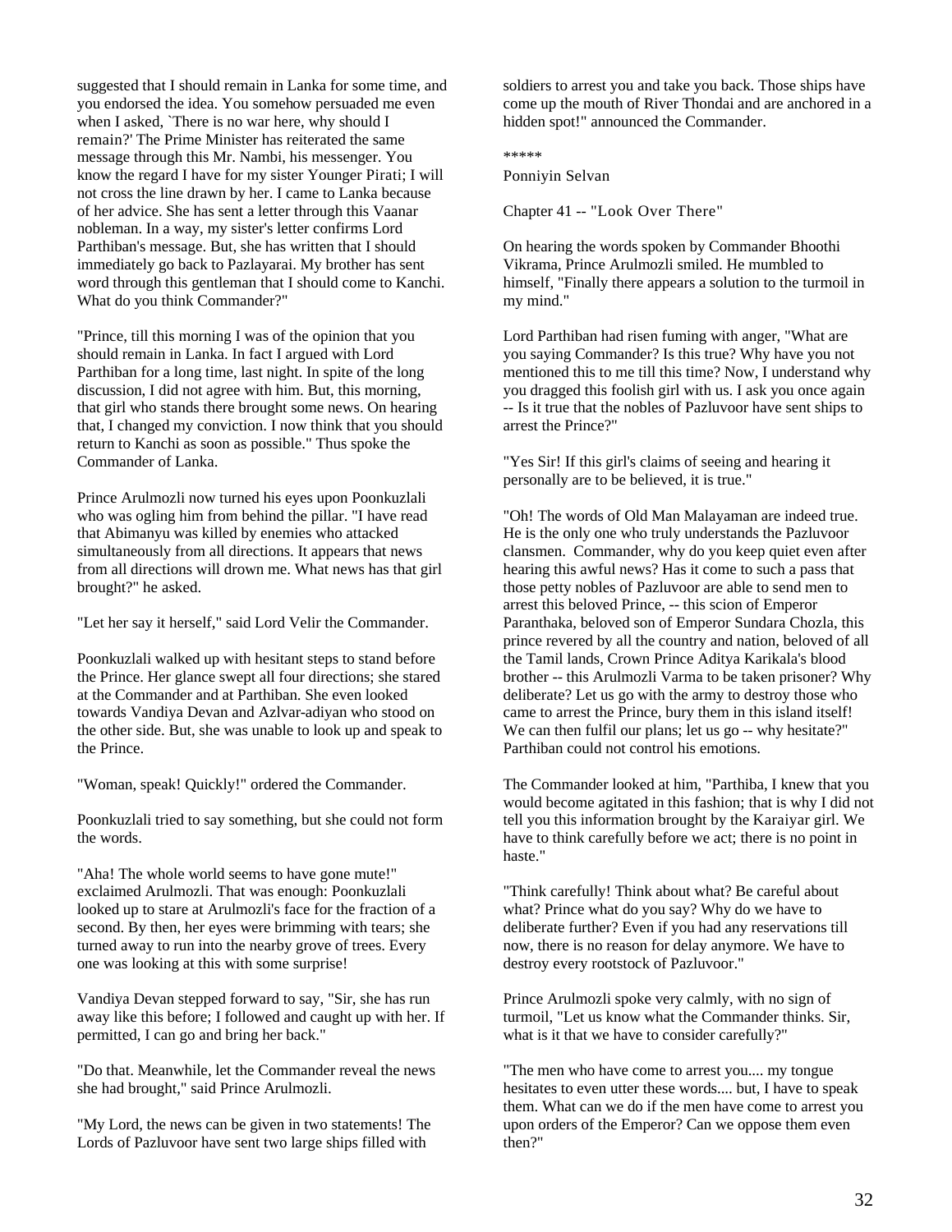suggested that I should remain in Lanka for some time, and you endorsed the idea. You somehow persuaded me even when I asked, `There is no war here, why should I remain?' The Prime Minister has reiterated the same message through this Mr. Nambi, his messenger. You know the regard I have for my sister Younger Pirati; I will not cross the line drawn by her. I came to Lanka because of her advice. She has sent a letter through this Vaanar nobleman. In a way, my sister's letter confirms Lord Parthiban's message. But, she has written that I should immediately go back to Pazlayarai. My brother has sent word through this gentleman that I should come to Kanchi. What do you think Commander?"

"Prince, till this morning I was of the opinion that you should remain in Lanka. In fact I argued with Lord Parthiban for a long time, last night. In spite of the long discussion, I did not agree with him. But, this morning, that girl who stands there brought some news. On hearing that, I changed my conviction. I now think that you should return to Kanchi as soon as possible." Thus spoke the Commander of Lanka.

Prince Arulmozli now turned his eyes upon Poonkuzlali who was ogling him from behind the pillar. "I have read that Abimanyu was killed by enemies who attacked simultaneously from all directions. It appears that news from all directions will drown me. What news has that girl brought?" he asked.

"Let her say it herself," said Lord Velir the Commander.

Poonkuzlali walked up with hesitant steps to stand before the Prince. Her glance swept all four directions; she stared at the Commander and at Parthiban. She even looked towards Vandiya Devan and Azlvar-adiyan who stood on the other side. But, she was unable to look up and speak to the Prince.

"Woman, speak! Quickly!" ordered the Commander.

Poonkuzlali tried to say something, but she could not form the words.

"Aha! The whole world seems to have gone mute!" exclaimed Arulmozli. That was enough: Poonkuzlali looked up to stare at Arulmozli's face for the fraction of a second. By then, her eyes were brimming with tears; she turned away to run into the nearby grove of trees. Every one was looking at this with some surprise!

Vandiya Devan stepped forward to say, "Sir, she has run away like this before; I followed and caught up with her. If permitted, I can go and bring her back."

"Do that. Meanwhile, let the Commander reveal the news she had brought," said Prince Arulmozli.

"My Lord, the news can be given in two statements! The Lords of Pazluvoor have sent two large ships filled with

soldiers to arrest you and take you back. Those ships have come up the mouth of River Thondai and are anchored in a hidden spot!" announced the Commander.

\*\*\*\*\*

Ponniyin Selvan

Chapter 41 -- "Look Over There"

On hearing the words spoken by Commander Bhoothi Vikrama, Prince Arulmozli smiled. He mumbled to himself, "Finally there appears a solution to the turmoil in my mind."

Lord Parthiban had risen fuming with anger, "What are you saying Commander? Is this true? Why have you not mentioned this to me till this time? Now, I understand why you dragged this foolish girl with us. I ask you once again -- Is it true that the nobles of Pazluvoor have sent ships to arrest the Prince?"

"Yes Sir! If this girl's claims of seeing and hearing it personally are to be believed, it is true."

"Oh! The words of Old Man Malayaman are indeed true. He is the only one who truly understands the Pazluvoor clansmen. Commander, why do you keep quiet even after hearing this awful news? Has it come to such a pass that those petty nobles of Pazluvoor are able to send men to arrest this beloved Prince, -- this scion of Emperor Paranthaka, beloved son of Emperor Sundara Chozla, this prince revered by all the country and nation, beloved of all the Tamil lands, Crown Prince Aditya Karikala's blood brother -- this Arulmozli Varma to be taken prisoner? Why deliberate? Let us go with the army to destroy those who came to arrest the Prince, bury them in this island itself! We can then fulfil our plans; let us go -- why hesitate?" Parthiban could not control his emotions.

The Commander looked at him, "Parthiba, I knew that you would become agitated in this fashion; that is why I did not tell you this information brought by the Karaiyar girl. We have to think carefully before we act; there is no point in haste."

"Think carefully! Think about what? Be careful about what? Prince what do you say? Why do we have to deliberate further? Even if you had any reservations till now, there is no reason for delay anymore. We have to destroy every rootstock of Pazluvoor."

Prince Arulmozli spoke very calmly, with no sign of turmoil, "Let us know what the Commander thinks. Sir, what is it that we have to consider carefully?"

"The men who have come to arrest you.... my tongue hesitates to even utter these words.... but, I have to speak them. What can we do if the men have come to arrest you upon orders of the Emperor? Can we oppose them even then?"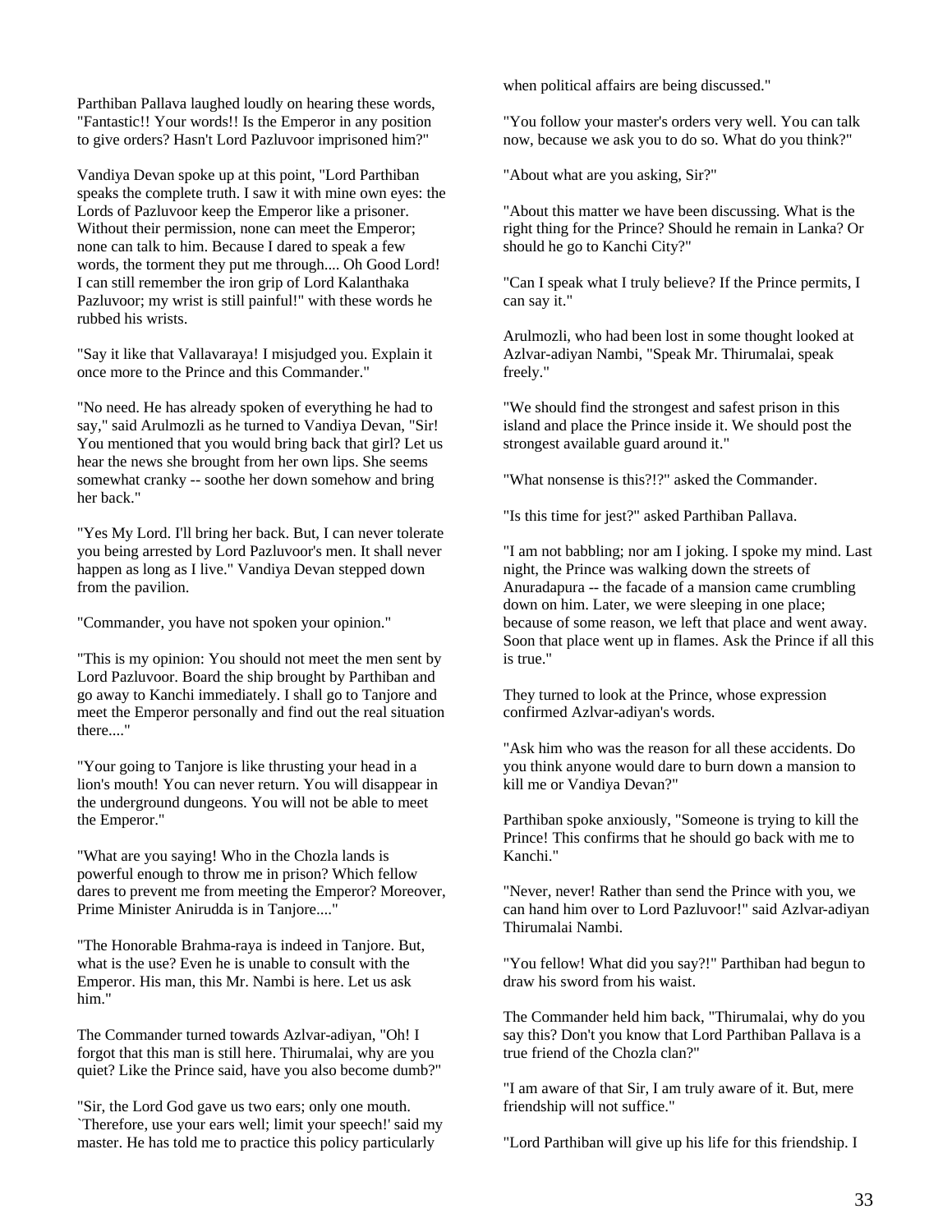Parthiban Pallava laughed loudly on hearing these words, "Fantastic!! Your words!! Is the Emperor in any position to give orders? Hasn't Lord Pazluvoor imprisoned him?"

Vandiya Devan spoke up at this point, "Lord Parthiban speaks the complete truth. I saw it with mine own eyes: the Lords of Pazluvoor keep the Emperor like a prisoner. Without their permission, none can meet the Emperor; none can talk to him. Because I dared to speak a few words, the torment they put me through.... Oh Good Lord! I can still remember the iron grip of Lord Kalanthaka Pazluvoor; my wrist is still painful!" with these words he rubbed his wrists.

"Say it like that Vallavaraya! I misjudged you. Explain it once more to the Prince and this Commander."

"No need. He has already spoken of everything he had to say," said Arulmozli as he turned to Vandiya Devan, "Sir! You mentioned that you would bring back that girl? Let us hear the news she brought from her own lips. She seems somewhat cranky -- soothe her down somehow and bring her back."

"Yes My Lord. I'll bring her back. But, I can never tolerate you being arrested by Lord Pazluvoor's men. It shall never happen as long as I live." Vandiya Devan stepped down from the pavilion.

"Commander, you have not spoken your opinion."

"This is my opinion: You should not meet the men sent by Lord Pazluvoor. Board the ship brought by Parthiban and go away to Kanchi immediately. I shall go to Tanjore and meet the Emperor personally and find out the real situation there...."

"Your going to Tanjore is like thrusting your head in a lion's mouth! You can never return. You will disappear in the underground dungeons. You will not be able to meet the Emperor."

"What are you saying! Who in the Chozla lands is powerful enough to throw me in prison? Which fellow dares to prevent me from meeting the Emperor? Moreover, Prime Minister Anirudda is in Tanjore...."

"The Honorable Brahma-raya is indeed in Tanjore. But, what is the use? Even he is unable to consult with the Emperor. His man, this Mr. Nambi is here. Let us ask him."

The Commander turned towards Azlvar-adiyan, "Oh! I forgot that this man is still here. Thirumalai, why are you quiet? Like the Prince said, have you also become dumb?"

"Sir, the Lord God gave us two ears; only one mouth. `Therefore, use your ears well; limit your speech!' said my master. He has told me to practice this policy particularly

when political affairs are being discussed."

"You follow your master's orders very well. You can talk now, because we ask you to do so. What do you think?"

"About what are you asking, Sir?"

"About this matter we have been discussing. What is the right thing for the Prince? Should he remain in Lanka? Or should he go to Kanchi City?"

"Can I speak what I truly believe? If the Prince permits, I can say it."

Arulmozli, who had been lost in some thought looked at Azlvar-adiyan Nambi, "Speak Mr. Thirumalai, speak freely."

"We should find the strongest and safest prison in this island and place the Prince inside it. We should post the strongest available guard around it."

"What nonsense is this?!?" asked the Commander.

"Is this time for jest?" asked Parthiban Pallava.

"I am not babbling; nor am I joking. I spoke my mind. Last night, the Prince was walking down the streets of Anuradapura -- the facade of a mansion came crumbling down on him. Later, we were sleeping in one place; because of some reason, we left that place and went away. Soon that place went up in flames. Ask the Prince if all this is true."

They turned to look at the Prince, whose expression confirmed Azlvar-adiyan's words.

"Ask him who was the reason for all these accidents. Do you think anyone would dare to burn down a mansion to kill me or Vandiya Devan?"

Parthiban spoke anxiously, "Someone is trying to kill the Prince! This confirms that he should go back with me to Kanchi."

"Never, never! Rather than send the Prince with you, we can hand him over to Lord Pazluvoor!" said Azlvar-adiyan Thirumalai Nambi.

"You fellow! What did you say?!" Parthiban had begun to draw his sword from his waist.

The Commander held him back, "Thirumalai, why do you say this? Don't you know that Lord Parthiban Pallava is a true friend of the Chozla clan?"

"I am aware of that Sir, I am truly aware of it. But, mere friendship will not suffice."

"Lord Parthiban will give up his life for this friendship. I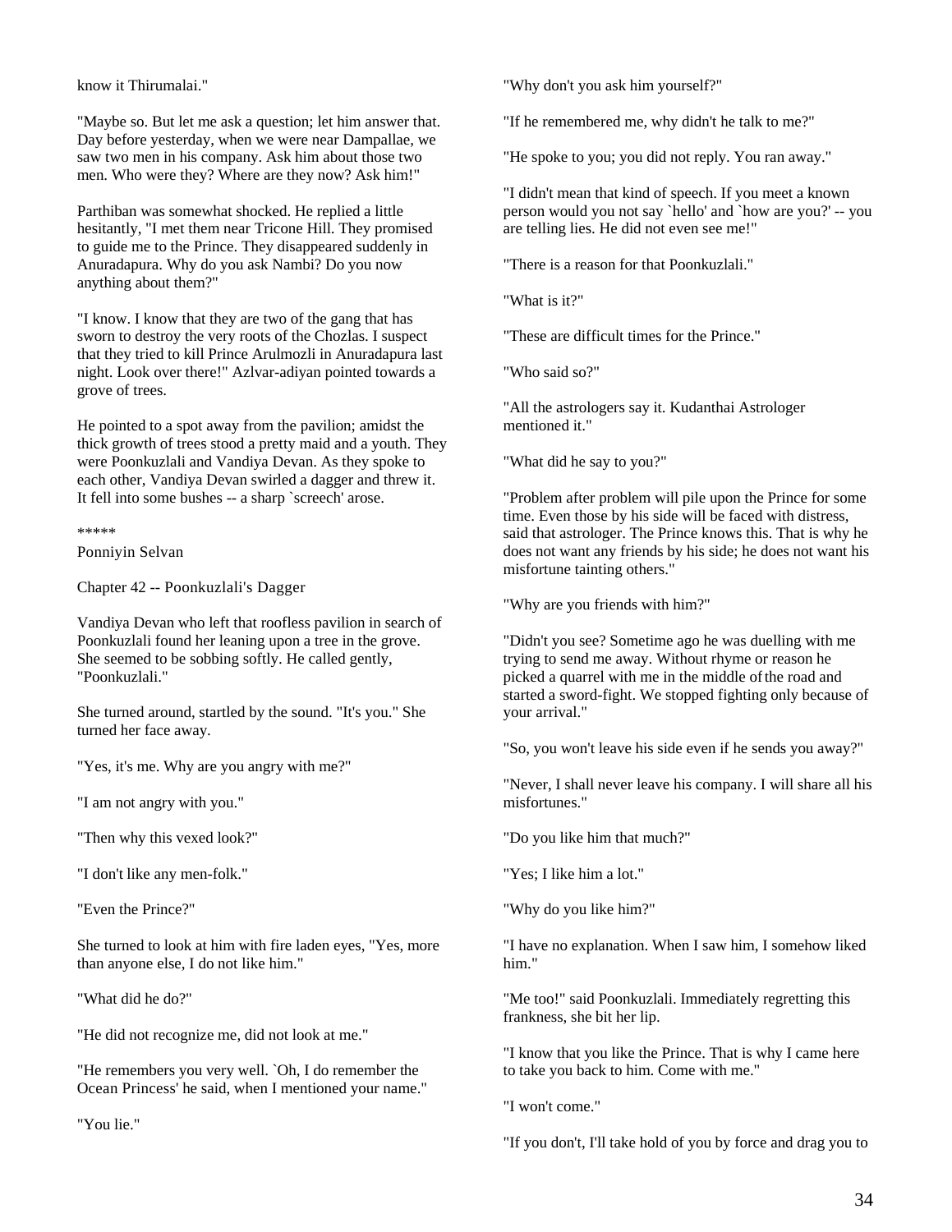know it Thirumalai."

"Maybe so. But let me ask a question; let him answer that. Day before yesterday, when we were near Dampallae, we saw two men in his company. Ask him about those two men. Who were they? Where are they now? Ask him!"

Parthiban was somewhat shocked. He replied a little hesitantly, "I met them near Tricone Hill. They promised to guide me to the Prince. They disappeared suddenly in Anuradapura. Why do you ask Nambi? Do you now anything about them?"

"I know. I know that they are two of the gang that has sworn to destroy the very roots of the Chozlas. I suspect that they tried to kill Prince Arulmozli in Anuradapura last night. Look over there!" Azlvar-adiyan pointed towards a grove of trees.

He pointed to a spot away from the pavilion; amidst the thick growth of trees stood a pretty maid and a youth. They were Poonkuzlali and Vandiya Devan. As they spoke to each other, Vandiya Devan swirled a dagger and threw it. It fell into some bushes -- a sharp `screech' arose.

\*\*\*\*\*

Ponniyin Selvan

Chapter 42 -- Poonkuzlali's Dagger

Vandiya Devan who left that roofless pavilion in search of Poonkuzlali found her leaning upon a tree in the grove. She seemed to be sobbing softly. He called gently, "Poonkuzlali."

She turned around, startled by the sound. "It's you." She turned her face away.

"Yes, it's me. Why are you angry with me?"

"I am not angry with you."

"Then why this vexed look?"

"I don't like any men-folk."

"Even the Prince?"

She turned to look at him with fire laden eyes, "Yes, more than anyone else, I do not like him."

"What did he do?"

"He did not recognize me, did not look at me."

"He remembers you very well. `Oh, I do remember the Ocean Princess' he said, when I mentioned your name."

"You lie."

"Why don't you ask him yourself?"

"If he remembered me, why didn't he talk to me?"

"He spoke to you; you did not reply. You ran away."

"I didn't mean that kind of speech. If you meet a known person would you not say `hello' and `how are you?' -- you are telling lies. He did not even see me!"

"There is a reason for that Poonkuzlali."

"What is it?"

"These are difficult times for the Prince."

"Who said so?"

"All the astrologers say it. Kudanthai Astrologer mentioned it."

"What did he say to you?"

"Problem after problem will pile upon the Prince for some time. Even those by his side will be faced with distress, said that astrologer. The Prince knows this. That is why he does not want any friends by his side; he does not want his misfortune tainting others."

"Why are you friends with him?"

"Didn't you see? Sometime ago he was duelling with me trying to send me away. Without rhyme or reason he picked a quarrel with me in the middle of the road and started a sword-fight. We stopped fighting only because of your arrival."

"So, you won't leave his side even if he sends you away?"

"Never, I shall never leave his company. I will share all his misfortunes."

"Do you like him that much?"

"Yes; I like him a lot."

"Why do you like him?"

"I have no explanation. When I saw him, I somehow liked him."

"Me too!" said Poonkuzlali. Immediately regretting this frankness, she bit her lip.

"I know that you like the Prince. That is why I came here to take you back to him. Come with me."

"I won't come."

"If you don't, I'll take hold of you by force and drag you to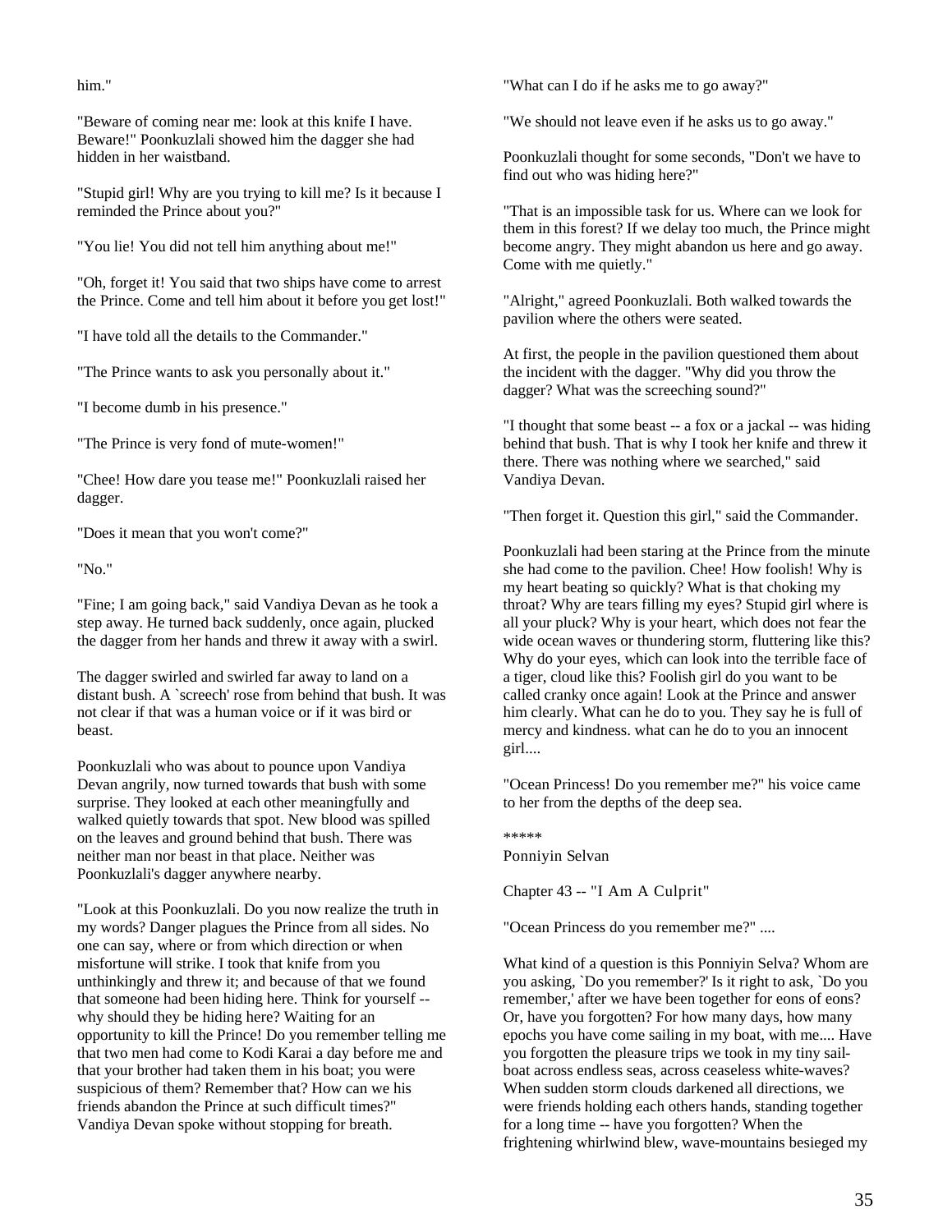## him."

"Beware of coming near me: look at this knife I have. Beware!" Poonkuzlali showed him the dagger she had hidden in her waistband.

"Stupid girl! Why are you trying to kill me? Is it because I reminded the Prince about you?"

"You lie! You did not tell him anything about me!"

"Oh, forget it! You said that two ships have come to arrest the Prince. Come and tell him about it before you get lost!"

"I have told all the details to the Commander."

"The Prince wants to ask you personally about it."

"I become dumb in his presence."

"The Prince is very fond of mute-women!"

"Chee! How dare you tease me!" Poonkuzlali raised her dagger.

"Does it mean that you won't come?"

"No."

"Fine; I am going back," said Vandiya Devan as he took a step away. He turned back suddenly, once again, plucked the dagger from her hands and threw it away with a swirl.

The dagger swirled and swirled far away to land on a distant bush. A `screech' rose from behind that bush. It was not clear if that was a human voice or if it was bird or beast.

Poonkuzlali who was about to pounce upon Vandiya Devan angrily, now turned towards that bush with some surprise. They looked at each other meaningfully and walked quietly towards that spot. New blood was spilled on the leaves and ground behind that bush. There was neither man nor beast in that place. Neither was Poonkuzlali's dagger anywhere nearby.

"Look at this Poonkuzlali. Do you now realize the truth in my words? Danger plagues the Prince from all sides. No one can say, where or from which direction or when misfortune will strike. I took that knife from you unthinkingly and threw it; and because of that we found that someone had been hiding here. Think for yourself - why should they be hiding here? Waiting for an opportunity to kill the Prince! Do you remember telling me that two men had come to Kodi Karai a day before me and that your brother had taken them in his boat; you were suspicious of them? Remember that? How can we his friends abandon the Prince at such difficult times?" Vandiya Devan spoke without stopping for breath.

"What can I do if he asks me to go away?"

"We should not leave even if he asks us to go away."

Poonkuzlali thought for some seconds, "Don't we have to find out who was hiding here?"

"That is an impossible task for us. Where can we look for them in this forest? If we delay too much, the Prince might become angry. They might abandon us here and go away. Come with me quietly."

"Alright," agreed Poonkuzlali. Both walked towards the pavilion where the others were seated.

At first, the people in the pavilion questioned them about the incident with the dagger. "Why did you throw the dagger? What was the screeching sound?"

"I thought that some beast -- a fox or a jackal -- was hiding behind that bush. That is why I took her knife and threw it there. There was nothing where we searched," said Vandiya Devan.

"Then forget it. Question this girl," said the Commander.

Poonkuzlali had been staring at the Prince from the minute she had come to the pavilion. Chee! How foolish! Why is my heart beating so quickly? What is that choking my throat? Why are tears filling my eyes? Stupid girl where is all your pluck? Why is your heart, which does not fear the wide ocean waves or thundering storm, fluttering like this? Why do your eyes, which can look into the terrible face of a tiger, cloud like this? Foolish girl do you want to be called cranky once again! Look at the Prince and answer him clearly. What can he do to you. They say he is full of mercy and kindness. what can he do to you an innocent girl....

"Ocean Princess! Do you remember me?" his voice came to her from the depths of the deep sea.

\*\*\*\*\*

Ponniyin Selvan

Chapter 43 -- "I Am A Culprit"

"Ocean Princess do you remember me?" ....

What kind of a question is this Ponniyin Selva? Whom are you asking, `Do you remember?' Is it right to ask, `Do you remember,' after we have been together for eons of eons? Or, have you forgotten? For how many days, how many epochs you have come sailing in my boat, with me.... Have you forgotten the pleasure trips we took in my tiny sailboat across endless seas, across ceaseless white-waves? When sudden storm clouds darkened all directions, we were friends holding each others hands, standing together for a long time -- have you forgotten? When the frightening whirlwind blew, wave-mountains besieged my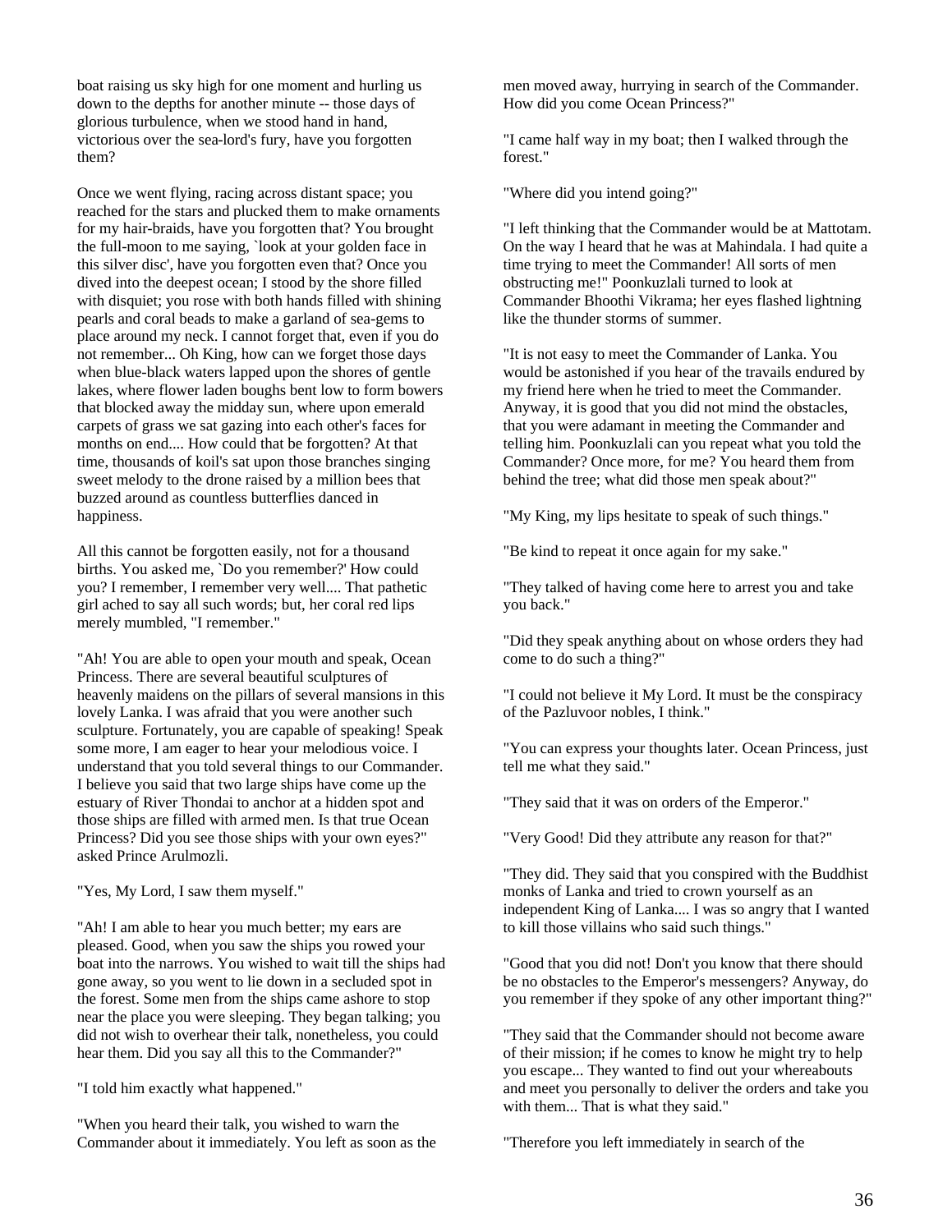boat raising us sky high for one moment and hurling us down to the depths for another minute -- those days of glorious turbulence, when we stood hand in hand, victorious over the sea-lord's fury, have you forgotten them?

Once we went flying, racing across distant space; you reached for the stars and plucked them to make ornaments for my hair-braids, have you forgotten that? You brought the full-moon to me saying, `look at your golden face in this silver disc', have you forgotten even that? Once you dived into the deepest ocean; I stood by the shore filled with disquiet; you rose with both hands filled with shining pearls and coral beads to make a garland of sea-gems to place around my neck. I cannot forget that, even if you do not remember... Oh King, how can we forget those days when blue-black waters lapped upon the shores of gentle lakes, where flower laden boughs bent low to form bowers that blocked away the midday sun, where upon emerald carpets of grass we sat gazing into each other's faces for months on end.... How could that be forgotten? At that time, thousands of koil's sat upon those branches singing sweet melody to the drone raised by a million bees that buzzed around as countless butterflies danced in happiness.

All this cannot be forgotten easily, not for a thousand births. You asked me, `Do you remember?' How could you? I remember, I remember very well.... That pathetic girl ached to say all such words; but, her coral red lips merely mumbled, "I remember."

"Ah! You are able to open your mouth and speak, Ocean Princess. There are several beautiful sculptures of heavenly maidens on the pillars of several mansions in this lovely Lanka. I was afraid that you were another such sculpture. Fortunately, you are capable of speaking! Speak some more, I am eager to hear your melodious voice. I understand that you told several things to our Commander. I believe you said that two large ships have come up the estuary of River Thondai to anchor at a hidden spot and those ships are filled with armed men. Is that true Ocean Princess? Did you see those ships with your own eyes?" asked Prince Arulmozli.

"Yes, My Lord, I saw them myself."

"Ah! I am able to hear you much better; my ears are pleased. Good, when you saw the ships you rowed your boat into the narrows. You wished to wait till the ships had gone away, so you went to lie down in a secluded spot in the forest. Some men from the ships came ashore to stop near the place you were sleeping. They began talking; you did not wish to overhear their talk, nonetheless, you could hear them. Did you say all this to the Commander?"

"I told him exactly what happened."

"When you heard their talk, you wished to warn the Commander about it immediately. You left as soon as the men moved away, hurrying in search of the Commander. How did you come Ocean Princess?"

"I came half way in my boat; then I walked through the forest."

"Where did you intend going?"

"I left thinking that the Commander would be at Mattotam. On the way I heard that he was at Mahindala. I had quite a time trying to meet the Commander! All sorts of men obstructing me!" Poonkuzlali turned to look at Commander Bhoothi Vikrama; her eyes flashed lightning like the thunder storms of summer.

"It is not easy to meet the Commander of Lanka. You would be astonished if you hear of the travails endured by my friend here when he tried to meet the Commander. Anyway, it is good that you did not mind the obstacles, that you were adamant in meeting the Commander and telling him. Poonkuzlali can you repeat what you told the Commander? Once more, for me? You heard them from behind the tree; what did those men speak about?"

"My King, my lips hesitate to speak of such things."

"Be kind to repeat it once again for my sake."

"They talked of having come here to arrest you and take you back."

"Did they speak anything about on whose orders they had come to do such a thing?"

"I could not believe it My Lord. It must be the conspiracy of the Pazluvoor nobles, I think."

"You can express your thoughts later. Ocean Princess, just tell me what they said."

"They said that it was on orders of the Emperor."

"Very Good! Did they attribute any reason for that?"

"They did. They said that you conspired with the Buddhist monks of Lanka and tried to crown yourself as an independent King of Lanka.... I was so angry that I wanted to kill those villains who said such things."

"Good that you did not! Don't you know that there should be no obstacles to the Emperor's messengers? Anyway, do you remember if they spoke of any other important thing?"

"They said that the Commander should not become aware of their mission; if he comes to know he might try to help you escape... They wanted to find out your whereabouts and meet you personally to deliver the orders and take you with them... That is what they said."

"Therefore you left immediately in search of the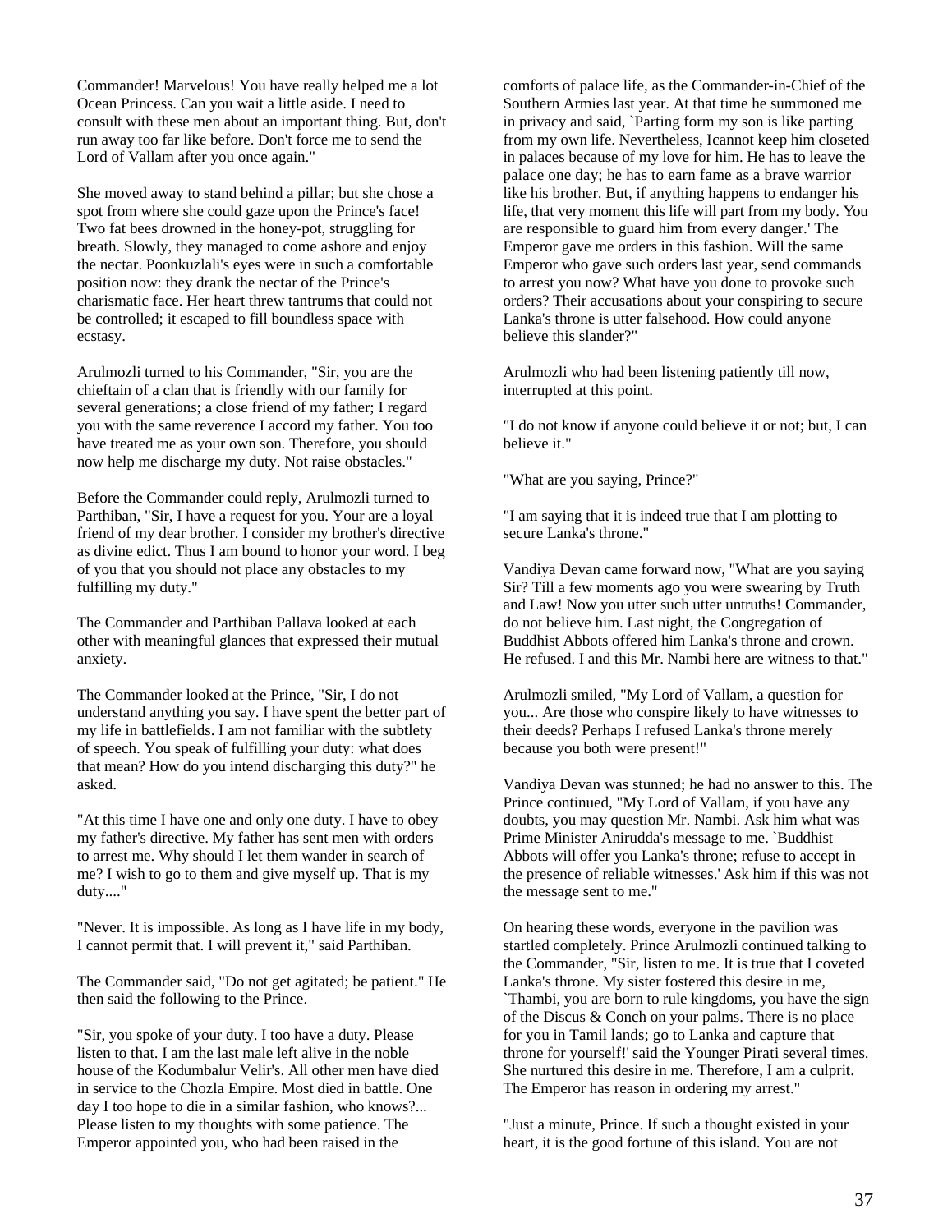Commander! Marvelous! You have really helped me a lot Ocean Princess. Can you wait a little aside. I need to consult with these men about an important thing. But, don't run away too far like before. Don't force me to send the Lord of Vallam after you once again."

She moved away to stand behind a pillar; but she chose a spot from where she could gaze upon the Prince's face! Two fat bees drowned in the honey-pot, struggling for breath. Slowly, they managed to come ashore and enjoy the nectar. Poonkuzlali's eyes were in such a comfortable position now: they drank the nectar of the Prince's charismatic face. Her heart threw tantrums that could not be controlled; it escaped to fill boundless space with ecstasy.

Arulmozli turned to his Commander, "Sir, you are the chieftain of a clan that is friendly with our family for several generations; a close friend of my father; I regard you with the same reverence I accord my father. You too have treated me as your own son. Therefore, you should now help me discharge my duty. Not raise obstacles."

Before the Commander could reply, Arulmozli turned to Parthiban, "Sir, I have a request for you. Your are a loyal friend of my dear brother. I consider my brother's directive as divine edict. Thus I am bound to honor your word. I beg of you that you should not place any obstacles to my fulfilling my duty."

The Commander and Parthiban Pallava looked at each other with meaningful glances that expressed their mutual anxiety.

The Commander looked at the Prince, "Sir, I do not understand anything you say. I have spent the better part of my life in battlefields. I am not familiar with the subtlety of speech. You speak of fulfilling your duty: what does that mean? How do you intend discharging this duty?" he asked.

"At this time I have one and only one duty. I have to obey my father's directive. My father has sent men with orders to arrest me. Why should I let them wander in search of me? I wish to go to them and give myself up. That is my duty...."

"Never. It is impossible. As long as I have life in my body, I cannot permit that. I will prevent it," said Parthiban.

The Commander said, "Do not get agitated; be patient." He then said the following to the Prince.

"Sir, you spoke of your duty. I too have a duty. Please listen to that. I am the last male left alive in the noble house of the Kodumbalur Velir's. All other men have died in service to the Chozla Empire. Most died in battle. One day I too hope to die in a similar fashion, who knows?... Please listen to my thoughts with some patience. The Emperor appointed you, who had been raised in the

comforts of palace life, as the Commander-in-Chief of the Southern Armies last year. At that time he summoned me in privacy and said, `Parting form my son is like parting from my own life. Nevertheless, I cannot keep him closeted in palaces because of my love for him. He has to leave the palace one day; he has to earn fame as a brave warrior like his brother. But, if anything happens to endanger his life, that very moment this life will part from my body. You are responsible to guard him from every danger.' The Emperor gave me orders in this fashion. Will the same Emperor who gave such orders last year, send commands to arrest you now? What have you done to provoke such orders? Their accusations about your conspiring to secure Lanka's throne is utter falsehood. How could anyone believe this slander?"

Arulmozli who had been listening patiently till now, interrupted at this point.

"I do not know if anyone could believe it or not; but, I can believe it."

"What are you saying, Prince?"

"I am saying that it is indeed true that I am plotting to secure Lanka's throne."

Vandiya Devan came forward now, "What are you saying Sir? Till a few moments ago you were swearing by Truth and Law! Now you utter such utter untruths! Commander, do not believe him. Last night, the Congregation of Buddhist Abbots offered him Lanka's throne and crown. He refused. I and this Mr. Nambi here are witness to that."

Arulmozli smiled, "My Lord of Vallam, a question for you... Are those who conspire likely to have witnesses to their deeds? Perhaps I refused Lanka's throne merely because you both were present!"

Vandiya Devan was stunned; he had no answer to this. The Prince continued, "My Lord of Vallam, if you have any doubts, you may question Mr. Nambi. Ask him what was Prime Minister Anirudda's message to me. `Buddhist Abbots will offer you Lanka's throne; refuse to accept in the presence of reliable witnesses.' Ask him if this was not the message sent to me."

On hearing these words, everyone in the pavilion was startled completely. Prince Arulmozli continued talking to the Commander, "Sir, listen to me. It is true that I coveted Lanka's throne. My sister fostered this desire in me, `Thambi, you are born to rule kingdoms, you have the sign of the Discus & Conch on your palms. There is no place for you in Tamil lands; go to Lanka and capture that throne for yourself!' said the Younger Pirati several times. She nurtured this desire in me. Therefore, I am a culprit. The Emperor has reason in ordering my arrest."

"Just a minute, Prince. If such a thought existed in your heart, it is the good fortune of this island. You are not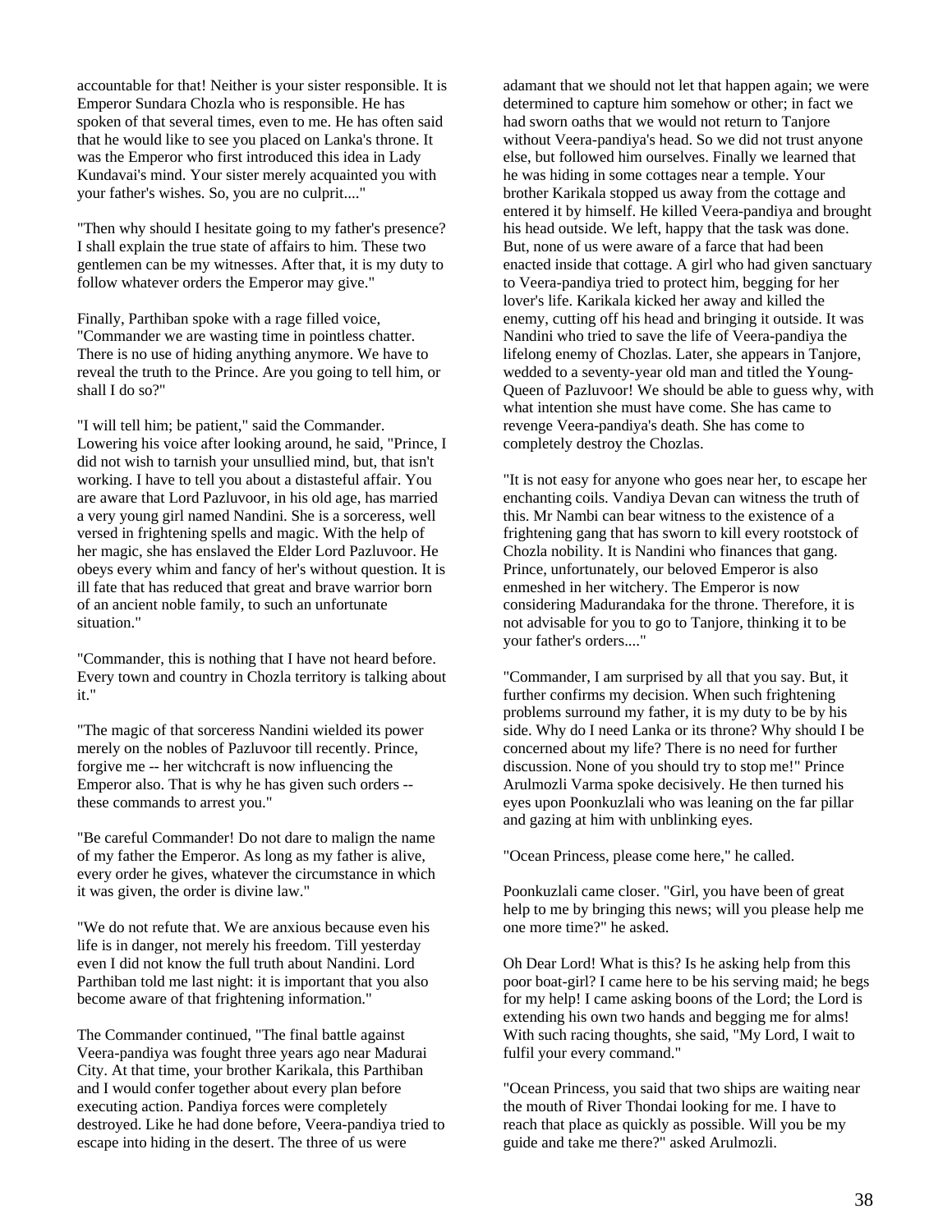accountable for that! Neither is your sister responsible. It is Emperor Sundara Chozla who is responsible. He has spoken of that several times, even to me. He has often said that he would like to see you placed on Lanka's throne. It was the Emperor who first introduced this idea in Lady Kundavai's mind. Your sister merely acquainted you with your father's wishes. So, you are no culprit...."

"Then why should I hesitate going to my father's presence? I shall explain the true state of affairs to him. These two gentlemen can be my witnesses. After that, it is my duty to follow whatever orders the Emperor may give."

Finally, Parthiban spoke with a rage filled voice, "Commander we are wasting time in pointless chatter. There is no use of hiding anything anymore. We have to reveal the truth to the Prince. Are you going to tell him, or shall I do so?"

"I will tell him; be patient," said the Commander. Lowering his voice after looking around, he said, "Prince, I did not wish to tarnish your unsullied mind, but, that isn't working. I have to tell you about a distasteful affair. You are aware that Lord Pazluvoor, in his old age, has married a very young girl named Nandini. She is a sorceress, well versed in frightening spells and magic. With the help of her magic, she has enslaved the Elder Lord Pazluvoor. He obeys every whim and fancy of her's without question. It is ill fate that has reduced that great and brave warrior born of an ancient noble family, to such an unfortunate situation."

"Commander, this is nothing that I have not heard before. Every town and country in Chozla territory is talking about it."

"The magic of that sorceress Nandini wielded its power merely on the nobles of Pazluvoor till recently. Prince, forgive me -- her witchcraft is now influencing the Emperor also. That is why he has given such orders - these commands to arrest you."

"Be careful Commander! Do not dare to malign the name of my father the Emperor. As long as my father is alive, every order he gives, whatever the circumstance in which it was given, the order is divine law."

"We do not refute that. We are anxious because even his life is in danger, not merely his freedom. Till yesterday even I did not know the full truth about Nandini. Lord Parthiban told me last night: it is important that you also become aware of that frightening information."

The Commander continued, "The final battle against Veera-pandiya was fought three years ago near Madurai City. At that time, your brother Karikala, this Parthiban and I would confer together about every plan before executing action. Pandiya forces were completely destroyed. Like he had done before, Veera-pandiya tried to escape into hiding in the desert. The three of us were

adamant that we should not let that happen again; we were determined to capture him somehow or other; in fact we had sworn oaths that we would not return to Tanjore without Veera-pandiya's head. So we did not trust anyone else, but followed him ourselves. Finally we learned that he was hiding in some cottages near a temple. Your brother Karikala stopped us away from the cottage and entered it by himself. He killed Veera-pandiya and brought his head outside. We left, happy that the task was done. But, none of us were aware of a farce that had been enacted inside that cottage. A girl who had given sanctuary to Veera-pandiya tried to protect him, begging for her lover's life. Karikala kicked her away and killed the enemy, cutting off his head and bringing it outside. It was Nandini who tried to save the life of Veera-pandiya the lifelong enemy of Chozlas. Later, she appears in Tanjore, wedded to a seventy-year old man and titled the Young-Queen of Pazluvoor! We should be able to guess why, with what intention she must have come. She has came to revenge Veera-pandiya's death. She has come to completely destroy the Chozlas.

"It is not easy for anyone who goes near her, to escape her enchanting coils. Vandiya Devan can witness the truth of this. Mr Nambi can bear witness to the existence of a frightening gang that has sworn to kill every rootstock of Chozla nobility. It is Nandini who finances that gang. Prince, unfortunately, our beloved Emperor is also enmeshed in her witchery. The Emperor is now considering Madurandaka for the throne. Therefore, it is not advisable for you to go to Tanjore, thinking it to be your father's orders...."

"Commander, I am surprised by all that you say. But, it further confirms my decision. When such frightening problems surround my father, it is my duty to be by his side. Why do I need Lanka or its throne? Why should I be concerned about my life? There is no need for further discussion. None of you should try to stop me!" Prince Arulmozli Varma spoke decisively. He then turned his eyes upon Poonkuzlali who was leaning on the far pillar and gazing at him with unblinking eyes.

"Ocean Princess, please come here," he called.

Poonkuzlali came closer. "Girl, you have been of great help to me by bringing this news; will you please help me one more time?" he asked.

Oh Dear Lord! What is this? Is he asking help from this poor boat-girl? I came here to be his serving maid; he begs for my help! I came asking boons of the Lord; the Lord is extending his own two hands and begging me for alms! With such racing thoughts, she said, "My Lord, I wait to fulfil your every command."

"Ocean Princess, you said that two ships are waiting near the mouth of River Thondai looking for me. I have to reach that place as quickly as possible. Will you be my guide and take me there?" asked Arulmozli.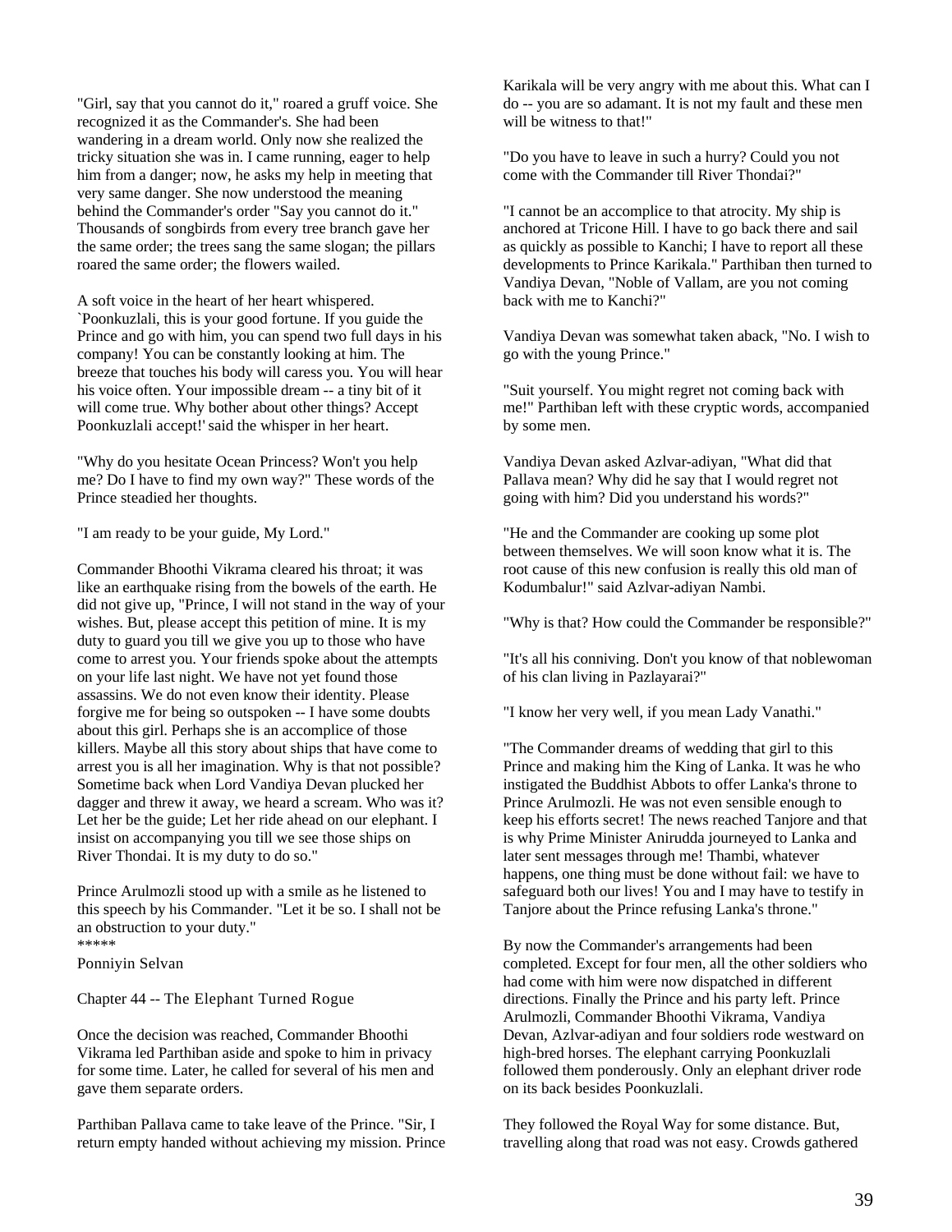"Girl, say that you cannot do it," roared a gruff voice. She recognized it as the Commander's. She had been wandering in a dream world. Only now she realized the tricky situation she was in. I came running, eager to help him from a danger; now, he asks my help in meeting that very same danger. She now understood the meaning behind the Commander's order "Say you cannot do it." Thousands of songbirds from every tree branch gave her the same order; the trees sang the same slogan; the pillars roared the same order; the flowers wailed.

A soft voice in the heart of her heart whispered. `Poonkuzlali, this is your good fortune. If you guide the Prince and go with him, you can spend two full days in his company! You can be constantly looking at him. The breeze that touches his body will caress you. You will hear his voice often. Your impossible dream -- a tiny bit of it will come true. Why bother about other things? Accept Poonkuzlali accept!' said the whisper in her heart.

"Why do you hesitate Ocean Princess? Won't you help me? Do I have to find my own way?" These words of the Prince steadied her thoughts.

"I am ready to be your guide, My Lord."

Commander Bhoothi Vikrama cleared his throat; it was like an earthquake rising from the bowels of the earth. He did not give up, "Prince, I will not stand in the way of your wishes. But, please accept this petition of mine. It is my duty to guard you till we give you up to those who have come to arrest you. Your friends spoke about the attempts on your life last night. We have not yet found those assassins. We do not even know their identity. Please forgive me for being so outspoken -- I have some doubts about this girl. Perhaps she is an accomplice of those killers. Maybe all this story about ships that have come to arrest you is all her imagination. Why is that not possible? Sometime back when Lord Vandiya Devan plucked her dagger and threw it away, we heard a scream. Who was it? Let her be the guide; Let her ride ahead on our elephant. I insist on accompanying you till we see those ships on River Thondai. It is my duty to do so."

Prince Arulmozli stood up with a smile as he listened to this speech by his Commander. "Let it be so. I shall not be an obstruction to your duty." \*\*\*\*\*

Ponniyin Selvan

Chapter 44 -- The Elephant Turned Rogue

Once the decision was reached, Commander Bhoothi Vikrama led Parthiban aside and spoke to him in privacy for some time. Later, he called for several of his men and gave them separate orders.

Parthiban Pallava came to take leave of the Prince. "Sir, I return empty handed without achieving my mission. Prince

Karikala will be very angry with me about this. What can I do -- you are so adamant. It is not my fault and these men will be witness to that!"

"Do you have to leave in such a hurry? Could you not come with the Commander till River Thondai?"

"I cannot be an accomplice to that atrocity. My ship is anchored at Tricone Hill. I have to go back there and sail as quickly as possible to Kanchi; I have to report all these developments to Prince Karikala." Parthiban then turned to Vandiya Devan, "Noble of Vallam, are you not coming back with me to Kanchi?"

Vandiya Devan was somewhat taken aback, "No. I wish to go with the young Prince."

"Suit yourself. You might regret not coming back with me!" Parthiban left with these cryptic words, accompanied by some men.

Vandiya Devan asked Azlvar-adiyan, "What did that Pallava mean? Why did he say that I would regret not going with him? Did you understand his words?"

"He and the Commander are cooking up some plot between themselves. We will soon know what it is. The root cause of this new confusion is really this old man of Kodumbalur!" said Azlvar-adiyan Nambi.

"Why is that? How could the Commander be responsible?"

"It's all his conniving. Don't you know of that noblewoman of his clan living in Pazlayarai?"

"I know her very well, if you mean Lady Vanathi."

"The Commander dreams of wedding that girl to this Prince and making him the King of Lanka. It was he who instigated the Buddhist Abbots to offer Lanka's throne to Prince Arulmozli. He was not even sensible enough to keep his efforts secret! The news reached Tanjore and that is why Prime Minister Anirudda journeyed to Lanka and later sent messages through me! Thambi, whatever happens, one thing must be done without fail: we have to safeguard both our lives! You and I may have to testify in Tanjore about the Prince refusing Lanka's throne."

By now the Commander's arrangements had been completed. Except for four men, all the other soldiers who had come with him were now dispatched in different directions. Finally the Prince and his party left. Prince Arulmozli, Commander Bhoothi Vikrama, Vandiya Devan, Azlvar-adiyan and four soldiers rode westward on high-bred horses. The elephant carrying Poonkuzlali followed them ponderously. Only an elephant driver rode on its back besides Poonkuzlali.

They followed the Royal Way for some distance. But, travelling along that road was not easy. Crowds gathered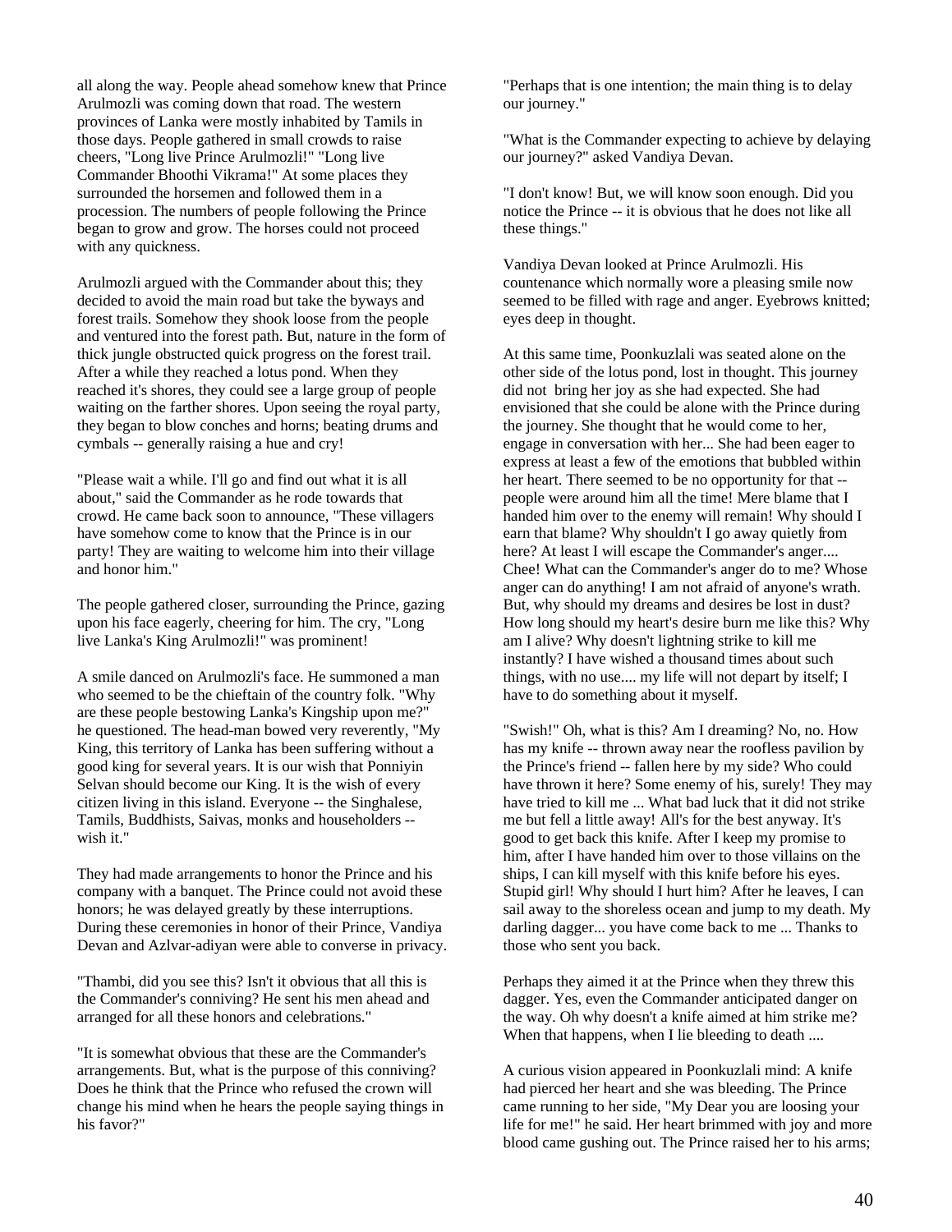all along the way. People ahead somehow knew that Prince Arulmozli was coming down that road. The western provinces of Lanka were mostly inhabited by Tamils in those days. People gathered in small crowds to raise cheers, "Long live Prince Arulmozli!" "Long live Commander Bhoothi Vikrama!" At some places they surrounded the horsemen and followed them in a procession. The numbers of people following the Prince began to grow and grow. The horses could not proceed with any quickness.

Arulmozli argued with the Commander about this; they decided to avoid the main road but take the byways and forest trails. Somehow they shook loose from the people and ventured into the forest path. But, nature in the form of thick jungle obstructed quick progress on the forest trail. After a while they reached a lotus pond. When they reached it's shores, they could see a large group of people waiting on the farther shores. Upon seeing the royal party, they began to blow conches and horns; beating drums and cymbals -- generally raising a hue and cry!

"Please wait a while. I'll go and find out what it is all about," said the Commander as he rode towards that crowd. He came back soon to announce, "These villagers have somehow come to know that the Prince is in our party! They are waiting to welcome him into their village and honor him."

The people gathered closer, surrounding the Prince, gazing upon his face eagerly, cheering for him. The cry, "Long live Lanka's King Arulmozli!" was prominent!

A smile danced on Arulmozli's face. He summoned a man who seemed to be the chieftain of the country folk. "Why are these people bestowing Lanka's Kingship upon me?" he questioned. The head-man bowed very reverently, "My King, this territory of Lanka has been suffering without a good king for several years. It is our wish that Ponniyin Selvan should become our King. It is the wish of every citizen living in this island. Everyone -- the Singhalese, Tamils, Buddhists, Saivas, monks and householders - wish it."

They had made arrangements to honor the Prince and his company with a banquet. The Prince could not avoid these honors; he was delayed greatly by these interruptions. During these ceremonies in honor of their Prince, Vandiya Devan and Azlvar-adiyan were able to converse in privacy.

"Thambi, did you see this? Isn't it obvious that all this is the Commander's conniving? He sent his men ahead and arranged for all these honors and celebrations."

"It is somewhat obvious that these are the Commander's arrangements. But, what is the purpose of this conniving? Does he think that the Prince who refused the crown will change his mind when he hears the people saying things in his favor?"

"Perhaps that is one intention; the main thing is to delay our journey."

"What is the Commander expecting to achieve by delaying our journey?" asked Vandiya Devan.

"I don't know! But, we will know soon enough. Did you notice the Prince -- it is obvious that he does not like all these things."

Vandiya Devan looked at Prince Arulmozli. His countenance which normally wore a pleasing smile now seemed to be filled with rage and anger. Eyebrows knitted; eyes deep in thought.

At this same time, Poonkuzlali was seated alone on the other side of the lotus pond, lost in thought. This journey did not bring her joy as she had expected. She had envisioned that she could be alone with the Prince during the journey. She thought that he would come to her, engage in conversation with her... She had been eager to express at least a few of the emotions that bubbled within her heart. There seemed to be no opportunity for that - people were around him all the time! Mere blame that I handed him over to the enemy will remain! Why should I earn that blame? Why shouldn't I go away quietly from here? At least I will escape the Commander's anger.... Chee! What can the Commander's anger do to me? Whose anger can do anything! I am not afraid of anyone's wrath. But, why should my dreams and desires be lost in dust? How long should my heart's desire burn me like this? Why am I alive? Why doesn't lightning strike to kill me instantly? I have wished a thousand times about such things, with no use.... my life will not depart by itself; I have to do something about it myself.

"Swish!" Oh, what is this? Am I dreaming? No, no. How has my knife -- thrown away near the roofless pavilion by the Prince's friend -- fallen here by my side? Who could have thrown it here? Some enemy of his, surely! They may have tried to kill me ... What bad luck that it did not strike me but fell a little away! All's for the best anyway. It's good to get back this knife. After I keep my promise to him, after I have handed him over to those villains on the ships, I can kill myself with this knife before his eyes. Stupid girl! Why should I hurt him? After he leaves, I can sail away to the shoreless ocean and jump to my death. My darling dagger... you have come back to me ... Thanks to those who sent you back.

Perhaps they aimed it at the Prince when they threw this dagger. Yes, even the Commander anticipated danger on the way. Oh why doesn't a knife aimed at him strike me? When that happens, when I lie bleeding to death ....

A curious vision appeared in Poonkuzlali mind: A knife had pierced her heart and she was bleeding. The Prince came running to her side, "My Dear you are loosing your life for me!" he said. Her heart brimmed with joy and more blood came gushing out. The Prince raised her to his arms;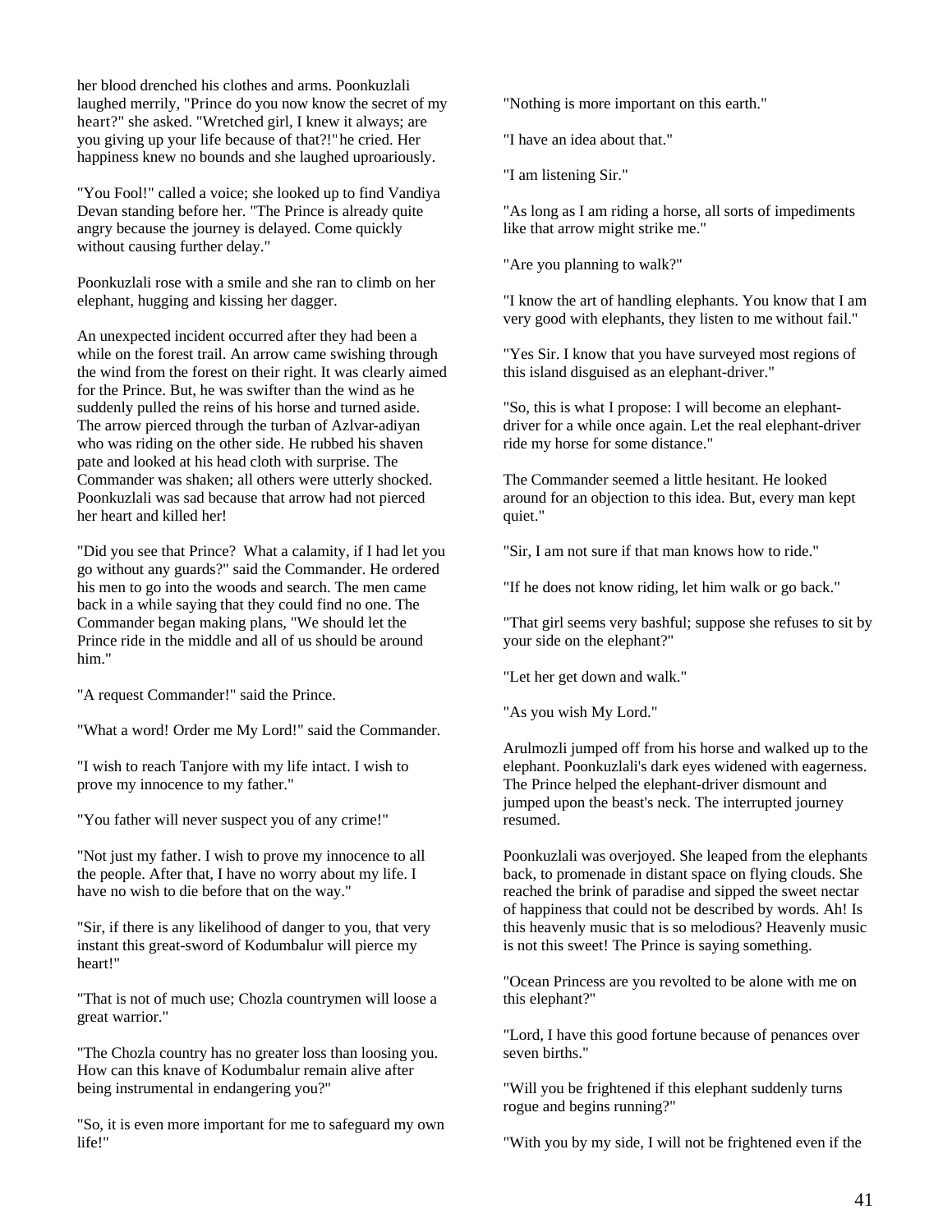her blood drenched his clothes and arms. Poonkuzlali laughed merrily, "Prince do you now know the secret of my heart?" she asked. "Wretched girl, I knew it always; are you giving up your life because of that?!" he cried. Her happiness knew no bounds and she laughed uproariously.

"You Fool!" called a voice; she looked up to find Vandiya Devan standing before her. "The Prince is already quite angry because the journey is delayed. Come quickly without causing further delay."

Poonkuzlali rose with a smile and she ran to climb on her elephant, hugging and kissing her dagger.

An unexpected incident occurred after they had been a while on the forest trail. An arrow came swishing through the wind from the forest on their right. It was clearly aimed for the Prince. But, he was swifter than the wind as he suddenly pulled the reins of his horse and turned aside. The arrow pierced through the turban of Azlvar-adiyan who was riding on the other side. He rubbed his shaven pate and looked at his head cloth with surprise. The Commander was shaken; all others were utterly shocked. Poonkuzlali was sad because that arrow had not pierced her heart and killed her!

"Did you see that Prince? What a calamity, if I had let you go without any guards?" said the Commander. He ordered his men to go into the woods and search. The men came back in a while saying that they could find no one. The Commander began making plans, "We should let the Prince ride in the middle and all of us should be around him."

"A request Commander!" said the Prince.

"What a word! Order me My Lord!" said the Commander.

"I wish to reach Tanjore with my life intact. I wish to prove my innocence to my father."

"You father will never suspect you of any crime!"

"Not just my father. I wish to prove my innocence to all the people. After that, I have no worry about my life. I have no wish to die before that on the way."

"Sir, if there is any likelihood of danger to you, that very instant this great-sword of Kodumbalur will pierce my heart!"

"That is not of much use; Chozla countrymen will loose a great warrior."

"The Chozla country has no greater loss than loosing you. How can this knave of Kodumbalur remain alive after being instrumental in endangering you?"

"So, it is even more important for me to safeguard my own life!"

"Nothing is more important on this earth."

"I have an idea about that."

"I am listening Sir."

"As long as I am riding a horse, all sorts of impediments like that arrow might strike me."

"Are you planning to walk?"

"I know the art of handling elephants. You know that I am very good with elephants, they listen to me without fail."

"Yes Sir. I know that you have surveyed most regions of this island disguised as an elephant-driver."

"So, this is what I propose: I will become an elephantdriver for a while once again. Let the real elephant-driver ride my horse for some distance."

The Commander seemed a little hesitant. He looked around for an objection to this idea. But, every man kept quiet."

"Sir, I am not sure if that man knows how to ride."

"If he does not know riding, let him walk or go back."

"That girl seems very bashful; suppose she refuses to sit by your side on the elephant?"

"Let her get down and walk."

"As you wish My Lord."

Arulmozli jumped off from his horse and walked up to the elephant. Poonkuzlali's dark eyes widened with eagerness. The Prince helped the elephant-driver dismount and jumped upon the beast's neck. The interrupted journey resumed.

Poonkuzlali was overjoyed. She leaped from the elephants back, to promenade in distant space on flying clouds. She reached the brink of paradise and sipped the sweet nectar of happiness that could not be described by words. Ah! Is this heavenly music that is so melodious? Heavenly music is not this sweet! The Prince is saying something.

"Ocean Princess are you revolted to be alone with me on this elephant?"

"Lord, I have this good fortune because of penances over seven births."

"Will you be frightened if this elephant suddenly turns rogue and begins running?"

"With you by my side, I will not be frightened even if the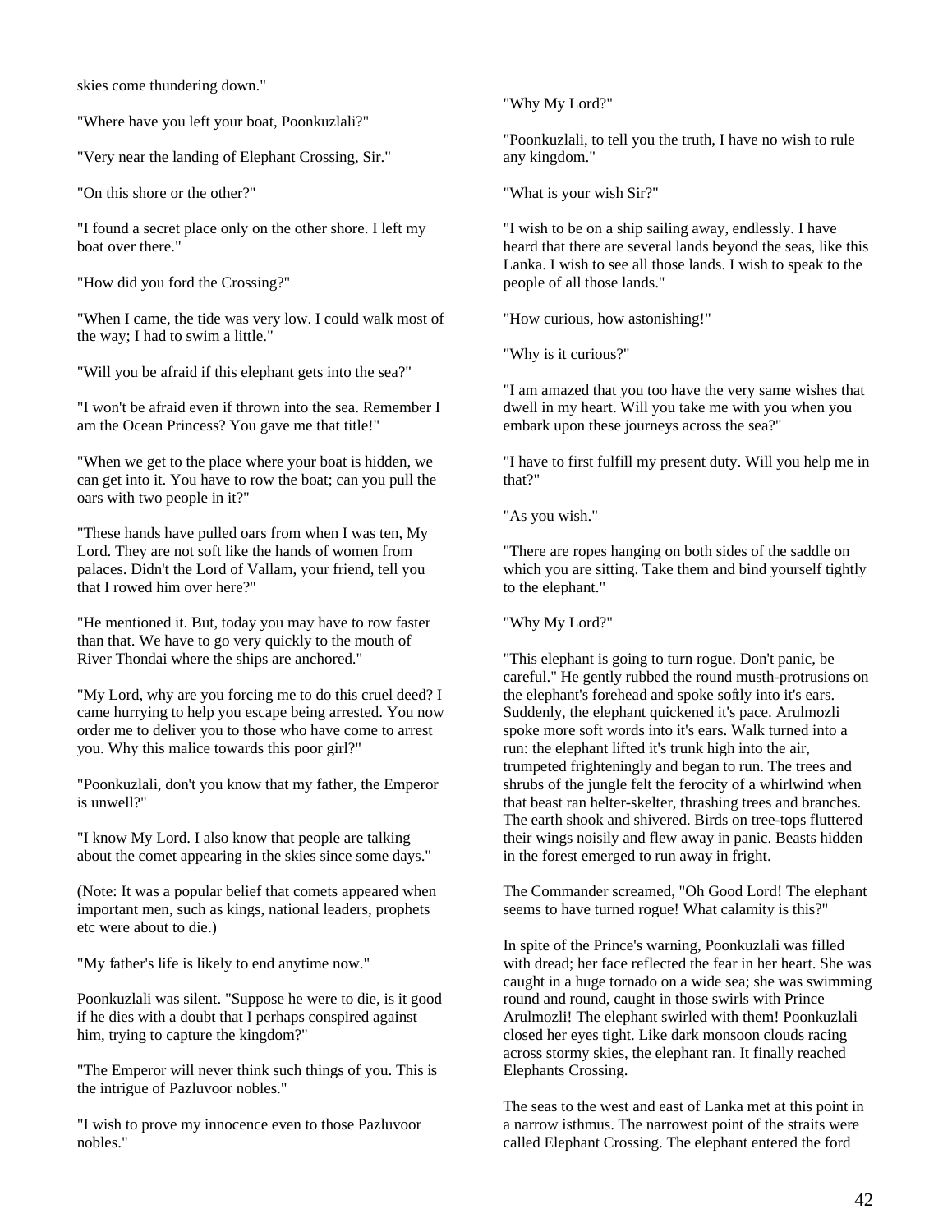skies come thundering down."

"Where have you left your boat, Poonkuzlali?"

"Very near the landing of Elephant Crossing, Sir."

"On this shore or the other?"

"I found a secret place only on the other shore. I left my boat over there."

"How did you ford the Crossing?"

"When I came, the tide was very low. I could walk most of the way; I had to swim a little."

"Will you be afraid if this elephant gets into the sea?"

"I won't be afraid even if thrown into the sea. Remember I am the Ocean Princess? You gave me that title!"

"When we get to the place where your boat is hidden, we can get into it. You have to row the boat; can you pull the oars with two people in it?"

"These hands have pulled oars from when I was ten, My Lord. They are not soft like the hands of women from palaces. Didn't the Lord of Vallam, your friend, tell you that I rowed him over here?"

"He mentioned it. But, today you may have to row faster than that. We have to go very quickly to the mouth of River Thondai where the ships are anchored."

"My Lord, why are you forcing me to do this cruel deed? I came hurrying to help you escape being arrested. You now order me to deliver you to those who have come to arrest you. Why this malice towards this poor girl?"

"Poonkuzlali, don't you know that my father, the Emperor is unwell?"

"I know My Lord. I also know that people are talking about the comet appearing in the skies since some days."

(Note: It was a popular belief that comets appeared when important men, such as kings, national leaders, prophets etc were about to die.)

"My father's life is likely to end anytime now."

Poonkuzlali was silent. "Suppose he were to die, is it good if he dies with a doubt that I perhaps conspired against him, trying to capture the kingdom?"

"The Emperor will never think such things of you. This is the intrigue of Pazluvoor nobles."

"I wish to prove my innocence even to those Pazluvoor nobles."

"Why My Lord?"

"Poonkuzlali, to tell you the truth, I have no wish to rule any kingdom."

"What is your wish Sir?"

"I wish to be on a ship sailing away, endlessly. I have heard that there are several lands beyond the seas, like this Lanka. I wish to see all those lands. I wish to speak to the people of all those lands."

"How curious, how astonishing!"

"Why is it curious?"

"I am amazed that you too have the very same wishes that dwell in my heart. Will you take me with you when you embark upon these journeys across the sea?"

"I have to first fulfill my present duty. Will you help me in that?"

"As you wish."

"There are ropes hanging on both sides of the saddle on which you are sitting. Take them and bind yourself tightly to the elephant."

"Why My Lord?"

"This elephant is going to turn rogue. Don't panic, be careful." He gently rubbed the round musth-protrusions on the elephant's forehead and spoke softly into it's ears. Suddenly, the elephant quickened it's pace. Arulmozli spoke more soft words into it's ears. Walk turned into a run: the elephant lifted it's trunk high into the air, trumpeted frighteningly and began to run. The trees and shrubs of the jungle felt the ferocity of a whirlwind when that beast ran helter-skelter, thrashing trees and branches. The earth shook and shivered. Birds on tree-tops fluttered their wings noisily and flew away in panic. Beasts hidden in the forest emerged to run away in fright.

The Commander screamed, "Oh Good Lord! The elephant seems to have turned rogue! What calamity is this?"

In spite of the Prince's warning, Poonkuzlali was filled with dread; her face reflected the fear in her heart. She was caught in a huge tornado on a wide sea; she was swimming round and round, caught in those swirls with Prince Arulmozli! The elephant swirled with them! Poonkuzlali closed her eyes tight. Like dark monsoon clouds racing across stormy skies, the elephant ran. It finally reached Elephants Crossing.

The seas to the west and east of Lanka met at this point in a narrow isthmus. The narrowest point of the straits were called Elephant Crossing. The elephant entered the ford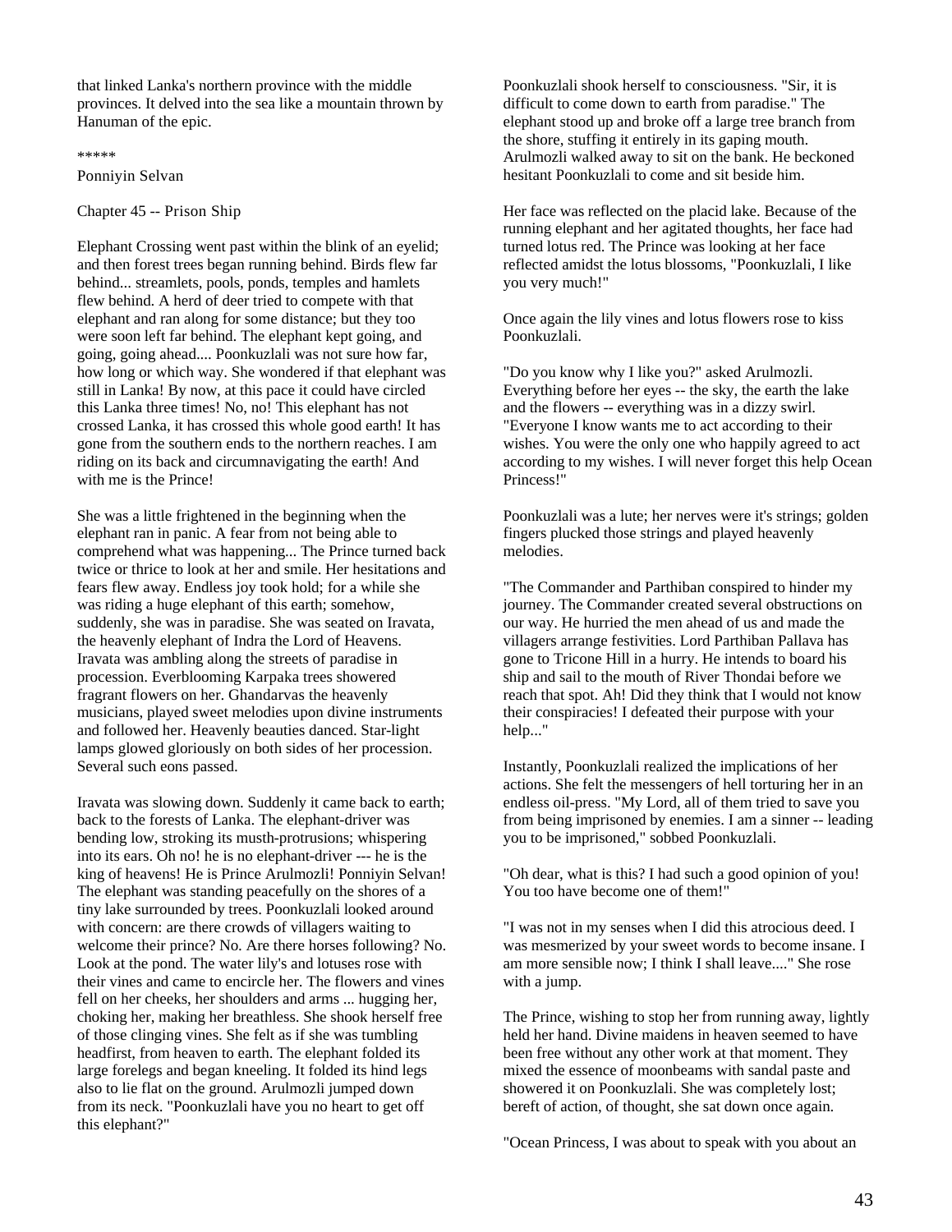that linked Lanka's northern province with the middle provinces. It delved into the sea like a mountain thrown by Hanuman of the epic.

\*\*\*\*\*

Ponniyin Selvan

Chapter 45 -- Prison Ship

Elephant Crossing went past within the blink of an eyelid; and then forest trees began running behind. Birds flew far behind... streamlets, pools, ponds, temples and hamlets flew behind. A herd of deer tried to compete with that elephant and ran along for some distance; but they too were soon left far behind. The elephant kept going, and going, going ahead.... Poonkuzlali was not sure how far, how long or which way. She wondered if that elephant was still in Lanka! By now, at this pace it could have circled this Lanka three times! No, no! This elephant has not crossed Lanka, it has crossed this whole good earth! It has gone from the southern ends to the northern reaches. I am riding on its back and circumnavigating the earth! And with me is the Prince!

She was a little frightened in the beginning when the elephant ran in panic. A fear from not being able to comprehend what was happening... The Prince turned back twice or thrice to look at her and smile. Her hesitations and fears flew away. Endless joy took hold; for a while she was riding a huge elephant of this earth; somehow, suddenly, she was in paradise. She was seated on Iravata, the heavenly elephant of Indra the Lord of Heavens. Iravata was ambling along the streets of paradise in procession. Everblooming Karpaka trees showered fragrant flowers on her. Ghandarvas the heavenly musicians, played sweet melodies upon divine instruments and followed her. Heavenly beauties danced. Star-light lamps glowed gloriously on both sides of her procession. Several such eons passed.

Iravata was slowing down. Suddenly it came back to earth; back to the forests of Lanka. The elephant-driver was bending low, stroking its musth-protrusions; whispering into its ears. Oh no! he is no elephant-driver --- he is the king of heavens! He is Prince Arulmozli! Ponniyin Selvan! The elephant was standing peacefully on the shores of a tiny lake surrounded by trees. Poonkuzlali looked around with concern: are there crowds of villagers waiting to welcome their prince? No. Are there horses following? No. Look at the pond. The water lily's and lotuses rose with their vines and came to encircle her. The flowers and vines fell on her cheeks, her shoulders and arms ... hugging her, choking her, making her breathless. She shook herself free of those clinging vines. She felt as if she was tumbling headfirst, from heaven to earth. The elephant folded its large forelegs and began kneeling. It folded its hind legs also to lie flat on the ground. Arulmozli jumped down from its neck. "Poonkuzlali have you no heart to get off this elephant?"

Poonkuzlali shook herself to consciousness. "Sir, it is difficult to come down to earth from paradise." The elephant stood up and broke off a large tree branch from the shore, stuffing it entirely in its gaping mouth. Arulmozli walked away to sit on the bank. He beckoned hesitant Poonkuzlali to come and sit beside him.

Her face was reflected on the placid lake. Because of the running elephant and her agitated thoughts, her face had turned lotus red. The Prince was looking at her face reflected amidst the lotus blossoms, "Poonkuzlali, I like you very much!"

Once again the lily vines and lotus flowers rose to kiss Poonkuzlali.

"Do you know why I like you?" asked Arulmozli. Everything before her eyes -- the sky, the earth the lake and the flowers -- everything was in a dizzy swirl. "Everyone I know wants me to act according to their wishes. You were the only one who happily agreed to act according to my wishes. I will never forget this help Ocean Princess!"

Poonkuzlali was a lute; her nerves were it's strings; golden fingers plucked those strings and played heavenly melodies.

"The Commander and Parthiban conspired to hinder my journey. The Commander created several obstructions on our way. He hurried the men ahead of us and made the villagers arrange festivities. Lord Parthiban Pallava has gone to Tricone Hill in a hurry. He intends to board his ship and sail to the mouth of River Thondai before we reach that spot. Ah! Did they think that I would not know their conspiracies! I defeated their purpose with your help..."

Instantly, Poonkuzlali realized the implications of her actions. She felt the messengers of hell torturing her in an endless oil-press. "My Lord, all of them tried to save you from being imprisoned by enemies. I am a sinner -- leading you to be imprisoned," sobbed Poonkuzlali.

"Oh dear, what is this? I had such a good opinion of you! You too have become one of them!"

"I was not in my senses when I did this atrocious deed. I was mesmerized by your sweet words to become insane. I am more sensible now; I think I shall leave...." She rose with a jump.

The Prince, wishing to stop her from running away, lightly held her hand. Divine maidens in heaven seemed to have been free without any other work at that moment. They mixed the essence of moonbeams with sandal paste and showered it on Poonkuzlali. She was completely lost; bereft of action, of thought, she sat down once again.

"Ocean Princess, I was about to speak with you about an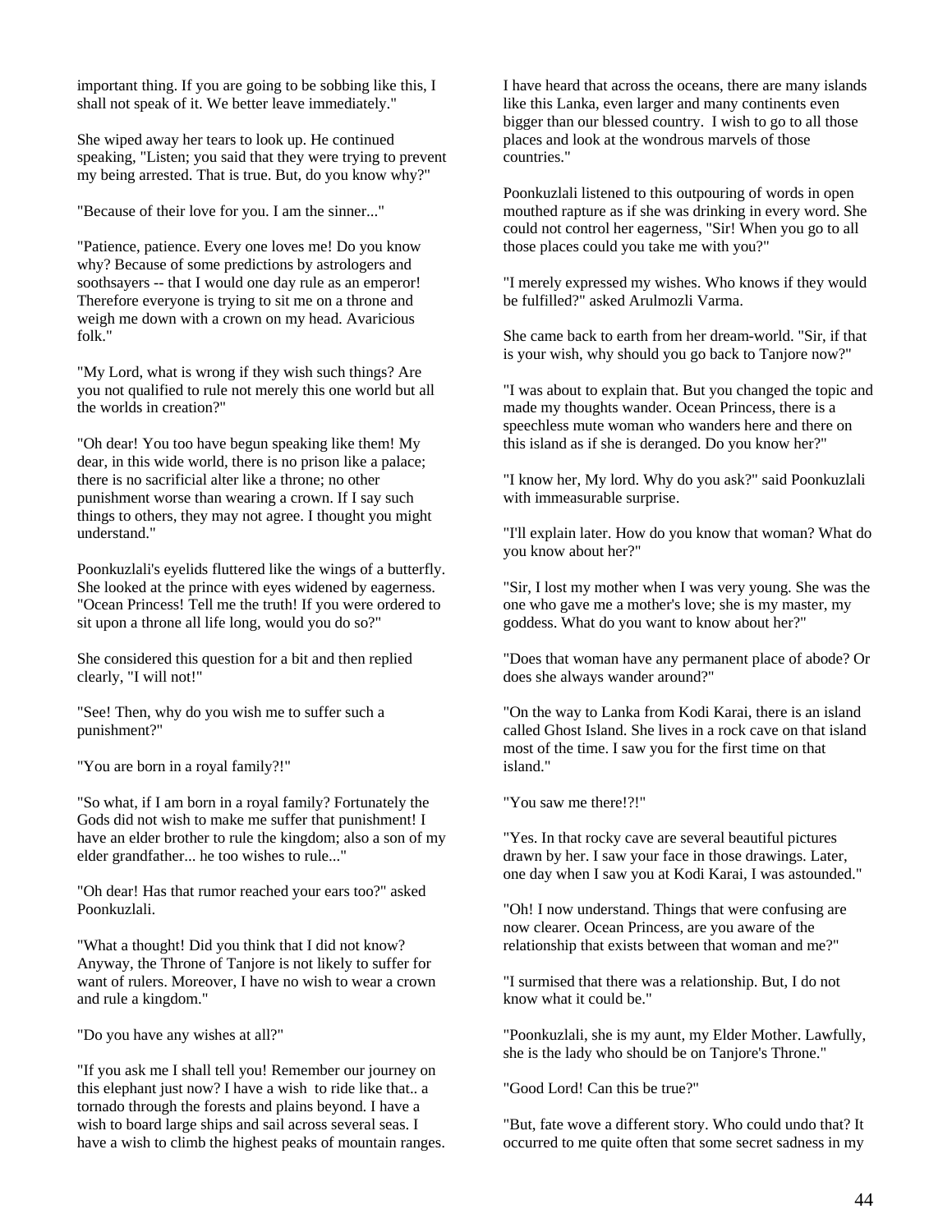important thing. If you are going to be sobbing like this, I shall not speak of it. We better leave immediately."

She wiped away her tears to look up. He continued speaking, "Listen; you said that they were trying to prevent my being arrested. That is true. But, do you know why?"

"Because of their love for you. I am the sinner..."

"Patience, patience. Every one loves me! Do you know why? Because of some predictions by astrologers and soothsayers -- that I would one day rule as an emperor! Therefore everyone is trying to sit me on a throne and weigh me down with a crown on my head. Avaricious folk."

"My Lord, what is wrong if they wish such things? Are you not qualified to rule not merely this one world but all the worlds in creation?"

"Oh dear! You too have begun speaking like them! My dear, in this wide world, there is no prison like a palace; there is no sacrificial alter like a throne; no other punishment worse than wearing a crown. If I say such things to others, they may not agree. I thought you might understand."

Poonkuzlali's eyelids fluttered like the wings of a butterfly. She looked at the prince with eyes widened by eagerness. "Ocean Princess! Tell me the truth! If you were ordered to sit upon a throne all life long, would you do so?"

She considered this question for a bit and then replied clearly, "I will not!"

"See! Then, why do you wish me to suffer such a punishment?"

"You are born in a royal family?!"

"So what, if I am born in a royal family? Fortunately the Gods did not wish to make me suffer that punishment! I have an elder brother to rule the kingdom; also a son of my elder grandfather... he too wishes to rule..."

"Oh dear! Has that rumor reached your ears too?" asked Poonkuzlali.

"What a thought! Did you think that I did not know? Anyway, the Throne of Tanjore is not likely to suffer for want of rulers. Moreover, I have no wish to wear a crown and rule a kingdom."

"Do you have any wishes at all?"

"If you ask me I shall tell you! Remember our journey on this elephant just now? I have a wish to ride like that.. a tornado through the forests and plains beyond. I have a wish to board large ships and sail across several seas. I have a wish to climb the highest peaks of mountain ranges.

I have heard that across the oceans, there are many islands like this Lanka, even larger and many continents even bigger than our blessed country. I wish to go to all those places and look at the wondrous marvels of those countries."

Poonkuzlali listened to this outpouring of words in open mouthed rapture as if she was drinking in every word. She could not control her eagerness, "Sir! When you go to all those places could you take me with you?"

"I merely expressed my wishes. Who knows if they would be fulfilled?" asked Arulmozli Varma.

She came back to earth from her dream-world. "Sir, if that is your wish, why should you go back to Tanjore now?"

"I was about to explain that. But you changed the topic and made my thoughts wander. Ocean Princess, there is a speechless mute woman who wanders here and there on this island as if she is deranged. Do you know her?"

"I know her, My lord. Why do you ask?" said Poonkuzlali with immeasurable surprise.

"I'll explain later. How do you know that woman? What do you know about her?"

"Sir, I lost my mother when I was very young. She was the one who gave me a mother's love; she is my master, my goddess. What do you want to know about her?"

"Does that woman have any permanent place of abode? Or does she always wander around?"

"On the way to Lanka from Kodi Karai, there is an island called Ghost Island. She lives in a rock cave on that island most of the time. I saw you for the first time on that island."

"You saw me there!?!"

"Yes. In that rocky cave are several beautiful pictures drawn by her. I saw your face in those drawings. Later, one day when I saw you at Kodi Karai, I was astounded."

"Oh! I now understand. Things that were confusing are now clearer. Ocean Princess, are you aware of the relationship that exists between that woman and me?"

"I surmised that there was a relationship. But, I do not know what it could be."

"Poonkuzlali, she is my aunt, my Elder Mother. Lawfully, she is the lady who should be on Tanjore's Throne."

"Good Lord! Can this be true?"

"But, fate wove a different story. Who could undo that? It occurred to me quite often that some secret sadness in my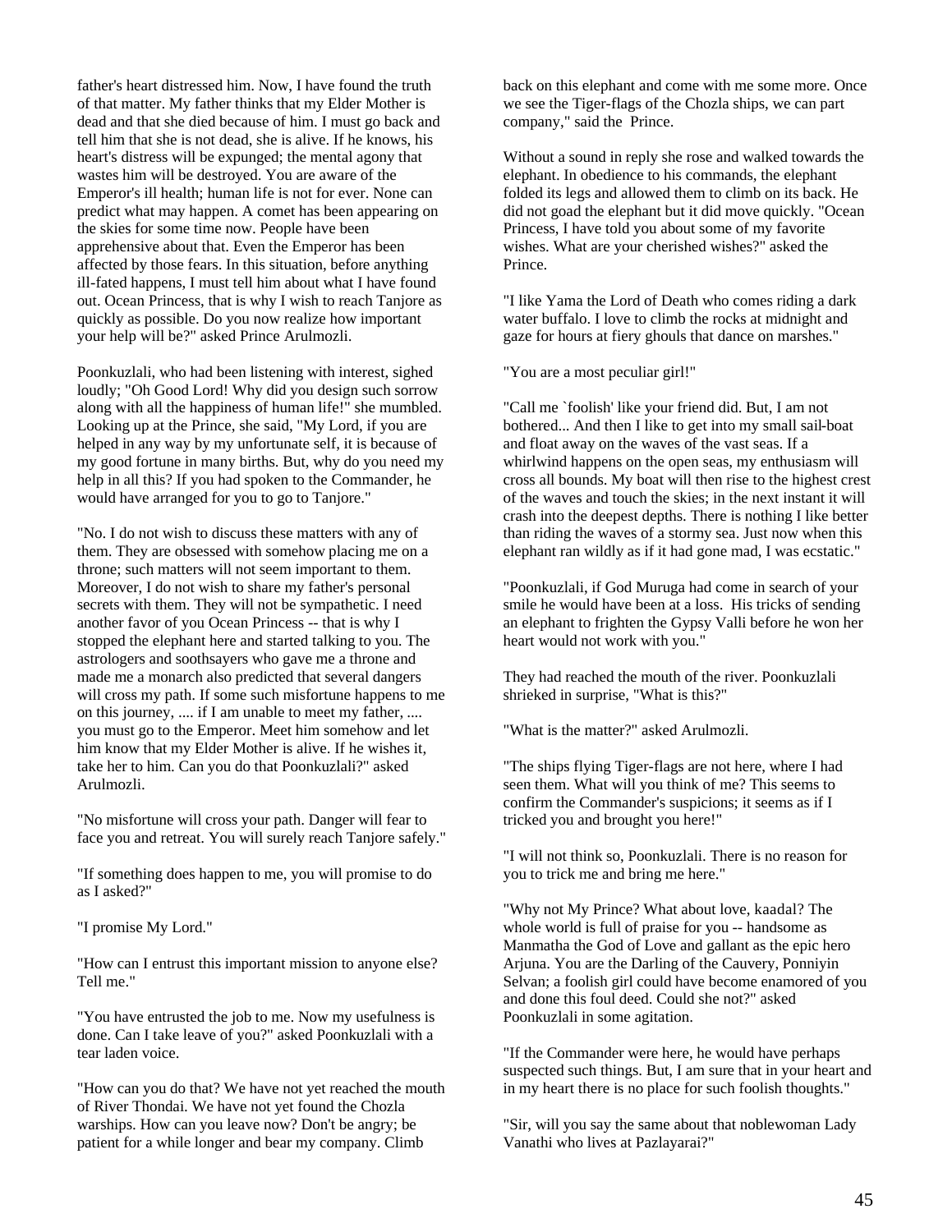father's heart distressed him. Now, I have found the truth of that matter. My father thinks that my Elder Mother is dead and that she died because of him. I must go back and tell him that she is not dead, she is alive. If he knows, his heart's distress will be expunged; the mental agony that wastes him will be destroyed. You are aware of the Emperor's ill health; human life is not for ever. None can predict what may happen. A comet has been appearing on the skies for some time now. People have been apprehensive about that. Even the Emperor has been affected by those fears. In this situation, before anything ill-fated happens, I must tell him about what I have found out. Ocean Princess, that is why I wish to reach Tanjore as quickly as possible. Do you now realize how important your help will be?" asked Prince Arulmozli.

Poonkuzlali, who had been listening with interest, sighed loudly; "Oh Good Lord! Why did you design such sorrow along with all the happiness of human life!" she mumbled. Looking up at the Prince, she said, "My Lord, if you are helped in any way by my unfortunate self, it is because of my good fortune in many births. But, why do you need my help in all this? If you had spoken to the Commander, he would have arranged for you to go to Tanjore."

"No. I do not wish to discuss these matters with any of them. They are obsessed with somehow placing me on a throne; such matters will not seem important to them. Moreover, I do not wish to share my father's personal secrets with them. They will not be sympathetic. I need another favor of you Ocean Princess -- that is why I stopped the elephant here and started talking to you. The astrologers and soothsayers who gave me a throne and made me a monarch also predicted that several dangers will cross my path. If some such misfortune happens to me on this journey, .... if I am unable to meet my father, .... you must go to the Emperor. Meet him somehow and let him know that my Elder Mother is alive. If he wishes it, take her to him. Can you do that Poonkuzlali?" asked Arulmozli.

"No misfortune will cross your path. Danger will fear to face you and retreat. You will surely reach Tanjore safely."

"If something does happen to me, you will promise to do as I asked?"

"I promise My Lord."

"How can I entrust this important mission to anyone else? Tell me."

"You have entrusted the job to me. Now my usefulness is done. Can I take leave of you?" asked Poonkuzlali with a tear laden voice.

"How can you do that? We have not yet reached the mouth of River Thondai. We have not yet found the Chozla warships. How can you leave now? Don't be angry; be patient for a while longer and bear my company. Climb

back on this elephant and come with me some more. Once we see the Tiger-flags of the Chozla ships, we can part company," said the Prince.

Without a sound in reply she rose and walked towards the elephant. In obedience to his commands, the elephant folded its legs and allowed them to climb on its back. He did not goad the elephant but it did move quickly. "Ocean Princess, I have told you about some of my favorite wishes. What are your cherished wishes?" asked the Prince.

"I like Yama the Lord of Death who comes riding a dark water buffalo. I love to climb the rocks at midnight and gaze for hours at fiery ghouls that dance on marshes."

"You are a most peculiar girl!"

"Call me `foolish' like your friend did. But, I am not bothered... And then I like to get into my small sail-boat and float away on the waves of the vast seas. If a whirlwind happens on the open seas, my enthusiasm will cross all bounds. My boat will then rise to the highest crest of the waves and touch the skies; in the next instant it will crash into the deepest depths. There is nothing I like better than riding the waves of a stormy sea. Just now when this elephant ran wildly as if it had gone mad, I was ecstatic."

"Poonkuzlali, if God Muruga had come in search of your smile he would have been at a loss. His tricks of sending an elephant to frighten the Gypsy Valli before he won her heart would not work with you."

They had reached the mouth of the river. Poonkuzlali shrieked in surprise, "What is this?"

"What is the matter?" asked Arulmozli.

"The ships flying Tiger-flags are not here, where I had seen them. What will you think of me? This seems to confirm the Commander's suspicions; it seems as if I tricked you and brought you here!"

"I will not think so, Poonkuzlali. There is no reason for you to trick me and bring me here."

"Why not My Prince? What about love, kaadal? The whole world is full of praise for you -- handsome as Manmatha the God of Love and gallant as the epic hero Arjuna. You are the Darling of the Cauvery, Ponniyin Selvan; a foolish girl could have become enamored of you and done this foul deed. Could she not?" asked Poonkuzlali in some agitation.

"If the Commander were here, he would have perhaps suspected such things. But, I am sure that in your heart and in my heart there is no place for such foolish thoughts."

"Sir, will you say the same about that noblewoman Lady Vanathi who lives at Pazlayarai?"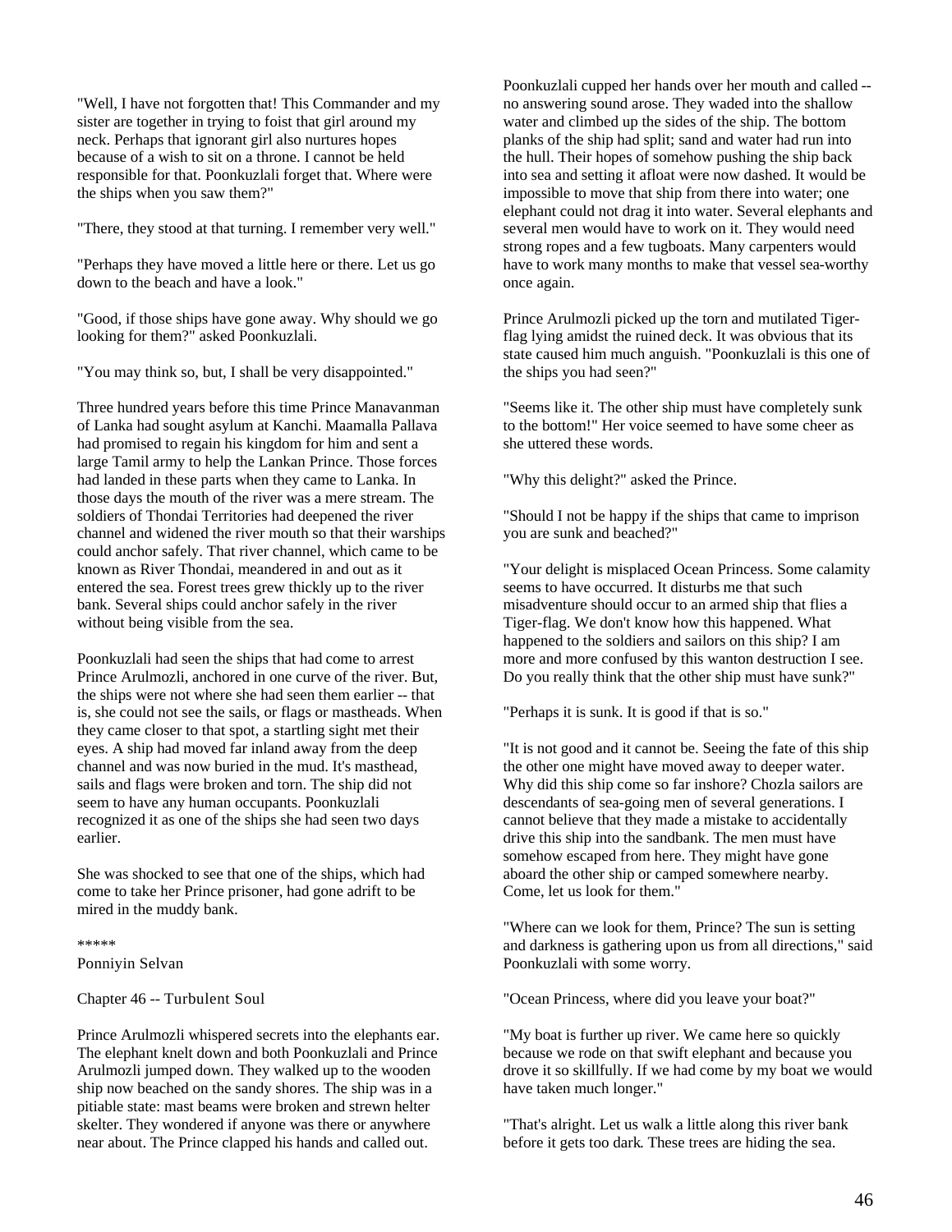"Well, I have not forgotten that! This Commander and my sister are together in trying to foist that girl around my neck. Perhaps that ignorant girl also nurtures hopes because of a wish to sit on a throne. I cannot be held responsible for that. Poonkuzlali forget that. Where were the ships when you saw them?"

"There, they stood at that turning. I remember very well."

"Perhaps they have moved a little here or there. Let us go down to the beach and have a look."

"Good, if those ships have gone away. Why should we go looking for them?" asked Poonkuzlali.

"You may think so, but, I shall be very disappointed."

Three hundred years before this time Prince Manavanman of Lanka had sought asylum at Kanchi. Maamalla Pallava had promised to regain his kingdom for him and sent a large Tamil army to help the Lankan Prince. Those forces had landed in these parts when they came to Lanka. In those days the mouth of the river was a mere stream. The soldiers of Thondai Territories had deepened the river channel and widened the river mouth so that their warships could anchor safely. That river channel, which came to be known as River Thondai, meandered in and out as it entered the sea. Forest trees grew thickly up to the river bank. Several ships could anchor safely in the river without being visible from the sea.

Poonkuzlali had seen the ships that had come to arrest Prince Arulmozli, anchored in one curve of the river. But, the ships were not where she had seen them earlier -- that is, she could not see the sails, or flags or mastheads. When they came closer to that spot, a startling sight met their eyes. A ship had moved far inland away from the deep channel and was now buried in the mud. It's masthead, sails and flags were broken and torn. The ship did not seem to have any human occupants. Poonkuzlali recognized it as one of the ships she had seen two days earlier.

She was shocked to see that one of the ships, which had come to take her Prince prisoner, had gone adrift to be mired in the muddy bank.

\*\*\*\*\*

Ponniyin Selvan

Chapter 46 -- Turbulent Soul

Prince Arulmozli whispered secrets into the elephants ear. The elephant knelt down and both Poonkuzlali and Prince Arulmozli jumped down. They walked up to the wooden ship now beached on the sandy shores. The ship was in a pitiable state: mast beams were broken and strewn helter skelter. They wondered if anyone was there or anywhere near about. The Prince clapped his hands and called out.

Poonkuzlali cupped her hands over her mouth and called - no answering sound arose. They waded into the shallow water and climbed up the sides of the ship. The bottom planks of the ship had split; sand and water had run into the hull. Their hopes of somehow pushing the ship back into sea and setting it afloat were now dashed. It would be impossible to move that ship from there into water; one elephant could not drag it into water. Several elephants and several men would have to work on it. They would need strong ropes and a few tugboats. Many carpenters would have to work many months to make that vessel sea-worthy once again.

Prince Arulmozli picked up the torn and mutilated Tigerflag lying amidst the ruined deck. It was obvious that its state caused him much anguish. "Poonkuzlali is this one of the ships you had seen?"

"Seems like it. The other ship must have completely sunk to the bottom!" Her voice seemed to have some cheer as she uttered these words.

"Why this delight?" asked the Prince.

"Should I not be happy if the ships that came to imprison you are sunk and beached?"

"Your delight is misplaced Ocean Princess. Some calamity seems to have occurred. It disturbs me that such misadventure should occur to an armed ship that flies a Tiger-flag. We don't know how this happened. What happened to the soldiers and sailors on this ship? I am more and more confused by this wanton destruction I see. Do you really think that the other ship must have sunk?"

"Perhaps it is sunk. It is good if that is so."

"It is not good and it cannot be. Seeing the fate of this ship the other one might have moved away to deeper water. Why did this ship come so far inshore? Chozla sailors are descendants of sea-going men of several generations. I cannot believe that they made a mistake to accidentally drive this ship into the sandbank. The men must have somehow escaped from here. They might have gone aboard the other ship or camped somewhere nearby. Come, let us look for them."

"Where can we look for them, Prince? The sun is setting and darkness is gathering upon us from all directions," said Poonkuzlali with some worry.

"Ocean Princess, where did you leave your boat?"

"My boat is further up river. We came here so quickly because we rode on that swift elephant and because you drove it so skillfully. If we had come by my boat we would have taken much longer."

"That's alright. Let us walk a little along this river bank before it gets too dark. These trees are hiding the sea.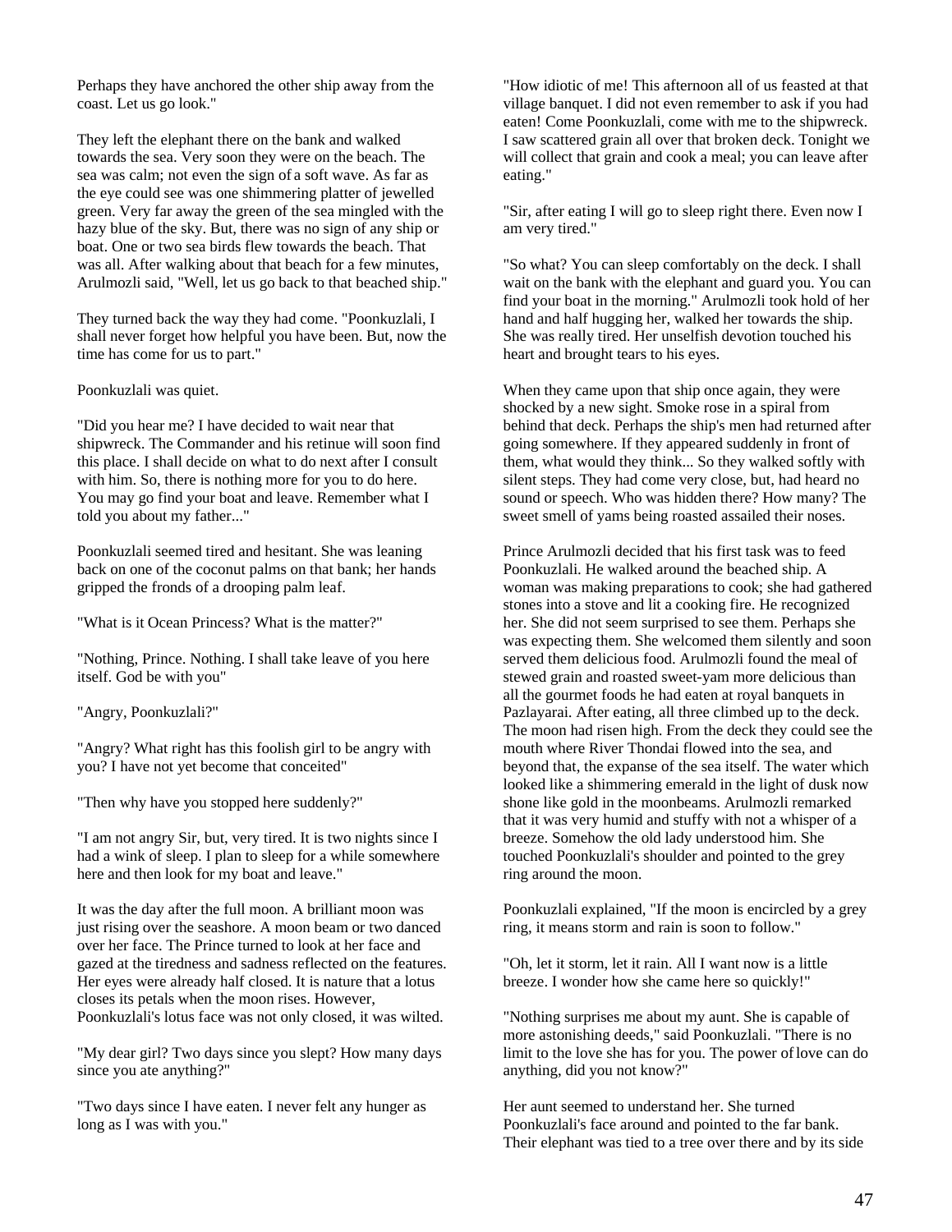Perhaps they have anchored the other ship away from the coast. Let us go look."

They left the elephant there on the bank and walked towards the sea. Very soon they were on the beach. The sea was calm; not even the sign of a soft wave. As far as the eye could see was one shimmering platter of jewelled green. Very far away the green of the sea mingled with the hazy blue of the sky. But, there was no sign of any ship or boat. One or two sea birds flew towards the beach. That was all. After walking about that beach for a few minutes, Arulmozli said, "Well, let us go back to that beached ship."

They turned back the way they had come. "Poonkuzlali, I shall never forget how helpful you have been. But, now the time has come for us to part."

Poonkuzlali was quiet.

"Did you hear me? I have decided to wait near that shipwreck. The Commander and his retinue will soon find this place. I shall decide on what to do next after I consult with him. So, there is nothing more for you to do here. You may go find your boat and leave. Remember what I told you about my father..."

Poonkuzlali seemed tired and hesitant. She was leaning back on one of the coconut palms on that bank; her hands gripped the fronds of a drooping palm leaf.

"What is it Ocean Princess? What is the matter?"

"Nothing, Prince. Nothing. I shall take leave of you here itself. God be with you"

"Angry, Poonkuzlali?"

"Angry? What right has this foolish girl to be angry with you? I have not yet become that conceited"

"Then why have you stopped here suddenly?"

"I am not angry Sir, but, very tired. It is two nights since I had a wink of sleep. I plan to sleep for a while somewhere here and then look for my boat and leave."

It was the day after the full moon. A brilliant moon was just rising over the seashore. A moon beam or two danced over her face. The Prince turned to look at her face and gazed at the tiredness and sadness reflected on the features. Her eyes were already half closed. It is nature that a lotus closes its petals when the moon rises. However, Poonkuzlali's lotus face was not only closed, it was wilted.

"My dear girl? Two days since you slept? How many days since you ate anything?"

"Two days since I have eaten. I never felt any hunger as long as I was with you."

"How idiotic of me! This afternoon all of us feasted at that village banquet. I did not even remember to ask if you had eaten! Come Poonkuzlali, come with me to the shipwreck. I saw scattered grain all over that broken deck. Tonight we will collect that grain and cook a meal; you can leave after eating."

"Sir, after eating I will go to sleep right there. Even now I am very tired."

"So what? You can sleep comfortably on the deck. I shall wait on the bank with the elephant and guard you. You can find your boat in the morning." Arulmozli took hold of her hand and half hugging her, walked her towards the ship. She was really tired. Her unselfish devotion touched his heart and brought tears to his eyes.

When they came upon that ship once again, they were shocked by a new sight. Smoke rose in a spiral from behind that deck. Perhaps the ship's men had returned after going somewhere. If they appeared suddenly in front of them, what would they think... So they walked softly with silent steps. They had come very close, but, had heard no sound or speech. Who was hidden there? How many? The sweet smell of yams being roasted assailed their noses.

Prince Arulmozli decided that his first task was to feed Poonkuzlali. He walked around the beached ship. A woman was making preparations to cook; she had gathered stones into a stove and lit a cooking fire. He recognized her. She did not seem surprised to see them. Perhaps she was expecting them. She welcomed them silently and soon served them delicious food. Arulmozli found the meal of stewed grain and roasted sweet-yam more delicious than all the gourmet foods he had eaten at royal banquets in Pazlayarai. After eating, all three climbed up to the deck. The moon had risen high. From the deck they could see the mouth where River Thondai flowed into the sea, and beyond that, the expanse of the sea itself. The water which looked like a shimmering emerald in the light of dusk now shone like gold in the moonbeams. Arulmozli remarked that it was very humid and stuffy with not a whisper of a breeze. Somehow the old lady understood him. She touched Poonkuzlali's shoulder and pointed to the grey ring around the moon.

Poonkuzlali explained, "If the moon is encircled by a grey ring, it means storm and rain is soon to follow."

"Oh, let it storm, let it rain. All I want now is a little breeze. I wonder how she came here so quickly!"

"Nothing surprises me about my aunt. She is capable of more astonishing deeds," said Poonkuzlali. "There is no limit to the love she has for you. The power of love can do anything, did you not know?"

Her aunt seemed to understand her. She turned Poonkuzlali's face around and pointed to the far bank. Their elephant was tied to a tree over there and by its side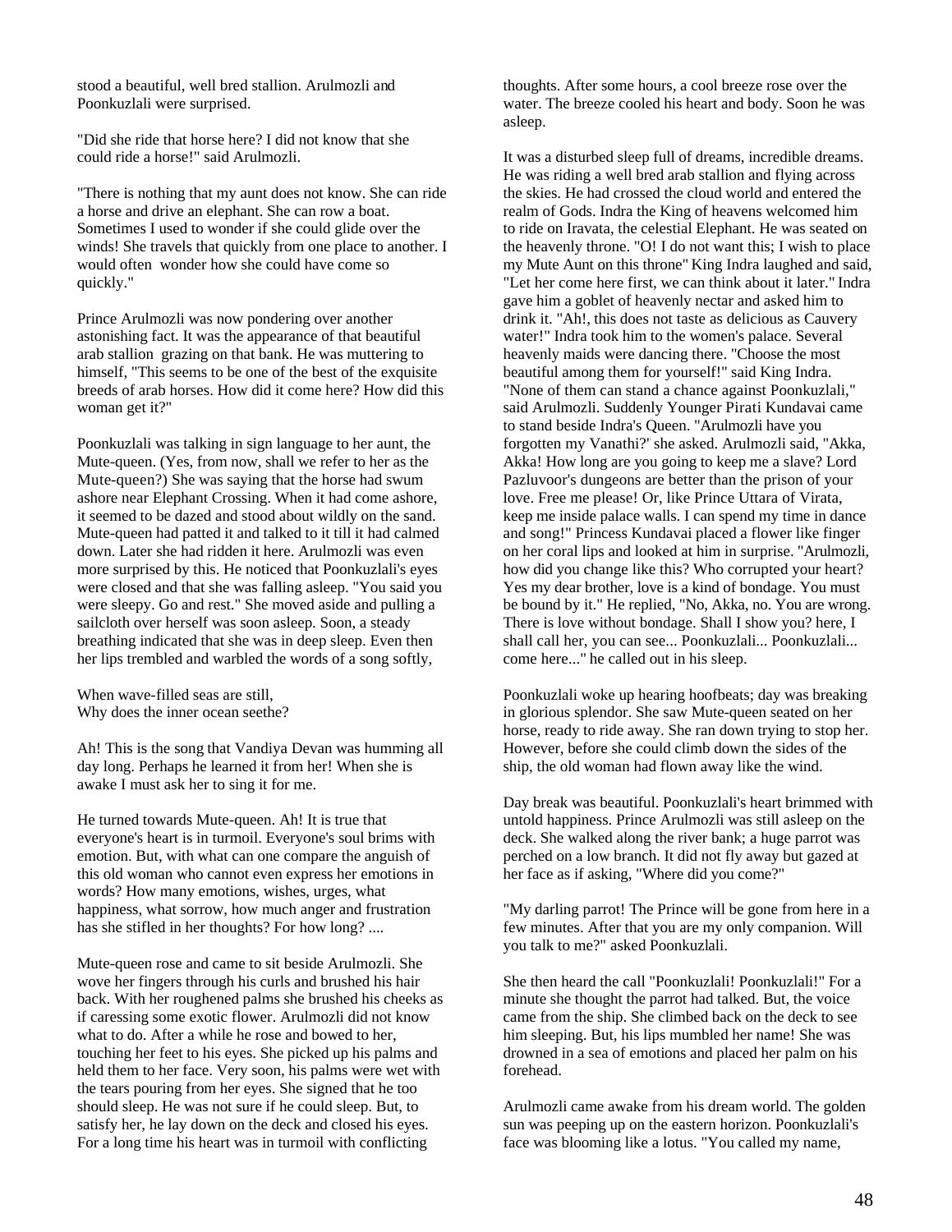stood a beautiful, well bred stallion. Arulmozli and Poonkuzlali were surprised.

"Did she ride that horse here? I did not know that she could ride a horse!" said Arulmozli.

"There is nothing that my aunt does not know. She can ride a horse and drive an elephant. She can row a boat. Sometimes I used to wonder if she could glide over the winds! She travels that quickly from one place to another. I would often wonder how she could have come so quickly."

Prince Arulmozli was now pondering over another astonishing fact. It was the appearance of that beautiful arab stallion grazing on that bank. He was muttering to himself, "This seems to be one of the best of the exquisite breeds of arab horses. How did it come here? How did this woman get it?"

Poonkuzlali was talking in sign language to her aunt, the Mute-queen. (Yes, from now, shall we refer to her as the Mute-queen?) She was saying that the horse had swum ashore near Elephant Crossing. When it had come ashore, it seemed to be dazed and stood about wildly on the sand. Mute-queen had patted it and talked to it till it had calmed down. Later she had ridden it here. Arulmozli was even more surprised by this. He noticed that Poonkuzlali's eyes were closed and that she was falling asleep. "You said you were sleepy. Go and rest." She moved aside and pulling a sailcloth over herself was soon asleep. Soon, a steady breathing indicated that she was in deep sleep. Even then her lips trembled and warbled the words of a song softly,

When wave-filled seas are still, Why does the inner ocean seethe?

Ah! This is the song that Vandiya Devan was humming all day long. Perhaps he learned it from her! When she is awake I must ask her to sing it for me.

He turned towards Mute-queen. Ah! It is true that everyone's heart is in turmoil. Everyone's soul brims with emotion. But, with what can one compare the anguish of this old woman who cannot even express her emotions in words? How many emotions, wishes, urges, what happiness, what sorrow, how much anger and frustration has she stifled in her thoughts? For how long? ....

Mute-queen rose and came to sit beside Arulmozli. She wove her fingers through his curls and brushed his hair back. With her roughened palms she brushed his cheeks as if caressing some exotic flower. Arulmozli did not know what to do. After a while he rose and bowed to her, touching her feet to his eyes. She picked up his palms and held them to her face. Very soon, his palms were wet with the tears pouring from her eyes. She signed that he too should sleep. He was not sure if he could sleep. But, to satisfy her, he lay down on the deck and closed his eyes. For a long time his heart was in turmoil with conflicting

thoughts. After some hours, a cool breeze rose over the water. The breeze cooled his heart and body. Soon he was asleep.

It was a disturbed sleep full of dreams, incredible dreams. He was riding a well bred arab stallion and flying across the skies. He had crossed the cloud world and entered the realm of Gods. Indra the King of heavens welcomed him to ride on Iravata, the celestial Elephant. He was seated on the heavenly throne. "O! I do not want this; I wish to place my Mute Aunt on this throne" King Indra laughed and said, "Let her come here first, we can think about it later." Indra gave him a goblet of heavenly nectar and asked him to drink it. "Ah!, this does not taste as delicious as Cauvery water!" Indra took him to the women's palace. Several heavenly maids were dancing there. "Choose the most beautiful among them for yourself!" said King Indra. "None of them can stand a chance against Poonkuzlali," said Arulmozli. Suddenly Younger Pirati Kundavai came to stand beside Indra's Queen. "Arulmozli have you forgotten my Vanathi?" she asked. Arulmozli said, "Akka, Akka! How long are you going to keep me a slave? Lord Pazluvoor's dungeons are better than the prison of your love. Free me please! Or, like Prince Uttara of Virata, keep me inside palace walls. I can spend my time in dance and song!" Princess Kundavai placed a flower like finger on her coral lips and looked at him in surprise. "Arulmozli, how did you change like this? Who corrupted your heart? Yes my dear brother, love is a kind of bondage. You must be bound by it." He replied, "No, Akka, no. You are wrong. There is love without bondage. Shall I show you? here, I shall call her, you can see... Poonkuzlali... Poonkuzlali... come here..." he called out in his sleep.

Poonkuzlali woke up hearing hoofbeats; day was breaking in glorious splendor. She saw Mute-queen seated on her horse, ready to ride away. She ran down trying to stop her. However, before she could climb down the sides of the ship, the old woman had flown away like the wind.

Day break was beautiful. Poonkuzlali's heart brimmed with untold happiness. Prince Arulmozli was still asleep on the deck. She walked along the river bank; a huge parrot was perched on a low branch. It did not fly away but gazed at her face as if asking, "Where did you come?"

"My darling parrot! The Prince will be gone from here in a few minutes. After that you are my only companion. Will you talk to me?" asked Poonkuzlali.

She then heard the call "Poonkuzlali! Poonkuzlali!" For a minute she thought the parrot had talked. But, the voice came from the ship. She climbed back on the deck to see him sleeping. But, his lips mumbled her name! She was drowned in a sea of emotions and placed her palm on his forehead.

Arulmozli came awake from his dream world. The golden sun was peeping up on the eastern horizon. Poonkuzlali's face was blooming like a lotus. "You called my name,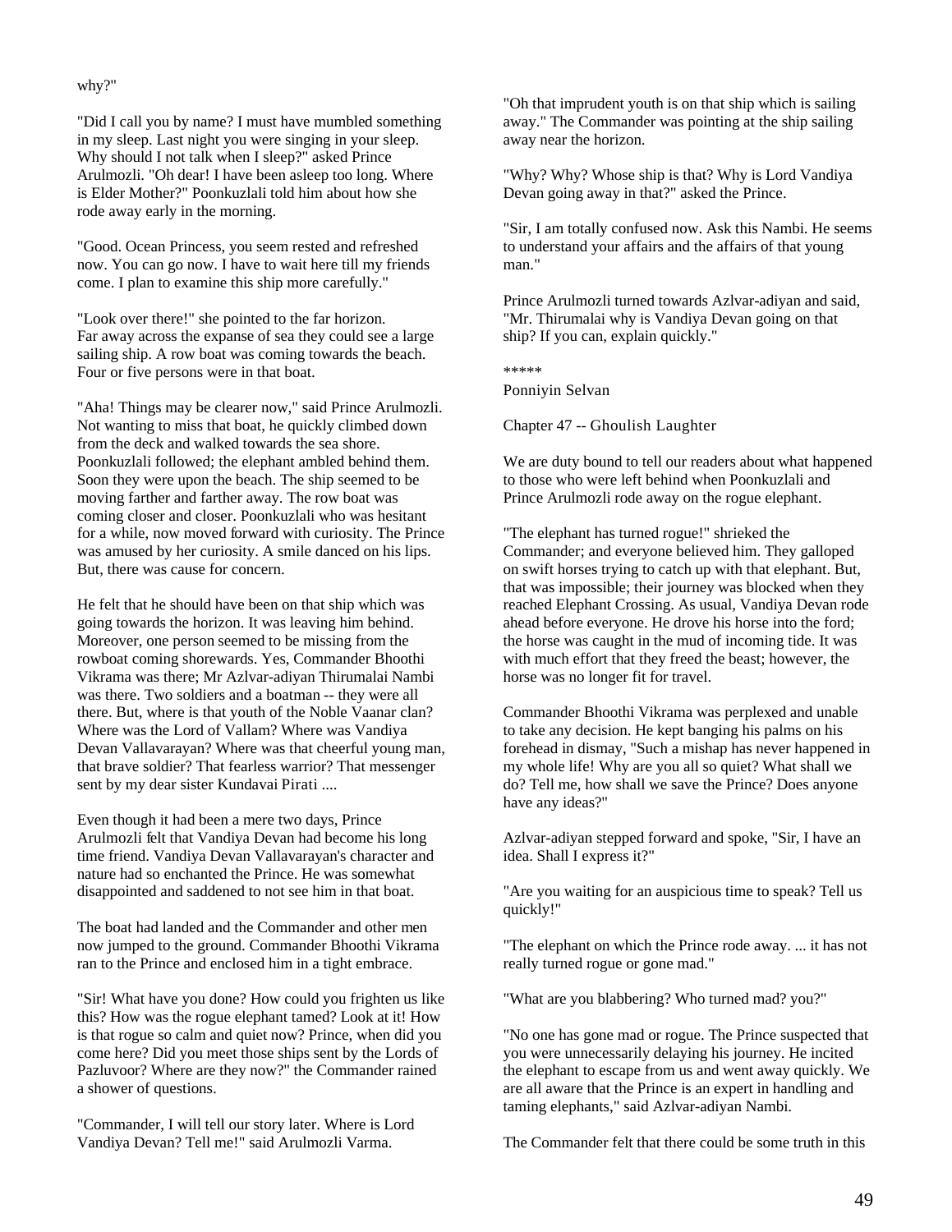## why?"

"Did I call you by name? I must have mumbled something in my sleep. Last night you were singing in your sleep. Why should I not talk when I sleep?" asked Prince Arulmozli. "Oh dear! I have been asleep too long. Where is Elder Mother?" Poonkuzlali told him about how she rode away early in the morning.

"Good. Ocean Princess, you seem rested and refreshed now. You can go now. I have to wait here till my friends come. I plan to examine this ship more carefully."

"Look over there!" she pointed to the far horizon. Far away across the expanse of sea they could see a large sailing ship. A row boat was coming towards the beach. Four or five persons were in that boat.

"Aha! Things may be clearer now," said Prince Arulmozli. Not wanting to miss that boat, he quickly climbed down from the deck and walked towards the sea shore. Poonkuzlali followed; the elephant ambled behind them. Soon they were upon the beach. The ship seemed to be moving farther and farther away. The row boat was coming closer and closer. Poonkuzlali who was hesitant for a while, now moved forward with curiosity. The Prince was amused by her curiosity. A smile danced on his lips. But, there was cause for concern.

He felt that he should have been on that ship which was going towards the horizon. It was leaving him behind. Moreover, one person seemed to be missing from the rowboat coming shorewards. Yes, Commander Bhoothi Vikrama was there; Mr Azlvar-adiyan Thirumalai Nambi was there. Two soldiers and a boatman -- they were all there. But, where is that youth of the Noble Vaanar clan? Where was the Lord of Vallam? Where was Vandiya Devan Vallavarayan? Where was that cheerful young man, that brave soldier? That fearless warrior? That messenger sent by my dear sister Kundavai Pirati ....

Even though it had been a mere two days, Prince Arulmozli felt that Vandiya Devan had become his long time friend. Vandiya Devan Vallavarayan's character and nature had so enchanted the Prince. He was somewhat disappointed and saddened to not see him in that boat.

The boat had landed and the Commander and other men now jumped to the ground. Commander Bhoothi Vikrama ran to the Prince and enclosed him in a tight embrace.

"Sir! What have you done? How could you frighten us like this? How was the rogue elephant tamed? Look at it! How is that rogue so calm and quiet now? Prince, when did you come here? Did you meet those ships sent by the Lords of Pazluvoor? Where are they now?" the Commander rained a shower of questions.

"Commander, I will tell our story later. Where is Lord Vandiya Devan? Tell me!" said Arulmozli Varma.

"Oh that imprudent youth is on that ship which is sailing away." The Commander was pointing at the ship sailing away near the horizon.

"Why? Why? Whose ship is that? Why is Lord Vandiya Devan going away in that?" asked the Prince.

"Sir, I am totally confused now. Ask this Nambi. He seems to understand your affairs and the affairs of that young man."

Prince Arulmozli turned towards Azlvar-adiyan and said, "Mr. Thirumalai why is Vandiya Devan going on that ship? If you can, explain quickly."

\*\*\*\*\*

Ponniyin Selvan

Chapter 47 -- Ghoulish Laughter

We are duty bound to tell our readers about what happened to those who were left behind when Poonkuzlali and Prince Arulmozli rode away on the rogue elephant.

"The elephant has turned rogue!" shrieked the Commander; and everyone believed him. They galloped on swift horses trying to catch up with that elephant. But, that was impossible; their journey was blocked when they reached Elephant Crossing. As usual, Vandiya Devan rode ahead before everyone. He drove his horse into the ford; the horse was caught in the mud of incoming tide. It was with much effort that they freed the beast; however, the horse was no longer fit for travel.

Commander Bhoothi Vikrama was perplexed and unable to take any decision. He kept banging his palms on his forehead in dismay, "Such a mishap has never happened in my whole life! Why are you all so quiet? What shall we do? Tell me, how shall we save the Prince? Does anyone have any ideas?"

Azlvar-adiyan stepped forward and spoke, "Sir, I have an idea. Shall I express it?"

"Are you waiting for an auspicious time to speak? Tell us quickly!"

"The elephant on which the Prince rode away. ... it has not really turned rogue or gone mad."

"What are you blabbering? Who turned mad? you?"

"No one has gone mad or rogue. The Prince suspected that you were unnecessarily delaying his journey. He incited the elephant to escape from us and went away quickly. We are all aware that the Prince is an expert in handling and taming elephants," said Azlvar-adiyan Nambi.

The Commander felt that there could be some truth in this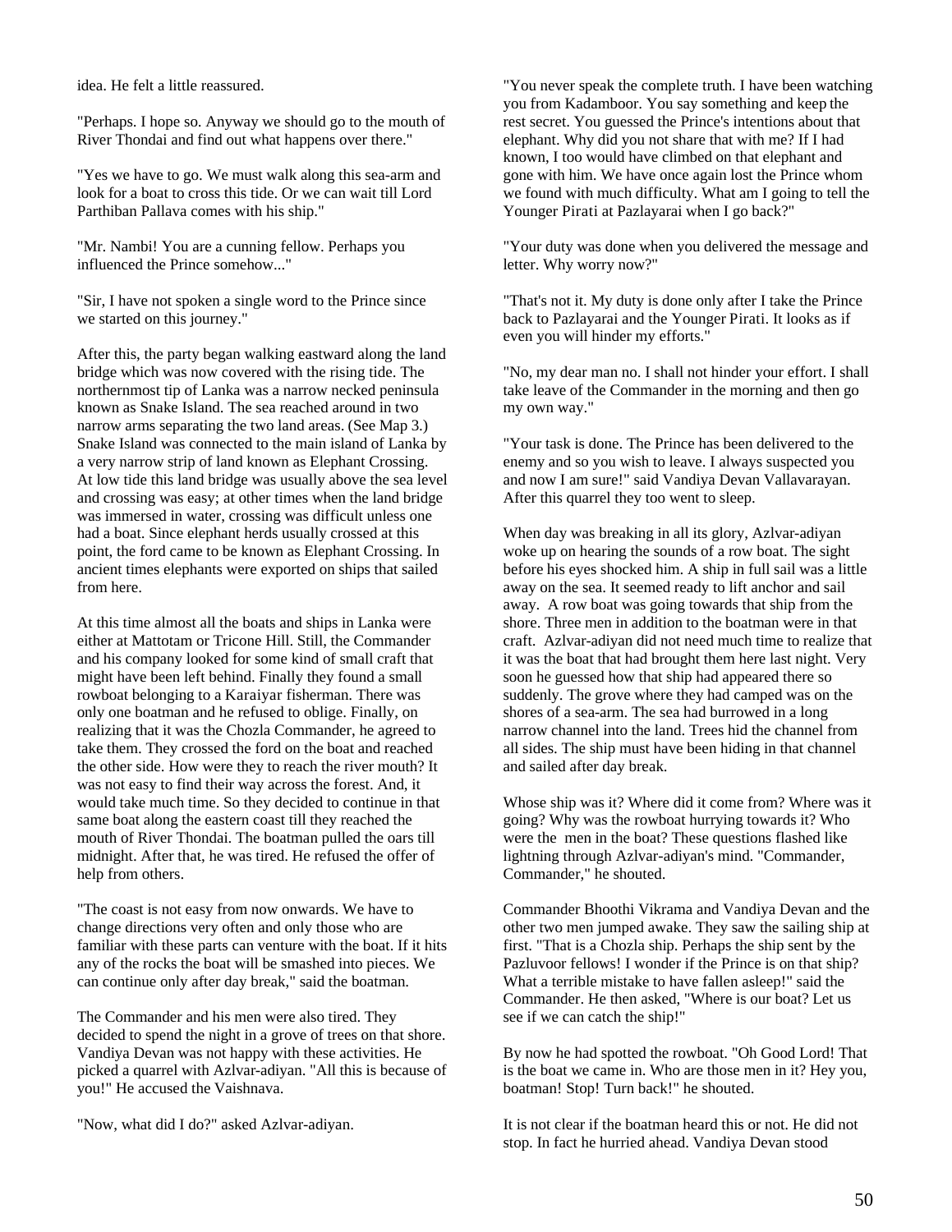idea. He felt a little reassured.

"Perhaps. I hope so. Anyway we should go to the mouth of River Thondai and find out what happens over there."

"Yes we have to go. We must walk along this sea-arm and look for a boat to cross this tide. Or we can wait till Lord Parthiban Pallava comes with his ship."

"Mr. Nambi! You are a cunning fellow. Perhaps you influenced the Prince somehow..."

"Sir, I have not spoken a single word to the Prince since we started on this journey."

After this, the party began walking eastward along the land bridge which was now covered with the rising tide. The northernmost tip of Lanka was a narrow necked peninsula known as Snake Island. The sea reached around in two narrow arms separating the two land areas. (See Map 3.) Snake Island was connected to the main island of Lanka by a very narrow strip of land known as Elephant Crossing. At low tide this land bridge was usually above the sea level and crossing was easy; at other times when the land bridge was immersed in water, crossing was difficult unless one had a boat. Since elephant herds usually crossed at this point, the ford came to be known as Elephant Crossing. In ancient times elephants were exported on ships that sailed from here.

At this time almost all the boats and ships in Lanka were either at Mattotam or Tricone Hill. Still, the Commander and his company looked for some kind of small craft that might have been left behind. Finally they found a small rowboat belonging to a Karaiyar fisherman. There was only one boatman and he refused to oblige. Finally, on realizing that it was the Chozla Commander, he agreed to take them. They crossed the ford on the boat and reached the other side. How were they to reach the river mouth? It was not easy to find their way across the forest. And, it would take much time. So they decided to continue in that same boat along the eastern coast till they reached the mouth of River Thondai. The boatman pulled the oars till midnight. After that, he was tired. He refused the offer of help from others.

"The coast is not easy from now onwards. We have to change directions very often and only those who are familiar with these parts can venture with the boat. If it hits any of the rocks the boat will be smashed into pieces. We can continue only after day break," said the boatman.

The Commander and his men were also tired. They decided to spend the night in a grove of trees on that shore. Vandiya Devan was not happy with these activities. He picked a quarrel with Azlvar-adiyan. "All this is because of you!" He accused the Vaishnava.

"Now, what did I do?" asked Azlvar-adiyan.

"You never speak the complete truth. I have been watching you from Kadamboor. You say something and keep the rest secret. You guessed the Prince's intentions about that elephant. Why did you not share that with me? If I had known, I too would have climbed on that elephant and gone with him. We have once again lost the Prince whom we found with much difficulty. What am I going to tell the Younger Pirati at Pazlayarai when I go back?"

"Your duty was done when you delivered the message and letter. Why worry now?"

"That's not it. My duty is done only after I take the Prince back to Pazlayarai and the Younger Pirati. It looks as if even you will hinder my efforts."

"No, my dear man no. I shall not hinder your effort. I shall take leave of the Commander in the morning and then go my own way."

"Your task is done. The Prince has been delivered to the enemy and so you wish to leave. I always suspected you and now I am sure!" said Vandiya Devan Vallavarayan. After this quarrel they too went to sleep.

When day was breaking in all its glory, Azlvar-adiyan woke up on hearing the sounds of a row boat. The sight before his eyes shocked him. A ship in full sail was a little away on the sea. It seemed ready to lift anchor and sail away. A row boat was going towards that ship from the shore. Three men in addition to the boatman were in that craft. Azlvar-adiyan did not need much time to realize that it was the boat that had brought them here last night. Very soon he guessed how that ship had appeared there so suddenly. The grove where they had camped was on the shores of a sea-arm. The sea had burrowed in a long narrow channel into the land. Trees hid the channel from all sides. The ship must have been hiding in that channel and sailed after day break.

Whose ship was it? Where did it come from? Where was it going? Why was the rowboat hurrying towards it? Who were the men in the boat? These questions flashed like lightning through Azlvar-adiyan's mind. "Commander, Commander," he shouted.

Commander Bhoothi Vikrama and Vandiya Devan and the other two men jumped awake. They saw the sailing ship at first. "That is a Chozla ship. Perhaps the ship sent by the Pazluvoor fellows! I wonder if the Prince is on that ship? What a terrible mistake to have fallen asleep!" said the Commander. He then asked, "Where is our boat? Let us see if we can catch the ship!"

By now he had spotted the rowboat. "Oh Good Lord! That is the boat we came in. Who are those men in it? Hey you, boatman! Stop! Turn back!" he shouted.

It is not clear if the boatman heard this or not. He did not stop. In fact he hurried ahead. Vandiya Devan stood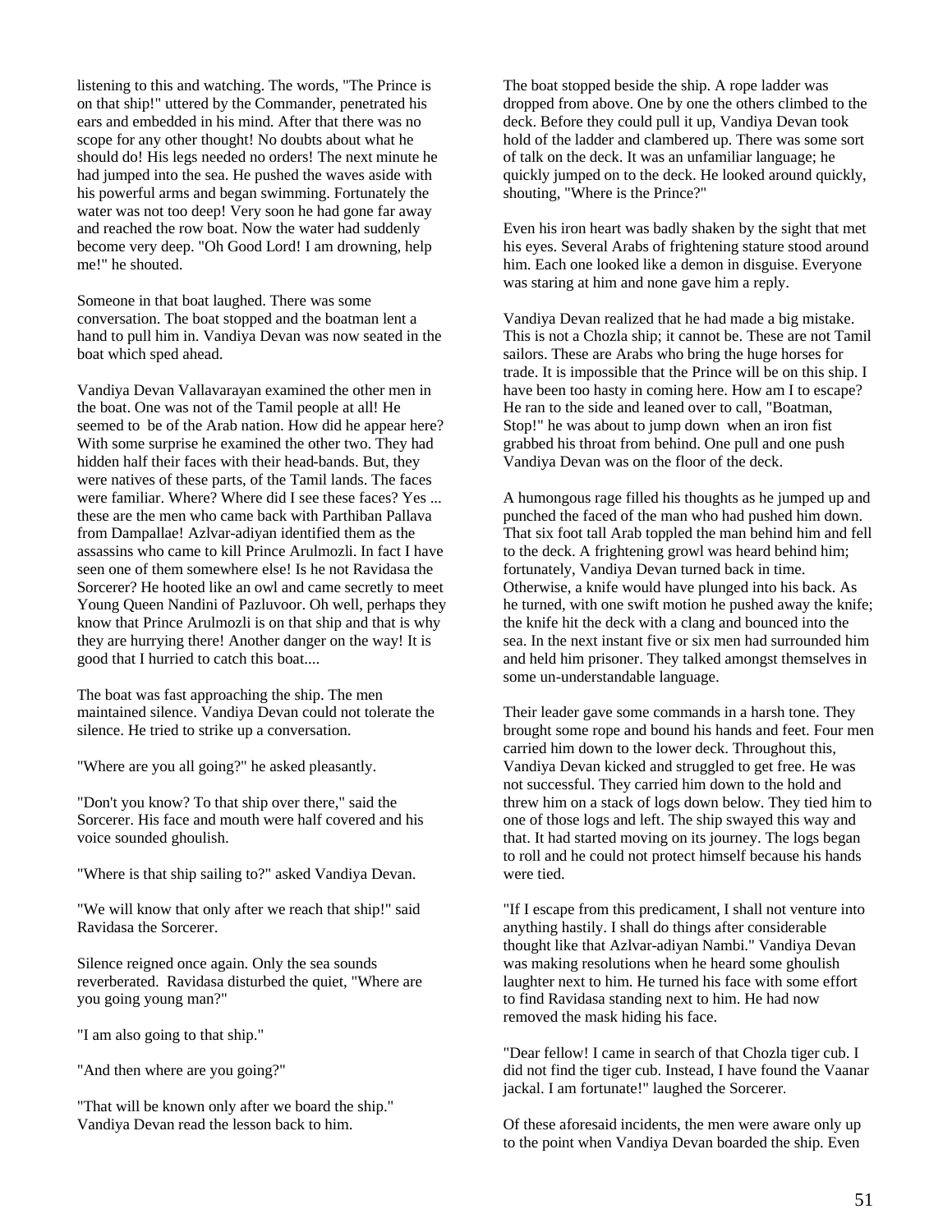listening to this and watching. The words, "The Prince is on that ship!" uttered by the Commander, penetrated his ears and embedded in his mind. After that there was no scope for any other thought! No doubts about what he should do! His legs needed no orders! The next minute he had jumped into the sea. He pushed the waves aside with his powerful arms and began swimming. Fortunately the water was not too deep! Very soon he had gone far away and reached the row boat. Now the water had suddenly become very deep. "Oh Good Lord! I am drowning, help me!" he shouted.

Someone in that boat laughed. There was some conversation. The boat stopped and the boatman lent a hand to pull him in. Vandiya Devan was now seated in the boat which sped ahead.

Vandiya Devan Vallavarayan examined the other men in the boat. One was not of the Tamil people at all! He seemed to be of the Arab nation. How did he appear here? With some surprise he examined the other two. They had hidden half their faces with their head-bands. But, they were natives of these parts, of the Tamil lands. The faces were familiar. Where? Where did I see these faces? Yes ... these are the men who came back with Parthiban Pallava from Dampallae! Azlvar-adiyan identified them as the assassins who came to kill Prince Arulmozli. In fact I have seen one of them somewhere else! Is he not Ravidasa the Sorcerer? He hooted like an owl and came secretly to meet Young Queen Nandini of Pazluvoor. Oh well, perhaps they know that Prince Arulmozli is on that ship and that is why they are hurrying there! Another danger on the way! It is good that I hurried to catch this boat....

The boat was fast approaching the ship. The men maintained silence. Vandiya Devan could not tolerate the silence. He tried to strike up a conversation.

"Where are you all going?" he asked pleasantly.

"Don't you know? To that ship over there," said the Sorcerer. His face and mouth were half covered and his voice sounded ghoulish.

"Where is that ship sailing to?" asked Vandiya Devan.

"We will know that only after we reach that ship!" said Ravidasa the Sorcerer.

Silence reigned once again. Only the sea sounds reverberated. Ravidasa disturbed the quiet, "Where are you going young man?"

"I am also going to that ship."

"And then where are you going?"

"That will be known only after we board the ship." Vandiya Devan read the lesson back to him.

The boat stopped beside the ship. A rope ladder was dropped from above. One by one the others climbed to the deck. Before they could pull it up, Vandiya Devan took hold of the ladder and clambered up. There was some sort of talk on the deck. It was an unfamiliar language; he quickly jumped on to the deck. He looked around quickly, shouting, "Where is the Prince?"

Even his iron heart was badly shaken by the sight that met his eyes. Several Arabs of frightening stature stood around him. Each one looked like a demon in disguise. Everyone was staring at him and none gave him a reply.

Vandiya Devan realized that he had made a big mistake. This is not a Chozla ship; it cannot be. These are not Tamil sailors. These are Arabs who bring the huge horses for trade. It is impossible that the Prince will be on this ship. I have been too hasty in coming here. How am I to escape? He ran to the side and leaned over to call, "Boatman, Stop!" he was about to jump down when an iron fist grabbed his throat from behind. One pull and one push Vandiya Devan was on the floor of the deck.

A humongous rage filled his thoughts as he jumped up and punched the faced of the man who had pushed him down. That six foot tall Arab toppled the man behind him and fell to the deck. A frightening growl was heard behind him; fortunately, Vandiya Devan turned back in time. Otherwise, a knife would have plunged into his back. As he turned, with one swift motion he pushed away the knife; the knife hit the deck with a clang and bounced into the sea. In the next instant five or six men had surrounded him and held him prisoner. They talked amongst themselves in some un-understandable language.

Their leader gave some commands in a harsh tone. They brought some rope and bound his hands and feet. Four men carried him down to the lower deck. Throughout this, Vandiya Devan kicked and struggled to get free. He was not successful. They carried him down to the hold and threw him on a stack of logs down below. They tied him to one of those logs and left. The ship swayed this way and that. It had started moving on its journey. The logs began to roll and he could not protect himself because his hands were tied.

"If I escape from this predicament, I shall not venture into anything hastily. I shall do things after considerable thought like that Azlvar-adiyan Nambi." Vandiya Devan was making resolutions when he heard some ghoulish laughter next to him. He turned his face with some effort to find Ravidasa standing next to him. He had now removed the mask hiding his face.

"Dear fellow! I came in search of that Chozla tiger cub. I did not find the tiger cub. Instead, I have found the Vaanar jackal. I am fortunate!" laughed the Sorcerer.

Of these aforesaid incidents, the men were aware only up to the point when Vandiya Devan boarded the ship. Even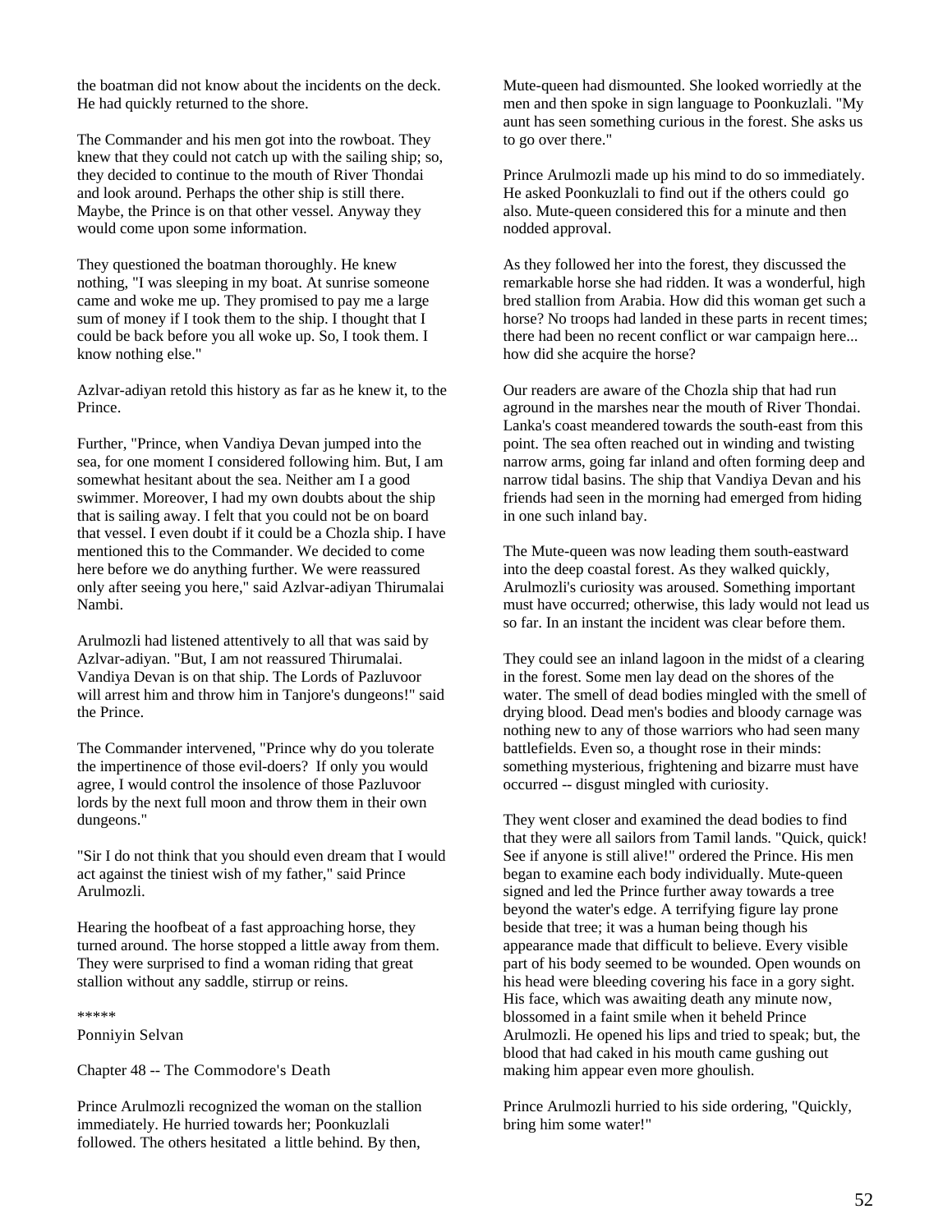the boatman did not know about the incidents on the deck. He had quickly returned to the shore.

The Commander and his men got into the rowboat. They knew that they could not catch up with the sailing ship; so, they decided to continue to the mouth of River Thondai and look around. Perhaps the other ship is still there. Maybe, the Prince is on that other vessel. Anyway they would come upon some information.

They questioned the boatman thoroughly. He knew nothing, "I was sleeping in my boat. At sunrise someone came and woke me up. They promised to pay me a large sum of money if I took them to the ship. I thought that I could be back before you all woke up. So, I took them. I know nothing else."

Azlvar-adiyan retold this history as far as he knew it, to the Prince.

Further, "Prince, when Vandiya Devan jumped into the sea, for one moment I considered following him. But, I am somewhat hesitant about the sea. Neither am I a good swimmer. Moreover, I had my own doubts about the ship that is sailing away. I felt that you could not be on board that vessel. I even doubt if it could be a Chozla ship. I have mentioned this to the Commander. We decided to come here before we do anything further. We were reassured only after seeing you here," said Azlvar-adiyan Thirumalai Nambi.

Arulmozli had listened attentively to all that was said by Azlvar-adiyan. "But, I am not reassured Thirumalai. Vandiya Devan is on that ship. The Lords of Pazluvoor will arrest him and throw him in Tanjore's dungeons!" said the Prince.

The Commander intervened, "Prince why do you tolerate the impertinence of those evil-doers? If only you would agree, I would control the insolence of those Pazluvoor lords by the next full moon and throw them in their own dungeons."

"Sir I do not think that you should even dream that I would act against the tiniest wish of my father," said Prince Arulmozli.

Hearing the hoofbeat of a fast approaching horse, they turned around. The horse stopped a little away from them. They were surprised to find a woman riding that great stallion without any saddle, stirrup or reins.

\*\*\*\*\*

Ponniyin Selvan

Chapter 48 -- The Commodore's Death

Prince Arulmozli recognized the woman on the stallion immediately. He hurried towards her; Poonkuzlali followed. The others hesitated a little behind. By then,

Mute-queen had dismounted. She looked worriedly at the men and then spoke in sign language to Poonkuzlali. "My aunt has seen something curious in the forest. She asks us to go over there."

Prince Arulmozli made up his mind to do so immediately. He asked Poonkuzlali to find out if the others could go also. Mute-queen considered this for a minute and then nodded approval.

As they followed her into the forest, they discussed the remarkable horse she had ridden. It was a wonderful, high bred stallion from Arabia. How did this woman get such a horse? No troops had landed in these parts in recent times; there had been no recent conflict or war campaign here... how did she acquire the horse?

Our readers are aware of the Chozla ship that had run aground in the marshes near the mouth of River Thondai. Lanka's coast meandered towards the south-east from this point. The sea often reached out in winding and twisting narrow arms, going far inland and often forming deep and narrow tidal basins. The ship that Vandiya Devan and his friends had seen in the morning had emerged from hiding in one such inland bay.

The Mute-queen was now leading them south-eastward into the deep coastal forest. As they walked quickly, Arulmozli's curiosity was aroused. Something important must have occurred; otherwise, this lady would not lead us so far. In an instant the incident was clear before them.

They could see an inland lagoon in the midst of a clearing in the forest. Some men lay dead on the shores of the water. The smell of dead bodies mingled with the smell of drying blood. Dead men's bodies and bloody carnage was nothing new to any of those warriors who had seen many battlefields. Even so, a thought rose in their minds: something mysterious, frightening and bizarre must have occurred -- disgust mingled with curiosity.

They went closer and examined the dead bodies to find that they were all sailors from Tamil lands. "Quick, quick! See if anyone is still alive!" ordered the Prince. His men began to examine each body individually. Mute-queen signed and led the Prince further away towards a tree beyond the water's edge. A terrifying figure lay prone beside that tree; it was a human being though his appearance made that difficult to believe. Every visible part of his body seemed to be wounded. Open wounds on his head were bleeding covering his face in a gory sight. His face, which was awaiting death any minute now, blossomed in a faint smile when it beheld Prince Arulmozli. He opened his lips and tried to speak; but, the blood that had caked in his mouth came gushing out making him appear even more ghoulish.

Prince Arulmozli hurried to his side ordering, "Quickly, bring him some water!"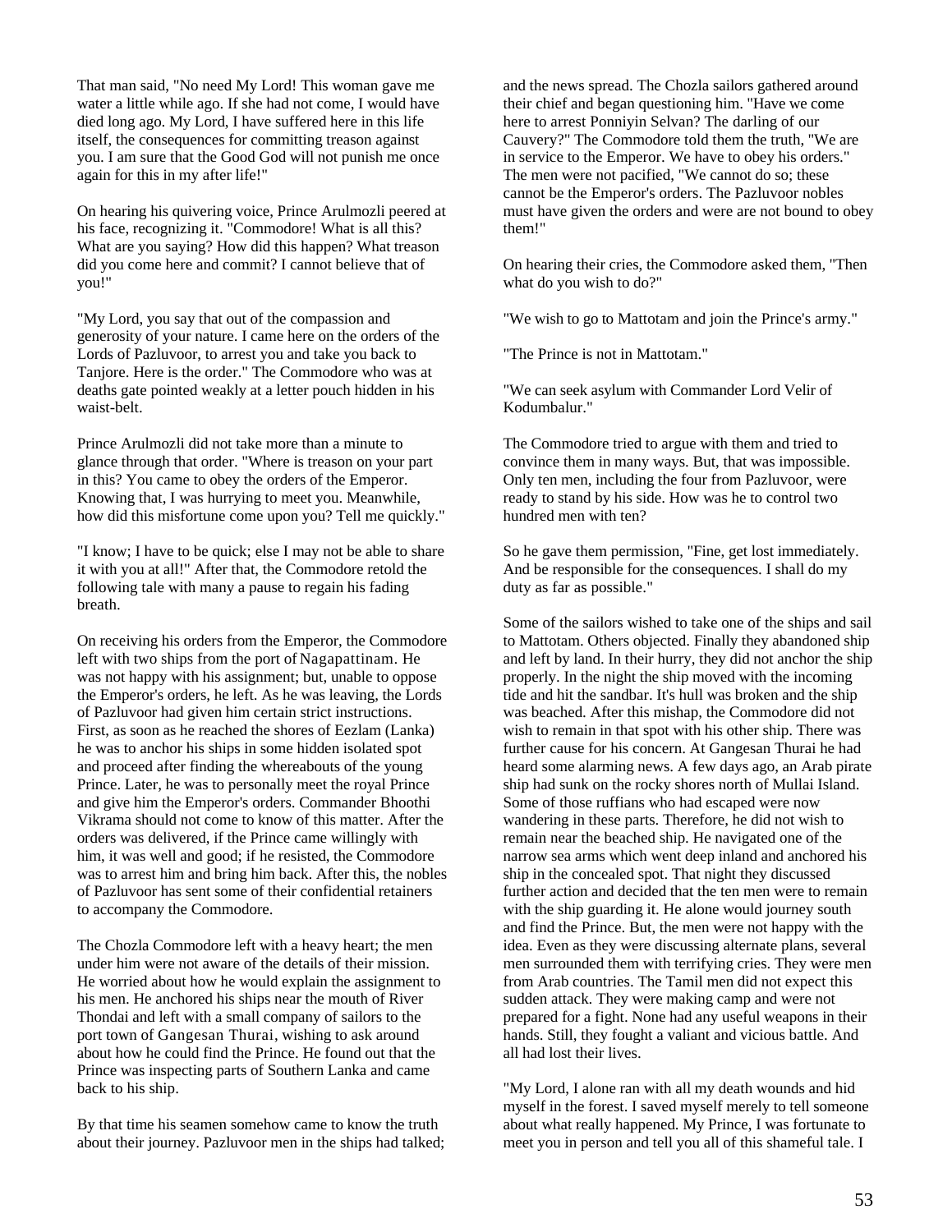That man said, "No need My Lord! This woman gave me water a little while ago. If she had not come, I would have died long ago. My Lord, I have suffered here in this life itself, the consequences for committing treason against you. I am sure that the Good God will not punish me once again for this in my after life!"

On hearing his quivering voice, Prince Arulmozli peered at his face, recognizing it. "Commodore! What is all this? What are you saying? How did this happen? What treason did you come here and commit? I cannot believe that of you!"

"My Lord, you say that out of the compassion and generosity of your nature. I came here on the orders of the Lords of Pazluvoor, to arrest you and take you back to Tanjore. Here is the order." The Commodore who was at deaths gate pointed weakly at a letter pouch hidden in his waist-belt.

Prince Arulmozli did not take more than a minute to glance through that order. "Where is treason on your part in this? You came to obey the orders of the Emperor. Knowing that, I was hurrying to meet you. Meanwhile, how did this misfortune come upon you? Tell me quickly."

"I know; I have to be quick; else I may not be able to share it with you at all!" After that, the Commodore retold the following tale with many a pause to regain his fading breath.

On receiving his orders from the Emperor, the Commodore left with two ships from the port of Nagapattinam. He was not happy with his assignment; but, unable to oppose the Emperor's orders, he left. As he was leaving, the Lords of Pazluvoor had given him certain strict instructions. First, as soon as he reached the shores of Eezlam (Lanka) he was to anchor his ships in some hidden isolated spot and proceed after finding the whereabouts of the young Prince. Later, he was to personally meet the royal Prince and give him the Emperor's orders. Commander Bhoothi Vikrama should not come to know of this matter. After the orders was delivered, if the Prince came willingly with him, it was well and good; if he resisted, the Commodore was to arrest him and bring him back. After this, the nobles of Pazluvoor has sent some of their confidential retainers to accompany the Commodore.

The Chozla Commodore left with a heavy heart; the men under him were not aware of the details of their mission. He worried about how he would explain the assignment to his men. He anchored his ships near the mouth of River Thondai and left with a small company of sailors to the port town of Gangesan Thurai, wishing to ask around about how he could find the Prince. He found out that the Prince was inspecting parts of Southern Lanka and came back to his ship.

By that time his seamen somehow came to know the truth about their journey. Pazluvoor men in the ships had talked;

and the news spread. The Chozla sailors gathered around their chief and began questioning him. "Have we come here to arrest Ponniyin Selvan? The darling of our Cauvery?" The Commodore told them the truth, "We are in service to the Emperor. We have to obey his orders." The men were not pacified, "We cannot do so; these cannot be the Emperor's orders. The Pazluvoor nobles must have given the orders and were are not bound to obey them!"

On hearing their cries, the Commodore asked them, "Then what do you wish to do?"

"We wish to go to Mattotam and join the Prince's army."

"The Prince is not in Mattotam."

"We can seek asylum with Commander Lord Velir of Kodumbalur."

The Commodore tried to argue with them and tried to convince them in many ways. But, that was impossible. Only ten men, including the four from Pazluvoor, were ready to stand by his side. How was he to control two hundred men with ten?

So he gave them permission, "Fine, get lost immediately. And be responsible for the consequences. I shall do my duty as far as possible."

Some of the sailors wished to take one of the ships and sail to Mattotam. Others objected. Finally they abandoned ship and left by land. In their hurry, they did not anchor the ship properly. In the night the ship moved with the incoming tide and hit the sandbar. It's hull was broken and the ship was beached. After this mishap, the Commodore did not wish to remain in that spot with his other ship. There was further cause for his concern. At Gangesan Thurai he had heard some alarming news. A few days ago, an Arab pirate ship had sunk on the rocky shores north of Mullai Island. Some of those ruffians who had escaped were now wandering in these parts. Therefore, he did not wish to remain near the beached ship. He navigated one of the narrow sea arms which went deep inland and anchored his ship in the concealed spot. That night they discussed further action and decided that the ten men were to remain with the ship guarding it. He alone would journey south and find the Prince. But, the men were not happy with the idea. Even as they were discussing alternate plans, several men surrounded them with terrifying cries. They were men from Arab countries. The Tamil men did not expect this sudden attack. They were making camp and were not prepared for a fight. None had any useful weapons in their hands. Still, they fought a valiant and vicious battle. And all had lost their lives.

"My Lord, I alone ran with all my death wounds and hid myself in the forest. I saved myself merely to tell someone about what really happened. My Prince, I was fortunate to meet you in person and tell you all of this shameful tale. I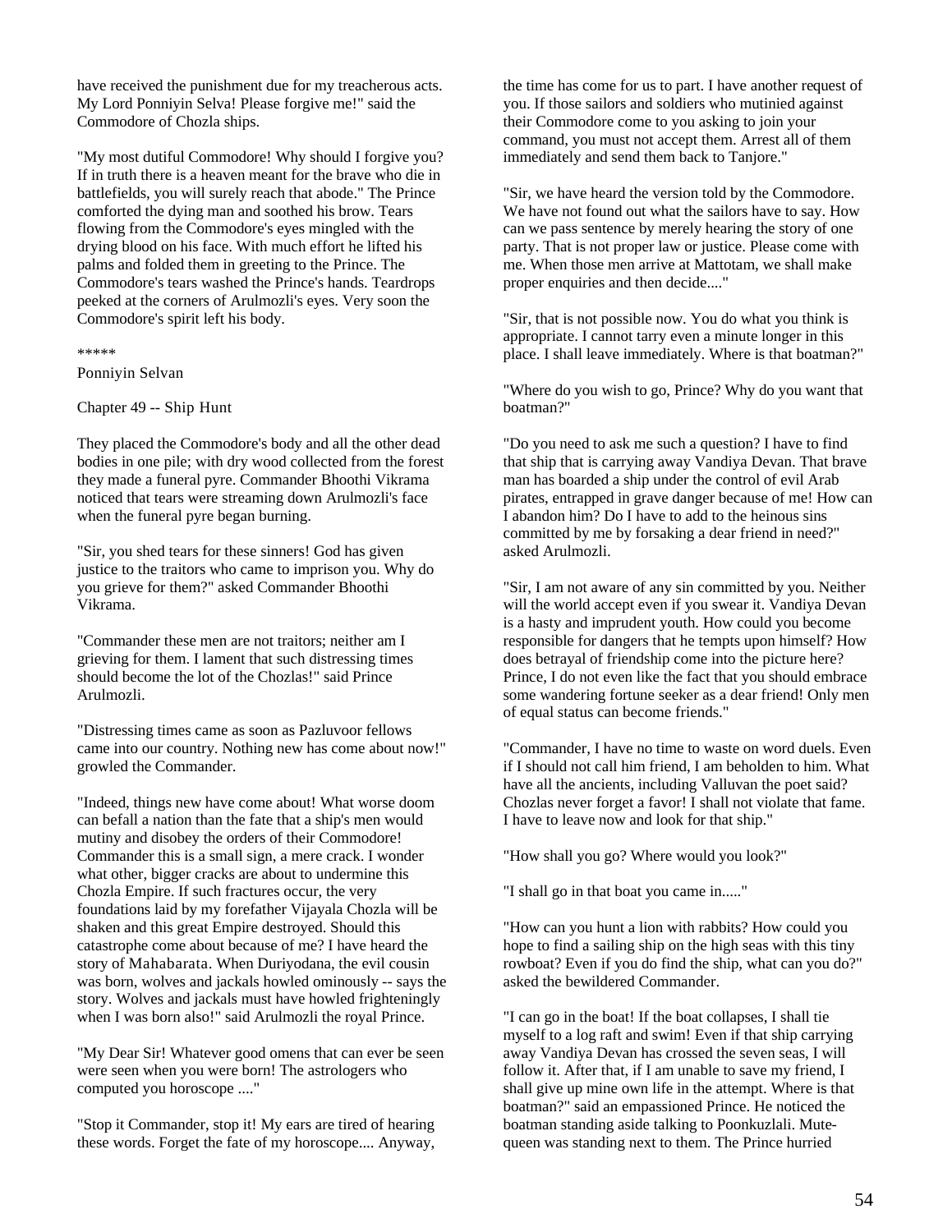have received the punishment due for my treacherous acts. My Lord Ponniyin Selva! Please forgive me!" said the Commodore of Chozla ships.

"My most dutiful Commodore! Why should I forgive you? If in truth there is a heaven meant for the brave who die in battlefields, you will surely reach that abode." The Prince comforted the dying man and soothed his brow. Tears flowing from the Commodore's eyes mingled with the drying blood on his face. With much effort he lifted his palms and folded them in greeting to the Prince. The Commodore's tears washed the Prince's hands. Teardrops peeked at the corners of Arulmozli's eyes. Very soon the Commodore's spirit left his body.

\*\*\*\*\*

Ponniyin Selvan

Chapter 49 -- Ship Hunt

They placed the Commodore's body and all the other dead bodies in one pile; with dry wood collected from the forest they made a funeral pyre. Commander Bhoothi Vikrama noticed that tears were streaming down Arulmozli's face when the funeral pyre began burning.

"Sir, you shed tears for these sinners! God has given justice to the traitors who came to imprison you. Why do you grieve for them?" asked Commander Bhoothi Vikrama.

"Commander these men are not traitors; neither am I grieving for them. I lament that such distressing times should become the lot of the Chozlas!" said Prince Arulmozli.

"Distressing times came as soon as Pazluvoor fellows came into our country. Nothing new has come about now!" growled the Commander.

"Indeed, things new have come about! What worse doom can befall a nation than the fate that a ship's men would mutiny and disobey the orders of their Commodore! Commander this is a small sign, a mere crack. I wonder what other, bigger cracks are about to undermine this Chozla Empire. If such fractures occur, the very foundations laid by my forefather Vijayala Chozla will be shaken and this great Empire destroyed. Should this catastrophe come about because of me? I have heard the story of Mahabarata. When Duriyodana, the evil cousin was born, wolves and jackals howled ominously -- says the story. Wolves and jackals must have howled frighteningly when I was born also!" said Arulmozli the royal Prince.

"My Dear Sir! Whatever good omens that can ever be seen were seen when you were born! The astrologers who computed you horoscope ...."

"Stop it Commander, stop it! My ears are tired of hearing these words. Forget the fate of my horoscope.... Anyway,

the time has come for us to part. I have another request of you. If those sailors and soldiers who mutinied against their Commodore come to you asking to join your command, you must not accept them. Arrest all of them immediately and send them back to Tanjore."

"Sir, we have heard the version told by the Commodore. We have not found out what the sailors have to say. How can we pass sentence by merely hearing the story of one party. That is not proper law or justice. Please come with me. When those men arrive at Mattotam, we shall make proper enquiries and then decide...."

"Sir, that is not possible now. You do what you think is appropriate. I cannot tarry even a minute longer in this place. I shall leave immediately. Where is that boatman?"

"Where do you wish to go, Prince? Why do you want that boatman?"

"Do you need to ask me such a question? I have to find that ship that is carrying away Vandiya Devan. That brave man has boarded a ship under the control of evil Arab pirates, entrapped in grave danger because of me! How can I abandon him? Do I have to add to the heinous sins committed by me by forsaking a dear friend in need?" asked Arulmozli.

"Sir, I am not aware of any sin committed by you. Neither will the world accept even if you swear it. Vandiya Devan is a hasty and imprudent youth. How could you become responsible for dangers that he tempts upon himself? How does betrayal of friendship come into the picture here? Prince, I do not even like the fact that you should embrace some wandering fortune seeker as a dear friend! Only men of equal status can become friends."

"Commander, I have no time to waste on word duels. Even if I should not call him friend, I am beholden to him. What have all the ancients, including Valluvan the poet said? Chozlas never forget a favor! I shall not violate that fame. I have to leave now and look for that ship."

"How shall you go? Where would you look?"

"I shall go in that boat you came in....."

"How can you hunt a lion with rabbits? How could you hope to find a sailing ship on the high seas with this tiny rowboat? Even if you do find the ship, what can you do?" asked the bewildered Commander.

"I can go in the boat! If the boat collapses, I shall tie myself to a log raft and swim! Even if that ship carrying away Vandiya Devan has crossed the seven seas, I will follow it. After that, if I am unable to save my friend, I shall give up mine own life in the attempt. Where is that boatman?" said an empassioned Prince. He noticed the boatman standing aside talking to Poonkuzlali. Mutequeen was standing next to them. The Prince hurried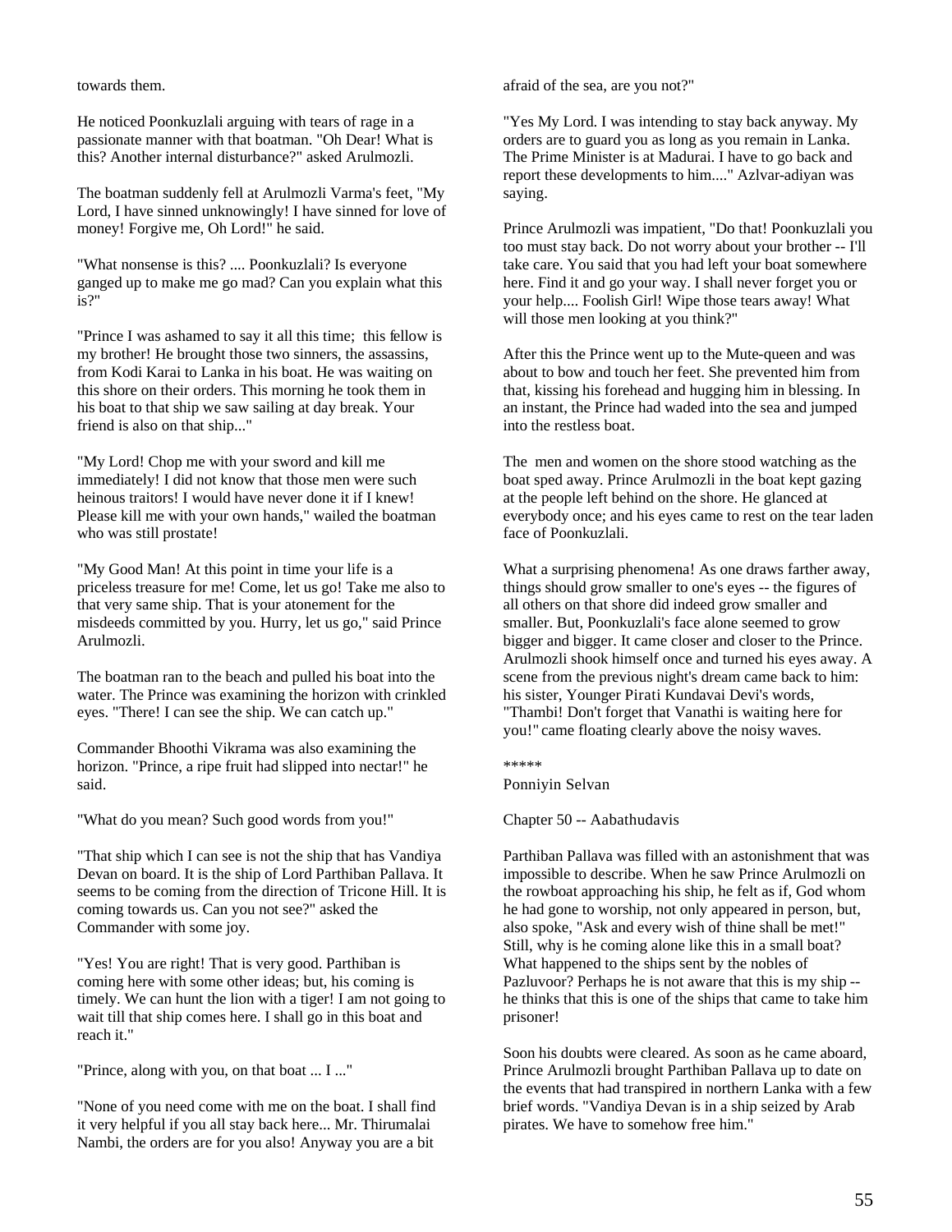towards them.

He noticed Poonkuzlali arguing with tears of rage in a passionate manner with that boatman. "Oh Dear! What is this? Another internal disturbance?" asked Arulmozli.

The boatman suddenly fell at Arulmozli Varma's feet, "My Lord, I have sinned unknowingly! I have sinned for love of money! Forgive me, Oh Lord!" he said.

"What nonsense is this? .... Poonkuzlali? Is everyone ganged up to make me go mad? Can you explain what this is?"

"Prince I was ashamed to say it all this time; this fellow is my brother! He brought those two sinners, the assassins, from Kodi Karai to Lanka in his boat. He was waiting on this shore on their orders. This morning he took them in his boat to that ship we saw sailing at day break. Your friend is also on that ship..."

"My Lord! Chop me with your sword and kill me immediately! I did not know that those men were such heinous traitors! I would have never done it if I knew! Please kill me with your own hands," wailed the boatman who was still prostate!

"My Good Man! At this point in time your life is a priceless treasure for me! Come, let us go! Take me also to that very same ship. That is your atonement for the misdeeds committed by you. Hurry, let us go," said Prince Arulmozli.

The boatman ran to the beach and pulled his boat into the water. The Prince was examining the horizon with crinkled eyes. "There! I can see the ship. We can catch up."

Commander Bhoothi Vikrama was also examining the horizon. "Prince, a ripe fruit had slipped into nectar!" he said.

"What do you mean? Such good words from you!"

"That ship which I can see is not the ship that has Vandiya Devan on board. It is the ship of Lord Parthiban Pallava. It seems to be coming from the direction of Tricone Hill. It is coming towards us. Can you not see?" asked the Commander with some joy.

"Yes! You are right! That is very good. Parthiban is coming here with some other ideas; but, his coming is timely. We can hunt the lion with a tiger! I am not going to wait till that ship comes here. I shall go in this boat and reach it."

"Prince, along with you, on that boat ... I ..."

"None of you need come with me on the boat. I shall find it very helpful if you all stay back here... Mr. Thirumalai Nambi, the orders are for you also! Anyway you are a bit

afraid of the sea, are you not?"

"Yes My Lord. I was intending to stay back anyway. My orders are to guard you as long as you remain in Lanka. The Prime Minister is at Madurai. I have to go back and report these developments to him...." Azlvar-adiyan was saying.

Prince Arulmozli was impatient, "Do that! Poonkuzlali you too must stay back. Do not worry about your brother -- I'll take care. You said that you had left your boat somewhere here. Find it and go your way. I shall never forget you or your help.... Foolish Girl! Wipe those tears away! What will those men looking at you think?"

After this the Prince went up to the Mute-queen and was about to bow and touch her feet. She prevented him from that, kissing his forehead and hugging him in blessing. In an instant, the Prince had waded into the sea and jumped into the restless boat.

The men and women on the shore stood watching as the boat sped away. Prince Arulmozli in the boat kept gazing at the people left behind on the shore. He glanced at everybody once; and his eyes came to rest on the tear laden face of Poonkuzlali.

What a surprising phenomena! As one draws farther away, things should grow smaller to one's eyes -- the figures of all others on that shore did indeed grow smaller and smaller. But, Poonkuzlali's face alone seemed to grow bigger and bigger. It came closer and closer to the Prince. Arulmozli shook himself once and turned his eyes away. A scene from the previous night's dream came back to him: his sister, Younger Pirati Kundavai Devi's words, "Thambi! Don't forget that Vanathi is waiting here for you!" came floating clearly above the noisy waves.

\*\*\*\*\*

Ponniyin Selvan

Chapter 50 -- Aabathudavis

Parthiban Pallava was filled with an astonishment that was impossible to describe. When he saw Prince Arulmozli on the rowboat approaching his ship, he felt as if, God whom he had gone to worship, not only appeared in person, but, also spoke, "Ask and every wish of thine shall be met!" Still, why is he coming alone like this in a small boat? What happened to the ships sent by the nobles of Pazluvoor? Perhaps he is not aware that this is my ship - he thinks that this is one of the ships that came to take him prisoner!

Soon his doubts were cleared. As soon as he came aboard, Prince Arulmozli brought Parthiban Pallava up to date on the events that had transpired in northern Lanka with a few brief words. "Vandiya Devan is in a ship seized by Arab pirates. We have to somehow free him."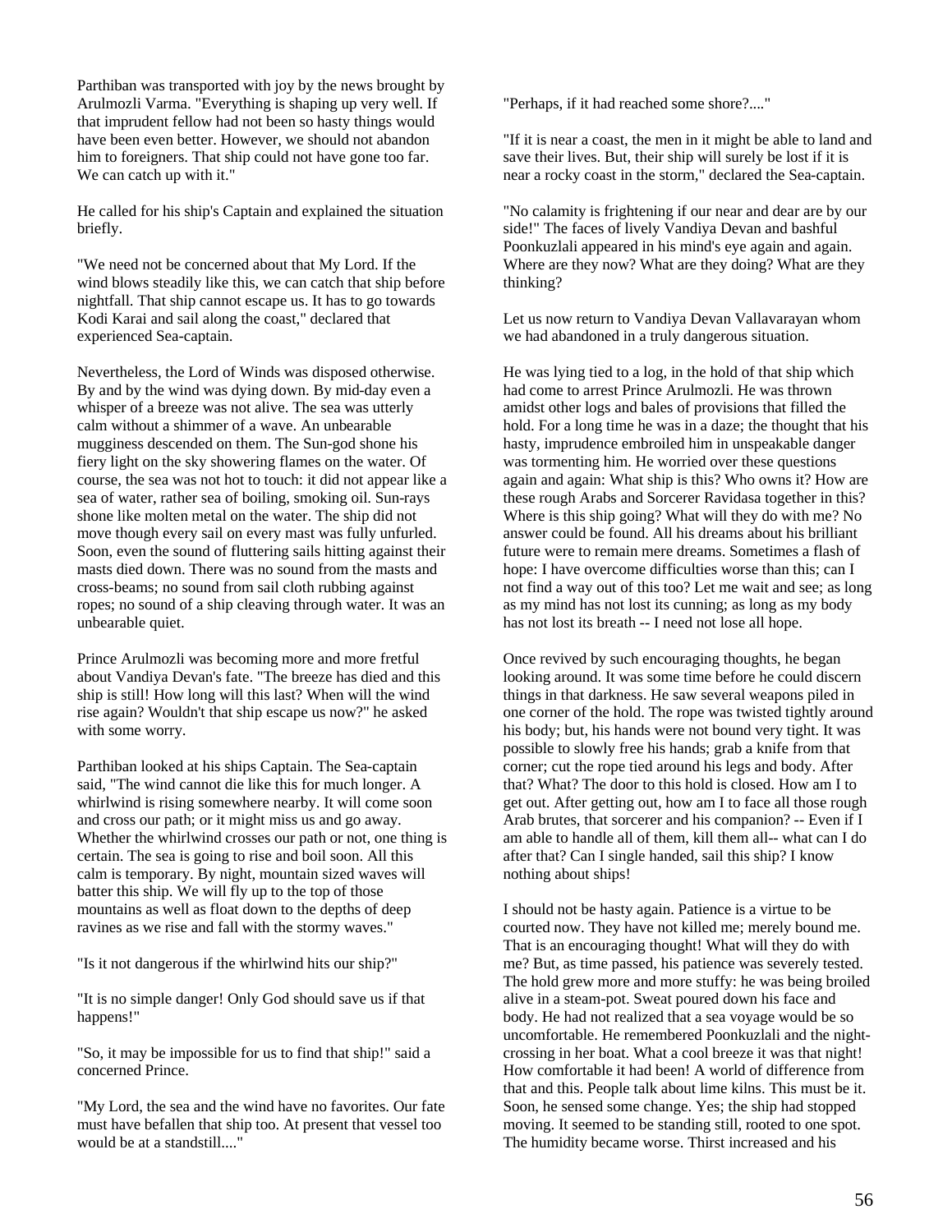Parthiban was transported with joy by the news brought by Arulmozli Varma. "Everything is shaping up very well. If that imprudent fellow had not been so hasty things would have been even better. However, we should not abandon him to foreigners. That ship could not have gone too far. We can catch up with it."

He called for his ship's Captain and explained the situation briefly.

"We need not be concerned about that My Lord. If the wind blows steadily like this, we can catch that ship before nightfall. That ship cannot escape us. It has to go towards Kodi Karai and sail along the coast," declared that experienced Sea-captain.

Nevertheless, the Lord of Winds was disposed otherwise. By and by the wind was dying down. By mid-day even a whisper of a breeze was not alive. The sea was utterly calm without a shimmer of a wave. An unbearable mugginess descended on them. The Sun-god shone his fiery light on the sky showering flames on the water. Of course, the sea was not hot to touch: it did not appear like a sea of water, rather sea of boiling, smoking oil. Sun-rays shone like molten metal on the water. The ship did not move though every sail on every mast was fully unfurled. Soon, even the sound of fluttering sails hitting against their masts died down. There was no sound from the masts and cross-beams; no sound from sail cloth rubbing against ropes; no sound of a ship cleaving through water. It was an unbearable quiet.

Prince Arulmozli was becoming more and more fretful about Vandiya Devan's fate. "The breeze has died and this ship is still! How long will this last? When will the wind rise again? Wouldn't that ship escape us now?" he asked with some worry.

Parthiban looked at his ships Captain. The Sea-captain said, "The wind cannot die like this for much longer. A whirlwind is rising somewhere nearby. It will come soon and cross our path; or it might miss us and go away. Whether the whirlwind crosses our path or not, one thing is certain. The sea is going to rise and boil soon. All this calm is temporary. By night, mountain sized waves will batter this ship. We will fly up to the top of those mountains as well as float down to the depths of deep ravines as we rise and fall with the stormy waves."

"Is it not dangerous if the whirlwind hits our ship?"

"It is no simple danger! Only God should save us if that happens!"

"So, it may be impossible for us to find that ship!" said a concerned Prince.

"My Lord, the sea and the wind have no favorites. Our fate must have befallen that ship too. At present that vessel too would be at a standstill...."

"Perhaps, if it had reached some shore?...."

"If it is near a coast, the men in it might be able to land and save their lives. But, their ship will surely be lost if it is near a rocky coast in the storm," declared the Sea-captain.

"No calamity is frightening if our near and dear are by our side!" The faces of lively Vandiya Devan and bashful Poonkuzlali appeared in his mind's eye again and again. Where are they now? What are they doing? What are they thinking?

Let us now return to Vandiya Devan Vallavarayan whom we had abandoned in a truly dangerous situation.

He was lying tied to a log, in the hold of that ship which had come to arrest Prince Arulmozli. He was thrown amidst other logs and bales of provisions that filled the hold. For a long time he was in a daze; the thought that his hasty, imprudence embroiled him in unspeakable danger was tormenting him. He worried over these questions again and again: What ship is this? Who owns it? How are these rough Arabs and Sorcerer Ravidasa together in this? Where is this ship going? What will they do with me? No answer could be found. All his dreams about his brilliant future were to remain mere dreams. Sometimes a flash of hope: I have overcome difficulties worse than this; can I not find a way out of this too? Let me wait and see; as long as my mind has not lost its cunning; as long as my body has not lost its breath -- I need not lose all hope.

Once revived by such encouraging thoughts, he began looking around. It was some time before he could discern things in that darkness. He saw several weapons piled in one corner of the hold. The rope was twisted tightly around his body; but, his hands were not bound very tight. It was possible to slowly free his hands; grab a knife from that corner; cut the rope tied around his legs and body. After that? What? The door to this hold is closed. How am I to get out. After getting out, how am I to face all those rough Arab brutes, that sorcerer and his companion? -- Even if I am able to handle all of them, kill them all-- what can I do after that? Can I single handed, sail this ship? I know nothing about ships!

I should not be hasty again. Patience is a virtue to be courted now. They have not killed me; merely bound me. That is an encouraging thought! What will they do with me? But, as time passed, his patience was severely tested. The hold grew more and more stuffy: he was being broiled alive in a steam-pot. Sweat poured down his face and body. He had not realized that a sea voyage would be so uncomfortable. He remembered Poonkuzlali and the nightcrossing in her boat. What a cool breeze it was that night! How comfortable it had been! A world of difference from that and this. People talk about lime kilns. This must be it. Soon, he sensed some change. Yes; the ship had stopped moving. It seemed to be standing still, rooted to one spot. The humidity became worse. Thirst increased and his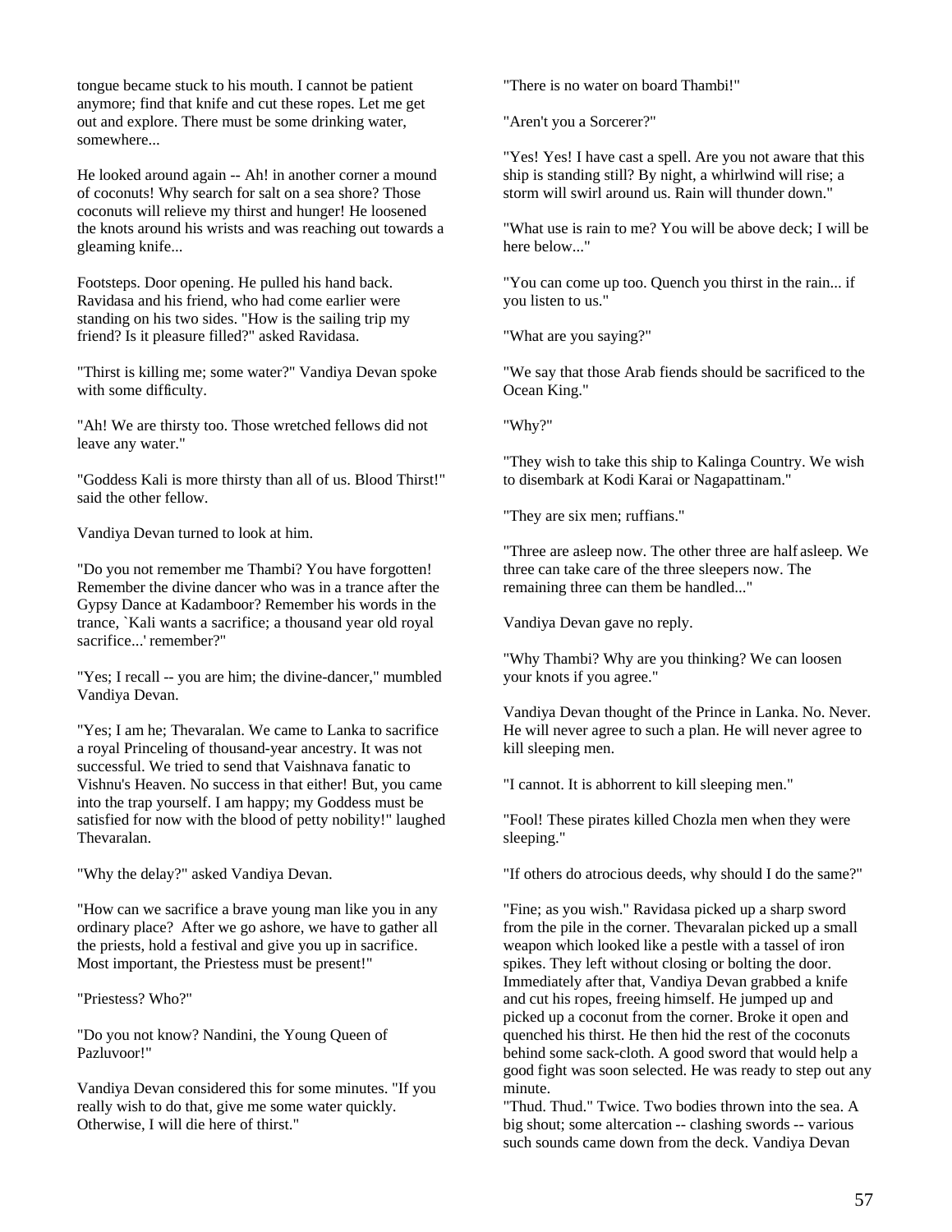tongue became stuck to his mouth. I cannot be patient anymore; find that knife and cut these ropes. Let me get out and explore. There must be some drinking water, somewhere...

He looked around again -- Ah! in another corner a mound of coconuts! Why search for salt on a sea shore? Those coconuts will relieve my thirst and hunger! He loosened the knots around his wrists and was reaching out towards a gleaming knife...

Footsteps. Door opening. He pulled his hand back. Ravidasa and his friend, who had come earlier were standing on his two sides. "How is the sailing trip my friend? Is it pleasure filled?" asked Ravidasa.

"Thirst is killing me; some water?" Vandiya Devan spoke with some difficulty.

"Ah! We are thirsty too. Those wretched fellows did not leave any water."

"Goddess Kali is more thirsty than all of us. Blood Thirst!" said the other fellow.

Vandiya Devan turned to look at him.

"Do you not remember me Thambi? You have forgotten! Remember the divine dancer who was in a trance after the Gypsy Dance at Kadamboor? Remember his words in the trance, `Kali wants a sacrifice; a thousand year old royal sacrifice...' remember?"

"Yes; I recall -- you are him; the divine-dancer," mumbled Vandiya Devan.

"Yes; I am he; Thevaralan. We came to Lanka to sacrifice a royal Princeling of thousand-year ancestry. It was not successful. We tried to send that Vaishnava fanatic to Vishnu's Heaven. No success in that either! But, you came into the trap yourself. I am happy; my Goddess must be satisfied for now with the blood of petty nobility!" laughed Thevaralan.

"Why the delay?" asked Vandiya Devan.

"How can we sacrifice a brave young man like you in any ordinary place? After we go ashore, we have to gather all the priests, hold a festival and give you up in sacrifice. Most important, the Priestess must be present!"

"Priestess? Who?"

"Do you not know? Nandini, the Young Queen of Pazluvoor!"

Vandiya Devan considered this for some minutes. "If you really wish to do that, give me some water quickly. Otherwise, I will die here of thirst."

"There is no water on board Thambi!"

"Aren't you a Sorcerer?"

"Yes! Yes! I have cast a spell. Are you not aware that this ship is standing still? By night, a whirlwind will rise; a storm will swirl around us. Rain will thunder down."

"What use is rain to me? You will be above deck; I will be here below..."

"You can come up too. Quench you thirst in the rain... if you listen to us."

"What are you saying?"

"We say that those Arab fiends should be sacrificed to the Ocean King."

"Why?"

"They wish to take this ship to Kalinga Country. We wish to disembark at Kodi Karai or Nagapattinam."

"They are six men; ruffians."

"Three are asleep now. The other three are half asleep. We three can take care of the three sleepers now. The remaining three can them be handled..."

Vandiya Devan gave no reply.

"Why Thambi? Why are you thinking? We can loosen your knots if you agree."

Vandiya Devan thought of the Prince in Lanka. No. Never. He will never agree to such a plan. He will never agree to kill sleeping men.

"I cannot. It is abhorrent to kill sleeping men."

"Fool! These pirates killed Chozla men when they were sleeping."

"If others do atrocious deeds, why should I do the same?"

"Fine; as you wish." Ravidasa picked up a sharp sword from the pile in the corner. Thevaralan picked up a small weapon which looked like a pestle with a tassel of iron spikes. They left without closing or bolting the door. Immediately after that, Vandiya Devan grabbed a knife and cut his ropes, freeing himself. He jumped up and picked up a coconut from the corner. Broke it open and quenched his thirst. He then hid the rest of the coconuts behind some sack-cloth. A good sword that would help a good fight was soon selected. He was ready to step out any minute.

"Thud. Thud." Twice. Two bodies thrown into the sea. A big shout; some altercation -- clashing swords -- various such sounds came down from the deck. Vandiya Devan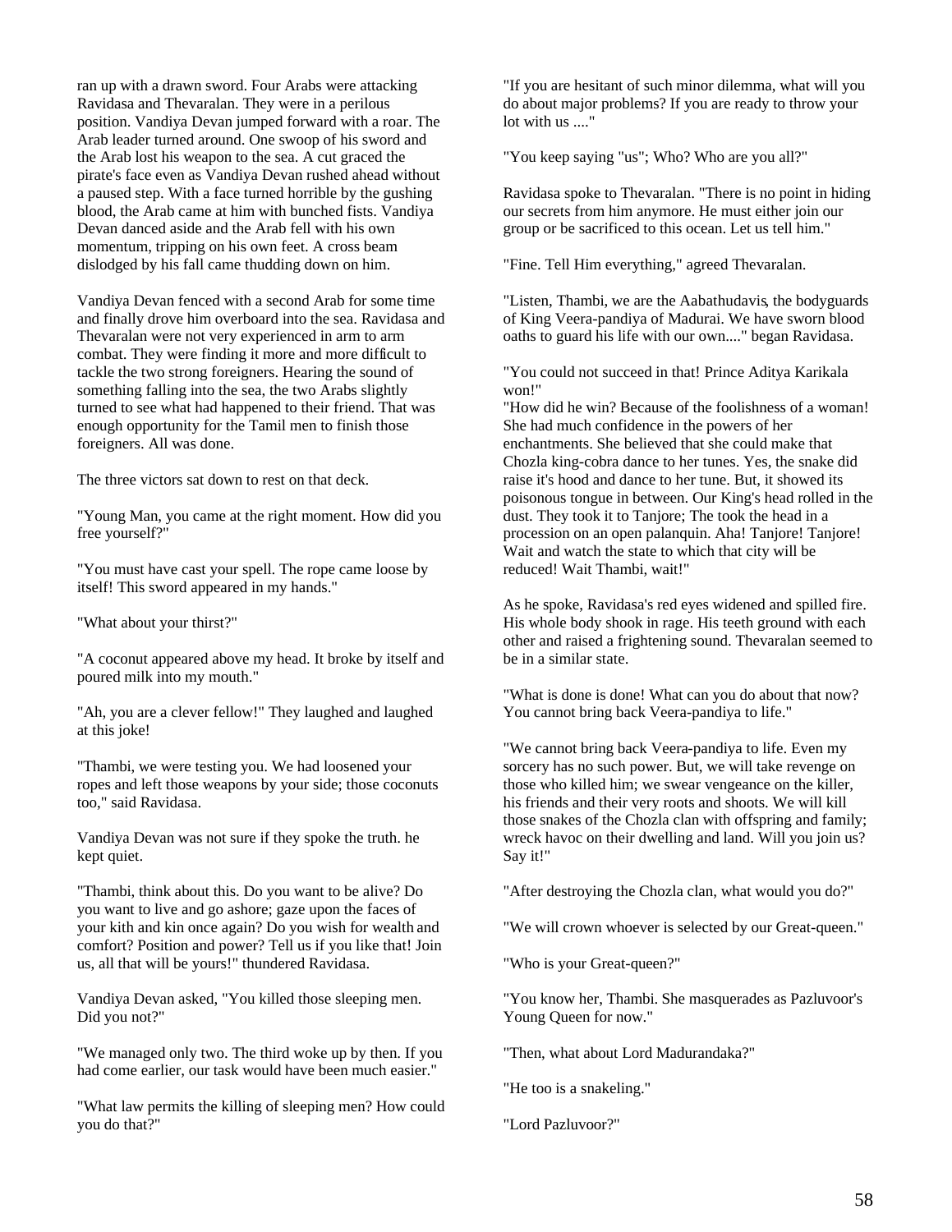ran up with a drawn sword. Four Arabs were attacking Ravidasa and Thevaralan. They were in a perilous position. Vandiya Devan jumped forward with a roar. The Arab leader turned around. One swoop of his sword and the Arab lost his weapon to the sea. A cut graced the pirate's face even as Vandiya Devan rushed ahead without a paused step. With a face turned horrible by the gushing blood, the Arab came at him with bunched fists. Vandiya Devan danced aside and the Arab fell with his own momentum, tripping on his own feet. A cross beam dislodged by his fall came thudding down on him.

Vandiya Devan fenced with a second Arab for some time and finally drove him overboard into the sea. Ravidasa and Thevaralan were not very experienced in arm to arm combat. They were finding it more and more difficult to tackle the two strong foreigners. Hearing the sound of something falling into the sea, the two Arabs slightly turned to see what had happened to their friend. That was enough opportunity for the Tamil men to finish those foreigners. All was done.

The three victors sat down to rest on that deck.

"Young Man, you came at the right moment. How did you free yourself?"

"You must have cast your spell. The rope came loose by itself! This sword appeared in my hands."

"What about your thirst?"

"A coconut appeared above my head. It broke by itself and poured milk into my mouth."

"Ah, you are a clever fellow!" They laughed and laughed at this joke!

"Thambi, we were testing you. We had loosened your ropes and left those weapons by your side; those coconuts too," said Ravidasa.

Vandiya Devan was not sure if they spoke the truth. he kept quiet.

"Thambi, think about this. Do you want to be alive? Do you want to live and go ashore; gaze upon the faces of your kith and kin once again? Do you wish for wealth and comfort? Position and power? Tell us if you like that! Join us, all that will be yours!" thundered Ravidasa.

Vandiya Devan asked, "You killed those sleeping men. Did you not?"

"We managed only two. The third woke up by then. If you had come earlier, our task would have been much easier."

"What law permits the killing of sleeping men? How could you do that?"

"If you are hesitant of such minor dilemma, what will you do about major problems? If you are ready to throw your lot with us ...."

"You keep saying "us"; Who? Who are you all?"

Ravidasa spoke to Thevaralan. "There is no point in hiding our secrets from him anymore. He must either join our group or be sacrificed to this ocean. Let us tell him."

"Fine. Tell Him everything," agreed Thevaralan.

"Listen, Thambi, we are the Aabathudavis, the bodyguards of King Veera-pandiya of Madurai. We have sworn blood oaths to guard his life with our own...." began Ravidasa.

"You could not succeed in that! Prince Aditya Karikala won!"

"How did he win? Because of the foolishness of a woman! She had much confidence in the powers of her enchantments. She believed that she could make that Chozla king-cobra dance to her tunes. Yes, the snake did raise it's hood and dance to her tune. But, it showed its poisonous tongue in between. Our King's head rolled in the dust. They took it to Tanjore; The took the head in a procession on an open palanquin. Aha! Tanjore! Tanjore! Wait and watch the state to which that city will be reduced! Wait Thambi, wait!"

As he spoke, Ravidasa's red eyes widened and spilled fire. His whole body shook in rage. His teeth ground with each other and raised a frightening sound. Thevaralan seemed to be in a similar state.

"What is done is done! What can you do about that now? You cannot bring back Veera-pandiya to life."

"We cannot bring back Veera-pandiya to life. Even my sorcery has no such power. But, we will take revenge on those who killed him; we swear vengeance on the killer, his friends and their very roots and shoots. We will kill those snakes of the Chozla clan with offspring and family; wreck havoc on their dwelling and land. Will you join us? Say it!"

"After destroying the Chozla clan, what would you do?"

"We will crown whoever is selected by our Great-queen."

"Who is your Great-queen?"

"You know her, Thambi. She masquerades as Pazluvoor's Young Queen for now."

"Then, what about Lord Madurandaka?"

"He too is a snakeling."

"Lord Pazluvoor?"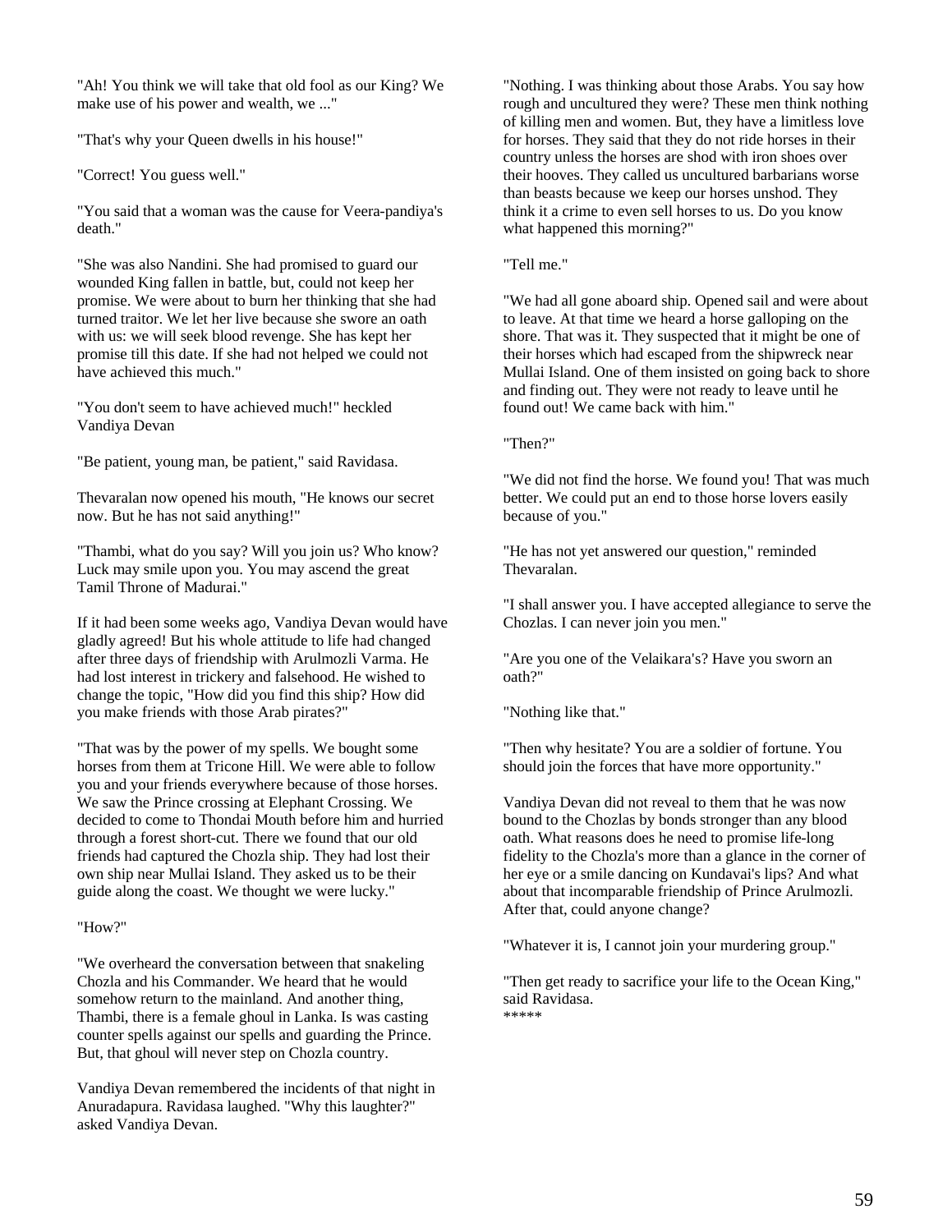"Ah! You think we will take that old fool as our King? We make use of his power and wealth, we ..."

"That's why your Queen dwells in his house!"

"Correct! You guess well."

"You said that a woman was the cause for Veera-pandiya's death."

"She was also Nandini. She had promised to guard our wounded King fallen in battle, but, could not keep her promise. We were about to burn her thinking that she had turned traitor. We let her live because she swore an oath with us: we will seek blood revenge. She has kept her promise till this date. If she had not helped we could not have achieved this much."

"You don't seem to have achieved much!" heckled Vandiya Devan

"Be patient, young man, be patient," said Ravidasa.

Thevaralan now opened his mouth, "He knows our secret now. But he has not said anything!"

"Thambi, what do you say? Will you join us? Who know? Luck may smile upon you. You may ascend the great Tamil Throne of Madurai."

If it had been some weeks ago, Vandiya Devan would have gladly agreed! But his whole attitude to life had changed after three days of friendship with Arulmozli Varma. He had lost interest in trickery and falsehood. He wished to change the topic, "How did you find this ship? How did you make friends with those Arab pirates?"

"That was by the power of my spells. We bought some horses from them at Tricone Hill. We were able to follow you and your friends everywhere because of those horses. We saw the Prince crossing at Elephant Crossing. We decided to come to Thondai Mouth before him and hurried through a forest short-cut. There we found that our old friends had captured the Chozla ship. They had lost their own ship near Mullai Island. They asked us to be their guide along the coast. We thought we were lucky."

#### "How?"

"We overheard the conversation between that snakeling Chozla and his Commander. We heard that he would somehow return to the mainland. And another thing, Thambi, there is a female ghoul in Lanka. Is was casting counter spells against our spells and guarding the Prince. But, that ghoul will never step on Chozla country.

Vandiya Devan remembered the incidents of that night in Anuradapura. Ravidasa laughed. "Why this laughter?" asked Vandiya Devan.

"Nothing. I was thinking about those Arabs. You say how rough and uncultured they were? These men think nothing of killing men and women. But, they have a limitless love for horses. They said that they do not ride horses in their country unless the horses are shod with iron shoes over their hooves. They called us uncultured barbarians worse than beasts because we keep our horses unshod. They think it a crime to even sell horses to us. Do you know what happened this morning?"

"Tell me."

"We had all gone aboard ship. Opened sail and were about to leave. At that time we heard a horse galloping on the shore. That was it. They suspected that it might be one of their horses which had escaped from the shipwreck near Mullai Island. One of them insisted on going back to shore and finding out. They were not ready to leave until he found out! We came back with him."

"Then?"

"We did not find the horse. We found you! That was much better. We could put an end to those horse lovers easily because of you."

"He has not yet answered our question," reminded Thevaralan.

"I shall answer you. I have accepted allegiance to serve the Chozlas. I can never join you men."

"Are you one of the Velaikara's? Have you sworn an oath?"

"Nothing like that."

"Then why hesitate? You are a soldier of fortune. You should join the forces that have more opportunity."

Vandiya Devan did not reveal to them that he was now bound to the Chozlas by bonds stronger than any blood oath. What reasons does he need to promise life-long fidelity to the Chozla's more than a glance in the corner of her eye or a smile dancing on Kundavai's lips? And what about that incomparable friendship of Prince Arulmozli. After that, could anyone change?

"Whatever it is, I cannot join your murdering group."

"Then get ready to sacrifice your life to the Ocean King," said Ravidasa. \*\*\*\*\*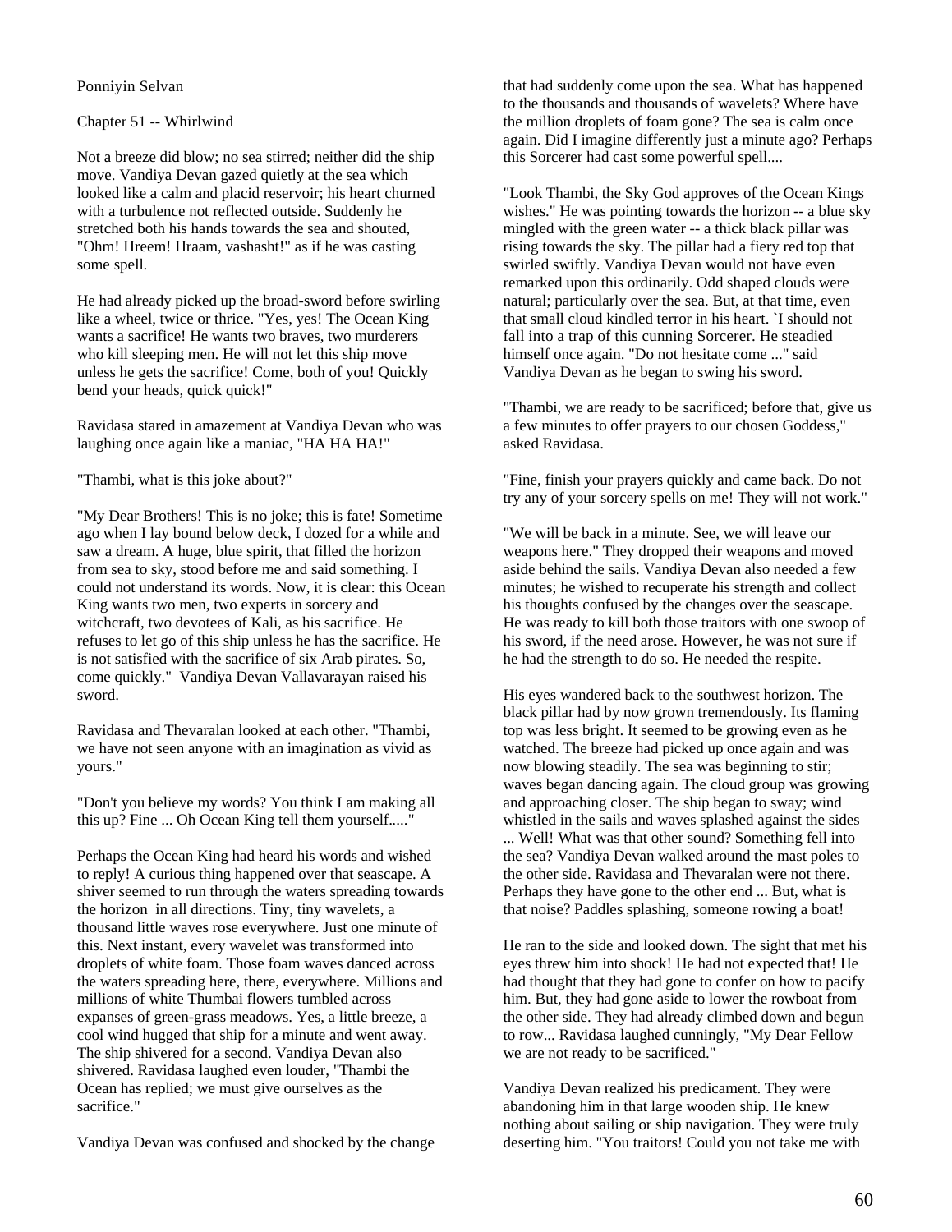### Ponniyin Selvan

Chapter 51 -- Whirlwind

Not a breeze did blow; no sea stirred; neither did the ship move. Vandiya Devan gazed quietly at the sea which looked like a calm and placid reservoir; his heart churned with a turbulence not reflected outside. Suddenly he stretched both his hands towards the sea and shouted, "Ohm! Hreem! Hraam, vashasht!" as if he was casting some spell.

He had already picked up the broad-sword before swirling like a wheel, twice or thrice. "Yes, yes! The Ocean King wants a sacrifice! He wants two braves, two murderers who kill sleeping men. He will not let this ship move unless he gets the sacrifice! Come, both of you! Quickly bend your heads, quick quick!"

Ravidasa stared in amazement at Vandiya Devan who was laughing once again like a maniac, "HA HA HA!"

"Thambi, what is this joke about?"

"My Dear Brothers! This is no joke; this is fate! Sometime ago when I lay bound below deck, I dozed for a while and saw a dream. A huge, blue spirit, that filled the horizon from sea to sky, stood before me and said something. I could not understand its words. Now, it is clear: this Ocean King wants two men, two experts in sorcery and witchcraft, two devotees of Kali, as his sacrifice. He refuses to let go of this ship unless he has the sacrifice. He is not satisfied with the sacrifice of six Arab pirates. So, come quickly." Vandiya Devan Vallavarayan raised his sword.

Ravidasa and Thevaralan looked at each other. "Thambi, we have not seen anyone with an imagination as vivid as yours."

"Don't you believe my words? You think I am making all this up? Fine ... Oh Ocean King tell them yourself.....'

Perhaps the Ocean King had heard his words and wished to reply! A curious thing happened over that seascape. A shiver seemed to run through the waters spreading towards the horizon in all directions. Tiny, tiny wavelets, a thousand little waves rose everywhere. Just one minute of this. Next instant, every wavelet was transformed into droplets of white foam. Those foam waves danced across the waters spreading here, there, everywhere. Millions and millions of white Thumbai flowers tumbled across expanses of green-grass meadows. Yes, a little breeze, a cool wind hugged that ship for a minute and went away. The ship shivered for a second. Vandiya Devan also shivered. Ravidasa laughed even louder, "Thambi the Ocean has replied; we must give ourselves as the sacrifice."

Vandiya Devan was confused and shocked by the change

that had suddenly come upon the sea. What has happened to the thousands and thousands of wavelets? Where have the million droplets of foam gone? The sea is calm once again. Did I imagine differently just a minute ago? Perhaps this Sorcerer had cast some powerful spell....

"Look Thambi, the Sky God approves of the Ocean Kings wishes." He was pointing towards the horizon -- a blue sky mingled with the green water -- a thick black pillar was rising towards the sky. The pillar had a fiery red top that swirled swiftly. Vandiya Devan would not have even remarked upon this ordinarily. Odd shaped clouds were natural; particularly over the sea. But, at that time, even that small cloud kindled terror in his heart. `I should not fall into a trap of this cunning Sorcerer.' He steadied himself once again. "Do not hesitate come ..." said Vandiya Devan as he began to swing his sword.

"Thambi, we are ready to be sacrificed; before that, give us a few minutes to offer prayers to our chosen Goddess," asked Ravidasa.

"Fine, finish your prayers quickly and came back. Do not try any of your sorcery spells on me! They will not work."

"We will be back in a minute. See, we will leave our weapons here." They dropped their weapons and moved aside behind the sails. Vandiya Devan also needed a few minutes; he wished to recuperate his strength and collect his thoughts confused by the changes over the seascape. He was ready to kill both those traitors with one swoop of his sword, if the need arose. However, he was not sure if he had the strength to do so. He needed the respite.

His eyes wandered back to the southwest horizon. The black pillar had by now grown tremendously. Its flaming top was less bright. It seemed to be growing even as he watched. The breeze had picked up once again and was now blowing steadily. The sea was beginning to stir; waves began dancing again. The cloud group was growing and approaching closer. The ship began to sway; wind whistled in the sails and waves splashed against the sides ... Well! What was that other sound? Something fell into the sea? Vandiya Devan walked around the mast poles to the other side. Ravidasa and Thevaralan were not there. Perhaps they have gone to the other end ... But, what is that noise? Paddles splashing, someone rowing a boat!

He ran to the side and looked down. The sight that met his eyes threw him into shock! He had not expected that! He had thought that they had gone to confer on how to pacify him. But, they had gone aside to lower the rowboat from the other side. They had already climbed down and begun to row... Ravidasa laughed cunningly, "My Dear Fellow we are not ready to be sacrificed."

Vandiya Devan realized his predicament. They were abandoning him in that large wooden ship. He knew nothing about sailing or ship navigation. They were truly deserting him. "You traitors! Could you not take me with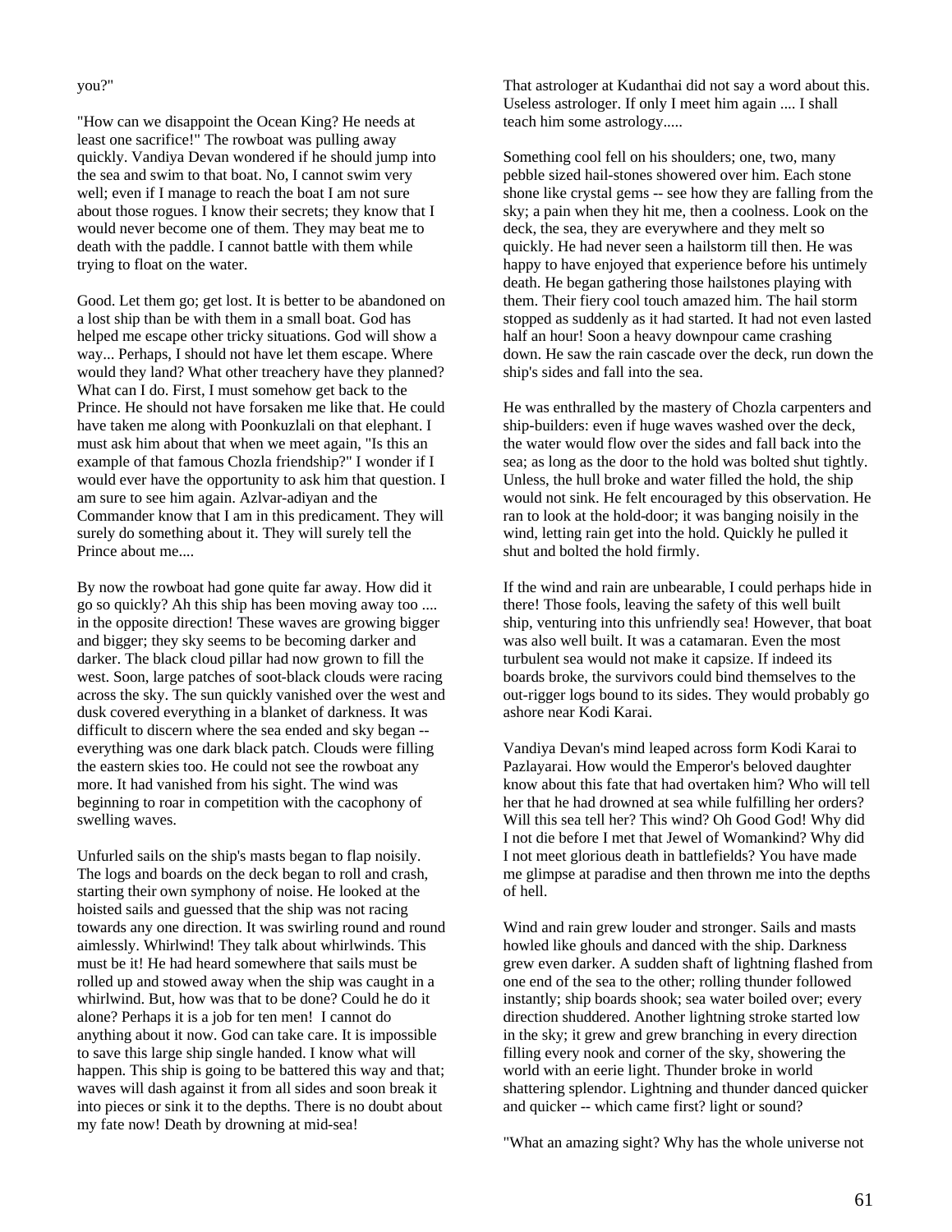you?"

"How can we disappoint the Ocean King? He needs at least one sacrifice!" The rowboat was pulling away quickly. Vandiya Devan wondered if he should jump into the sea and swim to that boat. No, I cannot swim very well; even if I manage to reach the boat I am not sure about those rogues. I know their secrets; they know that I would never become one of them. They may beat me to death with the paddle. I cannot battle with them while trying to float on the water.

Good. Let them go; get lost. It is better to be abandoned on a lost ship than be with them in a small boat. God has helped me escape other tricky situations. God will show a way... Perhaps, I should not have let them escape. Where would they land? What other treachery have they planned? What can I do. First, I must somehow get back to the Prince. He should not have forsaken me like that. He could have taken me along with Poonkuzlali on that elephant. I must ask him about that when we meet again, "Is this an example of that famous Chozla friendship?" I wonder if I would ever have the opportunity to ask him that question. I am sure to see him again. Azlvar-adiyan and the Commander know that I am in this predicament. They will surely do something about it. They will surely tell the Prince about me....

By now the rowboat had gone quite far away. How did it go so quickly? Ah this ship has been moving away too .... in the opposite direction! These waves are growing bigger and bigger; they sky seems to be becoming darker and darker. The black cloud pillar had now grown to fill the west. Soon, large patches of soot-black clouds were racing across the sky. The sun quickly vanished over the west and dusk covered everything in a blanket of darkness. It was difficult to discern where the sea ended and sky began - everything was one dark black patch. Clouds were filling the eastern skies too. He could not see the rowboat any more. It had vanished from his sight. The wind was beginning to roar in competition with the cacophony of swelling waves.

Unfurled sails on the ship's masts began to flap noisily. The logs and boards on the deck began to roll and crash, starting their own symphony of noise. He looked at the hoisted sails and guessed that the ship was not racing towards any one direction. It was swirling round and round aimlessly. Whirlwind! They talk about whirlwinds. This must be it! He had heard somewhere that sails must be rolled up and stowed away when the ship was caught in a whirlwind. But, how was that to be done? Could he do it alone? Perhaps it is a job for ten men! I cannot do anything about it now. God can take care. It is impossible to save this large ship single handed. I know what will happen. This ship is going to be battered this way and that; waves will dash against it from all sides and soon break it into pieces or sink it to the depths. There is no doubt about my fate now! Death by drowning at mid-sea!

That astrologer at Kudanthai did not say a word about this. Useless astrologer. If only I meet him again .... I shall teach him some astrology.....

Something cool fell on his shoulders; one, two, many pebble sized hail-stones showered over him. Each stone shone like crystal gems -- see how they are falling from the sky; a pain when they hit me, then a coolness. Look on the deck, the sea, they are everywhere and they melt so quickly. He had never seen a hailstorm till then. He was happy to have enjoyed that experience before his untimely death. He began gathering those hailstones playing with them. Their fiery cool touch amazed him. The hail storm stopped as suddenly as it had started. It had not even lasted half an hour! Soon a heavy downpour came crashing down. He saw the rain cascade over the deck, run down the ship's sides and fall into the sea.

He was enthralled by the mastery of Chozla carpenters and ship-builders: even if huge waves washed over the deck, the water would flow over the sides and fall back into the sea; as long as the door to the hold was bolted shut tightly. Unless, the hull broke and water filled the hold, the ship would not sink. He felt encouraged by this observation. He ran to look at the hold-door; it was banging noisily in the wind, letting rain get into the hold. Quickly he pulled it shut and bolted the hold firmly.

If the wind and rain are unbearable, I could perhaps hide in there! Those fools, leaving the safety of this well built ship, venturing into this unfriendly sea! However, that boat was also well built. It was a catamaran. Even the most turbulent sea would not make it capsize. If indeed its boards broke, the survivors could bind themselves to the out-rigger logs bound to its sides. They would probably go ashore near Kodi Karai.

Vandiya Devan's mind leaped across form Kodi Karai to Pazlayarai. How would the Emperor's beloved daughter know about this fate that had overtaken him? Who will tell her that he had drowned at sea while fulfilling her orders? Will this sea tell her? This wind? Oh Good God! Why did I not die before I met that Jewel of Womankind? Why did I not meet glorious death in battlefields? You have made me glimpse at paradise and then thrown me into the depths of hell.

Wind and rain grew louder and stronger. Sails and masts howled like ghouls and danced with the ship. Darkness grew even darker. A sudden shaft of lightning flashed from one end of the sea to the other; rolling thunder followed instantly; ship boards shook; sea water boiled over; every direction shuddered. Another lightning stroke started low in the sky; it grew and grew branching in every direction filling every nook and corner of the sky, showering the world with an eerie light. Thunder broke in world shattering splendor. Lightning and thunder danced quicker and quicker -- which came first? light or sound?

"What an amazing sight? Why has the whole universe not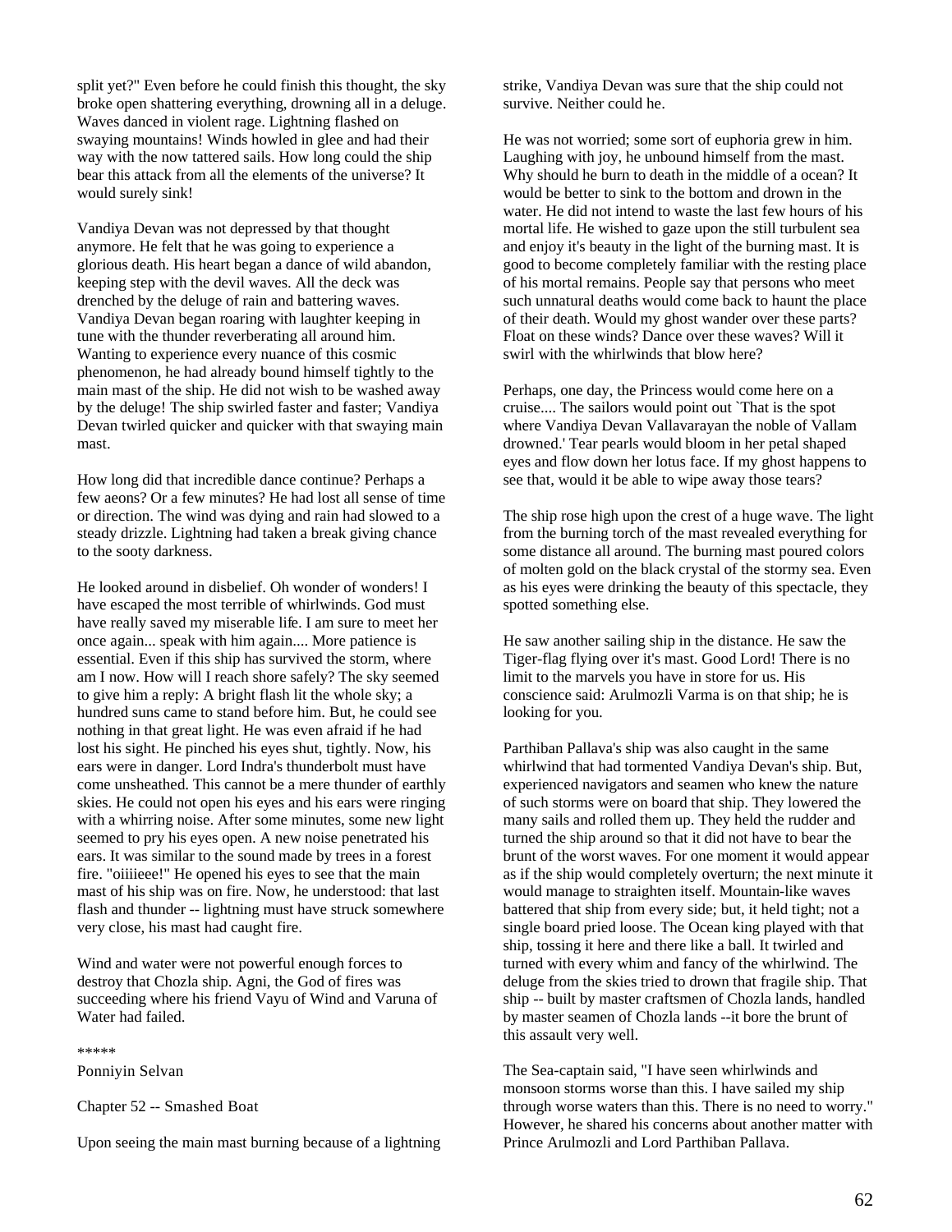split yet?" Even before he could finish this thought, the sky broke open shattering everything, drowning all in a deluge. Waves danced in violent rage. Lightning flashed on swaying mountains! Winds howled in glee and had their way with the now tattered sails. How long could the ship bear this attack from all the elements of the universe? It would surely sink!

Vandiya Devan was not depressed by that thought anymore. He felt that he was going to experience a glorious death. His heart began a dance of wild abandon, keeping step with the devil waves. All the deck was drenched by the deluge of rain and battering waves. Vandiya Devan began roaring with laughter keeping in tune with the thunder reverberating all around him. Wanting to experience every nuance of this cosmic phenomenon, he had already bound himself tightly to the main mast of the ship. He did not wish to be washed away by the deluge! The ship swirled faster and faster; Vandiya Devan twirled quicker and quicker with that swaying main mast.

How long did that incredible dance continue? Perhaps a few aeons? Or a few minutes? He had lost all sense of time or direction. The wind was dying and rain had slowed to a steady drizzle. Lightning had taken a break giving chance to the sooty darkness.

He looked around in disbelief. Oh wonder of wonders! I have escaped the most terrible of whirlwinds. God must have really saved my miserable life. I am sure to meet her once again... speak with him again.... More patience is essential. Even if this ship has survived the storm, where am I now. How will I reach shore safely? The sky seemed to give him a reply: A bright flash lit the whole sky; a hundred suns came to stand before him. But, he could see nothing in that great light. He was even afraid if he had lost his sight. He pinched his eyes shut, tightly. Now, his ears were in danger. Lord Indra's thunderbolt must have come unsheathed. This cannot be a mere thunder of earthly skies. He could not open his eyes and his ears were ringing with a whirring noise. After some minutes, some new light seemed to pry his eyes open. A new noise penetrated his ears. It was similar to the sound made by trees in a forest fire. "oiiiieee!" He opened his eyes to see that the main mast of his ship was on fire. Now, he understood: that last flash and thunder -- lightning must have struck somewhere very close, his mast had caught fire.

Wind and water were not powerful enough forces to destroy that Chozla ship. Agni, the God of fires was succeeding where his friend Vayu of Wind and Varuna of Water had failed.

\*\*\*\*\*

Ponniyin Selvan

Chapter 52 -- Smashed Boat

Upon seeing the main mast burning because of a lightning

strike, Vandiya Devan was sure that the ship could not survive. Neither could he.

He was not worried; some sort of euphoria grew in him. Laughing with joy, he unbound himself from the mast. Why should he burn to death in the middle of a ocean? It would be better to sink to the bottom and drown in the water. He did not intend to waste the last few hours of his mortal life. He wished to gaze upon the still turbulent sea and enjoy it's beauty in the light of the burning mast. It is good to become completely familiar with the resting place of his mortal remains. People say that persons who meet such unnatural deaths would come back to haunt the place of their death. Would my ghost wander over these parts? Float on these winds? Dance over these waves? Will it swirl with the whirlwinds that blow here?

Perhaps, one day, the Princess would come here on a cruise.... The sailors would point out `That is the spot where Vandiya Devan Vallavarayan the noble of Vallam drowned.' Tear pearls would bloom in her petal shaped eyes and flow down her lotus face. If my ghost happens to see that, would it be able to wipe away those tears?

The ship rose high upon the crest of a huge wave. The light from the burning torch of the mast revealed everything for some distance all around. The burning mast poured colors of molten gold on the black crystal of the stormy sea. Even as his eyes were drinking the beauty of this spectacle, they spotted something else.

He saw another sailing ship in the distance. He saw the Tiger-flag flying over it's mast. Good Lord! There is no limit to the marvels you have in store for us. His conscience said: Arulmozli Varma is on that ship; he is looking for you.

Parthiban Pallava's ship was also caught in the same whirlwind that had tormented Vandiya Devan's ship. But, experienced navigators and seamen who knew the nature of such storms were on board that ship. They lowered the many sails and rolled them up. They held the rudder and turned the ship around so that it did not have to bear the brunt of the worst waves. For one moment it would appear as if the ship would completely overturn; the next minute it would manage to straighten itself. Mountain-like waves battered that ship from every side; but, it held tight; not a single board pried loose. The Ocean king played with that ship, tossing it here and there like a ball. It twirled and turned with every whim and fancy of the whirlwind. The deluge from the skies tried to drown that fragile ship. That ship -- built by master craftsmen of Chozla lands, handled by master seamen of Chozla lands --it bore the brunt of this assault very well.

The Sea-captain said, "I have seen whirlwinds and monsoon storms worse than this. I have sailed my ship through worse waters than this. There is no need to worry." However, he shared his concerns about another matter with Prince Arulmozli and Lord Parthiban Pallava.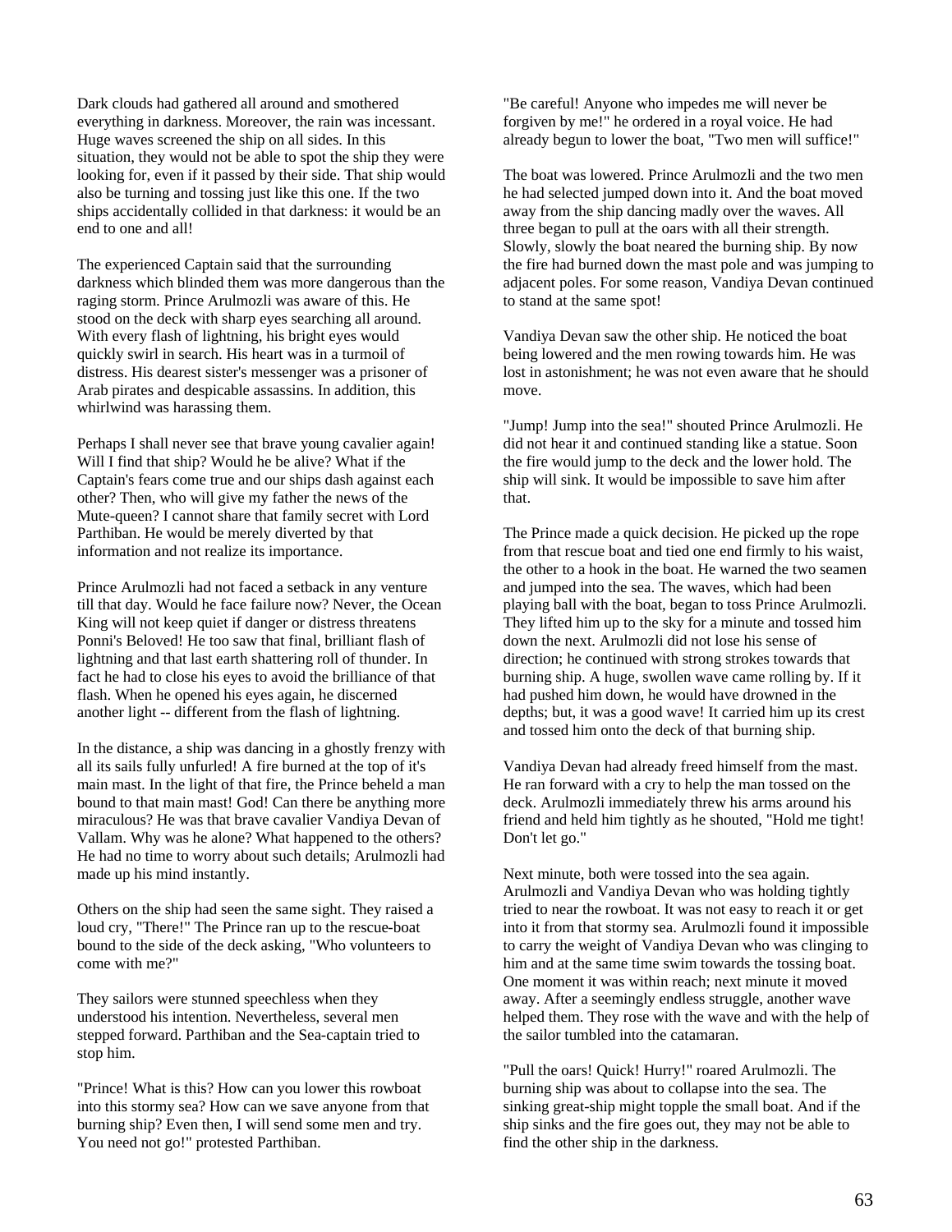Dark clouds had gathered all around and smothered everything in darkness. Moreover, the rain was incessant. Huge waves screened the ship on all sides. In this situation, they would not be able to spot the ship they were looking for, even if it passed by their side. That ship would also be turning and tossing just like this one. If the two ships accidentally collided in that darkness: it would be an end to one and all!

The experienced Captain said that the surrounding darkness which blinded them was more dangerous than the raging storm. Prince Arulmozli was aware of this. He stood on the deck with sharp eyes searching all around. With every flash of lightning, his bright eyes would quickly swirl in search. His heart was in a turmoil of distress. His dearest sister's messenger was a prisoner of Arab pirates and despicable assassins. In addition, this whirlwind was harassing them.

Perhaps I shall never see that brave young cavalier again! Will I find that ship? Would he be alive? What if the Captain's fears come true and our ships dash against each other? Then, who will give my father the news of the Mute-queen? I cannot share that family secret with Lord Parthiban. He would be merely diverted by that information and not realize its importance.

Prince Arulmozli had not faced a setback in any venture till that day. Would he face failure now? Never, the Ocean King will not keep quiet if danger or distress threatens Ponni's Beloved! He too saw that final, brilliant flash of lightning and that last earth shattering roll of thunder. In fact he had to close his eyes to avoid the brilliance of that flash. When he opened his eyes again, he discerned another light -- different from the flash of lightning.

In the distance, a ship was dancing in a ghostly frenzy with all its sails fully unfurled! A fire burned at the top of it's main mast. In the light of that fire, the Prince beheld a man bound to that main mast! God! Can there be anything more miraculous? He was that brave cavalier Vandiya Devan of Vallam. Why was he alone? What happened to the others? He had no time to worry about such details; Arulmozli had made up his mind instantly.

Others on the ship had seen the same sight. They raised a loud cry, "There!" The Prince ran up to the rescue-boat bound to the side of the deck asking, "Who volunteers to come with me?"

They sailors were stunned speechless when they understood his intention. Nevertheless, several men stepped forward. Parthiban and the Sea-captain tried to stop him.

"Prince! What is this? How can you lower this rowboat into this stormy sea? How can we save anyone from that burning ship? Even then, I will send some men and try. You need not go!" protested Parthiban.

"Be careful! Anyone who impedes me will never be forgiven by me!" he ordered in a royal voice. He had already begun to lower the boat, "Two men will suffice!"

The boat was lowered. Prince Arulmozli and the two men he had selected jumped down into it. And the boat moved away from the ship dancing madly over the waves. All three began to pull at the oars with all their strength. Slowly, slowly the boat neared the burning ship. By now the fire had burned down the mast pole and was jumping to adjacent poles. For some reason, Vandiya Devan continued to stand at the same spot!

Vandiya Devan saw the other ship. He noticed the boat being lowered and the men rowing towards him. He was lost in astonishment; he was not even aware that he should move.

"Jump! Jump into the sea!" shouted Prince Arulmozli. He did not hear it and continued standing like a statue. Soon the fire would jump to the deck and the lower hold. The ship will sink. It would be impossible to save him after that.

The Prince made a quick decision. He picked up the rope from that rescue boat and tied one end firmly to his waist, the other to a hook in the boat. He warned the two seamen and jumped into the sea. The waves, which had been playing ball with the boat, began to toss Prince Arulmozli. They lifted him up to the sky for a minute and tossed him down the next. Arulmozli did not lose his sense of direction; he continued with strong strokes towards that burning ship. A huge, swollen wave came rolling by. If it had pushed him down, he would have drowned in the depths; but, it was a good wave! It carried him up its crest and tossed him onto the deck of that burning ship.

Vandiya Devan had already freed himself from the mast. He ran forward with a cry to help the man tossed on the deck. Arulmozli immediately threw his arms around his friend and held him tightly as he shouted, "Hold me tight! Don't let go."

Next minute, both were tossed into the sea again. Arulmozli and Vandiya Devan who was holding tightly tried to near the rowboat. It was not easy to reach it or get into it from that stormy sea. Arulmozli found it impossible to carry the weight of Vandiya Devan who was clinging to him and at the same time swim towards the tossing boat. One moment it was within reach; next minute it moved away. After a seemingly endless struggle, another wave helped them. They rose with the wave and with the help of the sailor tumbled into the catamaran.

"Pull the oars! Quick! Hurry!" roared Arulmozli. The burning ship was about to collapse into the sea. The sinking great-ship might topple the small boat. And if the ship sinks and the fire goes out, they may not be able to find the other ship in the darkness.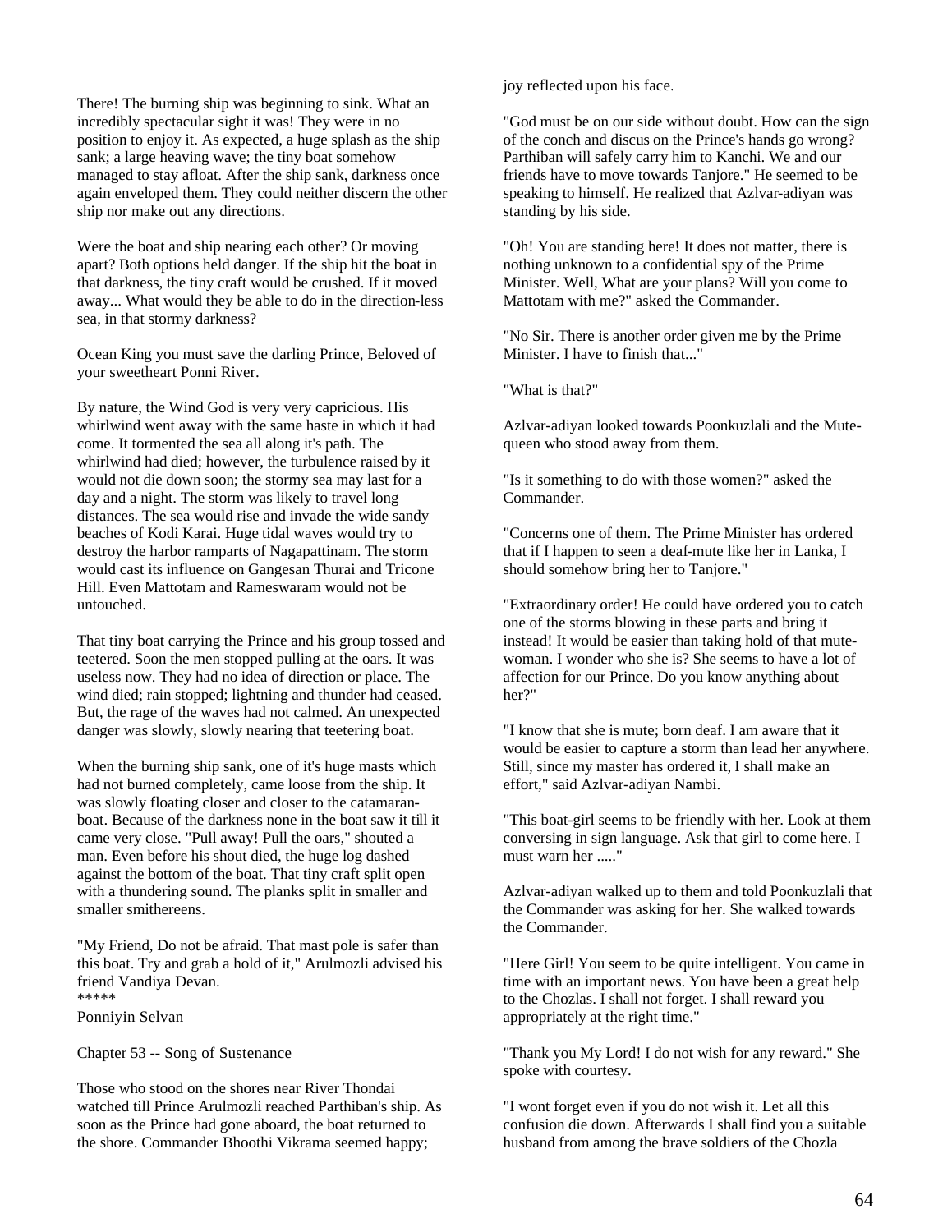There! The burning ship was beginning to sink. What an incredibly spectacular sight it was! They were in no position to enjoy it. As expected, a huge splash as the ship sank; a large heaving wave; the tiny boat somehow managed to stay afloat. After the ship sank, darkness once again enveloped them. They could neither discern the other ship nor make out any directions.

Were the boat and ship nearing each other? Or moving apart? Both options held danger. If the ship hit the boat in that darkness, the tiny craft would be crushed. If it moved away... What would they be able to do in the direction-less sea, in that stormy darkness?

Ocean King you must save the darling Prince, Beloved of your sweetheart Ponni River.

By nature, the Wind God is very very capricious. His whirlwind went away with the same haste in which it had come. It tormented the sea all along it's path. The whirlwind had died; however, the turbulence raised by it would not die down soon; the stormy sea may last for a day and a night. The storm was likely to travel long distances. The sea would rise and invade the wide sandy beaches of Kodi Karai. Huge tidal waves would try to destroy the harbor ramparts of Nagapattinam. The storm would cast its influence on Gangesan Thurai and Tricone Hill. Even Mattotam and Rameswaram would not be untouched.

That tiny boat carrying the Prince and his group tossed and teetered. Soon the men stopped pulling at the oars. It was useless now. They had no idea of direction or place. The wind died; rain stopped; lightning and thunder had ceased. But, the rage of the waves had not calmed. An unexpected danger was slowly, slowly nearing that teetering boat.

When the burning ship sank, one of it's huge masts which had not burned completely, came loose from the ship. It was slowly floating closer and closer to the catamaranboat. Because of the darkness none in the boat saw it till it came very close. "Pull away! Pull the oars," shouted a man. Even before his shout died, the huge log dashed against the bottom of the boat. That tiny craft split open with a thundering sound. The planks split in smaller and smaller smithereens.

"My Friend, Do not be afraid. That mast pole is safer than this boat. Try and grab a hold of it," Arulmozli advised his friend Vandiya Devan. \*\*\*\*\*

Ponniyin Selvan

Chapter 53 -- Song of Sustenance

Those who stood on the shores near River Thondai watched till Prince Arulmozli reached Parthiban's ship. As soon as the Prince had gone aboard, the boat returned to the shore. Commander Bhoothi Vikrama seemed happy;

joy reflected upon his face.

"God must be on our side without doubt. How can the sign of the conch and discus on the Prince's hands go wrong? Parthiban will safely carry him to Kanchi. We and our friends have to move towards Tanjore." He seemed to be speaking to himself. He realized that Azlvar-adiyan was standing by his side.

"Oh! You are standing here! It does not matter, there is nothing unknown to a confidential spy of the Prime Minister. Well, What are your plans? Will you come to Mattotam with me?" asked the Commander.

"No Sir. There is another order given me by the Prime Minister. I have to finish that..."

"What is that?"

Azlvar-adiyan looked towards Poonkuzlali and the Mutequeen who stood away from them.

"Is it something to do with those women?" asked the Commander.

"Concerns one of them. The Prime Minister has ordered that if I happen to seen a deaf-mute like her in Lanka, I should somehow bring her to Tanjore."

"Extraordinary order! He could have ordered you to catch one of the storms blowing in these parts and bring it instead! It would be easier than taking hold of that mutewoman. I wonder who she is? She seems to have a lot of affection for our Prince. Do you know anything about her?"

"I know that she is mute; born deaf. I am aware that it would be easier to capture a storm than lead her anywhere. Still, since my master has ordered it, I shall make an effort," said Azlvar-adiyan Nambi.

"This boat-girl seems to be friendly with her. Look at them conversing in sign language. Ask that girl to come here. I must warn her ....."

Azlvar-adiyan walked up to them and told Poonkuzlali that the Commander was asking for her. She walked towards the Commander.

"Here Girl! You seem to be quite intelligent. You came in time with an important news. You have been a great help to the Chozlas. I shall not forget. I shall reward you appropriately at the right time."

"Thank you My Lord! I do not wish for any reward." She spoke with courtesy.

"I wont forget even if you do not wish it. Let all this confusion die down. Afterwards I shall find you a suitable husband from among the brave soldiers of the Chozla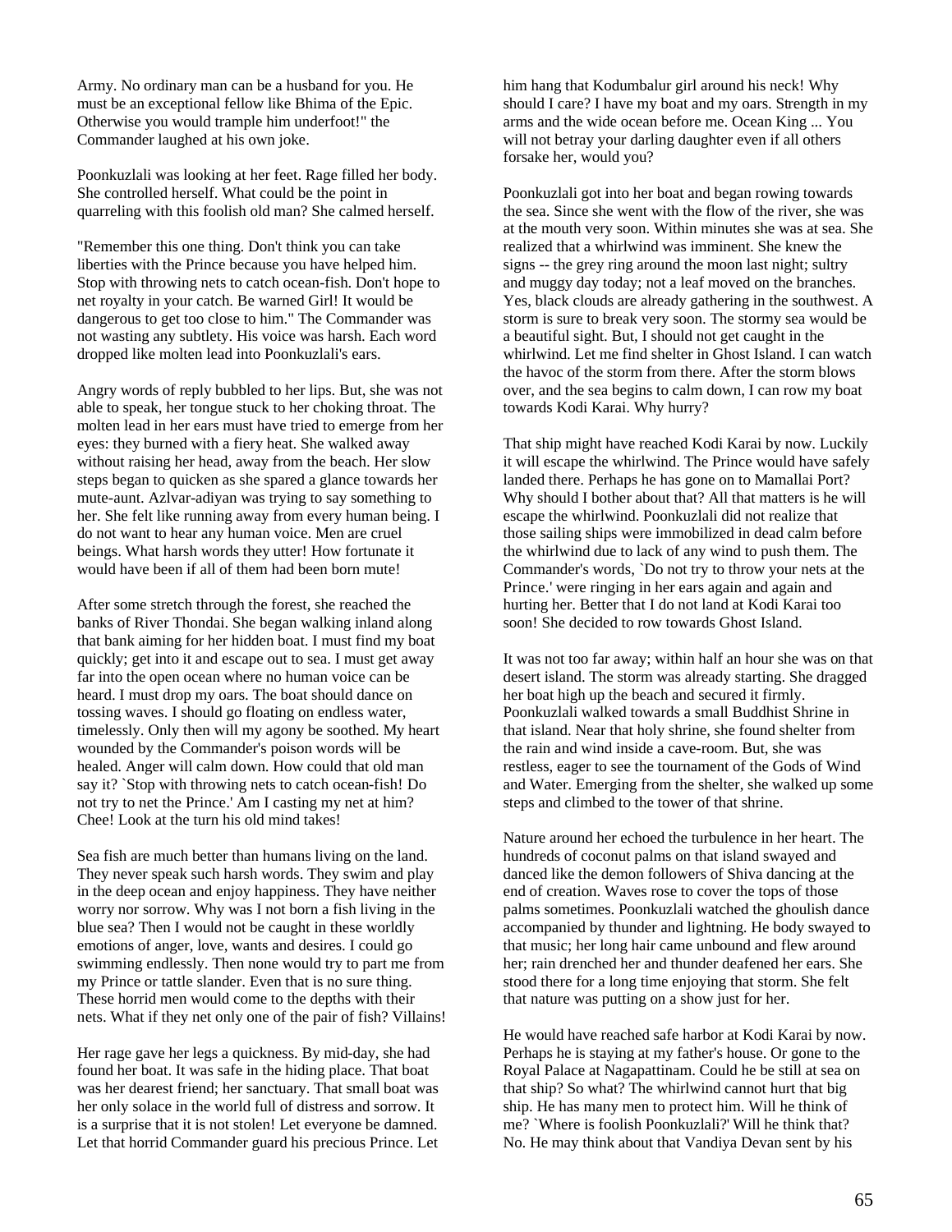Army. No ordinary man can be a husband for you. He must be an exceptional fellow like Bhima of the Epic. Otherwise you would trample him underfoot!" the Commander laughed at his own joke.

Poonkuzlali was looking at her feet. Rage filled her body. She controlled herself. What could be the point in quarreling with this foolish old man? She calmed herself.

"Remember this one thing. Don't think you can take liberties with the Prince because you have helped him. Stop with throwing nets to catch ocean-fish. Don't hope to net royalty in your catch. Be warned Girl! It would be dangerous to get too close to him." The Commander was not wasting any subtlety. His voice was harsh. Each word dropped like molten lead into Poonkuzlali's ears.

Angry words of reply bubbled to her lips. But, she was not able to speak, her tongue stuck to her choking throat. The molten lead in her ears must have tried to emerge from her eyes: they burned with a fiery heat. She walked away without raising her head, away from the beach. Her slow steps began to quicken as she spared a glance towards her mute-aunt. Azlvar-adiyan was trying to say something to her. She felt like running away from every human being. I do not want to hear any human voice. Men are cruel beings. What harsh words they utter! How fortunate it would have been if all of them had been born mute!

After some stretch through the forest, she reached the banks of River Thondai. She began walking inland along that bank aiming for her hidden boat. I must find my boat quickly; get into it and escape out to sea. I must get away far into the open ocean where no human voice can be heard. I must drop my oars. The boat should dance on tossing waves. I should go floating on endless water, timelessly. Only then will my agony be soothed. My heart wounded by the Commander's poison words will be healed. Anger will calm down. How could that old man say it? `Stop with throwing nets to catch ocean-fish! Do not try to net the Prince.' Am I casting my net at him? Chee! Look at the turn his old mind takes!

Sea fish are much better than humans living on the land. They never speak such harsh words. They swim and play in the deep ocean and enjoy happiness. They have neither worry nor sorrow. Why was I not born a fish living in the blue sea? Then I would not be caught in these worldly emotions of anger, love, wants and desires. I could go swimming endlessly. Then none would try to part me from my Prince or tattle slander. Even that is no sure thing. These horrid men would come to the depths with their nets. What if they net only one of the pair of fish? Villains!

Her rage gave her legs a quickness. By mid-day, she had found her boat. It was safe in the hiding place. That boat was her dearest friend; her sanctuary. That small boat was her only solace in the world full of distress and sorrow. It is a surprise that it is not stolen! Let everyone be damned. Let that horrid Commander guard his precious Prince. Let

him hang that Kodumbalur girl around his neck! Why should I care? I have my boat and my oars. Strength in my arms and the wide ocean before me. Ocean King ... You will not betray your darling daughter even if all others forsake her, would you?

Poonkuzlali got into her boat and began rowing towards the sea. Since she went with the flow of the river, she was at the mouth very soon. Within minutes she was at sea. She realized that a whirlwind was imminent. She knew the signs -- the grey ring around the moon last night; sultry and muggy day today; not a leaf moved on the branches. Yes, black clouds are already gathering in the southwest. A storm is sure to break very soon. The stormy sea would be a beautiful sight. But, I should not get caught in the whirlwind. Let me find shelter in Ghost Island. I can watch the havoc of the storm from there. After the storm blows over, and the sea begins to calm down, I can row my boat towards Kodi Karai. Why hurry?

That ship might have reached Kodi Karai by now. Luckily it will escape the whirlwind. The Prince would have safely landed there. Perhaps he has gone on to Mamallai Port? Why should I bother about that? All that matters is he will escape the whirlwind. Poonkuzlali did not realize that those sailing ships were immobilized in dead calm before the whirlwind due to lack of any wind to push them. The Commander's words, `Do not try to throw your nets at the Prince.' were ringing in her ears again and again and hurting her. Better that I do not land at Kodi Karai too soon! She decided to row towards Ghost Island.

It was not too far away; within half an hour she was on that desert island. The storm was already starting. She dragged her boat high up the beach and secured it firmly. Poonkuzlali walked towards a small Buddhist Shrine in that island. Near that holy shrine, she found shelter from the rain and wind inside a cave-room. But, she was restless, eager to see the tournament of the Gods of Wind and Water. Emerging from the shelter, she walked up some steps and climbed to the tower of that shrine.

Nature around her echoed the turbulence in her heart. The hundreds of coconut palms on that island swayed and danced like the demon followers of Shiva dancing at the end of creation. Waves rose to cover the tops of those palms sometimes. Poonkuzlali watched the ghoulish dance accompanied by thunder and lightning. He body swayed to that music; her long hair came unbound and flew around her; rain drenched her and thunder deafened her ears. She stood there for a long time enjoying that storm. She felt that nature was putting on a show just for her.

He would have reached safe harbor at Kodi Karai by now. Perhaps he is staying at my father's house. Or gone to the Royal Palace at Nagapattinam. Could he be still at sea on that ship? So what? The whirlwind cannot hurt that big ship. He has many men to protect him. Will he think of me? `Where is foolish Poonkuzlali?' Will he think that? No. He may think about that Vandiya Devan sent by his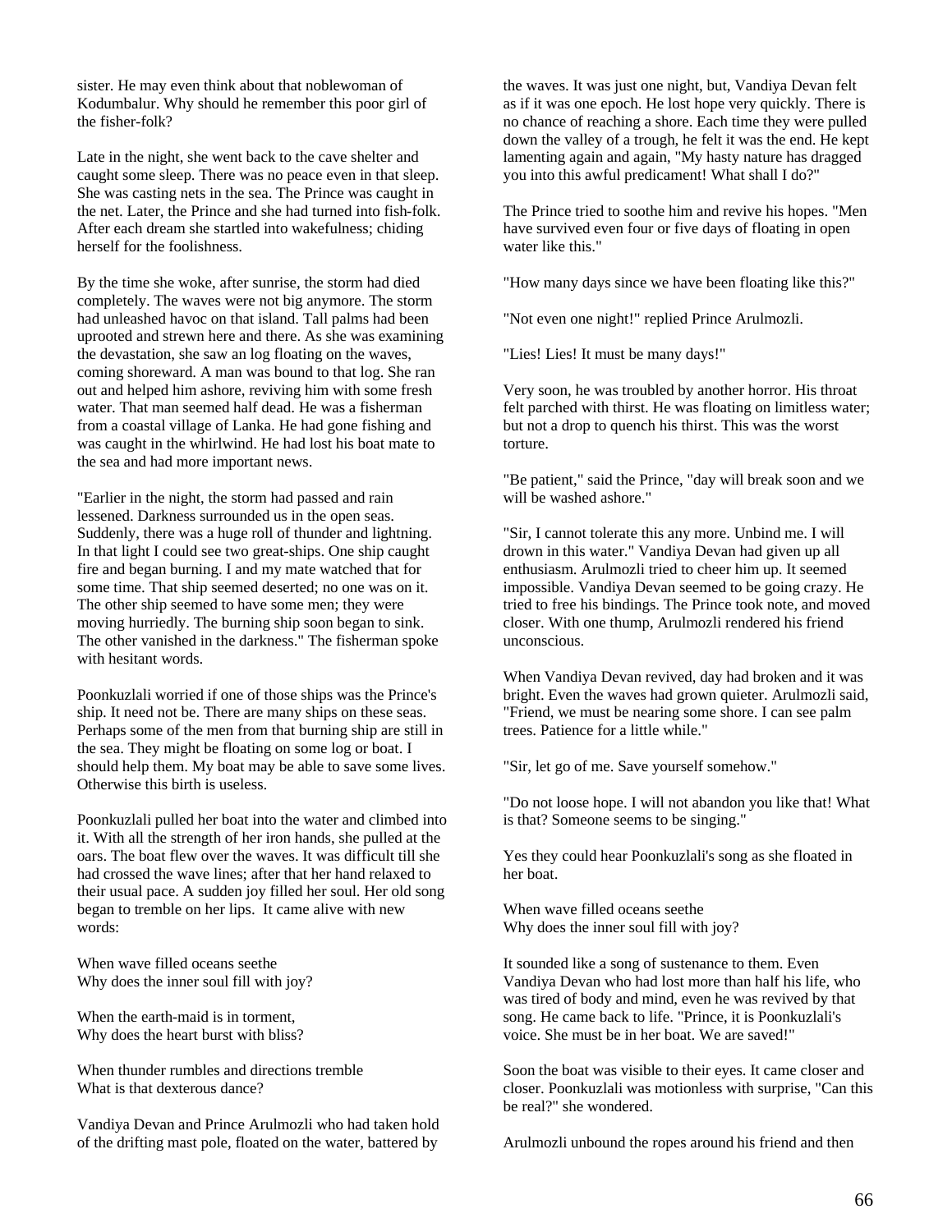sister. He may even think about that noblewoman of Kodumbalur. Why should he remember this poor girl of the fisher-folk?

Late in the night, she went back to the cave shelter and caught some sleep. There was no peace even in that sleep. She was casting nets in the sea. The Prince was caught in the net. Later, the Prince and she had turned into fish-folk. After each dream she startled into wakefulness; chiding herself for the foolishness.

By the time she woke, after sunrise, the storm had died completely. The waves were not big anymore. The storm had unleashed havoc on that island. Tall palms had been uprooted and strewn here and there. As she was examining the devastation, she saw an log floating on the waves, coming shoreward. A man was bound to that log. She ran out and helped him ashore, reviving him with some fresh water. That man seemed half dead. He was a fisherman from a coastal village of Lanka. He had gone fishing and was caught in the whirlwind. He had lost his boat mate to the sea and had more important news.

"Earlier in the night, the storm had passed and rain lessened. Darkness surrounded us in the open seas. Suddenly, there was a huge roll of thunder and lightning. In that light I could see two great-ships. One ship caught fire and began burning. I and my mate watched that for some time. That ship seemed deserted; no one was on it. The other ship seemed to have some men; they were moving hurriedly. The burning ship soon began to sink. The other vanished in the darkness." The fisherman spoke with hesitant words.

Poonkuzlali worried if one of those ships was the Prince's ship. It need not be. There are many ships on these seas. Perhaps some of the men from that burning ship are still in the sea. They might be floating on some log or boat. I should help them. My boat may be able to save some lives. Otherwise this birth is useless.

Poonkuzlali pulled her boat into the water and climbed into it. With all the strength of her iron hands, she pulled at the oars. The boat flew over the waves. It was difficult till she had crossed the wave lines; after that her hand relaxed to their usual pace. A sudden joy filled her soul. Her old song began to tremble on her lips. It came alive with new words:

When wave filled oceans seethe Why does the inner soul fill with joy?

When the earth-maid is in torment, Why does the heart burst with bliss?

When thunder rumbles and directions tremble What is that dexterous dance?

Vandiya Devan and Prince Arulmozli who had taken hold of the drifting mast pole, floated on the water, battered by

the waves. It was just one night, but, Vandiya Devan felt as if it was one epoch. He lost hope very quickly. There is no chance of reaching a shore. Each time they were pulled down the valley of a trough, he felt it was the end. He kept lamenting again and again, "My hasty nature has dragged you into this awful predicament! What shall I do?"

The Prince tried to soothe him and revive his hopes. "Men have survived even four or five days of floating in open water like this."

"How many days since we have been floating like this?"

"Not even one night!" replied Prince Arulmozli.

"Lies! Lies! It must be many days!"

Very soon, he was troubled by another horror. His throat felt parched with thirst. He was floating on limitless water; but not a drop to quench his thirst. This was the worst torture.

"Be patient," said the Prince, "day will break soon and we will be washed ashore."

"Sir, I cannot tolerate this any more. Unbind me. I will drown in this water." Vandiya Devan had given up all enthusiasm. Arulmozli tried to cheer him up. It seemed impossible. Vandiya Devan seemed to be going crazy. He tried to free his bindings. The Prince took note, and moved closer. With one thump, Arulmozli rendered his friend unconscious.

When Vandiya Devan revived, day had broken and it was bright. Even the waves had grown quieter. Arulmozli said, "Friend, we must be nearing some shore. I can see palm trees. Patience for a little while."

"Sir, let go of me. Save yourself somehow."

"Do not loose hope. I will not abandon you like that! What is that? Someone seems to be singing."

Yes they could hear Poonkuzlali's song as she floated in her boat.

When wave filled oceans seethe Why does the inner soul fill with joy?

It sounded like a song of sustenance to them. Even Vandiya Devan who had lost more than half his life, who was tired of body and mind, even he was revived by that song. He came back to life. "Prince, it is Poonkuzlali's voice. She must be in her boat. We are saved!"

Soon the boat was visible to their eyes. It came closer and closer. Poonkuzlali was motionless with surprise, "Can this be real?" she wondered.

Arulmozli unbound the ropes around his friend and then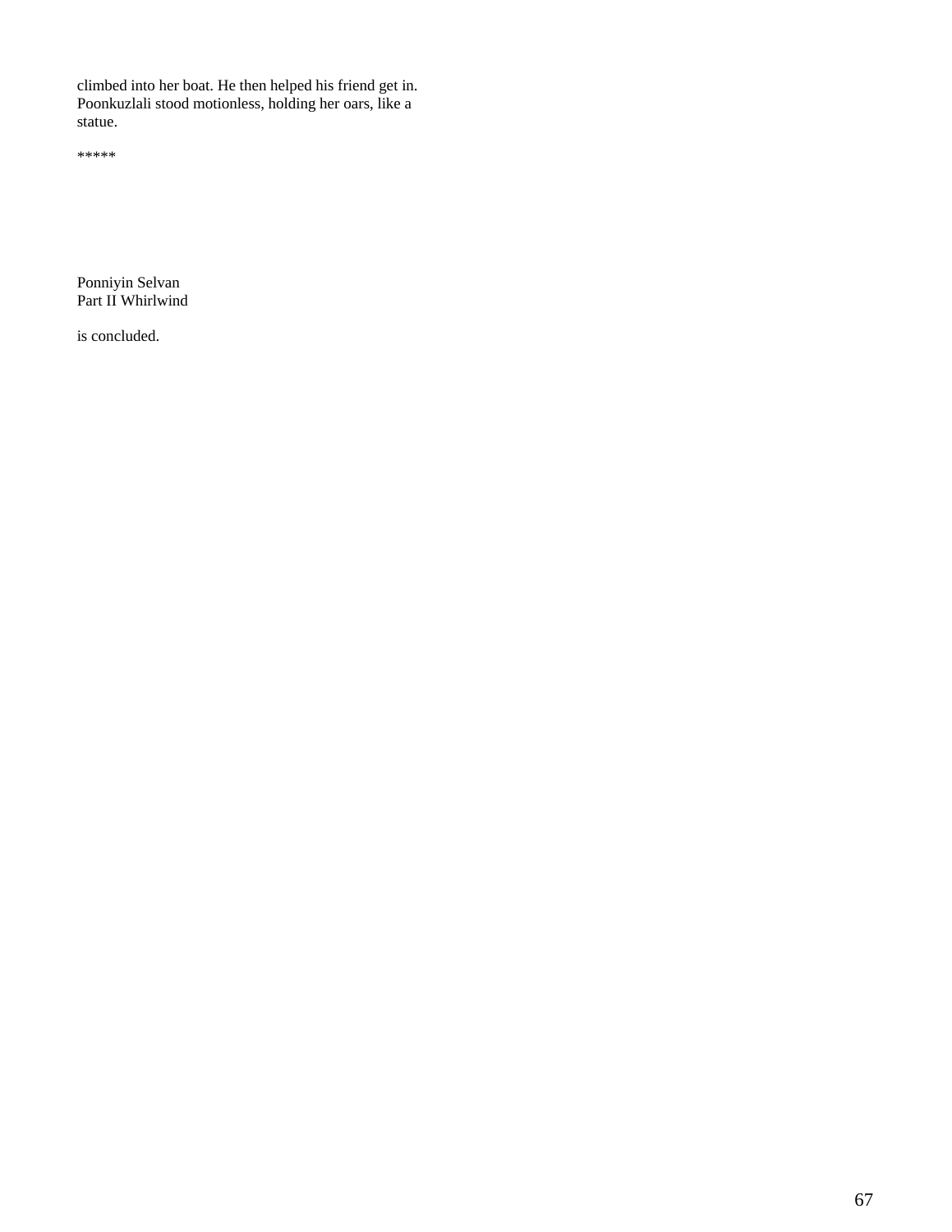climbed into her boat. He then helped his friend get in. Poonkuzlali stood motionless, holding her oars, like a statue.

\*\*\*\*\*

Ponniyin Selvan Part II Whirlwind

is concluded.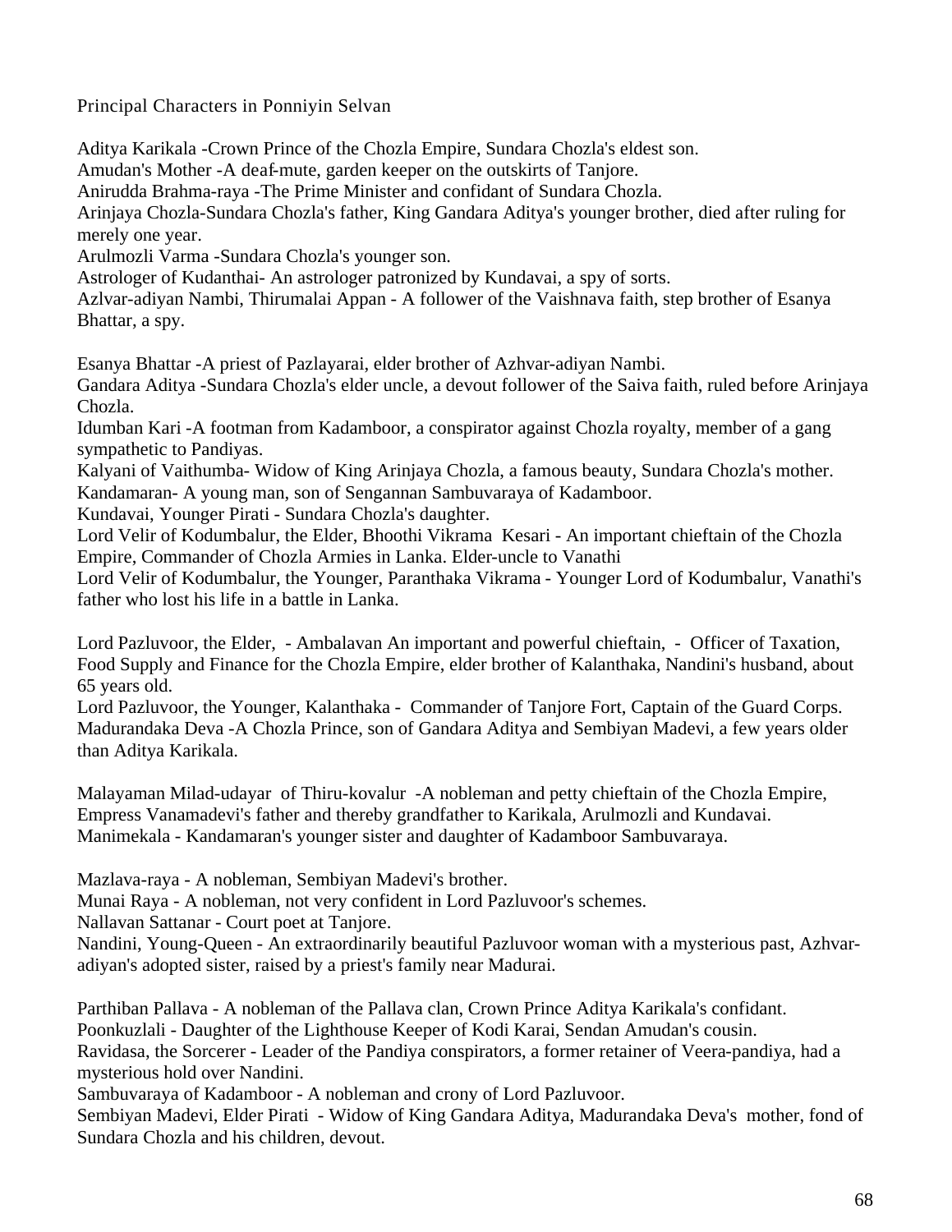Principal Characters in Ponniyin Selvan

Aditya Karikala -Crown Prince of the Chozla Empire, Sundara Chozla's eldest son.

Amudan's Mother -A deaf-mute, garden keeper on the outskirts of Tanjore.

Anirudda Brahma-raya -The Prime Minister and confidant of Sundara Chozla.

Arinjaya Chozla-Sundara Chozla's father, King Gandara Aditya's younger brother, died after ruling for merely one year.

Arulmozli Varma -Sundara Chozla's younger son.

Astrologer of Kudanthai- An astrologer patronized by Kundavai, a spy of sorts.

Azlvar-adiyan Nambi, Thirumalai Appan - A follower of the Vaishnava faith, step brother of Esanya Bhattar, a spy.

Esanya Bhattar -A priest of Pazlayarai, elder brother of Azhvar-adiyan Nambi.

Gandara Aditya -Sundara Chozla's elder uncle, a devout follower of the Saiva faith, ruled before Arinjaya Chozla.

Idumban Kari -A footman from Kadamboor, a conspirator against Chozla royalty, member of a gang sympathetic to Pandiyas.

Kalyani of Vaithumba- Widow of King Arinjaya Chozla, a famous beauty, Sundara Chozla's mother. Kandamaran- A young man, son of Sengannan Sambuvaraya of Kadamboor.

Kundavai, Younger Pirati - Sundara Chozla's daughter.

Lord Velir of Kodumbalur, the Elder, Bhoothi Vikrama Kesari - An important chieftain of the Chozla Empire, Commander of Chozla Armies in Lanka. Elder-uncle to Vanathi

Lord Velir of Kodumbalur, the Younger, Paranthaka Vikrama - Younger Lord of Kodumbalur, Vanathi's father who lost his life in a battle in Lanka.

Lord Pazluvoor, the Elder, - Ambalavan An important and powerful chieftain, - Officer of Taxation, Food Supply and Finance for the Chozla Empire, elder brother of Kalanthaka, Nandini's husband, about 65 years old.

Lord Pazluvoor, the Younger, Kalanthaka - Commander of Tanjore Fort, Captain of the Guard Corps. Madurandaka Deva -A Chozla Prince, son of Gandara Aditya and Sembiyan Madevi, a few years older than Aditya Karikala.

Malayaman Milad-udayar of Thiru-kovalur -A nobleman and petty chieftain of the Chozla Empire, Empress Vanamadevi's father and thereby grandfather to Karikala, Arulmozli and Kundavai. Manimekala - Kandamaran's younger sister and daughter of Kadamboor Sambuvaraya.

Mazlava-raya - A nobleman, Sembiyan Madevi's brother.

Munai Raya - A nobleman, not very confident in Lord Pazluvoor's schemes.

Nallavan Sattanar - Court poet at Tanjore.

Nandini, Young-Queen - An extraordinarily beautiful Pazluvoor woman with a mysterious past, Azhvaradiyan's adopted sister, raised by a priest's family near Madurai.

Parthiban Pallava - A nobleman of the Pallava clan, Crown Prince Aditya Karikala's confidant.

Poonkuzlali - Daughter of the Lighthouse Keeper of Kodi Karai, Sendan Amudan's cousin.

Ravidasa, the Sorcerer - Leader of the Pandiya conspirators, a former retainer of Veera-pandiya, had a mysterious hold over Nandini.

Sambuvaraya of Kadamboor - A nobleman and crony of Lord Pazluvoor.

Sembiyan Madevi, Elder Pirati - Widow of King Gandara Aditya, Madurandaka Deva's mother, fond of Sundara Chozla and his children, devout.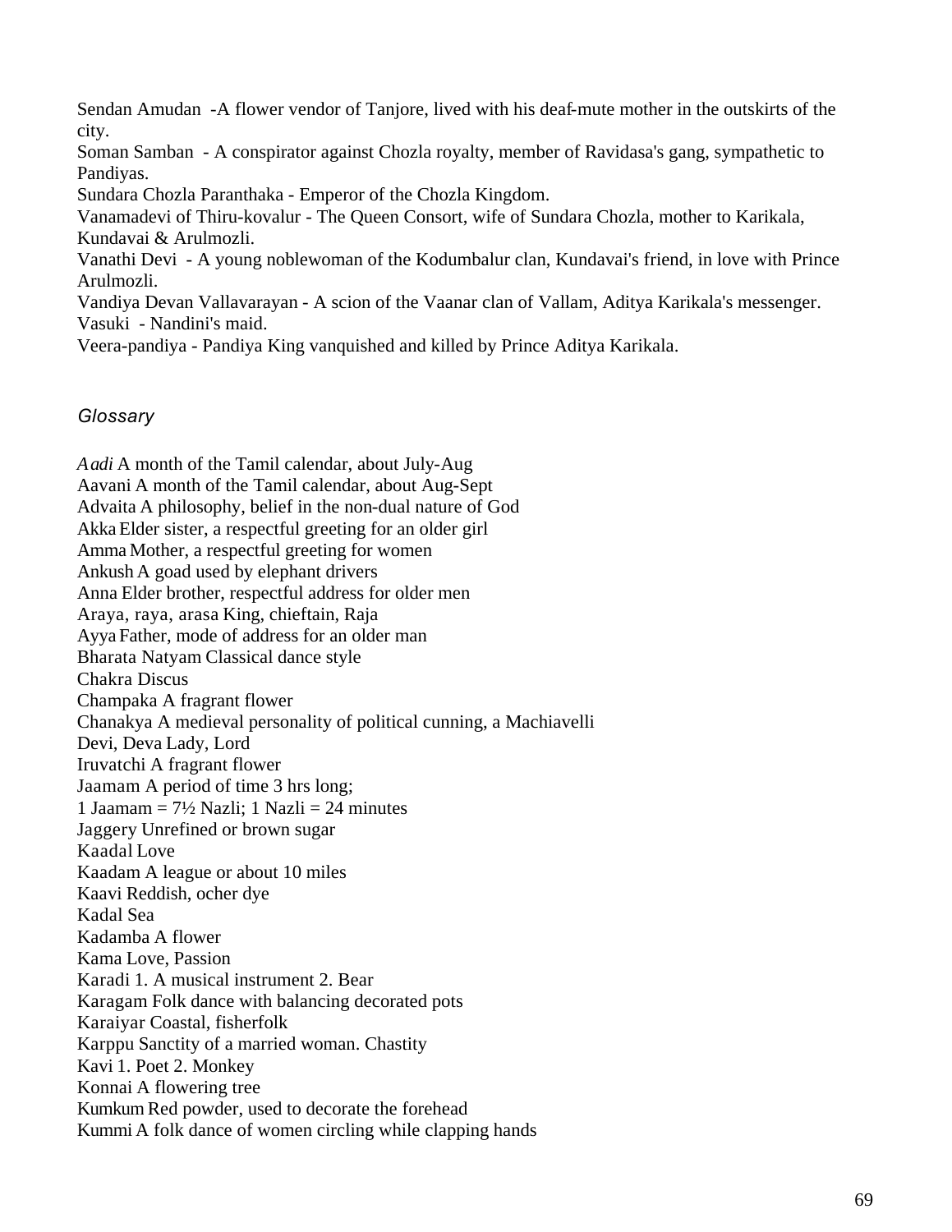Sendan Amudan -A flower vendor of Tanjore, lived with his deaf-mute mother in the outskirts of the city.

Soman Samban - A conspirator against Chozla royalty, member of Ravidasa's gang, sympathetic to Pandiyas.

Sundara Chozla Paranthaka - Emperor of the Chozla Kingdom.

Vanamadevi of Thiru-kovalur - The Queen Consort, wife of Sundara Chozla, mother to Karikala, Kundavai & Arulmozli.

Vanathi Devi - A young noblewoman of the Kodumbalur clan, Kundavai's friend, in love with Prince Arulmozli.

Vandiya Devan Vallavarayan - A scion of the Vaanar clan of Vallam, Aditya Karikala's messenger. Vasuki - Nandini's maid.

Veera-pandiya - Pandiya King vanquished and killed by Prince Aditya Karikala.

# *Glossary*

*Aadi* A month of the Tamil calendar, about July-Aug Aavani A month of the Tamil calendar, about Aug-Sept Advaita A philosophy, belief in the non-dual nature of God Akka Elder sister, a respectful greeting for an older girl Amma Mother, a respectful greeting for women Ankush A goad used by elephant drivers Anna Elder brother, respectful address for older men Araya, raya, arasa King, chieftain, Raja Ayya Father, mode of address for an older man Bharata Natyam Classical dance style Chakra Discus Champaka A fragrant flower Chanakya A medieval personality of political cunning, a Machiavelli Devi, Deva Lady, Lord Iruvatchi A fragrant flower Jaamam A period of time 3 hrs long; 1 Jaamam =  $7\frac{1}{2}$  Nazli; 1 Nazli = 24 minutes Jaggery Unrefined or brown sugar Kaadal Love Kaadam A league or about 10 miles Kaavi Reddish, ocher dye Kadal Sea Kadamba A flower Kama Love, Passion Karadi 1. A musical instrument 2. Bear Karagam Folk dance with balancing decorated pots Karaiyar Coastal, fisherfolk Karppu Sanctity of a married woman. Chastity Kavi 1. Poet 2. Monkey Konnai A flowering tree Kumkum Red powder, used to decorate the forehead Kummi A folk dance of women circling while clapping hands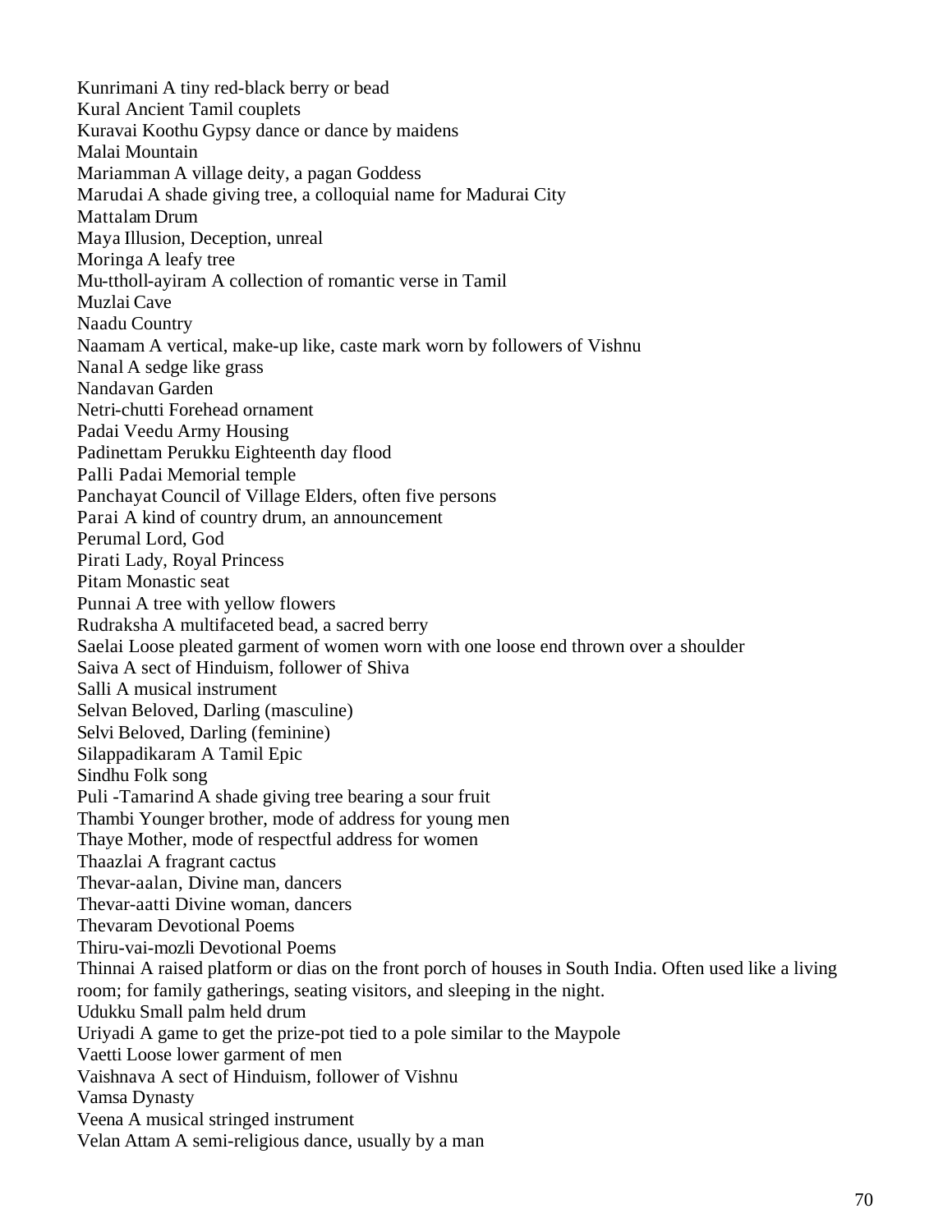Kunrimani A tiny red-black berry or bead Kural Ancient Tamil couplets Kuravai Koothu Gypsy dance or dance by maidens Malai Mountain Mariamman A village deity, a pagan Goddess Marudai A shade giving tree, a colloquial name for Madurai City Mattalam Drum Maya Illusion, Deception, unreal Moringa A leafy tree Mu-ttholl-ayiram A collection of romantic verse in Tamil Muzlai Cave Naadu Country Naamam A vertical, make-up like, caste mark worn by followers of Vishnu Nanal A sedge like grass Nandavan Garden Netri-chutti Forehead ornament Padai Veedu Army Housing Padinettam Perukku Eighteenth day flood Palli Padai Memorial temple Panchayat Council of Village Elders, often five persons Parai A kind of country drum, an announcement Perumal Lord, God Pirati Lady, Royal Princess Pitam Monastic seat Punnai A tree with yellow flowers Rudraksha A multifaceted bead, a sacred berry Saelai Loose pleated garment of women worn with one loose end thrown over a shoulder Saiva A sect of Hinduism, follower of Shiva Salli A musical instrument Selvan Beloved, Darling (masculine) Selvi Beloved, Darling (feminine) Silappadikaram A Tamil Epic Sindhu Folk song Puli -Tamarind A shade giving tree bearing a sour fruit Thambi Younger brother, mode of address for young men Thaye Mother, mode of respectful address for women Thaazlai A fragrant cactus Thevar-aalan, Divine man, dancers Thevar-aatti Divine woman, dancers Thevaram Devotional Poems Thiru-vai-mozli Devotional Poems Thinnai A raised platform or dias on the front porch of houses in South India. Often used like a living room; for family gatherings, seating visitors, and sleeping in the night. Udukku Small palm held drum Uriyadi A game to get the prize-pot tied to a pole similar to the Maypole Vaetti Loose lower garment of men Vaishnava A sect of Hinduism, follower of Vishnu Vamsa Dynasty Veena A musical stringed instrument Velan Attam A semi-religious dance, usually by a man